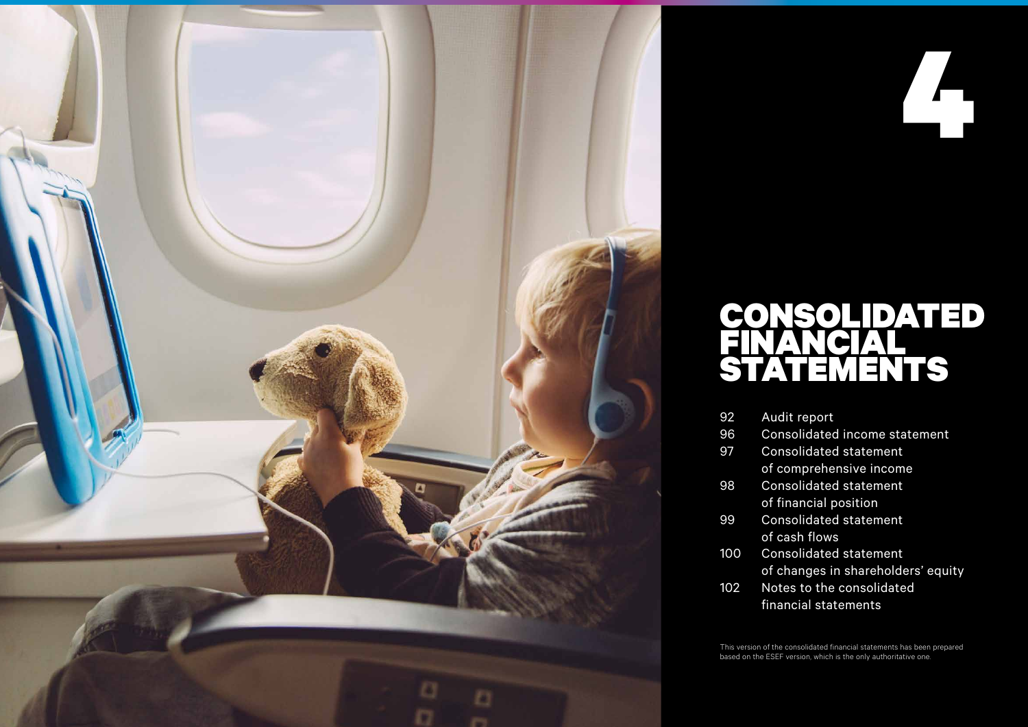

# <span id="page-0-0"></span>CONSOLIDATED FINANCIAL **STATEMENTS**

4

| 92  | Audit report                       |
|-----|------------------------------------|
| 96  | Consolidated income statement      |
| 97  | <b>Consolidated statement</b>      |
|     | of comprehensive income            |
| 98  | <b>Consolidated statement</b>      |
|     | of financial position              |
| 99  | <b>Consolidated statement</b>      |
|     | of cash flows                      |
| 100 | <b>Consolidated statement</b>      |
|     | of changes in shareholders' equity |
| 102 | Notes to the consolidated          |

This version of the consolidated financial statements has been prepared based on the ESEF version, which is the only authoritative one.

[financial statements](#page-11-0)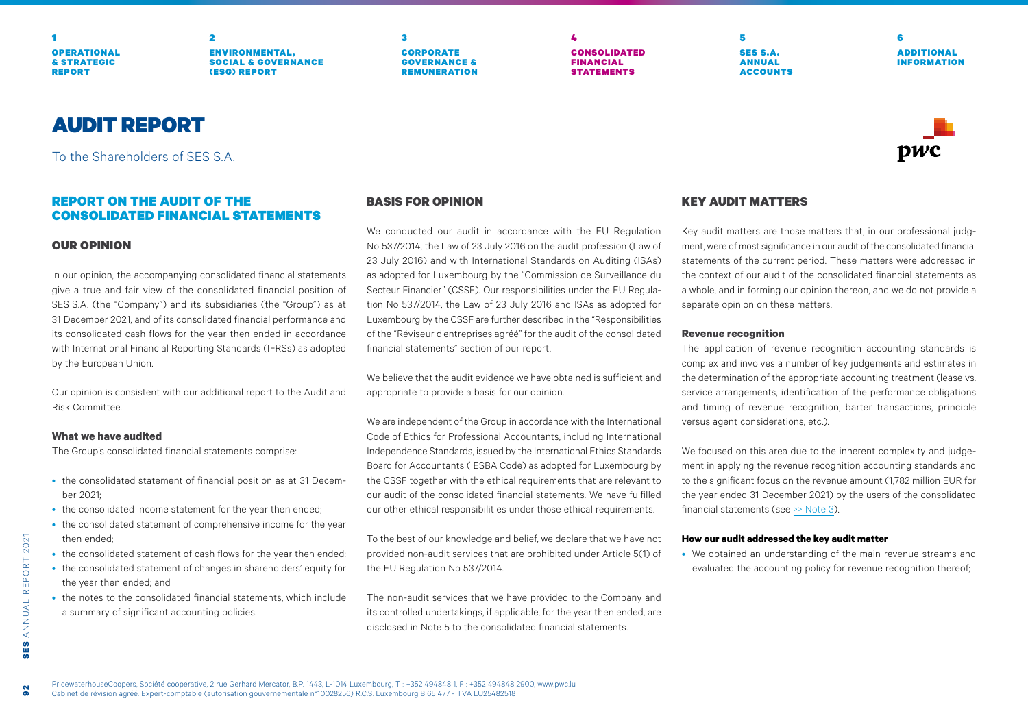**OPERATIONAL** & STRATEGIC REPORT

2 ENVIRONMENTAL, [SOCIAL & GOVERNANCE](#page--1-1)  (ESG) REPORT

3 **CORPORATE** [GOVERNANCE &](#page--1-0)  REMUNERATION

4 **CONSOLIDATED FINANCIAL STATEMENTS** 

5 SES S.A. ANNUAL [ACCOUNTS](#page--1-0)

6 ADDITIONAL INFORMATION

# <span id="page-1-0"></span>AUDIT REPORT

To the Shareholders of SES S.A.

#### REPORT ON THE AUDIT OF THE CONSOLIDATED FINANCIAL STATEMENTS

#### OUR OPINION

In our opinion, the accompanying consolidated financial statements give a true and fair view of the consolidated financial position of SES S.A. (the "Company") and its subsidiaries (the "Group") as at 31 December 2021, and of its consolidated financial performance and its consolidated cash flows for the year then ended in accordance with International Financial Reporting Standards (IFRSs) as adopted by the European Union.

Our opinion is consistent with our additional report to the Audit and Risk Committee.

#### **What we have audited**

The Group's consolidated financial statements comprise:

- the consolidated statement of financial position as at 31 December 2021;
- the consolidated income statement for the year then ended;
- the consolidated statement of comprehensive income for the year then ended;
- the consolidated statement of cash flows for the year then ended;
- the consolidated statement of changes in shareholders' equity for the year then ended; and
- the notes to the consolidated financial statements, which include a summary of significant accounting policies.

#### BASIS FOR OPINION

We conducted our audit in accordance with the EU Regulation No 537/2014, the Law of 23 July 2016 on the audit profession (Law of 23 July 2016) and with International Standards on Auditing (ISAs) as adopted for Luxembourg by the "Commission de Surveillance du Secteur Financier" (CSSF). Our responsibilities under the EU Regulation No 537/2014, the Law of 23 July 2016 and ISAs as adopted for Luxembourg by the CSSF are further described in the "Responsibilities of the "Réviseur d'entreprises agréé" for the audit of the consolidated financial statements" section of our report.

We believe that the audit evidence we have obtained is sufficient and appropriate to provide a basis for our opinion.

We are independent of the Group in accordance with the International Code of Ethics for Professional Accountants, including International Independence Standards, issued by the International Ethics Standards Board for Accountants (IESBA Code) as adopted for Luxembourg by the CSSF together with the ethical requirements that are relevant to our audit of the consolidated financial statements. We have fulfilled our other ethical responsibilities under those ethical requirements.

To the best of our knowledge and belief, we declare that we have not provided non-audit services that are prohibited under Article 5(1) of the EU Regulation No 537/2014.

The non-audit services that we have provided to the Company and its controlled undertakings, if applicable, for the year then ended, are disclosed in Note 5 to the consolidated financial statements.

#### KEY AUDIT MATTERS

Key audit matters are those matters that, in our professional judgment, were of most significance in our audit of the consolidated financial statements of the current period. These matters were addressed in the context of our audit of the consolidated financial statements as a whole, and in forming our opinion thereon, and we do not provide a separate opinion on these matters.

#### **Revenue recognition**

The application of revenue recognition accounting standards is complex and involves a number of key judgements and estimates in the determination of the appropriate accounting treatment (lease vs. service arrangements, identification of the performance obligations and timing of revenue recognition, barter transactions, principle versus agent considerations, etc.).

We focused on this area due to the inherent complexity and judgement in applying the revenue recognition accounting standards and to the significant focus on the revenue amount (1,782 million EUR for the year ended 31 December 2021) by the users of the consolidated financial statements (see [>> Note 3](#page-23-0)).

#### **How our audit addressed the key audit matter**

• We obtained an understanding of the main revenue streams and evaluated the accounting policy for revenue recognition thereof;



**92**

**SES** ANNUAL REPORT 2021

ANNUAL

SES

REPORT 2021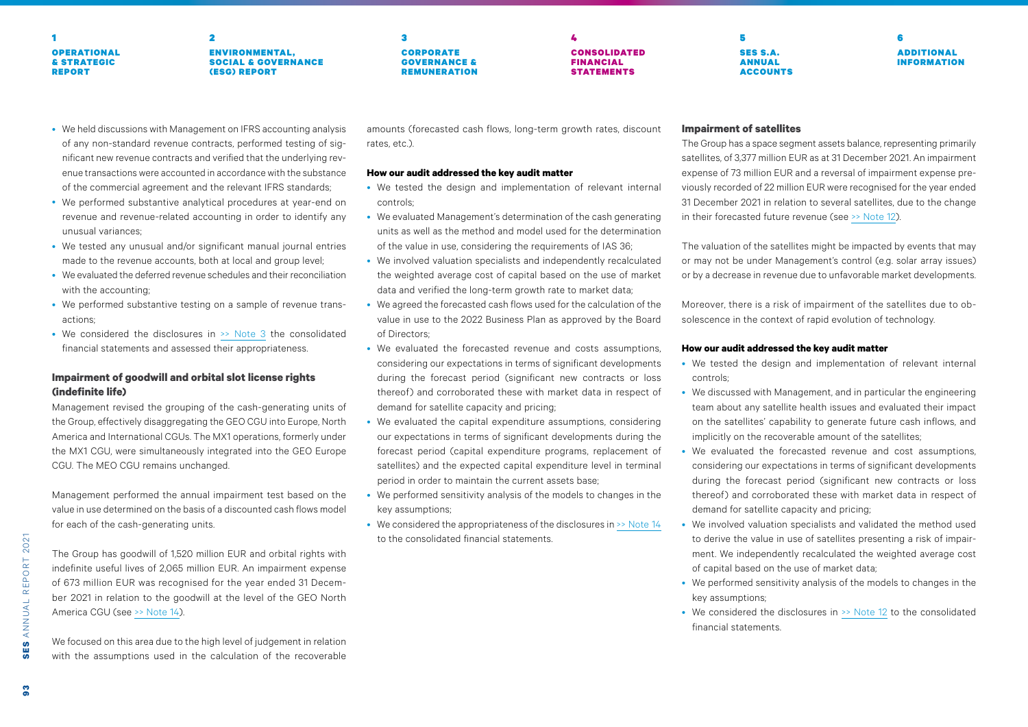& STRATEGIC REPORT

# 2 (ESG) REPORT

ENVIRONMENTAL, [SOCIAL & GOVERNANCE](#page--1-1)  3 CORPORATE [GOVERNANCE &](#page--1-0)  REMUNERATION

4 **CONSOLIDATED FINANCIAL STATEMENTS** 

5 SES S.A. ANNUAL [ACCOUNTS](#page--1-0)

6 ADDITIONAL INFORMATION

- We held discussions with Management on IFRS accounting analysis of any non-standard revenue contracts, performed testing of significant new revenue contracts and verified that the underlying revenue transactions were accounted in accordance with the substance of the commercial agreement and the relevant IFRS standards;
- We performed substantive analytical procedures at year-end on revenue and revenue-related accounting in order to identify any unusual variances;
- We tested any unusual and/or significant manual journal entries made to the revenue accounts, both at local and group level;
- We evaluated the deferred revenue schedules and their reconciliation with the accounting;
- We performed substantive testing on a sample of revenue transactions;
- We considered the disclosures in [>> Note 3](#page-23-0) the consolidated financial statements and assessed their appropriateness.

#### **Impairment of goodwill and orbital slot license rights (indefinite life)**

Management revised the grouping of the cash-generating units of the Group, effectively disaggregating the GEO CGU into Europe, North America and International CGUs. The MX1 operations, formerly under the MX1 CGU, were simultaneously integrated into the GEO Europe CGU. The MEO CGU remains unchanged.

Management performed the annual impairment test based on the value in use determined on the basis of a discounted cash flows model for each of the cash-generating units.

**9 3**

The Group has goodwill of 1,520 million EUR and orbital rights with indefinite useful lives of 2,065 million EUR. An impairment expense of 673 million EUR was recognised for the year ended 31 December 2021 in relation to the goodwill at the level of the GEO North America CGU (see [>> Note 14\)](#page-34-0).

We focused on this area due to the high level of judgement in relation with the assumptions used in the calculation of the recoverable

amounts (forecasted cash flows, long-term growth rates, discount rates, etc.).

#### **How our audit addressed the key audit matter**

- We tested the design and implementation of relevant internal controls;
- We evaluated Management's determination of the cash generating units as well as the method and model used for the determination of the value in use, considering the requirements of IAS 36;
- We involved valuation specialists and independently recalculated the weighted average cost of capital based on the use of market data and verified the long-term growth rate to market data;
- We agreed the forecasted cash flows used for the calculation of the value in use to the 2022 Business Plan as approved by the Board of Directors;
- We evaluated the forecasted revenue and costs assumptions, considering our expectations in terms of significant developments during the forecast period (significant new contracts or loss thereof) and corroborated these with market data in respect of demand for satellite capacity and pricing;
- We evaluated the capital expenditure assumptions, considering our expectations in terms of significant developments during the forecast period (capital expenditure programs, replacement of satellites) and the expected capital expenditure level in terminal period in order to maintain the current assets base;
- We performed sensitivity analysis of the models to changes in the key assumptions;
- We considered the appropriateness of the disclosures in >> Note 14 to the consolidated financial statements.

#### **Impairment of satellites**

The Group has a space segment assets balance, representing primarily satellites, of 3,377 million EUR as at 31 December 2021. An impairment expense of 73 million EUR and a reversal of impairment expense previously recorded of 22 million EUR were recognised for the year ended 31 December 2021 in relation to several satellites, due to the change in their forecasted future revenue (see [>> Note 12\)](#page-30-0).

The valuation of the satellites might be impacted by events that may or may not be under Management's control (e.g. solar array issues) or by a decrease in revenue due to unfavorable market developments.

Moreover, there is a risk of impairment of the satellites due to obsolescence in the context of rapid evolution of technology.

#### **How our audit addressed the key audit matter**

- We tested the design and implementation of relevant internal controls;
- We discussed with Management, and in particular the engineering team about any satellite health issues and evaluated their impact on the satellites' capability to generate future cash inflows, and implicitly on the recoverable amount of the satellites;
- We evaluated the forecasted revenue and cost assumptions, considering our expectations in terms of significant developments during the forecast period (significant new contracts or loss thereof) and corroborated these with market data in respect of demand for satellite capacity and pricing;
- We involved valuation specialists and validated the method used to derive the value in use of satellites presenting a risk of impairment. We independently recalculated the weighted average cost of capital based on the use of market data;
- We performed sensitivity analysis of the models to changes in the key assumptions;
- We considered the disclosures in [>> Note 12](#page-30-0) to the consolidated financial statements.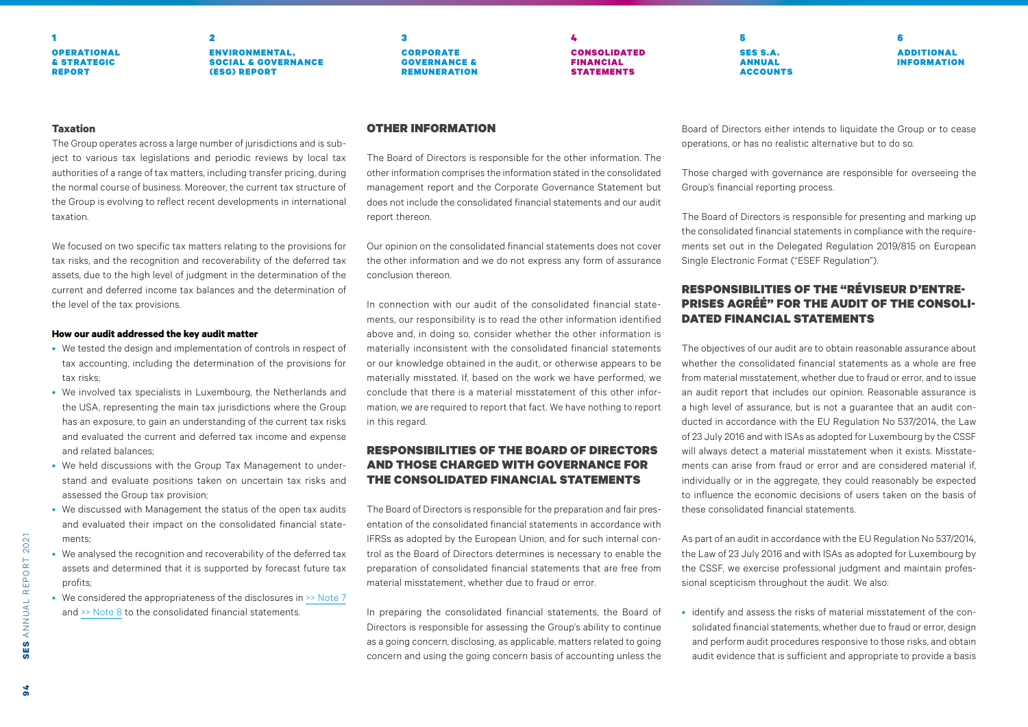**OPERATIONAL** & STRATEGIC REPORT

2 ENVIRONMENTAL, [SOCIAL & GOVERNANCE](#page--1-1)  (ESG) REPORT

3 **CORPORATE** [GOVERNANCE &](#page--1-0)  REMUNERATION

4 **CONSOLIDATED FINANCIAL STATEMENTS** 

5 SES S.A. ANNUAL [ACCOUNTS](#page--1-0)

6 ADDITIONAL INFORMATION

#### **Taxation**

The Group operates across a large number of jurisdictions and is subject to various tax legislations and periodic reviews by local tax authorities of a range of tax matters, including transfer pricing, during the normal course of business. Moreover, the current tax structure of the Group is evolving to reflect recent developments in international taxation.

We focused on two specific tax matters relating to the provisions for tax risks, and the recognition and recoverability of the deferred tax assets, due to the high level of judgment in the determination of the current and deferred income tax balances and the determination of the level of the tax provisions.

#### **How our audit addressed the key audit matter**

- We tested the design and implementation of controls in respect of tax accounting, including the determination of the provisions for tax risks;
- We involved tax specialists in Luxembourg, the Netherlands and the USA, representing the main tax jurisdictions where the Group has an exposure, to gain an understanding of the current tax risks and evaluated the current and deferred tax income and expense and related balances;
- We held discussions with the Group Tax Management to understand and evaluate positions taken on uncertain tax risks and assessed the Group tax provision;
- We discussed with Management the status of the open tax audits and evaluated their impact on the consolidated financial statements;
- We analysed the recognition and recoverability of the deferred tax assets and determined that it is supported by forecast future tax profits;
- We considered the appropriateness of the disclosures in >> [Note](#page-26-0) 7 and [>> Note 8](#page-27-0) to the consolidated financial statements.

#### OTHER INFORMATION

The Board of Directors is responsible for the other information. The other information comprises the information stated in the consolidated management report and the Corporate Governance Statement but does not include the consolidated financial statements and our audit report thereon.

Our opinion on the consolidated financial statements does not cover the other information and we do not express any form of assurance conclusion thereon.

In connection with our audit of the consolidated financial statements, our responsibility is to read the other information identified above and, in doing so, consider whether the other information is materially inconsistent with the consolidated financial statements or our knowledge obtained in the audit, or otherwise appears to be materially misstated. If, based on the work we have performed, we conclude that there is a material misstatement of this other information, we are required to report that fact. We have nothing to report in this regard.

#### RESPONSIBILITIES OF THE BOARD OF DIRECTORS AND THOSE CHARGED WITH GOVERNANCE FOR THE CONSOLIDATED FINANCIAL STATEMENTS

The Board of Directors is responsible for the preparation and fair presentation of the consolidated financial statements in accordance with IFRSs as adopted by the European Union, and for such internal control as the Board of Directors determines is necessary to enable the preparation of consolidated financial statements that are free from material misstatement, whether due to fraud or error.

In preparing the consolidated financial statements, the Board of Directors is responsible for assessing the Group's ability to continue as a going concern, disclosing, as applicable, matters related to going concern and using the going concern basis of accounting unless the Board of Directors either intends to liquidate the Group or to cease operations, or has no realistic alternative but to do so.

Those charged with governance are responsible for overseeing the Group's financial reporting process.

The Board of Directors is responsible for presenting and marking up the consolidated financial statements in compliance with the requirements set out in the Delegated Regulation 2019/815 on European Single Electronic Format ("ESEF Regulation").

### RESPONSIBILITIES OF THE "RÉVISEUR D'ENTRE-PRISES AGRÉÉ" FOR THE AUDIT OF THE CONSOLI-DATED FINANCIAL STATEMENTS

The objectives of our audit are to obtain reasonable assurance about whether the consolidated financial statements as a whole are free from material misstatement, whether due to fraud or error, and to issue an audit report that includes our opinion. Reasonable assurance is a high level of assurance, but is not a guarantee that an audit conducted in accordance with the EU Regulation No 537/2014, the Law of 23 July 2016 and with ISAs as adopted for Luxembourg by the CSSF will always detect a material misstatement when it exists. Misstatements can arise from fraud or error and are considered material if individually or in the aggregate, they could reasonably be expected to influence the economic decisions of users taken on the basis of these consolidated financial statements.

As part of an audit in accordance with the EU Regulation No 537/2014, the Law of 23 July 2016 and with ISAs as adopted for Luxembourg by the CSSF, we exercise professional judgment and maintain professional scepticism throughout the audit. We also:

• identify and assess the risks of material misstatement of the consolidated financial statements, whether due to fraud or error, design and perform audit procedures responsive to those risks, and obtain audit evidence that is sufficient and appropriate to provide a basis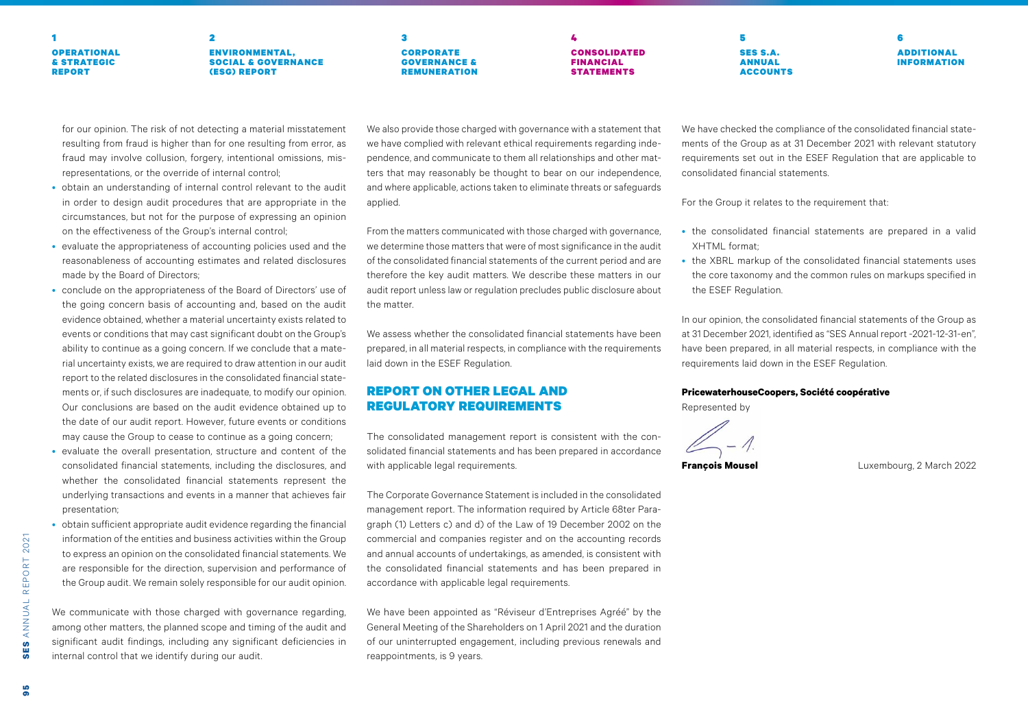**OPERATIONAL** & STRATEGIC REPORT

#### 2 ENVIRONMENTAL, [SOCIAL & GOVERNANCE](#page--1-1)  (ESG) REPORT

**CORPORATE** [GOVERNANCE &](#page--1-0)  REMUNERATION

3

4 **CONSOLIDATED FINANCIAL STATEMENTS** 

5 SES S.A. ANNUAL [ACCOUNTS](#page--1-0)

6 ADDITIONAL INFORMATION

for our opinion. The risk of not detecting a material misstatement resulting from fraud is higher than for one resulting from error, as fraud may involve collusion, forgery, intentional omissions, misrepresentations, or the override of internal control;

- obtain an understanding of internal control relevant to the audit in order to design audit procedures that are appropriate in the circumstances, but not for the purpose of expressing an opinion on the effectiveness of the Group's internal control;
- evaluate the appropriateness of accounting policies used and the reasonableness of accounting estimates and related disclosures made by the Board of Directors;
- conclude on the appropriateness of the Board of Directors' use of the going concern basis of accounting and, based on the audit evidence obtained, whether a material uncertainty exists related to events or conditions that may cast significant doubt on the Group's ability to continue as a going concern. If we conclude that a material uncertainty exists, we are required to draw attention in our audit report to the related disclosures in the consolidated financial statements or, if such disclosures are inadequate, to modify our opinion. Our conclusions are based on the audit evidence obtained up to the date of our audit report. However, future events or conditions may cause the Group to cease to continue as a going concern;
- evaluate the overall presentation, structure and content of the consolidated financial statements, including the disclosures, and whether the consolidated financial statements represent the underlying transactions and events in a manner that achieves fair presentation;
- obtain sufficient appropriate audit evidence regarding the financial information of the entities and business activities within the Group to express an opinion on the consolidated financial statements. We are responsible for the direction, supervision and performance of the Group audit. We remain solely responsible for our audit opinion.

We communicate with those charged with governance regarding, among other matters, the planned scope and timing of the audit and significant audit findings, including any significant deficiencies in internal control that we identify during our audit.

We also provide those charged with governance with a statement that we have complied with relevant ethical requirements regarding independence, and communicate to them all relationships and other matters that may reasonably be thought to bear on our independence, and where applicable, actions taken to eliminate threats or safeguards applied.

From the matters communicated with those charged with governance, we determine those matters that were of most significance in the audit of the consolidated financial statements of the current period and are therefore the key audit matters. We describe these matters in our audit report unless law or regulation precludes public disclosure about the matter.

We assess whether the consolidated financial statements have been prepared, in all material respects, in compliance with the requirements laid down in the ESEF Regulation.

#### REPORT ON OTHER LEGAL AND REGULATORY REQUIREMENTS

The consolidated management report is consistent with the consolidated financial statements and has been prepared in accordance with applicable legal requirements.

The Corporate Governance Statement is included in the consolidated management report. The information required by Article 68ter Paragraph (1) Letters c) and d) of the Law of 19 December 2002 on the commercial and companies register and on the accounting records and annual accounts of undertakings, as amended, is consistent with the consolidated financial statements and has been prepared in accordance with applicable legal requirements.

We have been appointed as "Réviseur d'Entreprises Agréé" by the General Meeting of the Shareholders on 1 April 2021 and the duration of our uninterrupted engagement, including previous renewals and reappointments, is 9 years.

We have checked the compliance of the consolidated financial statements of the Group as at 31 December 2021 with relevant statutory requirements set out in the ESEF Regulation that are applicable to consolidated financial statements.

For the Group it relates to the requirement that:

- the consolidated financial statements are prepared in a valid XHTML format;
- the XBRL markup of the consolidated financial statements uses the core taxonomy and the common rules on markups specified in the ESEF Regulation.

In our opinion, the consolidated financial statements of the Group as at 31 December 2021, identified as "SES Annual report -2021-12-31-en", have been prepared, in all material respects, in compliance with the requirements laid down in the ESEF Regulation.

#### **PricewaterhouseCoopers, Société coopérative**

Represented by

**François Mousel** Luxembourg, 2 March 2022

**9 5**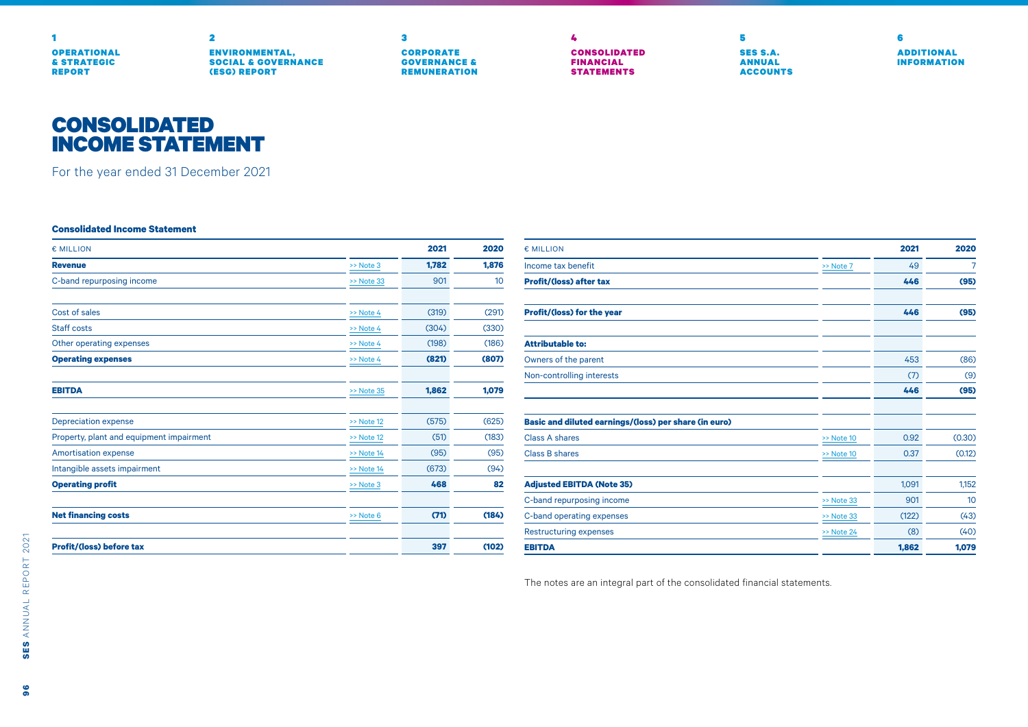[OPERATIONAL](#page--1-0)  & STRATEGIC REPORT

ENVIRONMENTAL, [SOCIAL & GOVERNANCE](#page--1-1)  (ESG) REPORT

3 CORPORATE [GOVERNANCE &](#page--1-0)  REMUNERATION 4 [CONSOLIDATED](#page-0-0)  FINANCIAL **STATEMENTS** 

5 SES S.A. ANNUAL [ACCOUNTS](#page--1-0)

6 ADDITIONAL INFORMATION

<span id="page-5-0"></span>

For the year ended 31 December 2021

#### **Consolidated Income Statement**

| € MILLION                                |            | 2021  | 2020             |
|------------------------------------------|------------|-------|------------------|
| <b>Revenue</b>                           | >> Note 3  | 1,782 | 1,876            |
| C-band repurposing income                | >> Note 33 | 901   | 10 <sup>10</sup> |
| Cost of sales                            | >> Note 4  | (319) | (291)            |
| <b>Staff costs</b>                       | >> Note 4  | (304) | (330)            |
| Other operating expenses                 | >> Note 4  | (198) | (186)            |
| <b>Operating expenses</b>                | >> Note 4  | (821) | (807)            |
| <b>EBITDA</b>                            | >> Note 35 | 1,862 | 1,079            |
| <b>Depreciation expense</b>              | >> Note 12 | (575) | (625)            |
| Property, plant and equipment impairment | >> Note 12 | (51)  | (183)            |
| <b>Amortisation expense</b>              | >> Note 14 | (95)  | (95)             |
| Intangible assets impairment             | >> Note 14 | (673) | (94)             |
| <b>Operating profit</b>                  | >> Note 3  | 468   | 82               |
| <b>Net financing costs</b>               | >> Note 6  | (71)  | (184)            |
| <b>Profit/(loss) before tax</b>          |            | 397   | (102)            |

| € MILLION                                             |            | 2021  | 2020   |
|-------------------------------------------------------|------------|-------|--------|
| Income tax benefit                                    | >> Note 7  | 49    | 7      |
| Profit/(loss) after tax                               |            | 446   | (95)   |
| <b>Profit/(loss) for the year</b>                     |            | 446   | (95)   |
| <b>Attributable to:</b>                               |            |       |        |
| Owners of the parent                                  |            | 453   | (86)   |
| Non-controlling interests                             |            | (7)   | (9)    |
|                                                       |            | 446   | (95)   |
| Basic and diluted earnings/(loss) per share (in euro) |            |       |        |
| <b>Class A shares</b>                                 | >> Note 10 | 0.92  | (0.30) |
| <b>Class B shares</b>                                 | >> Note 10 | 0.37  | (0.12) |
| <b>Adjusted EBITDA (Note 35)</b>                      |            | 1,091 | 1,152  |
| C-band repurposing income                             | >> Note 33 | 901   | 10     |
| C-band operating expenses                             | >> Note 33 | (122) | (43)   |
| <b>Restructuring expenses</b>                         | >> Note 24 | (8)   | (40)   |
| <b>EBITDA</b>                                         |            | 1,862 | 1,079  |

The notes are an integral part of the consolidated financial statements.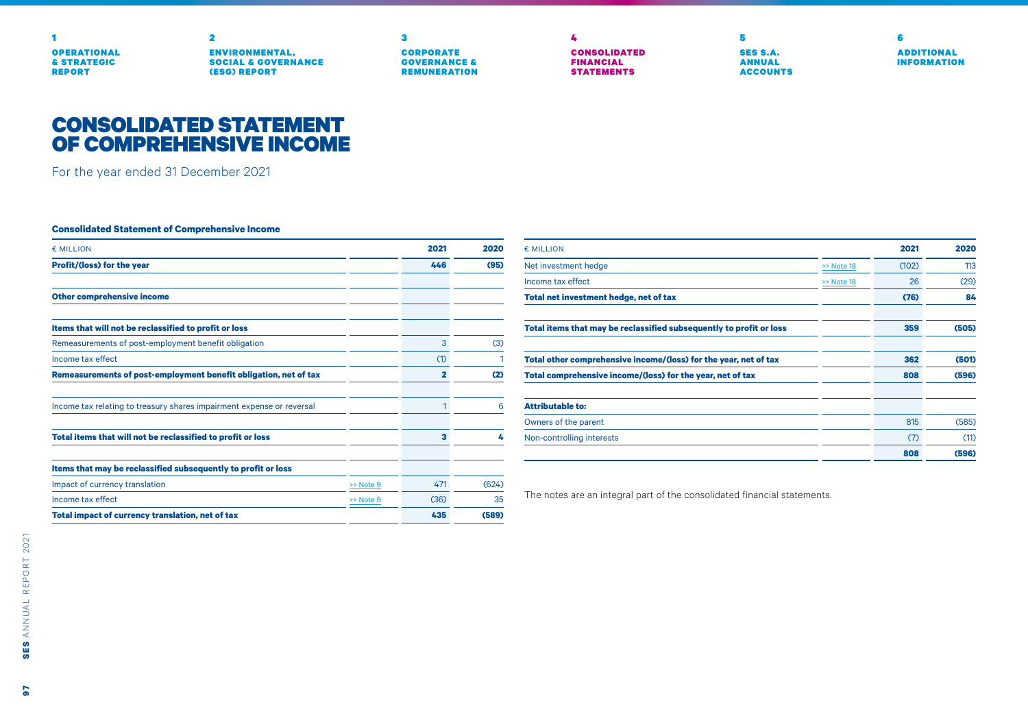[OPERATIONAL](#page--1-0)  & STRATEGIC REPORT

#### 2 ENVIRONMENTAL, [SOCIAL & GOVERNANCE](#page--1-1)  (ESG) REPORT

CORPORATE [GOVERNANCE &](#page--1-0)  REMUNERATION

3

4 [CONSOLIDATED](#page-0-0)  FINANCIAL **STATEMENTS** 

5 SES S.A. ANNUAL [ACCOUNTS](#page--1-0)

6 ADDITIONAL INFORMATION

# <span id="page-6-0"></span>CONSOLIDATED STATEMENT OF COMPREHENSIVE INCOME

For the year ended 31 December 2021

#### **Consolidated Statement of Comprehensive Income**

| € MILLION                                                             |           | 2021           | 2020  |
|-----------------------------------------------------------------------|-----------|----------------|-------|
| <b>Profit/(loss) for the year</b>                                     |           | 446            | (95)  |
| <b>Other comprehensive income</b>                                     |           |                |       |
| Items that will not be reclassified to profit or loss                 |           |                |       |
| Remeasurements of post-employment benefit obligation                  |           | 3              | (3)   |
| Income tax effect                                                     |           | (1)            | 1     |
| Remeasurements of post-employment benefit obligation, net of tax      |           | $\overline{2}$ | (2)   |
| Income tax relating to treasury shares impairment expense or reversal |           |                | 6     |
| Total items that will not be reclassified to profit or loss           |           | 3              | 4     |
| Items that may be reclassified subsequently to profit or loss         |           |                |       |
| Impact of currency translation                                        | >> Note 9 | 471            | (624) |
| Income tax effect                                                     | >> Note 9 | (36)           | 35    |
| <b>Total impact of currency translation, net of tax</b>               |           | 435            | (589) |

| € MILLION                                                           |            | 2021  | 2020  |
|---------------------------------------------------------------------|------------|-------|-------|
| Net investment hedge                                                | >> Note 18 | (102) | 113   |
| Income tax effect                                                   | >> Note 18 | 26    | (29)  |
| Total net investment hedge, net of tax                              |            | (76)  | 84    |
| Total items that may be reclassified subsequently to profit or loss |            | 359   | (505) |
| Total other comprehensive income/(loss) for the year, net of tax    |            | 362   | (501) |
| Total comprehensive income/(loss) for the year, net of tax          |            | 808   | (596) |
| <b>Attributable to:</b>                                             |            |       |       |
| Owners of the parent                                                |            | 815   | (585) |
| Non-controlling interests                                           |            | (7)   | (11)  |
|                                                                     |            | 808   | (596) |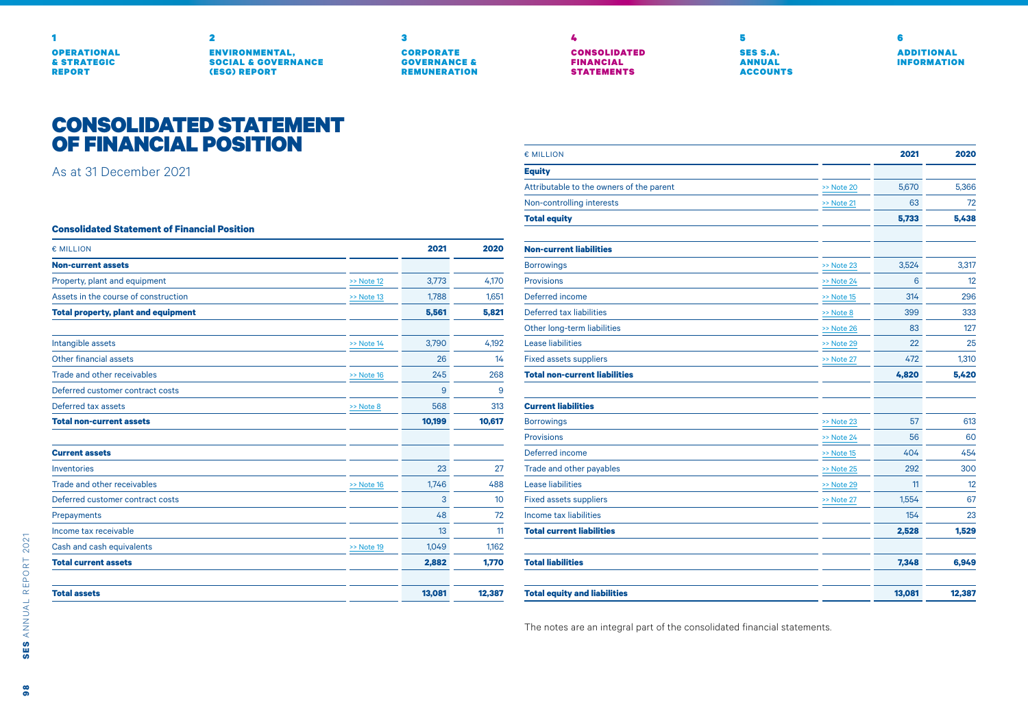[OPERATIONAL](#page--1-0)  & STRATEGIC REPORT

[SOCIAL & GOVERNANCE](#page--1-1)  (ESG) REPORT

3 CORPORATE [GOVERNANCE &](#page--1-0)  REMUNERATION 4 [CONSOLIDATED](#page-0-0)  FINANCIAL **STATEMENTS** 

5 SES S.A. ANNUAL [ACCOUNTS](#page--1-0)

6 ADDITIONAL INFORMATION

# <span id="page-7-0"></span>CONSOLIDATED STATEMENT OF FINANCIAL POSITION

As at 31 December 2021

#### **Consolidated Statement of Financial Position**

| € MILLION                                  |            | 2021   | 2020   |
|--------------------------------------------|------------|--------|--------|
| <b>Non-current assets</b>                  |            |        |        |
| Property, plant and equipment              | >> Note 12 | 3.773  | 4,170  |
| Assets in the course of construction       | >> Note 13 | 1,788  | 1,651  |
| <b>Total property, plant and equipment</b> |            | 5,561  | 5,821  |
| Intangible assets                          | >> Note 14 | 3,790  | 4,192  |
| Other financial assets                     |            | 26     | 14     |
| Trade and other receivables                | >> Note 16 | 245    | 268    |
| Deferred customer contract costs           |            | 9      | 9      |
| Deferred tax assets                        | >> Note 8  | 568    | 313    |
| <b>Total non-current assets</b>            |            | 10,199 | 10,617 |
| <b>Current assets</b>                      |            |        |        |
| <b>Inventories</b>                         |            | 23     | 27     |
| Trade and other receivables                | >> Note 16 | 1,746  | 488    |
| Deferred customer contract costs           |            | 3      | 10     |
| Prepayments                                |            | 48     | 72     |
| Income tax receivable                      |            | 13     | 11     |
| Cash and cash equivalents                  | >> Note 19 | 1,049  | 1,162  |
| <b>Total current assets</b>                |            | 2,882  | 1,770  |
| <b>Total assets</b>                        |            | 13,081 | 12,387 |

| € MILLION                                |            | 2021   | 2020   |
|------------------------------------------|------------|--------|--------|
| <b>Equity</b>                            |            |        |        |
| Attributable to the owners of the parent | >> Note 20 | 5.670  | 5,366  |
| Non-controlling interests                | >> Note 21 | 63     | 72     |
| <b>Total equity</b>                      |            | 5,733  | 5,438  |
| <b>Non-current liabilities</b>           |            |        |        |
| <b>Borrowings</b>                        | >> Note 23 | 3,524  | 3,317  |
| <b>Provisions</b>                        | >> Note 24 | 6      | 12     |
| Deferred income                          | >> Note 15 | 314    | 296    |
| <b>Deferred tax liabilities</b>          | >> Note 8  | 399    | 333    |
| Other long-term liabilities              | >> Note 26 | 83     | 127    |
| <b>Lease liabilities</b>                 | >> Note 29 | 22     | 25     |
| <b>Fixed assets suppliers</b>            | >> Note 27 | 472    | 1,310  |
| <b>Total non-current liabilities</b>     |            | 4,820  | 5,420  |
| <b>Current liabilities</b>               |            |        |        |
| <b>Borrowings</b>                        | >> Note 23 | 57     | 613    |
| <b>Provisions</b>                        | >> Note 24 | 56     | 60     |
| Deferred income                          | >> Note 15 | 404    | 454    |
| Trade and other payables                 | >> Note 25 | 292    | 300    |
| <b>Lease liabilities</b>                 | >> Note 29 | 11     | 12     |
| <b>Fixed assets suppliers</b>            | >> Note 27 | 1,554  | 67     |
| Income tax liabilities                   |            | 154    | 23     |
| <b>Total current liabilities</b>         |            | 2,528  | 1,529  |
| <b>Total liabilities</b>                 |            | 7,348  | 6,949  |
| <b>Total equity and liabilities</b>      |            | 13,081 | 12,387 |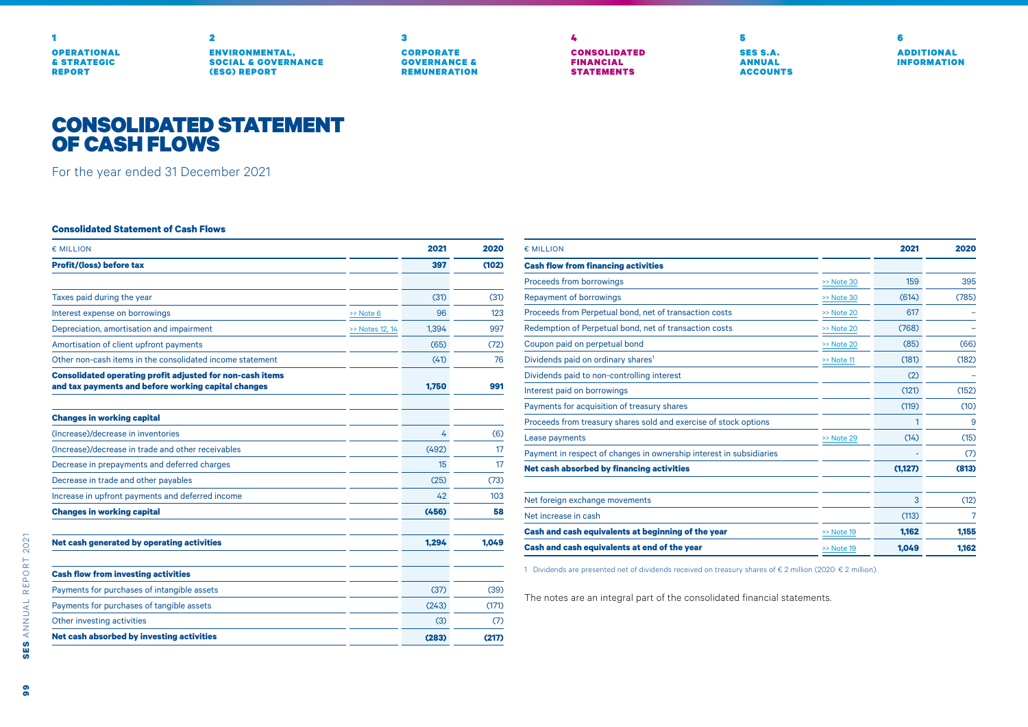[OPERATIONAL](#page--1-0)  & STRATEGIC REPORT

ENVIRONMENTAL, [SOCIAL & GOVERNANCE](#page--1-1)  (ESG) REPORT

CORPORATE [GOVERNANCE &](#page--1-0)  REMUNERATION

3

4 [CONSOLIDATED](#page-0-0)  FINANCIAL STATEMENTS

5 SES S.A. ANNUAL [ACCOUNTS](#page--1-0)

6 ADDITIONAL INFORMATION

# <span id="page-8-0"></span>CONSOLIDATED STATEMENT OF CASH FLOWS

For the year ended 31 December 2021

#### **Consolidated Statement of Cash Flows**

| € MILLION                                                                                                               |                 | 2021  | 2020  |
|-------------------------------------------------------------------------------------------------------------------------|-----------------|-------|-------|
| <b>Profit/(loss) before tax</b>                                                                                         |                 | 397   | (102) |
| Taxes paid during the year                                                                                              |                 | (31)  | (31)  |
| Interest expense on borrowings                                                                                          | >> Note 6       | 96    | 123   |
| Depreciation, amortisation and impairment                                                                               | >> Notes 12, 14 | 1.394 | 997   |
| Amortisation of client upfront payments                                                                                 |                 | (65)  | (72)  |
| Other non-cash items in the consolidated income statement                                                               |                 | (41)  | 76    |
| <b>Consolidated operating profit adjusted for non-cash items</b><br>and tax payments and before working capital changes |                 | 1.750 | 991   |
| <b>Changes in working capital</b>                                                                                       |                 |       |       |
| (Increase)/decrease in inventories                                                                                      |                 | 4     | (6)   |
| (Increase)/decrease in trade and other receivables                                                                      |                 | (492) | 17    |
| Decrease in prepayments and deferred charges                                                                            |                 | 15    | 17    |
| Decrease in trade and other payables                                                                                    |                 | (25)  | (73)  |
| Increase in upfront payments and deferred income                                                                        |                 | 42    | 103   |
| <b>Changes in working capital</b>                                                                                       |                 | (456) | 58    |
| Net cash generated by operating activities                                                                              |                 | 1.294 | 1.049 |
| <b>Cash flow from investing activities</b>                                                                              |                 |       |       |
| Payments for purchases of intangible assets                                                                             |                 | (37)  | (39)  |
| Payments for purchases of tangible assets                                                                               |                 | (243) | (171) |
| Other investing activities                                                                                              |                 | (3)   | (7)   |
| <b>Net cash absorbed by investing activities</b>                                                                        |                 | (283) | (217) |

| € MILLION                                                           |            | 2021    | 2020  |
|---------------------------------------------------------------------|------------|---------|-------|
| <b>Cash flow from financing activities</b>                          |            |         |       |
| Proceeds from borrowings                                            | >> Note 30 | 159     | 395   |
| <b>Repayment of borrowings</b>                                      | >> Note 30 | (614)   | (785) |
| Proceeds from Perpetual bond, net of transaction costs              | >> Note 20 | 617     |       |
| Redemption of Perpetual bond, net of transaction costs              | >> Note 20 | (768)   |       |
| Coupon paid on perpetual bond                                       | >> Note 20 | (85)    | (66)  |
| Dividends paid on ordinary shares <sup>1</sup>                      | >> Note 11 | (181)   | (182) |
| Dividends paid to non-controlling interest                          |            | (2)     |       |
| Interest paid on borrowings                                         |            | (121)   | (152) |
| Payments for acquisition of treasury shares                         |            | (119)   | (10)  |
| Proceeds from treasury shares sold and exercise of stock options    |            | 1       | 9     |
| Lease payments                                                      | >> Note 29 | (14)    | (15)  |
| Payment in respect of changes in ownership interest in subsidiaries |            |         | (7)   |
| <b>Net cash absorbed by financing activities</b>                    |            | (1.127) | (813) |
| Net foreign exchange movements                                      |            | 3       | (12)  |
| Net increase in cash                                                |            | (113)   | 7     |
| Cash and cash equivalents at beginning of the year                  | >> Note 19 | 1,162   | 1,155 |
| Cash and cash equivalents at end of the year                        | >> Note 19 | 1,049   | 1,162 |

1 Dividends are presented net of dividends received on treasury shares of € 2 million (2020: € 2 million).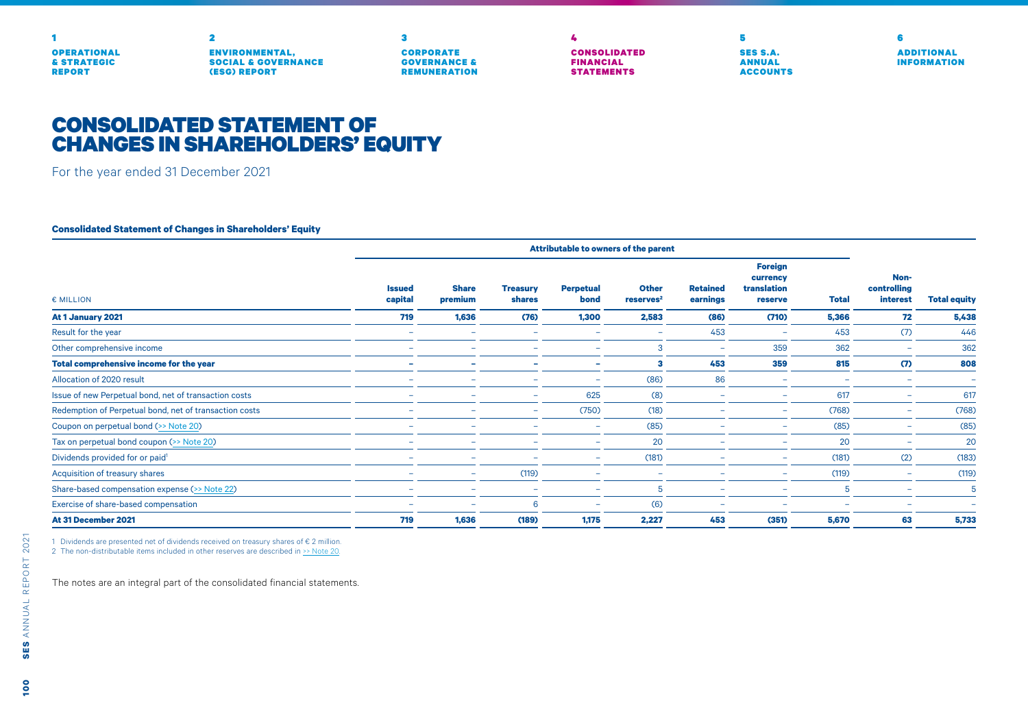**OPERATIONAL** & STRATEGIC REPORT

2 ENVIRONMENTAL, [SOCIAL & GOVERNANCE](#page--1-1)  (ESG) REPORT

CORPORATE [GOVERNANCE &](#page--1-0)  REMUNERATION

3

[CONSOLIDATED](#page-0-0)  FINANCIAL STATEMENTS

4

5 SES S.A. ANNUAL [ACCOUNTS](#page--1-0)

6 ADDITIONAL INFORMATION

# CONSOLIDATED STATEMENT OF CHANGES IN SHAREHOLDERS' EQUITY

For the year ended 31 December 2021

#### **Consolidated Statement of Changes in Shareholders' Equity**

|                                                        | <b>Attributable to owners of the parent</b> |                          |                           |                          |                                       |                             |                                                      |                          |                                        |                          |
|--------------------------------------------------------|---------------------------------------------|--------------------------|---------------------------|--------------------------|---------------------------------------|-----------------------------|------------------------------------------------------|--------------------------|----------------------------------------|--------------------------|
| € MILLION                                              | <b>Issued</b><br>capital                    | <b>Share</b><br>premium  | <b>Treasury</b><br>shares | <b>Perpetual</b><br>bond | <b>Other</b><br>reserves <sup>2</sup> | <b>Retained</b><br>earnings | <b>Foreign</b><br>currency<br>translation<br>reserve | <b>Total</b>             | Non-<br>controlling<br><b>interest</b> | <b>Total equity</b>      |
| At 1 January 2021                                      | 719                                         | 1,636                    | (76)                      | 1,300                    | 2,583                                 | (86)                        | (710)                                                | 5,366                    | 72                                     | 5,438                    |
| Result for the year                                    | $\overline{\phantom{a}}$                    | $\overline{\phantom{0}}$ | $\overline{\phantom{0}}$  | $\overline{\phantom{a}}$ | $\overline{\phantom{0}}$              | 453                         | $\overline{\phantom{0}}$                             | 453                      | (7)                                    | 446                      |
| Other comprehensive income                             |                                             |                          |                           | $\overline{\phantom{0}}$ | 3                                     | $\overline{\phantom{a}}$    | 359                                                  | 362                      | $\overline{\phantom{a}}$               | 362                      |
| Total comprehensive income for the year                |                                             |                          |                           | ۰                        | 3                                     | 453                         | 359                                                  | 815                      | (7)                                    | 808                      |
| Allocation of 2020 result                              | $\overline{\phantom{a}}$                    | $\overline{\phantom{a}}$ | $\overline{\phantom{a}}$  | $\overline{\phantom{0}}$ | (86)                                  | 86                          | $\overline{\phantom{0}}$                             | $\overline{\phantom{0}}$ | $\overline{\phantom{a}}$               | $\overline{\phantom{a}}$ |
| Issue of new Perpetual bond, net of transaction costs  | $\overline{\phantom{0}}$                    | $\overline{\phantom{a}}$ | $\overline{\phantom{0}}$  | 625                      | (8)                                   | $\overline{\phantom{a}}$    | $\overline{\phantom{0}}$                             | 617                      | $\overline{\phantom{a}}$               | 617                      |
| Redemption of Perpetual bond, net of transaction costs | $\overline{\phantom{a}}$                    | $\overline{\phantom{a}}$ | $\overline{\phantom{a}}$  | (750)                    | (18)                                  | $\overline{\phantom{a}}$    | $\overline{\phantom{0}}$                             | (768)                    | $\overline{\phantom{a}}$               | (768)                    |
| Coupon on perpetual bond (>> Note 20)                  | $\overline{\phantom{0}}$                    | $\overline{\phantom{a}}$ | $\overline{\phantom{0}}$  | $\overline{\phantom{0}}$ | (85)                                  | $\overline{\phantom{0}}$    | $\overline{\phantom{0}}$                             | (85)                     | $\overline{\phantom{a}}$               | (85)                     |
| Tax on perpetual bond coupon (>> Note 20)              | $\overline{\phantom{0}}$                    | $\overline{\phantom{0}}$ | -                         | $\overline{\phantom{0}}$ | 20                                    | $\overline{\phantom{0}}$    | $\overline{\phantom{0}}$                             | 20                       | $\overline{\phantom{a}}$               | 20                       |
| Dividends provided for or paid <sup>1</sup>            |                                             |                          |                           | $\overline{\phantom{0}}$ | (181)                                 |                             | $\overline{\phantom{0}}$                             | (181)                    | (2)                                    | (183)                    |
| Acquisition of treasury shares                         |                                             | $\overline{\phantom{a}}$ | (119)                     | $\overline{\phantom{0}}$ | $\overline{\phantom{0}}$              |                             | $\overline{\phantom{0}}$                             | (119)                    | $\overline{\phantom{a}}$               | (119)                    |
| Share-based compensation expense (>> Note 22)          | $\overline{\phantom{0}}$                    | $\overline{\phantom{a}}$ | $\overline{\phantom{a}}$  | $\overline{\phantom{a}}$ | 5                                     | $\overline{\phantom{a}}$    | $\overline{\phantom{0}}$                             | 5                        | $\overline{\phantom{a}}$               | 5                        |
| Exercise of share-based compensation                   | $\overline{\phantom{0}}$                    | $\overline{\phantom{0}}$ | 6                         | $\overline{\phantom{a}}$ | (6)                                   | $\overline{\phantom{a}}$    | $\overline{\phantom{0}}$                             | $\overline{\phantom{0}}$ | $\overline{\phantom{a}}$               | $\overline{\phantom{0}}$ |
| At 31 December 2021                                    | 719                                         | 1,636                    | (189)                     | 1,175                    | 2,227                                 | 453                         | (351)                                                | 5,670                    | 63                                     | 5,733                    |

1 Dividends are presented net of dividends received on treasury shares of € 2 million.

2 The non-distributable items included in other reserves are described in [>> Note 20.](#page-47-1)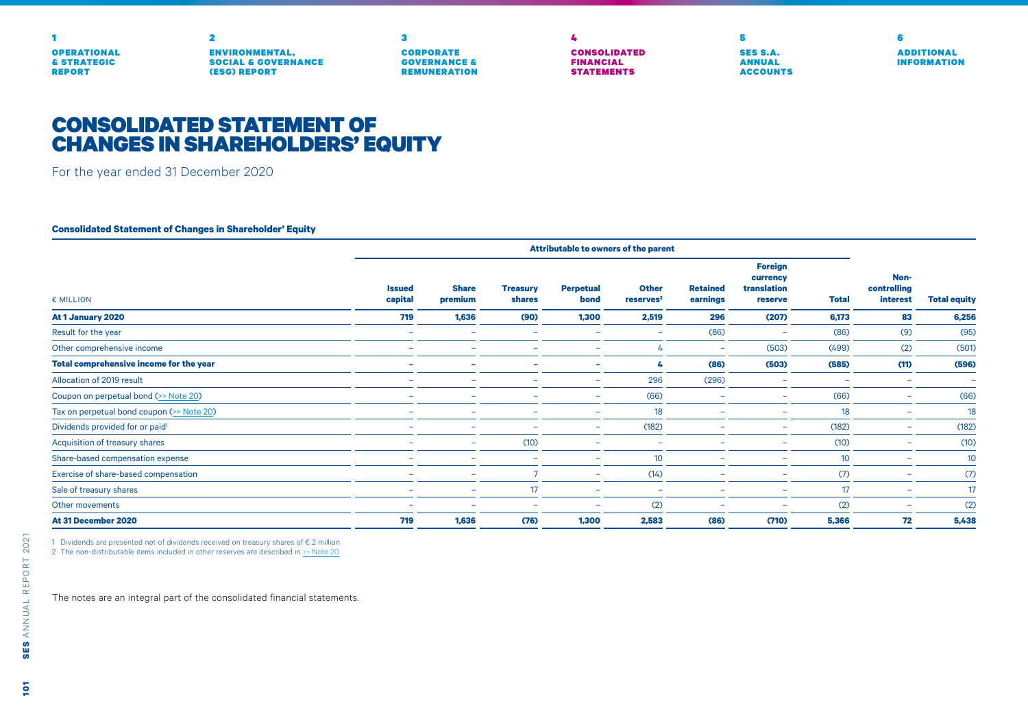[OPERATIONAL](#page--1-0)  & STRATEGIC REPORT

2 ENVIRONMENTAL, [SOCIAL & GOVERNANCE](#page--1-1)  (ESG) REPORT

CORPORATE [GOVERNANCE &](#page--1-0)  REMUNERATION

3

[CONSOLIDATED](#page-0-0)  FINANCIAL STATEMENTS

4

SES S.A. ANNUAL [ACCOUNTS](#page--1-0)

5

6 ADDITIONAL INFORMATION

# CONSOLIDATED STATEMENT OF CHANGES IN SHAREHOLDERS' EQUITY

For the year ended 31 December 2020

#### **Consolidated Statement of Changes in Shareholder' Equity**

|                                             | <b>Attributable to owners of the parent</b> |                          |                           |                          |                                       |                             |                                               |                          |                                        |                          |
|---------------------------------------------|---------------------------------------------|--------------------------|---------------------------|--------------------------|---------------------------------------|-----------------------------|-----------------------------------------------|--------------------------|----------------------------------------|--------------------------|
| € MILLION                                   | <b>Issued</b><br>capital                    | <b>Share</b><br>premium  | <b>Treasury</b><br>shares | <b>Perpetual</b><br>bond | <b>Other</b><br>reserves <sup>2</sup> | <b>Retained</b><br>earnings | Foreign<br>currency<br>translation<br>reserve | <b>Total</b>             | Non-<br>controlling<br><b>interest</b> | <b>Total equity</b>      |
| At 1 January 2020                           | 719                                         | 1,636                    | (90)                      | 1,300                    | 2,519                                 | 296                         | (207)                                         | 6,173                    | 83                                     | 6,256                    |
| Result for the year                         |                                             |                          |                           | $\overline{\phantom{0}}$ | $\overline{\phantom{0}}$              | (86)                        | $\qquad \qquad -$                             | (86)                     | (9)                                    | (95)                     |
| Other comprehensive income                  | $\overline{\phantom{0}}$                    | $\overline{\phantom{a}}$ | $\overline{\phantom{a}}$  | $\overline{\phantom{0}}$ |                                       | $\overline{\phantom{m}}$    | (503)                                         | (499)                    | (2)                                    | (501)                    |
| Total comprehensive income for the year     | $\overline{\phantom{a}}$                    | $\overline{\phantom{a}}$ | $\overline{\phantom{a}}$  | ۰                        | 4                                     | (86)                        | (503)                                         | (585)                    | (11)                                   | (596)                    |
| Allocation of 2019 result                   | $\overline{\phantom{a}}$                    | $\overline{\phantom{0}}$ | $\overline{\phantom{a}}$  | $\overline{\phantom{a}}$ | 296                                   | (296)                       | $\overline{\phantom{0}}$                      | $\overline{\phantom{0}}$ | $\overline{\phantom{a}}$               | $\overline{\phantom{0}}$ |
| Coupon on perpetual bond (>> Note 20)       | $\overline{\phantom{0}}$                    | -                        | $\overline{\phantom{0}}$  | $\overline{\phantom{0}}$ | (66)                                  |                             | $\overline{\phantom{0}}$                      | (66)                     | $\overline{\phantom{a}}$               | (66)                     |
| Tax on perpetual bond coupon (>> Note 20)   | $\overline{\phantom{0}}$                    |                          | -                         | $\overline{\phantom{0}}$ | 18                                    |                             | $\overline{\phantom{0}}$                      | 18                       | $\overline{\phantom{a}}$               | 18                       |
| Dividends provided for or paid <sup>1</sup> | $\overline{\phantom{a}}$                    | $\overline{\phantom{0}}$ | $\overline{\phantom{0}}$  | $\overline{\phantom{m}}$ | (182)                                 | $\overline{\phantom{a}}$    | $\overline{\phantom{0}}$                      | (182)                    | $\qquad \qquad -$                      | (182)                    |
| Acquisition of treasury shares              | $\overline{\phantom{0}}$                    | $\sim$                   | (10)                      | $\overline{\phantom{0}}$ | $\overline{\phantom{0}}$              | -                           | $\overline{\phantom{0}}$                      | (10)                     | $\overline{\phantom{a}}$               | (10)                     |
| Share-based compensation expense            | $\overline{\phantom{0}}$                    | $\overline{\phantom{0}}$ | $\overline{\phantom{a}}$  | $\overline{\phantom{0}}$ | 10 <sup>°</sup>                       | $\overline{\phantom{a}}$    | $\overline{\phantom{0}}$                      | 10 <sup>°</sup>          | $\overline{\phantom{a}}$               | 10                       |
| Exercise of share-based compensation        |                                             | $\overline{\phantom{0}}$ |                           | $\overline{\phantom{m}}$ | (14)                                  | $\overline{\phantom{0}}$    | $\overline{\phantom{0}}$                      | (7)                      | $\overline{\phantom{a}}$               | (7)                      |
| Sale of treasury shares                     | $\overline{\phantom{0}}$                    | $\overline{\phantom{a}}$ | 17                        | $\overline{\phantom{0}}$ | $\overline{\phantom{0}}$              | $\overline{\phantom{a}}$    | $\overline{\phantom{0}}$                      | 17                       | $\overline{\phantom{a}}$               | 17                       |
| Other movements                             | $\overline{\phantom{0}}$                    | $\overline{\phantom{a}}$ | $\overline{\phantom{a}}$  | $\overline{\phantom{0}}$ | (2)                                   | $\overline{\phantom{a}}$    | $\overline{\phantom{0}}$                      | (2)                      | $\overline{\phantom{a}}$               | (2)                      |
| At 31 December 2020                         | 719                                         | 1,636                    | (76)                      | 1,300                    | 2,583                                 | (86)                        | (710)                                         | 5,366                    | 72                                     | 5,438                    |

1 Dividends are presented net of dividends received on treasury shares of € 2 million.

2 The non-distributable items included in other reserves are described in [>> Note 20.](#page-47-1)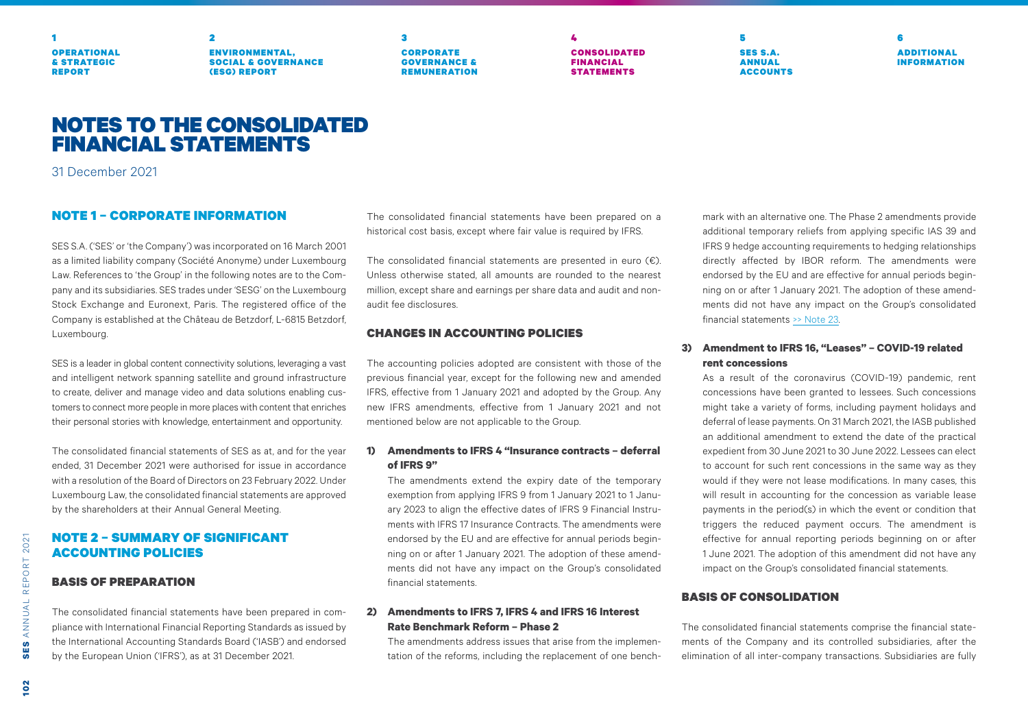**OPERATIONAL** & STRATEGIC REPORT

2 ENVIRONMENTAL, [SOCIAL & GOVERNANCE](#page--1-1)  (ESG) REPORT

3 **CORPORATE** [GOVERNANCE &](#page--1-0)  REMUNERATION

4 **CONSOLIDATED FINANCIAL STATEMENTS** 

5 SES S.A. ANNUAL [ACCOUNTS](#page--1-0)

6 ADDITIONAL INFORMATION

# <span id="page-11-0"></span>NOTES TO THE CONSOLIDATED FINANCIAL STATEMENTS

31 December 2021

#### NOTE 1 – CORPORATE INFORMATION

[SES S.A.](pp://General Data/Name of reporting entity or other means of identification?taxonomy=ESEF&labellanguage=en&allowhtml=false&merge=true) ('[SES](pp://General Data/Name of parent entity?taxonomy=ESEF&labellanguage=en&allowhtml=false&merge=true)' or 'the Company') was incorporated on 16 March 2001 as [a limited liability company \(Société Anonyme\)](pp://General Data/Legal form of entity?taxonomy=ESEF&labellanguage=en&allowhtml=false&merge=true) under Luxembourg Law. References to 'the Group' in the following notes are to the Company and its subsidiaries. SES trades under 'SESG' on the Luxembourg Stock Exchange and Euronext, Paris. The registered office of the Company is established at the [Château de Betzdorf, L-6815 Betzdorf](pp://General Data/Domicile of entity?taxonomy=ESEF&labellanguage=en&allowhtml=false&merge=true), [Luxembourg](pp://General Data/Country of incorporation?taxonomy=ESEF&labellanguage=en&allowhtml=false&merge=true).

[SES is a leader in global content connectivity solutions, leveraging a vast](pp://General Data/Description of nature of entity) [and intelligent network spanning satellite and ground infrastructure](pp://General Data/Description of nature of entity) [to create, deliver and manage video and data solutions enabling cus](pp://General Data/Description of nature of entity)[tomers to connect more people in more places with content that enriches](pp://General Data/Description of nature of entity) [their personal stories with knowledge, entertainment and opportunity.](pp://General Data/Description of nature of entity) 

The consolidated financial statements of [SES](pp://General Data/Name of ultimate parent of group?taxonomy=ESEF&labellanguage=en&allowhtml=false&merge=true) [as at, and for the year](pp://General Data/Period covered by financial statements?taxonomy=ESEF&labellanguage=en&allowhtml=false&merge=true) [ended, 31 December 2021](pp://General Data/Period covered by financial statements?taxonomy=ESEF&labellanguage=en&allowhtml=false&merge=true) were authorised for issue in accordance with a resolution of the Board of Directors on 23 February 2022. Under Luxembourg Law, the consolidated financial statements are approved by the shareholders at their Annual General Meeting.

#### <span id="page-11-1"></span>NOTE 2 – SUMMARY OF SIGNIFICANT ACCOUNTING POLICIES

#### BASIS OF PREPARATION

The consolidated financial statements have been prepared in compliance with International Financial Reporting Standards as issued by the International Accounting Standards Board ('IASB') and endorsed by the European Union ('IFRS'), as at 31 December 2021.

The consolidated financial statements have been prepared on a historical cost basis, except where fair value is required by IFRS.

The consolidated financial statements are presented in euro  $(\epsilon)$ . Unless otherwise stated, all amounts are rounded to the nearest million, except share and earnings per share data and audit and nonaudit fee disclosures.

#### CHANGES IN ACCOUNTING POLICIES

The accounting policies adopted are consistent with those of the previous financial year, except for the following new and amended IFRS, effective from 1 January 2021 and adopted by the Group. Any new IFRS amendments, effective from 1 January 2021 and not mentioned below are not applicable to the Group.

#### **1) Amendments to IFRS 4 "Insurance contracts – deferral of IFRS 9"**

The amendments extend the expiry date of the temporary exemption from applying IFRS 9 from 1 January 2021 to 1 January 2023 to align the effective dates of IFRS 9 Financial Instruments with IFRS 17 Insurance Contracts. The amendments were endorsed by the EU and are effective for annual periods beginning on or after 1 January 2021. The adoption of these amendments did not have any impact on the Group's consolidated financial statements.

#### **2) Amendments to IFRS 7, IFRS 4 and IFRS 16 Interest Rate Benchmark Reform – Phase 2**

The amendments address issues that arise from the implementation of the reforms, including the replacement of one benchmark with an alternative one. The Phase 2 amendments provide additional temporary reliefs from applying specific IAS 39 and IFRS 9 hedge accounting requirements to hedging relationships directly affected by IBOR reform. The amendments were endorsed by the EU and are effective for annual periods beginning on or after 1 January 2021. The adoption of these amendments did not have any impact on the Group's consolidated financial statements >> [Note](#page-52-0) 23.

#### **3) Amendment to IFRS 16, "Leases" – COVID-19 related rent concessions**

As a result of the coronavirus (COVID-19) pandemic, rent concessions have been granted to lessees. Such concessions might take a variety of forms, including payment holidays and deferral of lease payments. On 31 March 2021, the IASB published an additional amendment to extend the date of the practical expedient from 30 June 2021 to 30 June 2022. Lessees can elect to account for such rent concessions in the same way as they would if they were not lease modifications. In many cases, this will result in accounting for the concession as variable lease payments in the period(s) in which the event or condition that triggers the reduced payment occurs. The amendment is effective for annual reporting periods beginning on or after 1 June 2021. The adoption of this amendment did not have any impact on the Group's consolidated financial statements.

#### BASIS OF CONSOLIDATION

The consolidated financial statements comprise the financial statements of the Company and its controlled subsidiaries, after the elimination of all inter-company transactions. Subsidiaries are fully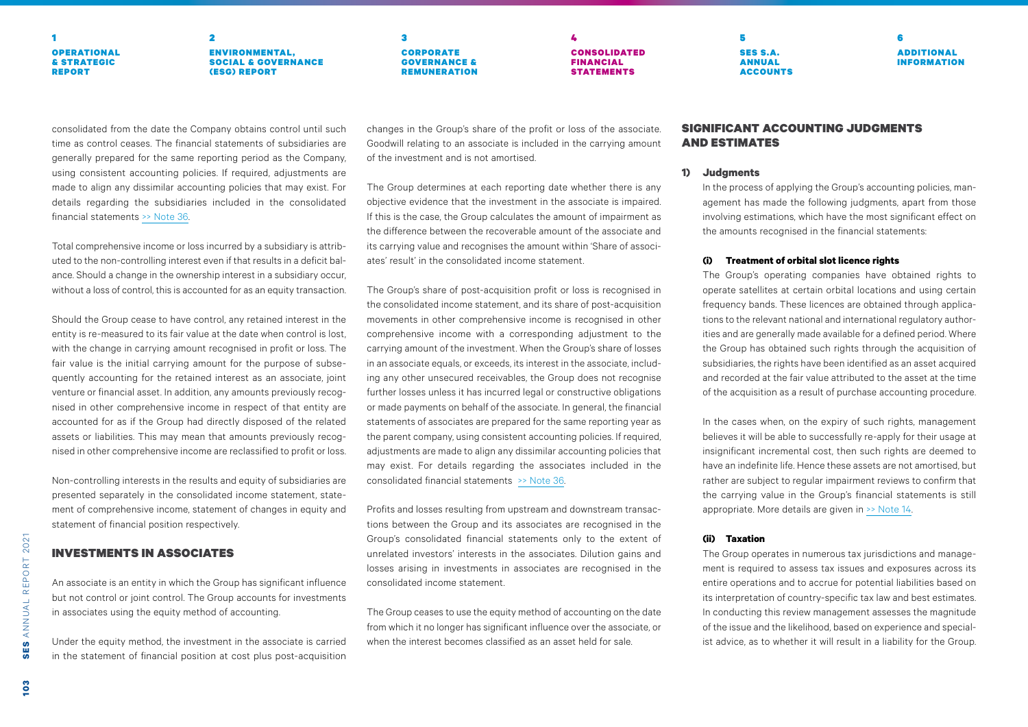#### **OPERATIONAL** & STRATEGIC REPORT

#### 2 ENVIRONMENTAL, [SOCIAL & GOVERNANCE](#page--1-1)  (ESG) REPORT

**CORPORATE** [GOVERNANCE &](#page--1-0)  REMUNERATION

3

[CONSOLIDATED](#page-0-0)  **FINANCIAL STATEMENTS** 

4

5 SES S.A. ANNUAL [ACCOUNTS](#page--1-0)

ADDITIONAL INFORMATION

6

consolidated from the date the Company obtains control until such time as control ceases. The financial statements of subsidiaries are generally prepared for the same reporting period as the Company, using consistent accounting policies. If required, adjustments are made to align any dissimilar accounting policies that may exist. For details regarding the subsidiaries included in the consolidated financial statements >> [Note](#page-66-0) 36.

Total comprehensive income or loss incurred by a subsidiary is attributed to the non-controlling interest even if that results in a deficit balance. Should a change in the ownership interest in a subsidiary occur, without a loss of control, this is accounted for as an equity transaction.

Should the Group cease to have control, any retained interest in the entity is re-measured to its fair value at the date when control is lost, with the change in carrying amount recognised in profit or loss. The fair value is the initial carrying amount for the purpose of subsequently accounting for the retained interest as an associate, joint venture or financial asset. In addition, any amounts previously recognised in other comprehensive income in respect of that entity are accounted for as if the Group had directly disposed of the related assets or liabilities. This may mean that amounts previously recognised in other comprehensive income are reclassified to profit or loss.

Non-controlling interests in the results and equity of subsidiaries are presented separately in the consolidated income statement, statement of comprehensive income, statement of changes in equity and statement of financial position respectively.

#### INVESTMENTS IN ASSOCIATES

An associate is an entity in which the Group has significant influence but not control or joint control. The Group accounts for investments in associates using the equity method of accounting.

Under the equity method, the investment in the associate is carried in the statement of financial position at cost plus post-acquisition changes in the Group's share of the profit or loss of the associate. Goodwill relating to an associate is included in the carrying amount of the investment and is not amortised.

The Group determines at each reporting date whether there is any objective evidence that the investment in the associate is impaired. If this is the case, the Group calculates the amount of impairment as the difference between the recoverable amount of the associate and its carrying value and recognises the amount within 'Share of associates' result' in the consolidated income statement.

The Group's share of post-acquisition profit or loss is recognised in the consolidated income statement, and its share of post-acquisition movements in other comprehensive income is recognised in other comprehensive income with a corresponding adjustment to the carrying amount of the investment. When the Group's share of losses in an associate equals, or exceeds, its interest in the associate, including any other unsecured receivables, the Group does not recognise further losses unless it has incurred legal or constructive obligations or made payments on behalf of the associate. In general, the financial statements of associates are prepared for the same reporting year as the parent company, using consistent accounting policies. If required, adjustments are made to align any dissimilar accounting policies that may exist. For details regarding the associates included in the consolidated financial statements >> [Note](#page-66-0) 36.

Profits and losses resulting from upstream and downstream transactions between the Group and its associates are recognised in the Group's consolidated financial statements only to the extent of unrelated investors' interests in the associates. Dilution gains and losses arising in investments in associates are recognised in the consolidated income statement.

The Group ceases to use the equity method of accounting on the date from which it no longer has significant influence over the associate, or when the interest becomes classified as an asset held for sale.

#### SIGNIFICANT ACCOUNTING JUDGMENTS AND ESTIMATES

#### **1) Judgments**

In the process of applying the Group's accounting policies, management has made the following judgments, apart from those involving estimations, which have the most significant effect on the amounts recognised in the financial statements:

#### **(i) Treatment of orbital slot licence rights**

The Group's operating companies have obtained rights to operate satellites at certain orbital locations and using certain frequency bands. These licences are obtained through applications to the relevant national and international regulatory authorities and are generally made available for a defined period. Where the Group has obtained such rights through the acquisition of subsidiaries, the rights have been identified as an asset acquired and recorded at the fair value attributed to the asset at the time of the acquisition as a result of purchase accounting procedure.

In the cases when, on the expiry of such rights, management believes it will be able to successfully re-apply for their usage at insignificant incremental cost, then such rights are deemed to have an indefinite life. Hence these assets are not amortised, but rather are subject to regular impairment reviews to confirm that the carrying value in the Group's financial statements is still appropriate. More details are given in >> [Note](#page-34-0) 14.

#### **(ii) Taxation**

The Group operates in numerous tax jurisdictions and management is required to assess tax issues and exposures across its entire operations and to accrue for potential liabilities based on its interpretation of country-specific tax law and best estimates. In conducting this review management assesses the magnitude of the issue and the likelihood, based on experience and specialist advice, as to whether it will result in a liability for the Group.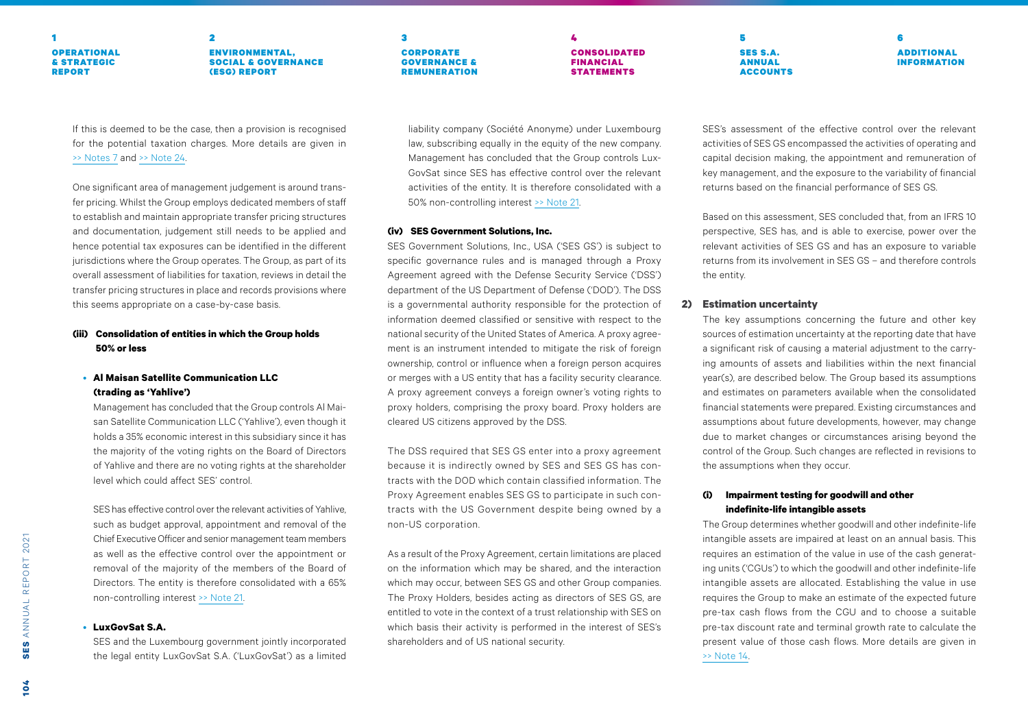1 **OPERATIONAL** 

& STRATEGIC REPORT

# 2

ENVIRONMENTAL, [SOCIAL & GOVERNANCE](#page--1-1)  (ESG) REPORT

3

CORPORATE [GOVERNANCE &](#page--1-0)  REMUNERATION

4 [CONSOLIDATED](#page-0-0)  **FINANCIAL STATEMENTS** 

5 SES S.A. ANNUAL [ACCOUNTS](#page--1-0)

6 ADDITIONAL INFORMATION

If this is deemed to be the case, then a provision is recognised for the potential taxation charges. More details are given in >> [Notes](#page-26-0) 7 and [>> Note 24.](#page-54-0)

One significant area of management judgement is around transfer pricing. Whilst the Group employs dedicated members of staff to establish and maintain appropriate transfer pricing structures and documentation, judgement still needs to be applied and hence potential tax exposures can be identified in the different jurisdictions where the Group operates. The Group, as part of its overall assessment of liabilities for taxation, reviews in detail the transfer pricing structures in place and records provisions where this seems appropriate on a case-by-case basis.

#### **(iii) Consolidation of entities in which the Group holds 50% or less**

#### • **Al Maisan Satellite Communication LLC (trading as 'Yahlive')**

Management has concluded that the Group controls Al Maisan Satellite Communication LLC ('Yahlive'), even though it holds a 35% economic interest in this subsidiary since it has the majority of the voting rights on the Board of Directors of Yahlive and there are no voting rights at the shareholder level which could affect SES' control.

SES has effective control over the relevant activities of Yahlive, such as budget approval, appointment and removal of the Chief Executive Officer and senior management team members as well as the effective control over the appointment or removal of the majority of the members of the Board of Directors. The entity is therefore consolidated with a 65% non-controlling interest >> [Note](#page-49-0) 21.

#### • **LuxGovSat S.A.**

SES and the Luxembourg government jointly incorporated the legal entity LuxGovSat S.A. ('LuxGovSat') as a limited liability company (Société Anonyme) under Luxembourg law, subscribing equally in the equity of the new company. Management has concluded that the Group controls Lux-GovSat since SES has effective control over the relevant activities of the entity. It is therefore consolidated with a 50% non-controlling interest >> [Note](#page-49-0) 21.

#### **(iv) SES Government Solutions, Inc.**

SES Government Solutions, Inc., USA ('SES GS') is subject to specific governance rules and is managed through a Proxy Agreement agreed with the Defense Security Service ('DSS') department of the US Department of Defense ('DOD'). The DSS is a governmental authority responsible for the protection of information deemed classified or sensitive with respect to the national security of the United States of America. A proxy agreement is an instrument intended to mitigate the risk of foreign ownership, control or influence when a foreign person acquires or merges with a US entity that has a facility security clearance. A proxy agreement conveys a foreign owner's voting rights to proxy holders, comprising the proxy board. Proxy holders are cleared US citizens approved by the DSS.

The DSS required that SES GS enter into a proxy agreement because it is indirectly owned by SES and SES GS has contracts with the DOD which contain classified information. The Proxy Agreement enables SES GS to participate in such contracts with the US Government despite being owned by a non-US corporation.

As a result of the Proxy Agreement, certain limitations are placed on the information which may be shared, and the interaction which may occur, between SES GS and other Group companies. The Proxy Holders, besides acting as directors of SES GS, are entitled to vote in the context of a trust relationship with SES on which basis their activity is performed in the interest of SES's shareholders and of US national security.

SES's assessment of the effective control over the relevant activities of SES GS encompassed the activities of operating and capital decision making, the appointment and remuneration of key management, and the exposure to the variability of financial returns based on the financial performance of SES GS.

Based on this assessment, SES concluded that, from an IFRS 10 perspective, SES has, and is able to exercise, power over the relevant activities of SES GS and has an exposure to variable returns from its involvement in SES GS – and therefore controls the entity.

#### **2) Estimation uncertainty**

The key assumptions concerning the future and other key sources of estimation uncertainty at the reporting date that have a significant risk of causing a material adjustment to the carrying amounts of assets and liabilities within the next financial year(s), are described below. The Group based its assumptions and estimates on parameters available when the consolidated financial statements were prepared. Existing circumstances and assumptions about future developments, however, may change due to market changes or circumstances arising beyond the control of the Group. Such changes are reflected in revisions to the assumptions when they occur.

#### **(i) Impairment testing for goodwill and other indefinite-life intangible assets**

The Group determines whether goodwill and other indefinite-life intangible assets are impaired at least on an annual basis. This requires an estimation of the value in use of the cash generating units ('CGUs') to which the goodwill and other indefinite-life intangible assets are allocated. Establishing the value in use requires the Group to make an estimate of the expected future pre-tax cash flows from the CGU and to choose a suitable pre-tax discount rate and terminal growth rate to calculate the present value of those cash flows. More details are given in >> [Note](#page-34-0) 14.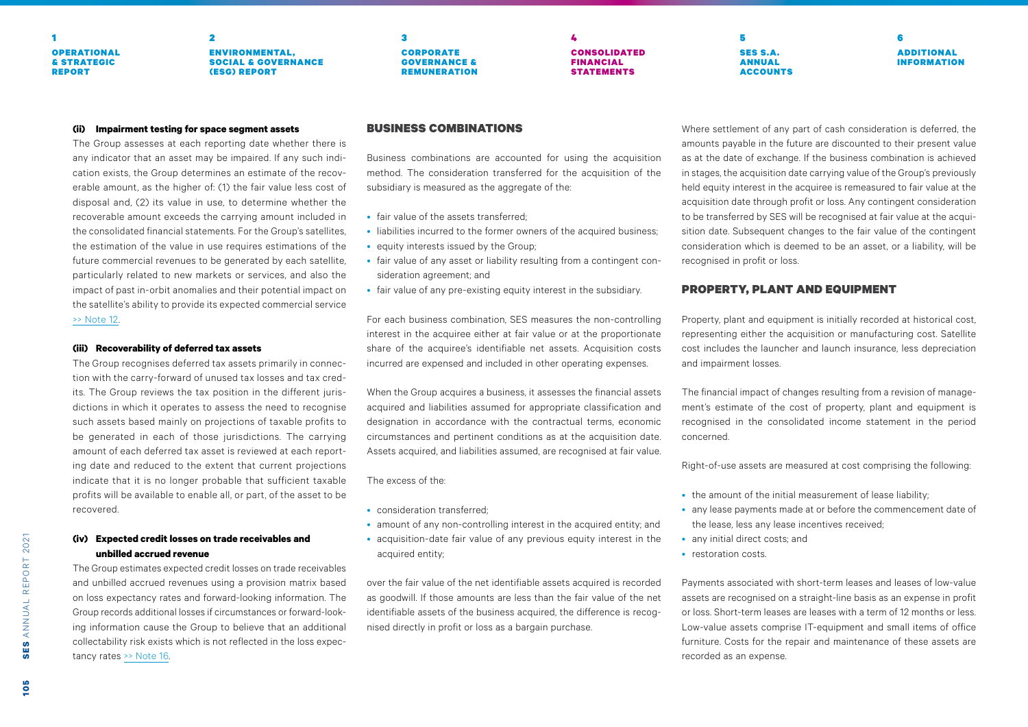& STRATEGIC REPORT

**(ii) Impairment testing for space segment assets**

#### ENVIRONMENTAL, [SOCIAL & GOVERNANCE](#page--1-1)  (ESG) REPORT

BUSINESS COMBINATIONS

**CORPORATE** [GOVERNANCE &](#page--1-0)  REMUNERATION

3

Business combinations are accounted for using the acquisition method. The consideration transferred for the acquisition of the subsidiary is measured as the aggregate of the:

4

**CONSOLIDATED FINANCIAL STATEMENTS** 

- fair value of the assets transferred:
- liabilities incurred to the former owners of the acquired business;
- equity interests issued by the Group;
- fair value of any asset or liability resulting from a contingent consideration agreement; and
- fair value of any pre-existing equity interest in the subsidiary.

For each business combination, SES measures the non-controlling interest in the acquiree either at fair value or at the proportionate share of the acquiree's identifiable net assets. Acquisition costs incurred are expensed and included in other operating expenses.

When the Group acquires a business, it assesses the financial assets acquired and liabilities assumed for appropriate classification and designation in accordance with the contractual terms, economic circumstances and pertinent conditions as at the acquisition date. Assets acquired, and liabilities assumed, are recognised at fair value.

The excess of the:

- consideration transferred;
- amount of any non-controlling interest in the acquired entity; and
- acquisition-date fair value of any previous equity interest in the acquired entity;

over the fair value of the net identifiable assets acquired is recorded as goodwill. If those amounts are less than the fair value of the net identifiable assets of the business acquired, the difference is recognised directly in profit or loss as a bargain purchase.

Where settlement of any part of cash consideration is deferred, the amounts payable in the future are discounted to their present value as at the date of exchange. If the business combination is achieved in stages, the acquisition date carrying value of the Group's previously held equity interest in the acquiree is remeasured to fair value at the acquisition date through profit or loss. Any contingent consideration to be transferred by SES will be recognised at fair value at the acquisition date. Subsequent changes to the fair value of the contingent consideration which is deemed to be an asset, or a liability, will be recognised in profit or loss.

#### PROPERTY, PLANT AND EQUIPMENT

5 SES S.A. ANNUAL [ACCOUNTS](#page--1-0)

Property, plant and equipment is initially recorded at historical cost, representing either the acquisition or manufacturing cost. Satellite cost includes the launcher and launch insurance, less depreciation and impairment losses.

The financial impact of changes resulting from a revision of management's estimate of the cost of property, plant and equipment is recognised in the consolidated income statement in the period concerned.

Right-of-use assets are measured at cost comprising the following:

- the amount of the initial measurement of lease liability;
- any lease payments made at or before the commencement date of the lease, less any lease incentives received;
- any initial direct costs; and
- restoration costs.

Payments associated with short-term leases and leases of low-value assets are recognised on a straight-line basis as an expense in profit or loss. Short-term leases are leases with a term of 12 months or less. Low-value assets comprise IT-equipment and small items of office furniture. Costs for the repair and maintenance of these assets are recorded as an expense.

**105**

The Group assesses at each reporting date whether there is any indicator that an asset may be impaired. If any such indication exists, the Group determines an estimate of the recoverable amount, as the higher of: (1) the fair value less cost of disposal and, (2) its value in use, to determine whether the recoverable amount exceeds the carrying amount included in the consolidated financial statements. For the Group's satellites, the estimation of the value in use requires estimations of the future commercial revenues to be generated by each satellite, particularly related to new markets or services, and also the impact of past in-orbit anomalies and their potential impact on the satellite's ability to provide its expected commercial service >> [Note](#page-30-0) 12.

#### **(iii) Recoverability of deferred tax assets**

The Group recognises deferred tax assets primarily in connection with the carry-forward of unused tax losses and tax credits. The Group reviews the tax position in the different jurisdictions in which it operates to assess the need to recognise such assets based mainly on projections of taxable profits to be generated in each of those jurisdictions. The carrying amount of each deferred tax asset is reviewed at each reporting date and reduced to the extent that current projections indicate that it is no longer probable that sufficient taxable profits will be available to enable all, or part, of the asset to be recovered.

#### **(iv) Expected credit losses on trade receivables and unbilled accrued revenue**

The Group estimates expected credit losses on trade receivables and unbilled accrued revenues using a provision matrix based on loss expectancy rates and forward-looking information. The Group records additional losses if circumstances or forward-looking information cause the Group to believe that an additional collectability risk exists which is not reflected in the loss expectancy rates >> [Note](#page-40-0) 16.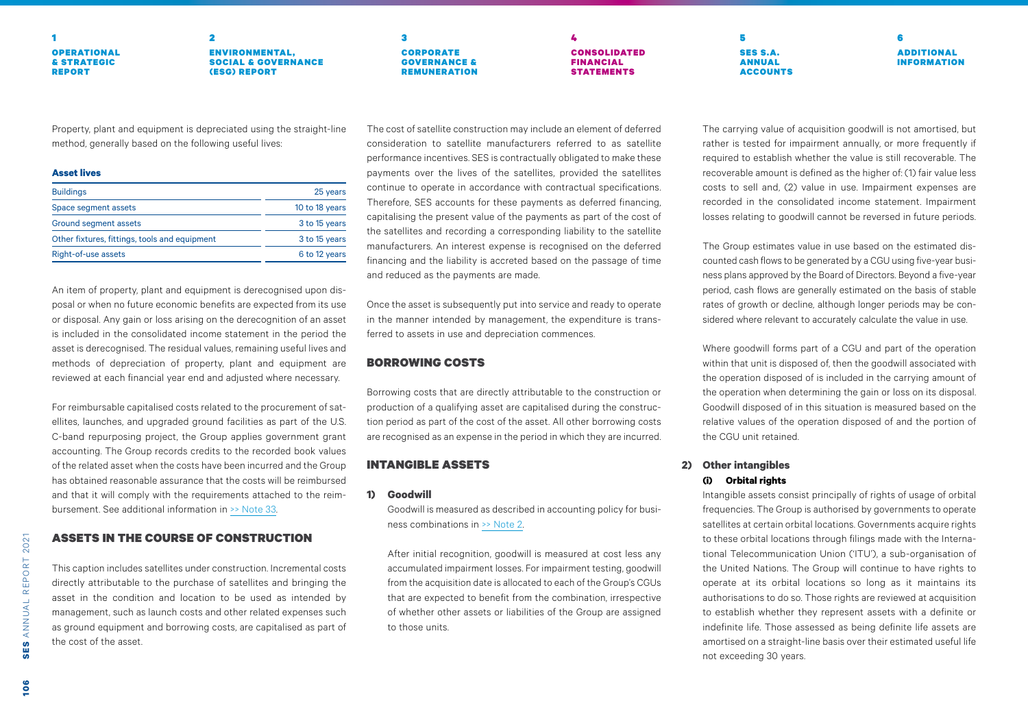#### **OPERATIONAL** & STRATEGIC REPORT

#### ENVIRONMENTAL, [SOCIAL & GOVERNANCE](#page--1-1)  (ESG) REPORT

3 CORPORATE [GOVERNANCE &](#page--1-0)  REMUNERATION

4 **CONSOLIDATED FINANCIAL STATEMENTS** 

5 SES S.A. ANNUAL [ACCOUNTS](#page--1-0)

6 ADDITIONAL INFORMATION

Property, plant and equipment is depreciated using the straight-line method, generally based on the following useful lives:

2

#### **Asset lives**

| 25 years       |
|----------------|
| 10 to 18 years |
| 3 to 15 years  |
| 3 to 15 years  |
| 6 to 12 years  |
|                |

An item of property, plant and equipment is derecognised upon disposal or when no future economic benefits are expected from its use or disposal. Any gain or loss arising on the derecognition of an asset is included in the consolidated income statement in the period the asset is derecognised. The residual values, remaining useful lives and methods of depreciation of property, plant and equipment are reviewed at each financial year end and adjusted where necessary.

For reimbursable capitalised costs related to the procurement of satellites, launches, and upgraded ground facilities as part of the U.S. C-band repurposing project, the Group applies government grant accounting. The Group records credits to the recorded book values of the related asset when the costs have been incurred and the Group has obtained reasonable assurance that the costs will be reimbursed and that it will comply with the requirements attached to the reimbursement. See additional information in >> [Note](#page-61-0) 33.

#### ASSETS IN THE COURSE OF CONSTRUCTION

This caption includes satellites under construction. Incremental costs directly attributable to the purchase of satellites and bringing the asset in the condition and location to be used as intended by management, such as launch costs and other related expenses such as ground equipment and borrowing costs, are capitalised as part of the cost of the asset.

The cost of satellite construction may include an element of deferred consideration to satellite manufacturers referred to as satellite performance incentives. SES is contractually obligated to make these payments over the lives of the satellites, provided the satellites continue to operate in accordance with contractual specifications. Therefore, SES accounts for these payments as deferred financing, capitalising the present value of the payments as part of the cost of the satellites and recording a corresponding liability to the satellite manufacturers. An interest expense is recognised on the deferred financing and the liability is accreted based on the passage of time and reduced as the payments are made.

Once the asset is subsequently put into service and ready to operate in the manner intended by management, the expenditure is transferred to assets in use and depreciation commences.

#### BORROWING COSTS

Borrowing costs that are directly attributable to the construction or production of a qualifying asset are capitalised during the construction period as part of the cost of the asset. All other borrowing costs are recognised as an expense in the period in which they are incurred.

#### INTANGIBLE ASSETS

**1) Goodwill**

Goodwill is measured as described in accounting policy for business combinations in >> [Note](#page-11-1) 2.

After initial recognition, goodwill is measured at cost less any accumulated impairment losses. For impairment testing, goodwill from the acquisition date is allocated to each of the Group's CGUs that are expected to benefit from the combination, irrespective of whether other assets or liabilities of the Group are assigned to those units.

The carrying value of acquisition goodwill is not amortised, but rather is tested for impairment annually, or more frequently if required to establish whether the value is still recoverable. The recoverable amount is defined as the higher of: (1) fair value less costs to sell and, (2) value in use. Impairment expenses are recorded in the consolidated income statement. Impairment losses relating to goodwill cannot be reversed in future periods.

The Group estimates value in use based on the estimated discounted cash flows to be generated by a CGU using five-year business plans approved by the Board of Directors. Beyond a five-year period, cash flows are generally estimated on the basis of stable rates of growth or decline, although longer periods may be considered where relevant to accurately calculate the value in use.

Where goodwill forms part of a CGU and part of the operation within that unit is disposed of, then the goodwill associated with the operation disposed of is included in the carrying amount of the operation when determining the gain or loss on its disposal. Goodwill disposed of in this situation is measured based on the relative values of the operation disposed of and the portion of the CGU unit retained.

#### **2) Other intangibles (i) Orbital rights**

Intangible assets consist principally of rights of usage of orbital frequencies. The Group is authorised by governments to operate satellites at certain orbital locations. Governments acquire rights to these orbital locations through filings made with the International Telecommunication Union ('ITU'), a sub-organisation of the United Nations. The Group will continue to have rights to operate at its orbital locations so long as it maintains its authorisations to do so. Those rights are reviewed at acquisition to establish whether they represent assets with a definite or indefinite life. Those assessed as being definite life assets are amortised on a straight-line basis over their estimated useful life not exceeding 30 years.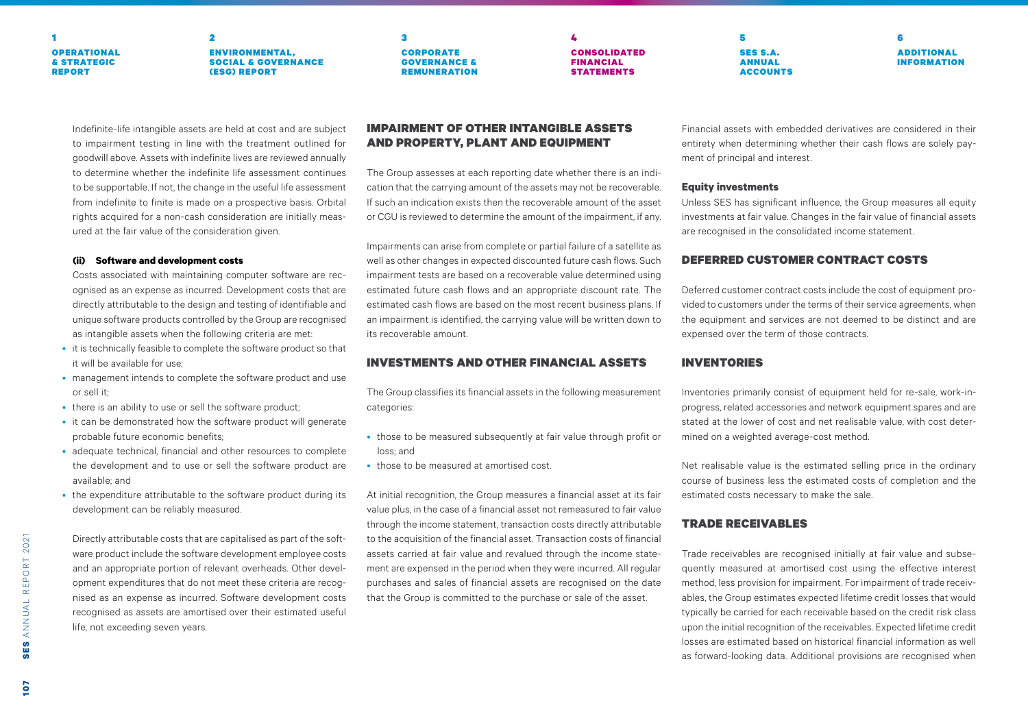**OPERATIONAL** & STRATEGIC REPORT

2 ENVIRONMENTAL, [SOCIAL & GOVERNANCE](#page--1-1)  (ESG) REPORT

**CORPORATE** [GOVERNANCE &](#page--1-0)  REMUNERATION

3

**CONSOLIDATED FINANCIAL STATEMENTS** 

4

5 SES S.A. ANNUAL [ACCOUNTS](#page--1-0)

6 ADDITIONAL INFORMATION

Indefinite-life intangible assets are held at cost and are subject to impairment testing in line with the treatment outlined for goodwill above. Assets with indefinite lives are reviewed annually to determine whether the indefinite life assessment continues to be supportable. If not, the change in the useful life assessment from indefinite to finite is made on a prospective basis. Orbital rights acquired for a non-cash consideration are initially measured at the fair value of the consideration given.

#### **(ii) Software and development costs**

Costs associated with maintaining computer software are recognised as an expense as incurred. Development costs that are directly attributable to the design and testing of identifiable and unique software products controlled by the Group are recognised as intangible assets when the following criteria are met:

- it is technically feasible to complete the software product so that it will be available for use;
- management intends to complete the software product and use or sell it;
- there is an ability to use or sell the software product;
- it can be demonstrated how the software product will generate probable future economic benefits;
- adequate technical, financial and other resources to complete the development and to use or sell the software product are available; and
- the expenditure attributable to the software product during its development can be reliably measured.

Directly attributable costs that are capitalised as part of the software product include the software development employee costs and an appropriate portion of relevant overheads. Other development expenditures that do not meet these criteria are recognised as an expense as incurred. Software development costs recognised as assets are amortised over their estimated useful life, not exceeding seven years.

#### IMPAIRMENT OF OTHER INTANGIBLE ASSETS AND PROPERTY, PLANT AND EQUIPMENT

The Group assesses at each reporting date whether there is an indication that the carrying amount of the assets may not be recoverable. If such an indication exists then the recoverable amount of the asset or CGU is reviewed to determine the amount of the impairment, if any.

Impairments can arise from complete or partial failure of a satellite as well as other changes in expected discounted future cash flows. Such impairment tests are based on a recoverable value determined using estimated future cash flows and an appropriate discount rate. The estimated cash flows are based on the most recent business plans. If an impairment is identified, the carrying value will be written down to its recoverable amount.

#### INVESTMENTS AND OTHER FINANCIAL ASSETS

The Group classifies its financial assets in the following measurement categories:

- those to be measured subsequently at fair value through profit or loss; and
- those to be measured at amortised cost.

At initial recognition, the Group measures a financial asset at its fair value plus, in the case of a financial asset not remeasured to fair value through the income statement, transaction costs directly attributable to the acquisition of the financial asset. Transaction costs of financial assets carried at fair value and revalued through the income statement are expensed in the period when they were incurred. All regular purchases and sales of financial assets are recognised on the date that the Group is committed to the purchase or sale of the asset.

Financial assets with embedded derivatives are considered in their entirety when determining whether their cash flows are solely payment of principal and interest.

#### **Equity investments**

Unless SES has significant influence, the Group measures all equity investments at fair value. Changes in the fair value of financial assets are recognised in the consolidated income statement.

#### DEFERRED CUSTOMER CONTRACT COSTS

Deferred customer contract costs include the cost of equipment provided to customers under the terms of their service agreements, when the equipment and services are not deemed to be distinct and are expensed over the term of those contracts.

#### INVENTORIES

Inventories primarily consist of equipment held for re-sale, work-inprogress, related accessories and network equipment spares and are stated at the lower of cost and net realisable value, with cost determined on a weighted average-cost method.

Net realisable value is the estimated selling price in the ordinary course of business less the estimated costs of completion and the estimated costs necessary to make the sale.

#### TRADE RECEIVABLES

Trade receivables are recognised initially at fair value and subsequently measured at amortised cost using the effective interest method, less provision for impairment. For impairment of trade receivables, the Group estimates expected lifetime credit losses that would typically be carried for each receivable based on the credit risk class upon the initial recognition of the receivables. Expected lifetime credit losses are estimated based on historical financial information as well as forward-looking data. Additional provisions are recognised when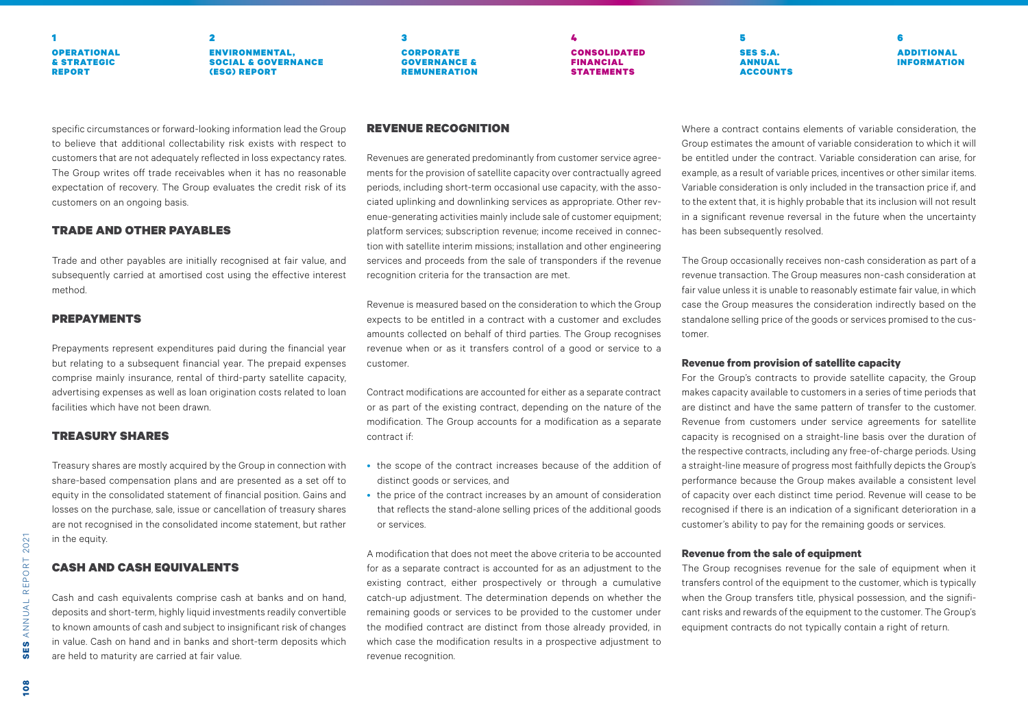**OPERATIONAL** 

& STRATEGIC REPORT

2

ENVIRONMENTAL, [SOCIAL & GOVERNANCE](#page--1-1)  (ESG) REPORT

**CORPORATE** [GOVERNANCE &](#page--1-0)  REMUNERATION

3

4 **CONSOLIDATED FINANCIAL STATEMENTS** 

5 SES S.A. ANNUAL [ACCOUNTS](#page--1-0)

6 ADDITIONAL INFORMATION

specific circumstances or forward-looking information lead the Group to believe that additional collectability risk exists with respect to customers that are not adequately reflected in loss expectancy rates. The Group writes off trade receivables when it has no reasonable expectation of recovery. The Group evaluates the credit risk of its customers on an ongoing basis.

#### TRADE AND OTHER PAYABLES

Trade and other payables are initially recognised at fair value, and subsequently carried at amortised cost using the effective interest method.

#### PREPAYMENTS

Prepayments represent expenditures paid during the financial year but relating to a subsequent financial year. The prepaid expenses comprise mainly insurance, rental of third-party satellite capacity, advertising expenses as well as loan origination costs related to loan facilities which have not been drawn.

#### TREASURY SHARES

Treasury shares are mostly acquired by the Group in connection with share-based compensation plans and are presented as a set off to equity in the consolidated statement of financial position. Gains and losses on the purchase, sale, issue or cancellation of treasury shares are not recognised in the consolidated income statement, but rather in the equity.

#### CASH AND CASH EQUIVALENTS

Cash and cash equivalents comprise cash at banks and on hand, deposits and short-term, highly liquid investments readily convertible to known amounts of cash and subject to insignificant risk of changes in value. Cash on hand and in banks and short-term deposits which are held to maturity are carried at fair value.

#### REVENUE RECOGNITION

Revenues are generated predominantly from customer service agreements for the provision of satellite capacity over contractually agreed periods, including short-term occasional use capacity, with the associated uplinking and downlinking services as appropriate. Other revenue-generating activities mainly include sale of customer equipment; platform services; subscription revenue; income received in connection with satellite interim missions; installation and other engineering services and proceeds from the sale of transponders if the revenue recognition criteria for the transaction are met.

Revenue is measured based on the consideration to which the Group expects to be entitled in a contract with a customer and excludes amounts collected on behalf of third parties. The Group recognises revenue when or as it transfers control of a good or service to a customer.

Contract modifications are accounted for either as a separate contract or as part of the existing contract, depending on the nature of the modification. The Group accounts for a modification as a separate contract if:

- the scope of the contract increases because of the addition of distinct goods or services, and
- the price of the contract increases by an amount of consideration that reflects the stand-alone selling prices of the additional goods or services.

A modification that does not meet the above criteria to be accounted for as a separate contract is accounted for as an adjustment to the existing contract, either prospectively or through a cumulative catch-up adjustment. The determination depends on whether the remaining goods or services to be provided to the customer under the modified contract are distinct from those already provided, in which case the modification results in a prospective adjustment to revenue recognition.

Where a contract contains elements of variable consideration, the Group estimates the amount of variable consideration to which it will be entitled under the contract. Variable consideration can arise, for example, as a result of variable prices, incentives or other similar items. Variable consideration is only included in the transaction price if, and to the extent that, it is highly probable that its inclusion will not result in a significant revenue reversal in the future when the uncertainty has been subsequently resolved.

The Group occasionally receives non-cash consideration as part of a revenue transaction. The Group measures non-cash consideration at fair value unless it is unable to reasonably estimate fair value, in which case the Group measures the consideration indirectly based on the standalone selling price of the goods or services promised to the customer.

#### **Revenue from provision of satellite capacity**

For the Group's contracts to provide satellite capacity, the Group makes capacity available to customers in a series of time periods that are distinct and have the same pattern of transfer to the customer. Revenue from customers under service agreements for satellite capacity is recognised on a straight-line basis over the duration of the respective contracts, including any free-of-charge periods. Using a straight-line measure of progress most faithfully depicts the Group's performance because the Group makes available a consistent level of capacity over each distinct time period. Revenue will cease to be recognised if there is an indication of a significant deterioration in a customer's ability to pay for the remaining goods or services.

#### **Revenue from the sale of equipment**

The Group recognises revenue for the sale of equipment when it transfers control of the equipment to the customer, which is typically when the Group transfers title, physical possession, and the significant risks and rewards of the equipment to the customer. The Group's equipment contracts do not typically contain a right of return.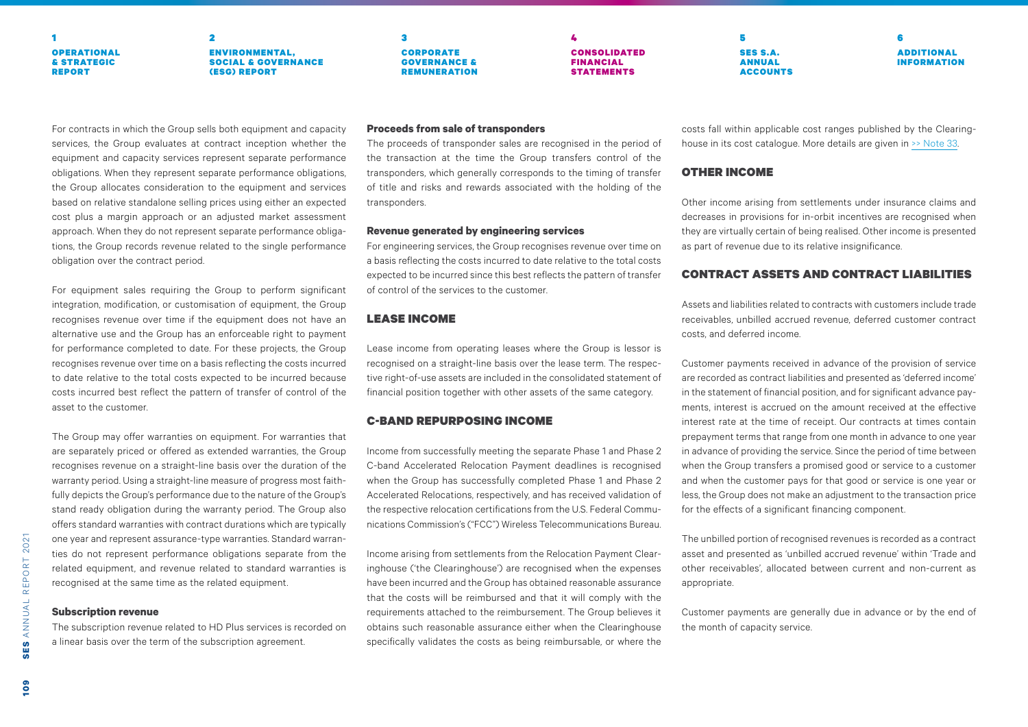#### **OPERATIONAL** & STRATEGIC REPORT

ENVIRONMENTAL, [SOCIAL & GOVERNANCE](#page--1-1)  (ESG) REPORT

For contracts in which the Group sells both equipment and capacity services, the Group evaluates at contract inception whether the equipment and capacity services represent separate performance obligations. When they represent separate performance obligations, the Group allocates consideration to the equipment and services based on relative standalone selling prices using either an expected cost plus a margin approach or an adjusted market assessment approach. When they do not represent separate performance obligations, the Group records revenue related to the single performance obligation over the contract period.

2

For equipment sales requiring the Group to perform significant integration, modification, or customisation of equipment, the Group recognises revenue over time if the equipment does not have an alternative use and the Group has an enforceable right to payment for performance completed to date. For these projects, the Group recognises revenue over time on a basis reflecting the costs incurred to date relative to the total costs expected to be incurred because costs incurred best reflect the pattern of transfer of control of the asset to the customer.

The Group may offer warranties on equipment. For warranties that are separately priced or offered as extended warranties, the Group recognises revenue on a straight-line basis over the duration of the warranty period. Using a straight-line measure of progress most faithfully depicts the Group's performance due to the nature of the Group's stand ready obligation during the warranty period. The Group also offers standard warranties with contract durations which are typically one year and represent assurance-type warranties. Standard warranties do not represent performance obligations separate from the related equipment, and revenue related to standard warranties is recognised at the same time as the related equipment.

#### **Subscription revenue**

The subscription revenue related to HD Plus services is recorded on a linear basis over the term of the subscription agreement.

#### **Proceeds from sale of transponders**

The proceeds of transponder sales are recognised in the period of the transaction at the time the Group transfers control of the transponders, which generally corresponds to the timing of transfer of title and risks and rewards associated with the holding of the transponders.

4

**CONSOLIDATED FINANCIAL STATEMENTS** 

#### **Revenue generated by engineering services**

For engineering services, the Group recognises revenue over time on a basis reflecting the costs incurred to date relative to the total costs expected to be incurred since this best reflects the pattern of transfer of control of the services to the customer.

#### LEASE INCOME

3

**CORPORATE** [GOVERNANCE &](#page--1-0)  REMUNERATION

Lease income from operating leases where the Group is lessor is recognised on a straight-line basis over the lease term. The respective right-of-use assets are included in the consolidated statement of financial position together with other assets of the same category.

#### C-BAND REPURPOSING INCOME

Income from successfully meeting the separate Phase 1 and Phase 2 C-band Accelerated Relocation Payment deadlines is recognised when the Group has successfully completed Phase 1 and Phase 2 Accelerated Relocations, respectively, and has received validation of the respective relocation certifications from the U.S. Federal Communications Commission's ("FCC") Wireless Telecommunications Bureau.

Income arising from settlements from the Relocation Payment Clearinghouse ('the Clearinghouse') are recognised when the expenses have been incurred and the Group has obtained reasonable assurance that the costs will be reimbursed and that it will comply with the requirements attached to the reimbursement. The Group believes it obtains such reasonable assurance either when the Clearinghouse specifically validates the costs as being reimbursable, or where the

costs fall within applicable cost ranges published by the Clearinghouse in its cost catalogue. More details are given in >> [Note](#page-61-0) 33.

6

ADDITIONAL INFORMATION

#### OTHER INCOME

5 SES S.A. ANNUAL [ACCOUNTS](#page--1-0)

Other income arising from settlements under insurance claims and decreases in provisions for in-orbit incentives are recognised when they are virtually certain of being realised. Other income is presented as part of revenue due to its relative insignificance.

#### CONTRACT ASSETS AND CONTRACT LIABILITIES

Assets and liabilities related to contracts with customers include trade receivables, unbilled accrued revenue, deferred customer contract costs, and deferred income.

Customer payments received in advance of the provision of service are recorded as contract liabilities and presented as 'deferred income' in the statement of financial position, and for significant advance payments, interest is accrued on the amount received at the effective interest rate at the time of receipt. Our contracts at times contain prepayment terms that range from one month in advance to one year in advance of providing the service. Since the period of time between when the Group transfers a promised good or service to a customer and when the customer pays for that good or service is one year or less, the Group does not make an adjustment to the transaction price for the effects of a significant financing component.

The unbilled portion of recognised revenues is recorded as a contract asset and presented as 'unbilled accrued revenue' within 'Trade and other receivables', allocated between current and non-current as appropriate.

Customer payments are generally due in advance or by the end of the month of capacity service.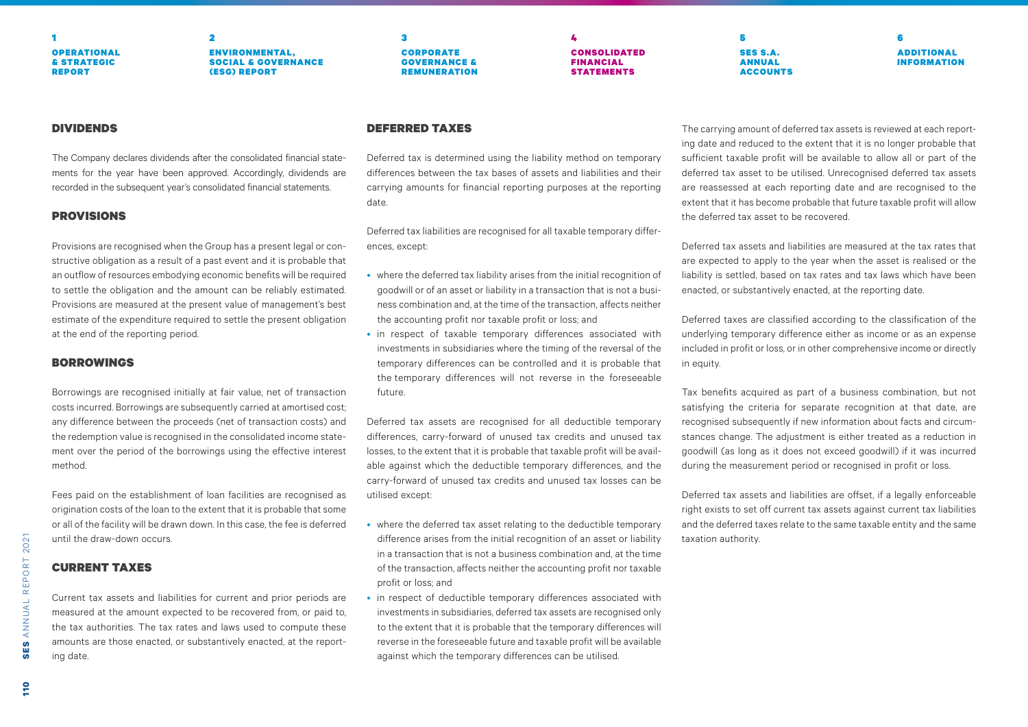**OPERATIONAL** & STRATEGIC REPORT

REMUNERATION

4 **CONSOLIDATED FINANCIAL STATEMENTS** 

5 SES S.A. ANNUAL [ACCOUNTS](#page--1-0)

6 ADDITIONAL INFORMATION

#### DIVIDENDS

The Company declares dividends after the consolidated financial statements for the year have been approved. Accordingly, dividends are recorded in the subsequent year's consolidated financial statements.

#### PROVISIONS

Provisions are recognised when the Group has a present legal or constructive obligation as a result of a past event and it is probable that an outflow of resources embodying economic benefits will be required to settle the obligation and the amount can be reliably estimated. Provisions are measured at the present value of management's best estimate of the expenditure required to settle the present obligation at the end of the reporting period.

#### BORROWINGS

Borrowings are recognised initially at fair value, net of transaction costs incurred. Borrowings are subsequently carried at amortised cost; any difference between the proceeds (net of transaction costs) and the redemption value is recognised in the consolidated income statement over the period of the borrowings using the effective interest method.

Fees paid on the establishment of loan facilities are recognised as origination costs of the loan to the extent that it is probable that some or all of the facility will be drawn down. In this case, the fee is deferred until the draw-down occurs.

Current tax assets and liabilities for current and prior periods are measured at the amount expected to be recovered from, or paid to, the tax authorities. The tax rates and laws used to compute these amounts are those enacted, or substantively enacted, at the reporting date.

#### DEFERRED TAXES

Deferred tax is determined using the liability method on temporary differences between the tax bases of assets and liabilities and their carrying amounts for financial reporting purposes at the reporting date.

Deferred tax liabilities are recognised for all taxable temporary differences, except:

- where the deferred tax liability arises from the initial recognition of goodwill or of an asset or liability in a transaction that is not a business combination and, at the time of the transaction, affects neither the accounting profit nor taxable profit or loss; and
- in respect of taxable temporary differences associated with investments in subsidiaries where the timing of the reversal of the temporary differences can be controlled and it is probable that the temporary differences will not reverse in the foreseeable future.

Deferred tax assets are recognised for all deductible temporary differences, carry-forward of unused tax credits and unused tax losses, to the extent that it is probable that taxable profit will be available against which the deductible temporary differences, and the carry-forward of unused tax credits and unused tax losses can be utilised except:

- where the deferred tax asset relating to the deductible temporary difference arises from the initial recognition of an asset or liability in a transaction that is not a business combination and, at the time of the transaction, affects neither the accounting profit nor taxable profit or loss; and
- in respect of deductible temporary differences associated with investments in subsidiaries, deferred tax assets are recognised only to the extent that it is probable that the temporary differences will reverse in the foreseeable future and taxable profit will be available against which the temporary differences can be utilised.

The carrying amount of deferred tax assets is reviewed at each reporting date and reduced to the extent that it is no longer probable that sufficient taxable profit will be available to allow all or part of the deferred tax asset to be utilised. Unrecognised deferred tax assets are reassessed at each reporting date and are recognised to the extent that it has become probable that future taxable profit will allow the deferred tax asset to be recovered.

Deferred tax assets and liabilities are measured at the tax rates that are expected to apply to the year when the asset is realised or the liability is settled, based on tax rates and tax laws which have been enacted, or substantively enacted, at the reporting date.

Deferred taxes are classified according to the classification of the underlying temporary difference either as income or as an expense included in profit or loss, or in other comprehensive income or directly in equity.

Tax benefits acquired as part of a business combination, but not satisfying the criteria for separate recognition at that date, are recognised subsequently if new information about facts and circumstances change. The adjustment is either treated as a reduction in goodwill (as long as it does not exceed goodwill) if it was incurred during the measurement period or recognised in profit or loss.

Deferred tax assets and liabilities are offset, if a legally enforceable right exists to set off current tax assets against current tax liabilities and the deferred taxes relate to the same taxable entity and the same taxation authority.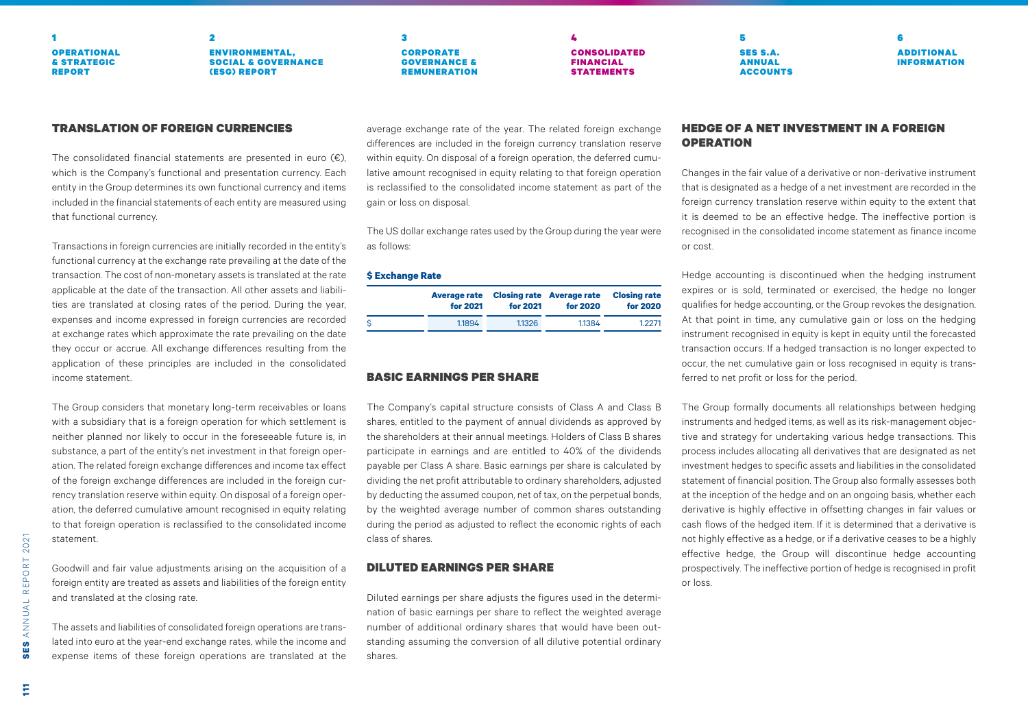**OPERATIONAL** & STRATEGIC REPORT

2 ENVIRONMENTAL, [SOCIAL & GOVERNANCE](#page--1-1)  (ESG) REPORT

3 CORPORATE [GOVERNANCE &](#page--1-0)  REMUNERATION

4 **CONSOLIDATED FINANCIAL STATEMENTS** 

5 SES S.A. ANNUAL [ACCOUNTS](#page--1-0)

6 ADDITIONAL INFORMATION

#### TRANSLATION OF FOREIGN CURRENCIES

The consolidated financial statements are presented in euro  $(\epsilon)$ , which is the Company's functional and presentation currency. Each entity in the Group determines its own functional currency and items included in the financial statements of each entity are measured using that functional currency.

Transactions in foreign currencies are initially recorded in the entity's functional currency at the exchange rate prevailing at the date of the transaction. The cost of non-monetary assets is translated at the rate applicable at the date of the transaction. All other assets and liabilities are translated at closing rates of the period. During the year, expenses and income expressed in foreign currencies are recorded at exchange rates which approximate the rate prevailing on the date they occur or accrue. All exchange differences resulting from the application of these principles are included in the consolidated income statement.

The Group considers that monetary long-term receivables or loans with a subsidiary that is a foreign operation for which settlement is neither planned nor likely to occur in the foreseeable future is, in substance, a part of the entity's net investment in that foreign operation. The related foreign exchange differences and income tax effect of the foreign exchange differences are included in the foreign currency translation reserve within equity. On disposal of a foreign operation, the deferred cumulative amount recognised in equity relating to that foreign operation is reclassified to the consolidated income statement.

Goodwill and fair value adjustments arising on the acquisition of a foreign entity are treated as assets and liabilities of the foreign entity and translated at the closing rate.

The assets and liabilities of consolidated foreign operations are translated into euro at the year-end exchange rates, while the income and expense items of these foreign operations are translated at the

average exchange rate of the year. The related foreign exchange differences are included in the foreign currency translation reserve within equity. On disposal of a foreign operation, the deferred cumulative amount recognised in equity relating to that foreign operation is reclassified to the consolidated income statement as part of the gain or loss on disposal.

The US dollar exchange rates used by the Group during the year were as follows:

#### **\$ Exchange Rate**

| <b>Average rate</b><br>for 2021 | for 2021 | <b>Closing rate Average rate</b><br>for 2020 | <b>Closing rate</b><br>for 2020 |
|---------------------------------|----------|----------------------------------------------|---------------------------------|
| 1.1894                          | 1.1326   | 1.1384                                       | 1.2271                          |

#### BASIC EARNINGS PER SHARE

The Company's capital structure consists of Class A and Class B shares, entitled to the payment of annual dividends as approved by the shareholders at their annual meetings. Holders of Class B shares participate in earnings and are entitled to 40% of the dividends payable per Class A share. Basic earnings per share is calculated by dividing the net profit attributable to ordinary shareholders, adjusted by deducting the assumed coupon, net of tax, on the perpetual bonds, by the weighted average number of common shares outstanding during the period as adjusted to reflect the economic rights of each class of shares.

#### DILUTED EARNINGS PER SHARE

Diluted earnings per share adjusts the figures used in the determination of basic earnings per share to reflect the weighted average number of additional ordinary shares that would have been outstanding assuming the conversion of all dilutive potential ordinary shares.

#### HEDGE OF A NET INVESTMENT IN A FOREIGN **OPERATION**

Changes in the fair value of a derivative or non-derivative instrument that is designated as a hedge of a net investment are recorded in the foreign currency translation reserve within equity to the extent that it is deemed to be an effective hedge. The ineffective portion is recognised in the consolidated income statement as finance income or cost.

Hedge accounting is discontinued when the hedging instrument expires or is sold, terminated or exercised, the hedge no longer qualifies for hedge accounting, or the Group revokes the designation. At that point in time, any cumulative gain or loss on the hedging instrument recognised in equity is kept in equity until the forecasted transaction occurs. If a hedged transaction is no longer expected to occur, the net cumulative gain or loss recognised in equity is transferred to net profit or loss for the period.

The Group formally documents all relationships between hedging instruments and hedged items, as well as its risk-management objective and strategy for undertaking various hedge transactions. This process includes allocating all derivatives that are designated as net investment hedges to specific assets and liabilities in the consolidated statement of financial position. The Group also formally assesses both at the inception of the hedge and on an ongoing basis, whether each derivative is highly effective in offsetting changes in fair values or cash flows of the hedged item. If it is determined that a derivative is not highly effective as a hedge, or if a derivative ceases to be a highly effective hedge, the Group will discontinue hedge accounting prospectively. The ineffective portion of hedge is recognised in profit or loss.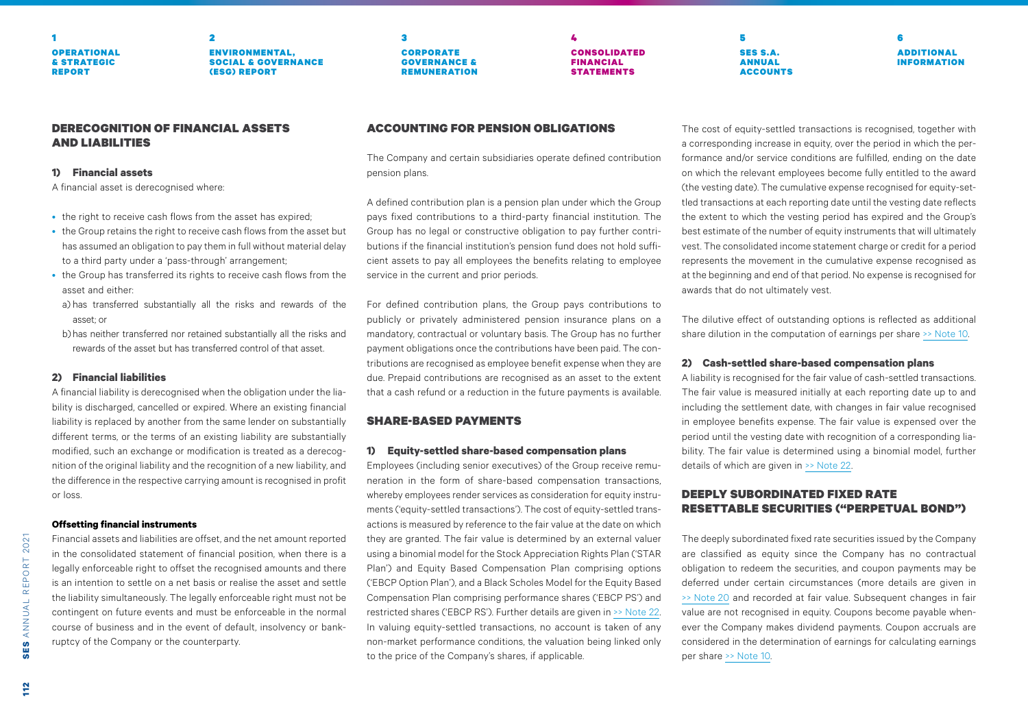CORPORATE [GOVERNANCE &](#page--1-0)  REMUNERATION

4 **CONSOLIDATED FINANCIAL STATEMENTS** 

5 SES S.A. ANNUAL [ACCOUNTS](#page--1-0)

6 ADDITIONAL INFORMATION

#### DERECOGNITION OF FINANCIAL ASSETS AND LIABILITIES

#### **1) Financial assets**

A financial asset is derecognised where:

- the right to receive cash flows from the asset has expired;
- the Group retains the right to receive cash flows from the asset but has assumed an obligation to pay them in full without material delay to a third party under a 'pass-through' arrangement;
- the Group has transferred its rights to receive cash flows from the asset and either:
- a) has transferred substantially all the risks and rewards of the asset; or
- b) has neither transferred nor retained substantially all the risks and rewards of the asset but has transferred control of that asset.

#### **2) Financial liabilities**

A financial liability is derecognised when the obligation under the liability is discharged, cancelled or expired. Where an existing financial liability is replaced by another from the same lender on substantially different terms, or the terms of an existing liability are substantially modified, such an exchange or modification is treated as a derecognition of the original liability and the recognition of a new liability, and the difference in the respective carrying amount is recognised in profit or loss.

#### **Offsetting financial instruments**

Financial assets and liabilities are offset, and the net amount reported in the consolidated statement of financial position, when there is a legally enforceable right to offset the recognised amounts and there is an intention to settle on a net basis or realise the asset and settle the liability simultaneously. The legally enforceable right must not be contingent on future events and must be enforceable in the normal course of business and in the event of default, insolvency or bankruptcy of the Company or the counterparty.

#### ACCOUNTING FOR PENSION OBLIGATIONS

The Company and certain subsidiaries operate defined contribution pension plans.

A defined contribution plan is a pension plan under which the Group pays fixed contributions to a third-party financial institution. The Group has no legal or constructive obligation to pay further contributions if the financial institution's pension fund does not hold sufficient assets to pay all employees the benefits relating to employee service in the current and prior periods.

For defined contribution plans, the Group pays contributions to publicly or privately administered pension insurance plans on a mandatory, contractual or voluntary basis. The Group has no further payment obligations once the contributions have been paid. The contributions are recognised as employee benefit expense when they are due. Prepaid contributions are recognised as an asset to the extent that a cash refund or a reduction in the future payments is available.

#### SHARE-BASED PAYMENTS

#### **1) Equity-settled share-based compensation plans**

Employees (including senior executives) of the Group receive remuneration in the form of share-based compensation transactions, whereby employees render services as consideration for equity instruments ('equity-settled transactions'). The cost of equity-settled transactions is measured by reference to the fair value at the date on which they are granted. The fair value is determined by an external valuer using a binomial model for the Stock Appreciation Rights Plan ('STAR Plan') and Equity Based Compensation Plan comprising options ('EBCP Option Plan'), and a Black Scholes Model for the Equity Based Compensation Plan comprising performance shares ('EBCP PS') and restricted shares ('EBCP RS'). Further details are given in >> [Note](#page-50-0) 22. In valuing equity-settled transactions, no account is taken of any non-market performance conditions, the valuation being linked only to the price of the Company's shares, if applicable.

The cost of equity-settled transactions is recognised, together with a corresponding increase in equity, over the period in which the performance and/or service conditions are fulfilled, ending on the date on which the relevant employees become fully entitled to the award (the vesting date). The cumulative expense recognised for equity-settled transactions at each reporting date until the vesting date reflects the extent to which the vesting period has expired and the Group's best estimate of the number of equity instruments that will ultimately vest. The consolidated income statement charge or credit for a period represents the movement in the cumulative expense recognised as at the beginning and end of that period. No expense is recognised for awards that do not ultimately vest.

The dilutive effect of outstanding options is reflected as additional share dilution in the computation of earnings per share >> [Note](#page-29-0) 10.

#### **2) Cash-settled share-based compensation plans**

A liability is recognised for the fair value of cash-settled transactions. The fair value is measured initially at each reporting date up to and including the settlement date, with changes in fair value recognised in employee benefits expense. The fair value is expensed over the period until the vesting date with recognition of a corresponding liability. The fair value is determined using a binomial model, further details of which are given in >> [Note](#page-50-0) 22.

#### DEEPLY SUBORDINATED FIXED RATE RESETTABLE SECURITIES ("PERPETUAL BOND")

The deeply subordinated fixed rate securities issued by the Company are classified as equity since the Company has no contractual obligation to redeem the securities, and coupon payments may be deferred under certain circumstances (more details are given in >> [Note](#page-47-1) 20 and recorded at fair value. Subsequent changes in fair value are not recognised in equity. Coupons become payable whenever the Company makes dividend payments. Coupon accruals are considered in the determination of earnings for calculating earnings per share >> [Note](#page-29-0) 10.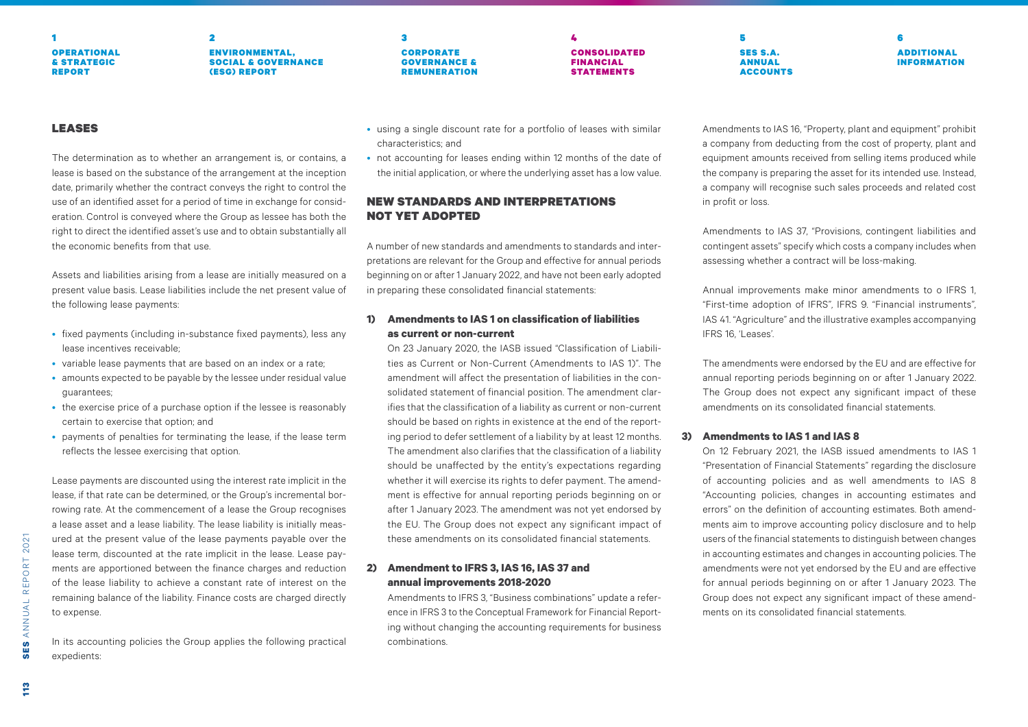**OPERATIONAL** & STRATEGIC REPORT

2 ENVIRONMENTAL, [SOCIAL & GOVERNANCE](#page--1-1)  (ESG) REPORT

3 CORPORATE [GOVERNANCE &](#page--1-0)  REMUNERATION

4 **CONSOLIDATED FINANCIAL STATEMENTS** 

5 SES S.A. ANNUAL [ACCOUNTS](#page--1-0)

6 ADDITIONAL INFORMATION

#### LEASES

The determination as to whether an arrangement is, or contains, a lease is based on the substance of the arrangement at the inception date, primarily whether the contract conveys the right to control the use of an identified asset for a period of time in exchange for consideration. Control is conveyed where the Group as lessee has both the right to direct the identified asset's use and to obtain substantially all the economic benefits from that use.

Assets and liabilities arising from a lease are initially measured on a present value basis. Lease liabilities include the net present value of the following lease payments:

- fixed payments (including in-substance fixed payments), less any lease incentives receivable;
- variable lease payments that are based on an index or a rate;
- amounts expected to be payable by the lessee under residual value guarantees;
- the exercise price of a purchase option if the lessee is reasonably certain to exercise that option; and
- payments of penalties for terminating the lease, if the lease term reflects the lessee exercising that option.

Lease payments are discounted using the interest rate implicit in the lease, if that rate can be determined, or the Group's incremental borrowing rate. At the commencement of a lease the Group recognises a lease asset and a lease liability. The lease liability is initially measured at the present value of the lease payments payable over the lease term, discounted at the rate implicit in the lease. Lease payments are apportioned between the finance charges and reduction of the lease liability to achieve a constant rate of interest on the remaining balance of the liability. Finance costs are charged directly to expense.

In its accounting policies the Group applies the following practical

expedients:

- using a single discount rate for a portfolio of leases with similar characteristics; and
- not accounting for leases ending within 12 months of the date of the initial application, or where the underlying asset has a low value.

#### NEW STANDARDS AND INTERPRETATIONS NOT YET ADOPTED

A number of new standards and amendments to standards and interpretations are relevant for the Group and effective for annual periods beginning on or after 1 January 2022, and have not been early adopted in preparing these consolidated financial statements:

#### **1) Amendments to IAS 1 on classification of liabilities as current or non-current**

On 23 January 2020, the IASB issued "Classification of Liabilities as Current or Non-Current (Amendments to IAS 1)". The amendment will affect the presentation of liabilities in the consolidated statement of financial position. The amendment clarifies that the classification of a liability as current or non-current should be based on rights in existence at the end of the reporting period to defer settlement of a liability by at least 12 months. The amendment also clarifies that the classification of a liability should be unaffected by the entity's expectations regarding whether it will exercise its rights to defer payment. The amendment is effective for annual reporting periods beginning on or after 1 January 2023. The amendment was not yet endorsed by the EU. The Group does not expect any significant impact of these amendments on its consolidated financial statements.

#### **2) Amendment to IFRS 3, IAS 16, IAS 37 and annual improvements 2018-2020**

Amendments to IFRS 3, "Business combinations" update a reference in IFRS 3 to the Conceptual Framework for Financial Reporting without changing the accounting requirements for business combinations.

Amendments to IAS 16, "Property, plant and equipment" prohibit a company from deducting from the cost of property, plant and equipment amounts received from selling items produced while the company is preparing the asset for its intended use. Instead, a company will recognise such sales proceeds and related cost in profit or loss.

Amendments to IAS 37, "Provisions, contingent liabilities and contingent assets" specify which costs a company includes when assessing whether a contract will be loss-making.

Annual improvements make minor amendments to o IFRS 1, "First-time adoption of IFRS", IFRS 9. "Financial instruments", IAS 41. "Agriculture" and the illustrative examples accompanying IFRS 16, 'Leases'.

The amendments were endorsed by the EU and are effective for annual reporting periods beginning on or after 1 January 2022. The Group does not expect any significant impact of these amendments on its consolidated financial statements.

#### **3) Amendments to IAS 1 and IAS 8**

On 12 February 2021, the IASB issued amendments to IAS 1 "Presentation of Financial Statements" regarding the disclosure of accounting policies and as well amendments to IAS 8 "Accounting policies, changes in accounting estimates and errors" on the definition of accounting estimates. Both amendments aim to improve accounting policy disclosure and to help users of the financial statements to distinguish between changes in accounting estimates and changes in accounting policies. The amendments were not yet endorsed by the EU and are effective for annual periods beginning on or after 1 January 2023. The Group does not expect any significant impact of these amendments on its consolidated financial statements.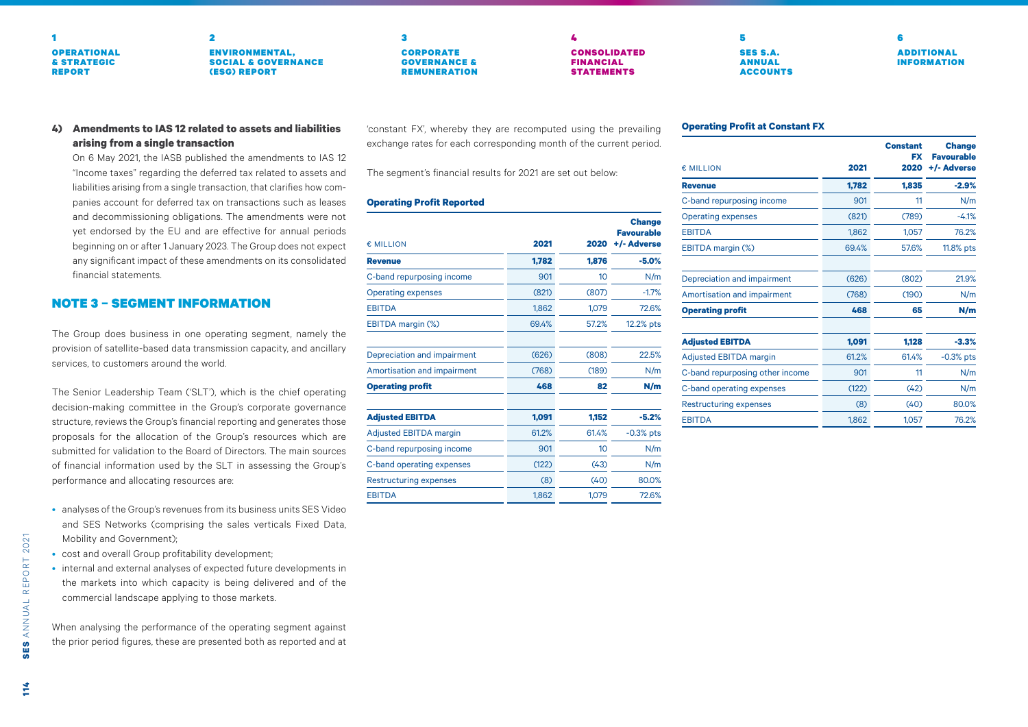REPORT

## **OPERATIONAL** & STRATEGIC

#### ENVIRONMENTAL, [SOCIAL & GOVERNANCE](#page--1-1)  (ESG) REPORT

#### 3 CORPORATE [GOVERNANCE &](#page--1-0)  **REMUNERATION**

4 [CONSOLIDATED](#page-0-0)  **FINANCIAL** STATEMENTS

5 SES S.A. ANNUAL [ACCOUNTS](#page--1-0)

6 ADDITIONAL INFORMATION

#### **4) Amendments to IAS 12 related to assets and liabilities arising from a single transaction**

2

On 6 May 2021, the IASB published the amendments to IAS 12 "Income taxes" regarding the deferred tax related to assets and liabilities arising from a single transaction, that clarifies how companies account for deferred tax on transactions such as leases and decommissioning obligations. The amendments were not yet endorsed by the EU and are effective for annual periods beginning on or after 1 January 2023. The Group does not expect any significant impact of these amendments on its consolidated financial statements.

#### <span id="page-23-0"></span>NOTE 3 – SEGMENT INFORMATION

The Group does business in one operating segment, namely the provision of satellite-based data transmission capacity, and ancillary services, to customers around the world.

The Senior Leadership Team ('SLT'), which is the chief operating decision-making committee in the Group's corporate governance structure, reviews the Group's financial reporting and generates those proposals for the allocation of the Group's resources which are submitted for validation to the Board of Directors. The main sources of financial information used by the SLT in assessing the Group's performance and allocating resources are:

- analyses of the Group's revenues from its business units SES Video and SES Networks (comprising the sales verticals Fixed Data, Mobility and Government);
- cost and overall Group profitability development;
- internal and external analyses of expected future developments in the markets into which capacity is being delivered and of the commercial landscape applying to those markets.

When analysing the performance of the operating segment against the prior period figures, these are presented both as reported and at 'constant FX', whereby they are recomputed using the prevailing exchange rates for each corresponding month of the current period.

The segment's financial results for 2021 are set out below:

#### **Operating Profit Reported**

| € MILLION                     | 2021  | 2020  | <b>Change</b><br><b>Favourable</b><br>+/- Adverse |
|-------------------------------|-------|-------|---------------------------------------------------|
| <b>Revenue</b>                | 1,782 | 1,876 | $-5.0%$                                           |
| C-band repurposing income     | 901   | 10    | N/m                                               |
| <b>Operating expenses</b>     | (821) | (807) | $-1.7%$                                           |
| <b>EBITDA</b>                 | 1,862 | 1,079 | 72.6%                                             |
| EBITDA margin (%)             | 69.4% | 57.2% | 12.2% pts                                         |
| Depreciation and impairment   | (626) | (808) | 22.5%                                             |
| Amortisation and impairment   | (768) | (189) | N/m                                               |
| <b>Operating profit</b>       | 468   | 82    | N/m                                               |
| <b>Adjusted EBITDA</b>        | 1,091 | 1,152 | $-5.2%$                                           |
| <b>Adjusted EBITDA margin</b> | 61.2% | 61.4% | $-0.3\%$ pts                                      |
| C-band repurposing income     | 901   | 10    | N/m                                               |
| C-band operating expenses     | (122) | (43)  | N/m                                               |
| <b>Restructuring expenses</b> | (8)   | (40)  | 80.0%                                             |
| <b>EBITDA</b>                 | 1,862 | 1.079 | 72.6%                                             |

#### **Operating Profit at Constant FX**

|                                 |       | <b>Constant</b><br>FX | <b>Change</b><br><b>Favourable</b> |
|---------------------------------|-------|-----------------------|------------------------------------|
| € MILLION                       | 2021  | 2020                  | +/- Adverse                        |
| <b>Revenue</b>                  | 1,782 | 1,835                 | $-2.9%$                            |
| C-band repurposing income       | 901   | 11                    | N/m                                |
| <b>Operating expenses</b>       | (821) | (789)                 | $-4.1%$                            |
| <b>EBITDA</b>                   | 1.862 | 1.057                 | 76.2%                              |
| EBITDA margin (%)               | 69.4% | 57.6%                 | 11.8% pts                          |
| Depreciation and impairment     | (626) | (802)                 | 21.9%                              |
| Amortisation and impairment     | (768) | (190)                 | N/m                                |
| <b>Operating profit</b>         | 468   | 65                    | N/m                                |
| <b>Adjusted EBITDA</b>          | 1.091 | 1.128                 | $-3.3%$                            |
| <b>Adjusted EBITDA margin</b>   | 61.2% | 61.4%                 | $-0.3\%$ pts                       |
| C-band repurposing other income | 901   | 11                    | N/m                                |
| C-band operating expenses       | (122) | (42)                  | N/m                                |
| <b>Restructuring expenses</b>   | (8)   | (40)                  | 80.0%                              |
| <b>EBITDA</b>                   | 1.862 | 1.057                 | 76.2%                              |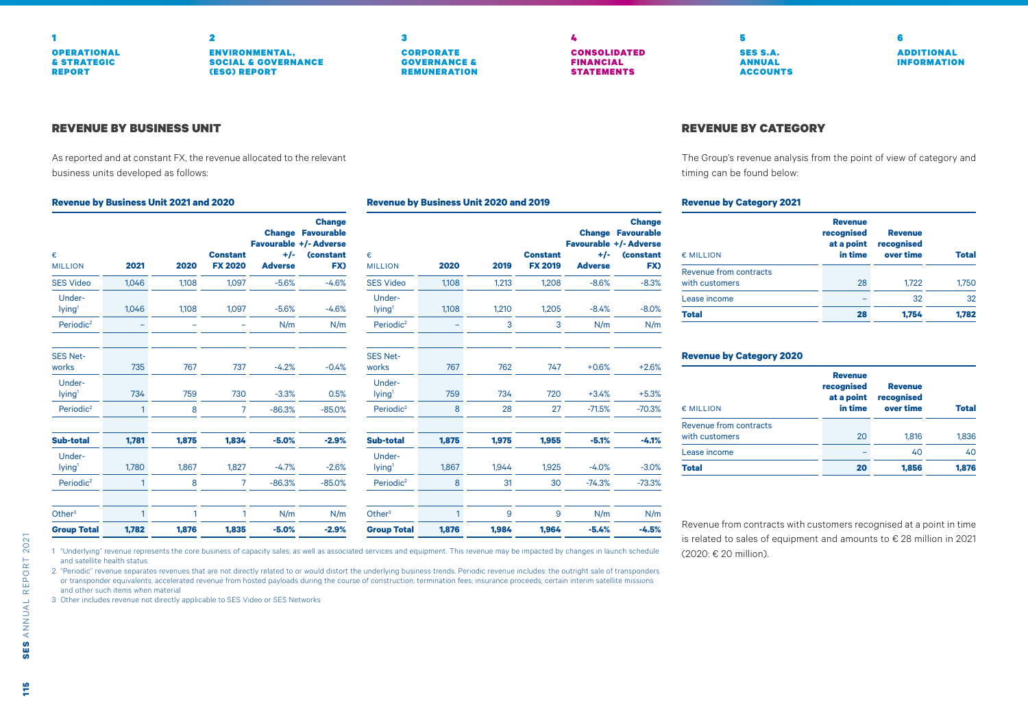**OPERATIONAL** & STRATEGIC REPORT

2 ENVIRONMENTAL, [SOCIAL & GOVERNANCE](#page--1-1)  (ESG) REPORT

CORPORATE [GOVERNANCE &](#page--1-0)  REMUNERATION

**Revenue by Business Unit 2020 and 2019**

3

4 [CONSOLIDATED](#page-0-0)  **FINANCIAL** STATEMENTS

5 SES S.A. ANNUAL [ACCOUNTS](#page--1-0)

6 ADDITIONAL INFORMATION

#### REVENUE BY BUSINESS UNIT

As reported and at constant FX, the revenue allocated to the relevant business units developed as follows:

#### **Revenue by Business Unit 2021 and 2020**

| €<br><b>MILLION</b>          | 2021                     | 2020  | <b>Constant</b><br><b>FX 2020</b> | $+/-$<br><b>Adverse</b> | <b>Change</b><br><b>Change Favourable</b><br>Favourable +/- Adverse<br><b>Constant</b><br>FX) | €<br><b>MILLION</b>          | 2020  | 2019  | <b>Constant</b><br><b>FX 2019</b> | $+/-$<br><b>Adverse</b> | <b>Change</b><br><b>Change Favourable</b><br><b>Favourable +/- Adverse</b><br><b>(constant</b><br>FX) |
|------------------------------|--------------------------|-------|-----------------------------------|-------------------------|-----------------------------------------------------------------------------------------------|------------------------------|-------|-------|-----------------------------------|-------------------------|-------------------------------------------------------------------------------------------------------|
| <b>SES Video</b>             | 1,046                    | 1,108 | 1,097                             | $-5.6%$                 | $-4.6%$                                                                                       | <b>SES Video</b>             | 1,108 | 1,213 | 1,208                             | $-8.6%$                 | $-8.3%$                                                                                               |
| Under-<br>lying <sup>1</sup> | 1,046                    | 1,108 | 1,097                             | $-5.6%$                 | $-4.6%$                                                                                       | Under-<br>lying <sup>1</sup> | 1,108 | 1,210 | 1,205                             | $-8.4%$                 | $-8.0%$                                                                                               |
| Periodic <sup>2</sup>        | $\overline{\phantom{0}}$ | ۰     | $\overline{\phantom{m}}$          | N/m                     | N/m                                                                                           | Periodic <sup>2</sup>        |       | 3     | 3                                 | N/m                     | N/m                                                                                                   |
| <b>SES Net-</b><br>works     | 735                      | 767   | 737                               | $-4.2%$                 | $-0.4%$                                                                                       | <b>SES Net-</b><br>works     | 767   | 762   | 747                               | $+0.6%$                 | $+2.6%$                                                                                               |
| Under-<br>lying <sup>1</sup> | 734                      | 759   | 730                               | $-3.3%$                 | 0.5%                                                                                          | Under-<br>lying <sup>1</sup> | 759   | 734   | 720                               | $+3.4%$                 | $+5.3%$                                                                                               |
| Periodic <sup>2</sup>        | 1                        | 8     | $\overline{7}$                    | $-86.3%$                | $-85.0%$                                                                                      | Periodic <sup>2</sup>        | 8     | 28    | 27                                | $-71.5%$                | $-70.3%$                                                                                              |
| <b>Sub-total</b>             | 1,781                    | 1,875 | 1,834                             | $-5.0%$                 | $-2.9%$                                                                                       | <b>Sub-total</b>             | 1,875 | 1,975 | 1,955                             | $-5.1%$                 | $-4.1%$                                                                                               |
| Under-<br>lying <sup>1</sup> | 1,780                    | 1,867 | 1,827                             | $-4.7%$                 | $-2.6%$                                                                                       | Under-<br>lying <sup>1</sup> | 1,867 | 1,944 | 1,925                             | $-4.0%$                 | $-3.0%$                                                                                               |
| Periodic <sup>2</sup>        | 1                        | 8     | $\overline{7}$                    | $-86.3%$                | $-85.0%$                                                                                      | Periodic <sup>2</sup>        | 8     | 31    | 30                                | $-74.3%$                | $-73.3%$                                                                                              |
| Other $3$                    | $\mathbf{1}$             | 1     | 1                                 | N/m                     | N/m                                                                                           | Other $3$                    | 1     | 9     | 9                                 | N/m                     | N/m                                                                                                   |
| <b>Group Total</b>           | 1,782                    | 1,876 | 1,835                             | $-5.0%$                 | $-2.9%$                                                                                       | <b>Group Total</b>           | 1,876 | 1,984 | 1,964                             | $-5.4%$                 | $-4.5%$                                                                                               |

#### REVENUE BY CATEGORY

The Group's revenue analysis from the point of view of category and timing can be found below:

#### **Revenue by Category 2021**

| € MILLION              | <b>Revenue</b><br>recognised<br>at a point<br>in time | <b>Revenue</b><br>recognised<br>over time | <b>Total</b> |
|------------------------|-------------------------------------------------------|-------------------------------------------|--------------|
| Revenue from contracts |                                                       |                                           |              |
| with customers         | 28                                                    | 1.722                                     | 1,750        |
| Lease income           |                                                       | 32                                        | 32           |
| <b>Total</b>           | 28                                                    | 1.754                                     | 1.782        |

#### **Revenue by Category 2020**

| € MILLION                                       | <b>Revenue</b><br>recognised<br>at a point<br>in time | <b>Revenue</b><br>recognised<br>over time | <b>Total</b> |  |
|-------------------------------------------------|-------------------------------------------------------|-------------------------------------------|--------------|--|
| <b>Revenue from contracts</b><br>with customers | 20                                                    | 1.816                                     | 1,836        |  |
| Lease income                                    |                                                       | 40                                        | 40           |  |
| <b>Total</b>                                    | 20                                                    | 1.856                                     | 1.876        |  |

Revenue from contracts with customers recognised at a point in time is related to sales of equipment and amounts to € 28 million in 2021

1 "Underlying" revenue represents the core business of capacity sales, as well as associated services and equipment. This revenue may be impacted by changes in launch schedule (2020: € 20 million). and satellite health status.

2. "Periodic" revenue separates revenues that are not directly related to or would distort the underlying business trends. Periodic revenue includes: the outright sale of transponders or transponder equivalents; accelerated revenue from hosted payloads during the course of construction; termination fees; insurance proceeds; certain interim satellite missions and other such items when material

3 Other includes revenue not directly applicable to SES Video or SES Networks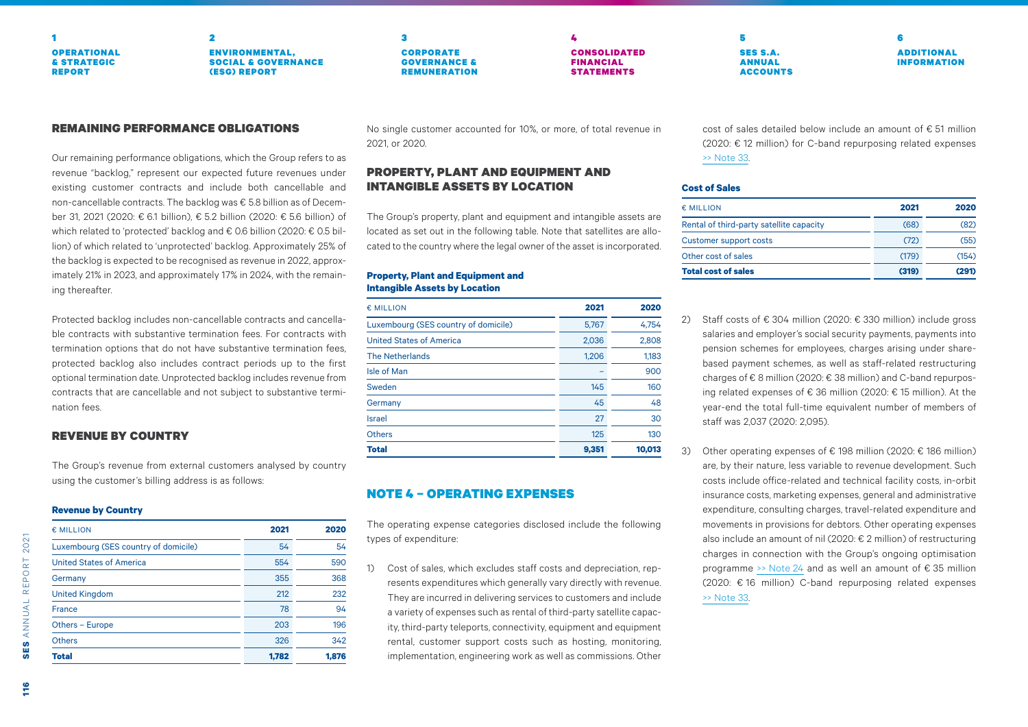#### **OPERATIONAL** & STRATEGIC REPORT

2 ENVIRONMENTAL, [SOCIAL & GOVERNANCE](#page--1-1)  (ESG) REPORT

# 3

**CORPORATE** [GOVERNANCE &](#page--1-0)  REMUNERATION

4 **CONSOLIDATED FINANCIAL STATEMENTS** 

5 SES S.A. ANNUAL [ACCOUNTS](#page--1-0)

6 ADDITIONAL INFORMATION

#### REMAINING PERFORMANCE OBLIGATIONS

Our remaining performance obligations, which the Group refers to as revenue "backlog," represent our expected future revenues under existing customer contracts and include both cancellable and non-cancellable contracts. The backlog was € 5.8 billion as of December 31, 2021 (2020: € 6.1 billion), € 5.2 billion (2020: € 5.6 billion) of which related to 'protected' backlog and € 0.6 billion (2020: € 0.5 billion) of which related to 'unprotected' backlog. Approximately 25% of the backlog is expected to be recognised as revenue in 2022, approximately 21% in 2023, and approximately 17% in 2024, with the remaining thereafter.

Protected backlog includes non-cancellable contracts and cancellable contracts with substantive termination fees. For contracts with termination options that do not have substantive termination fees, protected backlog also includes contract periods up to the first optional termination date. Unprotected backlog includes revenue from contracts that are cancellable and not subject to substantive termination fees.

#### REVENUE BY COUNTRY

The Group's revenue from external customers analysed by country using the customer's billing address is as follows:

#### **Revenue by Country**

| € MILLION                            | 2021  | 2020  |
|--------------------------------------|-------|-------|
| Luxembourg (SES country of domicile) | 54    | 54    |
| <b>United States of America</b>      | 554   | 590   |
| Germany                              | 355   | 368   |
| <b>United Kingdom</b>                | 212   | 232   |
| France                               | 78    | 94    |
| Others - Europe                      | 203   | 196   |
| <b>Others</b>                        | 326   | 342   |
| <b>Total</b>                         | 1.782 | 1.876 |

No single customer accounted for 10%, or more, of total revenue in 2021, or 2020.

#### PROPERTY, PLANT AND EQUIPMENT AND INTANGIBLE ASSETS BY LOCATION

The Group's property, plant and equipment and intangible assets are located as set out in the following table. Note that satellites are allocated to the country where the legal owner of the asset is incorporated.

#### **Property, Plant and Equipment and Intangible Assets by Location**

| 2020   |
|--------|
| 4,754  |
| 2,808  |
| 1.183  |
| 900    |
| 160    |
| 48     |
| 30     |
| 130    |
| 10,013 |
|        |

#### <span id="page-25-0"></span>NOTE 4 – OPERATING EXPENSES

The operating expense categories disclosed include the following types of expenditure:

1) Cost of sales, which excludes staff costs and depreciation, represents expenditures which generally vary directly with revenue. They are incurred in delivering services to customers and include a variety of expenses such as rental of third-party satellite capacity, third-party teleports, connectivity, equipment and equipment rental, customer support costs such as hosting, monitoring, implementation, engineering work as well as commissions. Other

cost of sales detailed below include an amount of € 51 million (2020: € 12 million) for C-band repurposing related expenses >> [Note](#page-61-0) 33.

#### **Cost of Sales**

| € MILLION                                | 2021  | 2020  |
|------------------------------------------|-------|-------|
| Rental of third-party satellite capacity | (68)  | (82)  |
| <b>Customer support costs</b>            | (72)  | (55)  |
| Other cost of sales                      | (179) | (154) |
| <b>Total cost of sales</b>               | (319) | (291) |

- 2) Staff costs of € 304 million (2020: € 330 million) include gross salaries and employer's social security payments, payments into pension schemes for employees, charges arising under sharebased payment schemes, as well as staff-related restructuring charges of € 8 million (2020: € 38 million) and C-band repurposing related expenses of € 36 million (2020: € 15 million). At the year-end the total full-time equivalent number of members of staff was 2,037 (2020: 2,095).
- 3) Other operating expenses of € 198 million (2020: € 186 million) are, by their nature, less variable to revenue development. Such costs include office-related and technical facility costs, in-orbit insurance costs, marketing expenses, general and administrative expenditure, consulting charges, travel-related expenditure and movements in provisions for debtors. Other operating expenses also include an amount of nil (2020: € 2 million) of restructuring charges in connection with the Group's ongoing optimisation programme >> [Note](#page-54-0) 24 and as well an amount of € 35 million (2020: € 16 million) C-band repurposing related expenses >> [Note](#page-61-0) 33.

ANNUAL REPORT 2021 **SES** ANNUAL REPORT 2021 SES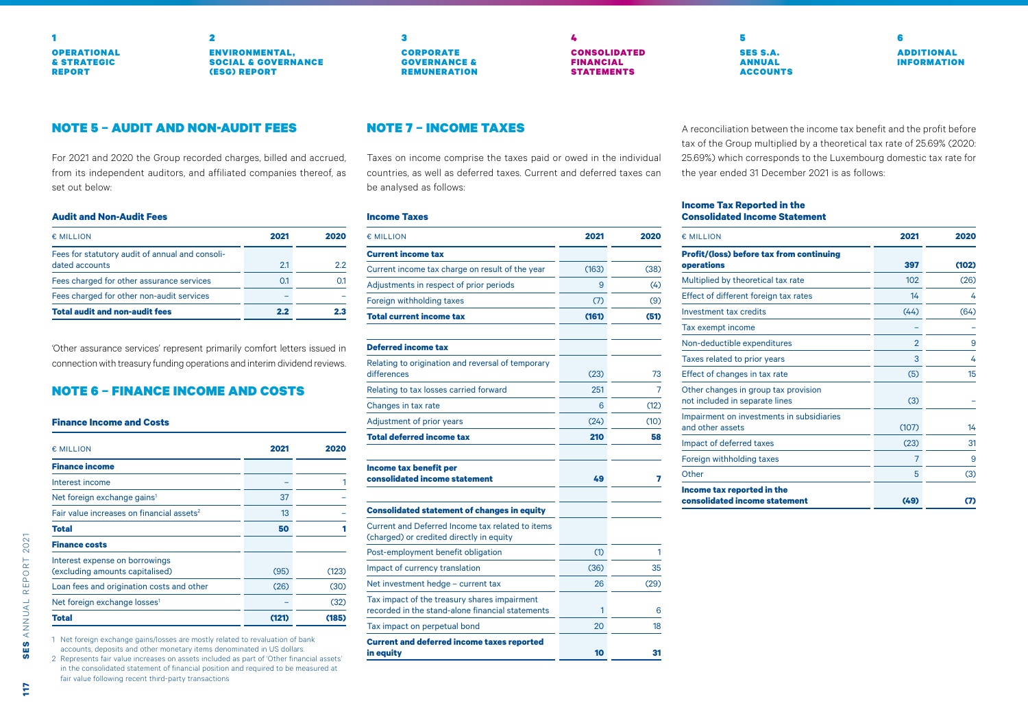2 ENVIRONMENTAL, [SOCIAL & GOVERNANCE](#page--1-1)  (ESG) REPORT

#### 3 CORPORATE [GOVERNANCE &](#page--1-0)  REMUNERATION

4 [CONSOLIDATED](#page-0-0)  **FINANCIAL** STATEMENTS

5 SES S.A. ANNUAL [ACCOUNTS](#page--1-0)

6 ADDITIONAL INFORMATION

#### NOTE 5 – AUDIT AND NON-AUDIT FEES

For 2021 and 2020 the Group recorded charges, billed and accrued, from its independent auditors, and affiliated companies thereof, as set out below:

#### **Audit and Non-Audit Fees**

| € MILLION                                                         | 2021 | 2020 |
|-------------------------------------------------------------------|------|------|
| Fees for statutory audit of annual and consoli-<br>dated accounts | 21   | クク   |
| Fees charged for other assurance services                         | 0.1  |      |
| Fees charged for other non-audit services                         |      |      |
| <b>Total audit and non-audit fees</b>                             | 2.2  | 23   |

'Other assurance services' represent primarily comfort letters issued in connection with treasury funding operations and interim dividend reviews.

#### <span id="page-26-1"></span>NOTE 6 – FINANCE INCOME AND COSTS

#### **Finance Income and Costs**

| € MILLION                                                         | 2021  | 2020  |
|-------------------------------------------------------------------|-------|-------|
| <b>Finance income</b>                                             |       |       |
| Interest income                                                   |       |       |
| Net foreign exchange gains <sup>1</sup>                           | 37    |       |
| Fair value increases on financial assets <sup>2</sup>             | 13    |       |
| Total                                                             | 50    |       |
| <b>Finance costs</b>                                              |       |       |
| Interest expense on borrowings<br>(excluding amounts capitalised) | (95)  | (123) |
| Loan fees and origination costs and other                         | (26)  | (30)  |
| Net foreign exchange losses <sup>1</sup>                          |       | (32)  |
| Total                                                             | (121) | (185) |

1 Net foreign exchange gains/losses are mostly related to revaluation of bank accounts, deposits and other monetary items denominated in US dollars.

2 Represents fair value increases on assets included as part of 'Other financial assets' in the consolidated statement of financial position and required to be measured at fair value following recent third-party transactions

## <span id="page-26-0"></span>NOTE 7 – INCOME TAXES

Taxes on income comprise the taxes paid or owed in the individual countries, as well as deferred taxes. Current and deferred taxes can be analysed as follows:

#### **Income Taxes**

| € MILLION                                                                                        | 2021  | 2020 |
|--------------------------------------------------------------------------------------------------|-------|------|
| <b>Current income tax</b>                                                                        |       |      |
| Current income tax charge on result of the year                                                  | (163) | (38) |
| Adjustments in respect of prior periods                                                          | 9     | (4)  |
| Foreign withholding taxes                                                                        | (7)   | (9)  |
| <b>Total current income tax</b>                                                                  | (161) | (51) |
| <b>Deferred income tax</b>                                                                       |       |      |
| Relating to origination and reversal of temporary<br>differences                                 | (23)  | 73   |
| Relating to tax losses carried forward                                                           | 251   | 7    |
| Changes in tax rate                                                                              | 6     | (12) |
| Adjustment of prior years                                                                        | (24)  | (10) |
| <b>Total deferred income tax</b>                                                                 | 210   | 58   |
| Income tax benefit per<br>consolidated income statement                                          | 49    | 7    |
| <b>Consolidated statement of changes in equity</b>                                               |       |      |
| Current and Deferred Income tax related to items<br>(charged) or credited directly in equity     |       |      |
| Post-employment benefit obligation                                                               | (1)   | 1    |
| Impact of currency translation                                                                   | (36)  | 35   |
| Net investment hedge - current tax                                                               | 26    | (29) |
| Tax impact of the treasury shares impairment<br>recorded in the stand-alone financial statements | 1     | 6    |
| Tax impact on perpetual bond                                                                     | 20    | 18   |
| <b>Current and deferred income taxes reported</b><br>in equity                                   | 10    | 31   |

A reconciliation between the income tax benefit and the profit before tax of the Group multiplied by a theoretical tax rate of 25.69% (2020: 25.69%) which corresponds to the Luxembourg domestic tax rate for the year ended 31 December 2021 is as follows:

#### **Income Tax Reported in the Consolidated Income Statement**

| € MILLION                                                              | 2021           | 2020  |
|------------------------------------------------------------------------|----------------|-------|
| <b>Profit/(loss) before tax from continuing</b><br>operations          | 397            | (102) |
| Multiplied by theoretical tax rate                                     | 102            | (26)  |
| Effect of different foreign tax rates                                  | 14             | 4     |
| Investment tax credits                                                 | (44)           | (64)  |
| Tax exempt income                                                      |                |       |
| Non-deductible expenditures                                            | $\overline{2}$ | 9     |
| Taxes related to prior years                                           | 3              | 4     |
| Effect of changes in tax rate                                          | (5)            | 15    |
| Other changes in group tax provision<br>not included in separate lines | (3)            |       |
| Impairment on investments in subsidiaries<br>and other assets          | (107)          | 14    |
| Impact of deferred taxes                                               | (23)           | 31    |
| Foreign withholding taxes                                              | 7              | 9     |
| Other                                                                  | 5              | (3)   |
| Income tax reported in the<br>consolidated income statement            | (49)           | (7)   |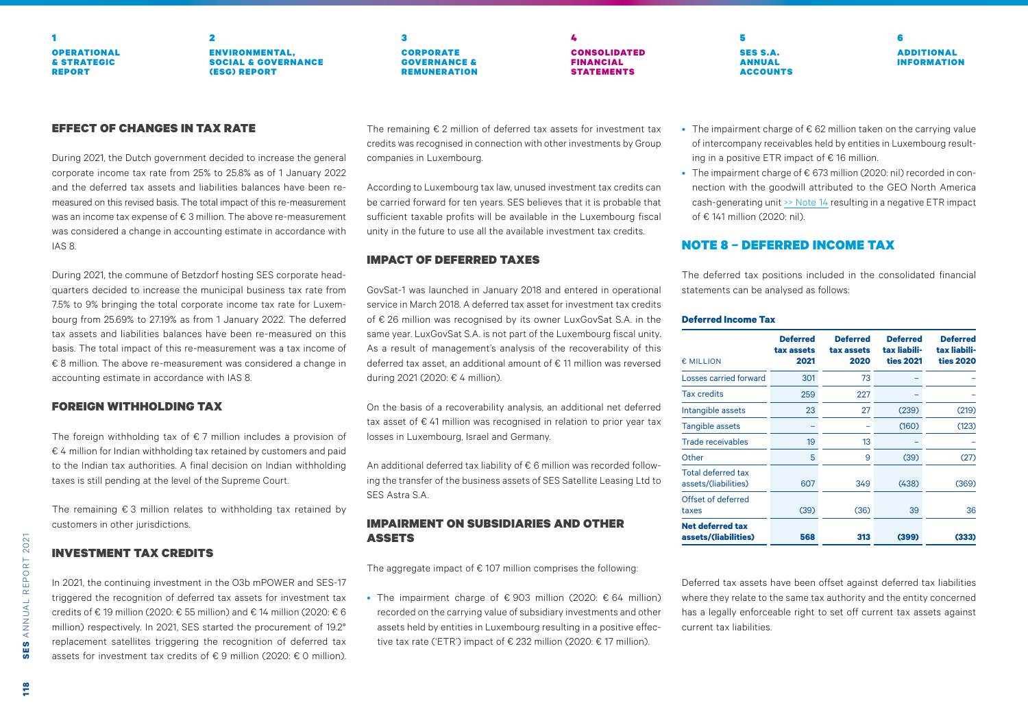#### **OPERATIONAL** & STRATEGIC REPORT

#### 2 ENVIRONMENTAL, [SOCIAL & GOVERNANCE](#page--1-1)  (ESG) REPORT

3 **CORPORATE** [GOVERNANCE &](#page--1-0)  REMUNERATION

4 **CONSOLIDATED FINANCIAL STATEMENTS** 

5 SES S.A. ANNUAL [ACCOUNTS](#page--1-0)

6 ADDITIONAL INFORMATION

#### EFFECT OF CHANGES IN TAX RATE

During 2021, the Dutch government decided to increase the general corporate income tax rate from 25% to 25.8% as of 1 January 2022 and the deferred tax assets and liabilities balances have been remeasured on this revised basis. The total impact of this re-measurement was an income tax expense of € 3 million. The above re-measurement was considered a change in accounting estimate in accordance with IAS 8.

During 2021, the commune of Betzdorf hosting SES corporate headquarters decided to increase the municipal business tax rate from 7.5% to 9% bringing the total corporate income tax rate for Luxembourg from 25.69% to 27.19% as from 1 January 2022. The deferred tax assets and liabilities balances have been re-measured on this basis. The total impact of this re-measurement was a tax income of € 8 million. The above re-measurement was considered a change in accounting estimate in accordance with IAS 8.

#### FOREIGN WITHHOLDING TAX

The foreign withholding tax of  $\epsilon$  7 million includes a provision of € 4 million for Indian withholding tax retained by customers and paid to the Indian tax authorities. A final decision on Indian withholding taxes is still pending at the level of the Supreme Court.

The remaining  $\epsilon$  3 million relates to withholding tax retained by customers in other jurisdictions.

#### INVESTMENT TAX CREDITS

**118**

In 2021, the continuing investment in the O3b mPOWER and SES-17 triggered the recognition of deferred tax assets for investment tax credits of € 19 million (2020: € 55 million) and € 14 million (2020: € 6 million) respectively. In 2021, SES started the procurement of 19.2° replacement satellites triggering the recognition of deferred tax assets for investment tax credits of € 9 million (2020: € 0 million).

The remaining  $E$  2 million of deferred tax assets for investment tax credits was recognised in connection with other investments by Group companies in Luxembourg.

According to Luxembourg tax law, unused investment tax credits can be carried forward for ten years. SES believes that it is probable that sufficient taxable profits will be available in the Luxembourg fiscal unity in the future to use all the available investment tax credits.

#### IMPACT OF DEFERRED TAXES

GovSat-1 was launched in January 2018 and entered in operational service in March 2018. A deferred tax asset for investment tax credits of € 26 million was recognised by its owner LuxGovSat S.A. in the same year. LuxGovSat S.A. is not part of the Luxembourg fiscal unity. As a result of management's analysis of the recoverability of this deferred tax asset, an additional amount of € 11 million was reversed during 2021 (2020: € 4 million).

On the basis of a recoverability analysis, an additional net deferred tax asset of € 41 million was recognised in relation to prior year tax losses in Luxembourg, Israel and Germany.

An additional deferred tax liability of € 6 million was recorded following the transfer of the business assets of SES Satellite Leasing Ltd to SES Astra S.A.

#### IMPAIRMENT ON SUBSIDIARIES AND OTHER ASSETS

The aggregate impact of  $\epsilon$  107 million comprises the following:

• The impairment charge of  $\epsilon$  903 million (2020:  $\epsilon$  64 million) recorded on the carrying value of subsidiary investments and other assets held by entities in Luxembourg resulting in a positive effective tax rate ('ETR') impact of € 232 million (2020: € 17 million).

- The impairment charge of € 62 million taken on the carrying value of intercompany receivables held by entities in Luxembourg resulting in a positive ETR impact of € 16 million.
- The impairment charge of € 673 million (2020: nil) recorded in connection with the goodwill attributed to the GEO North America cash-generating unit >> [Note](#page-34-0) 14 resulting in a negative ETR impact of € 141 million (2020: nil).

#### <span id="page-27-0"></span>NOTE 8 – DEFERRED INCOME TAX

The deferred tax positions included in the consolidated financial statements can be analysed as follows:

#### **Deferred Income Tax**

| € MILLION                                         | <b>Deferred</b><br>tax assets<br>2021 | <b>Deferred</b><br>tax assets<br>2020 | <b>Deferred</b><br>tax liabili-<br><b>ties 2021</b> | <b>Deferred</b><br>tax liabili-<br><b>ties 2020</b> |
|---------------------------------------------------|---------------------------------------|---------------------------------------|-----------------------------------------------------|-----------------------------------------------------|
| Losses carried forward                            | 301                                   | 73                                    |                                                     |                                                     |
| <b>Tax credits</b>                                | 259                                   | 227                                   |                                                     |                                                     |
| Intangible assets                                 | 23                                    | 27                                    | (239)                                               | (219)                                               |
| Tangible assets                                   |                                       |                                       | (160)                                               | (123)                                               |
| <b>Trade receivables</b>                          | 19                                    | 13                                    |                                                     |                                                     |
| Other                                             | 5                                     | 9                                     | (39)                                                | (27)                                                |
| <b>Total deferred tax</b><br>assets/(liabilities) | 607                                   | 349                                   | (438)                                               | (369)                                               |
| Offset of deferred<br>taxes                       | (39)                                  | (36)                                  | 39                                                  | 36                                                  |
| <b>Net deferred tax</b><br>assets/(liabilities)   | 568                                   | 313                                   | (399)                                               | (333)                                               |

Deferred tax assets have been offset against deferred tax liabilities where they relate to the same tax authority and the entity concerned has a legally enforceable right to set off current tax assets against current tax liabilities.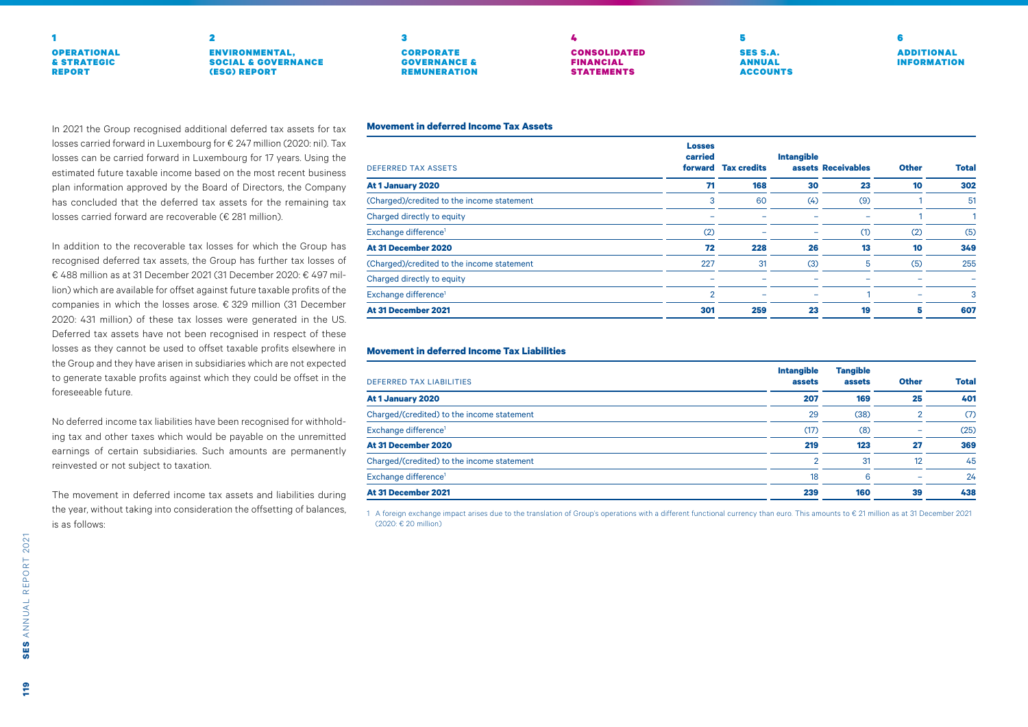#### **OPERATIONAL** & STRATEGIC REPORT

ENVIRONMENTAL, [SOCIAL & GOVERNANCE](#page--1-1)  (ESG) REPORT

3 CORPORATE [GOVERNANCE &](#page--1-0)  REMUNERATION

4 [CONSOLIDATED](#page-0-0)  **FINANCIAL** STATEMENTS

5 SES S.A. ANNUAL [ACCOUNTS](#page--1-0)

6 ADDITIONAL INFORMATION

#### In 2021 the Group recognised additional deferred tax assets for tax losses carried forward in Luxembourg for € 247 million (2020: nil). Tax losses can be carried forward in Luxembourg for 17 years. Using the estimated future taxable income based on the most recent business plan information approved by the Board of Directors, the Company has concluded that the deferred tax assets for the remaining tax losses carried forward are recoverable (€ 281 million).

2

In addition to the recoverable tax losses for which the Group has recognised deferred tax assets, the Group has further tax losses of € 488 million as at 31 December 2021 (31 December 2020: € 497 million) which are available for offset against future taxable profits of the companies in which the losses arose. € 329 million (31 December 2020: 431 million) of these tax losses were generated in the US. Deferred tax assets have not been recognised in respect of these losses as they cannot be used to offset taxable profits elsewhere in the Group and they have arisen in subsidiaries which are not expected to generate taxable profits against which they could be offset in the foreseeable future.

No deferred income tax liabilities have been recognised for withholding tax and other taxes which would be payable on the unremitted earnings of certain subsidiaries. Such amounts are permanently reinvested or not subject to taxation.

The movement in deferred income tax assets and liabilities during the year, without taking into consideration the offsetting of balances, is as follows:

#### **Movement in deferred Income Tax Assets**

| <b>DEFERRED TAX ASSETS</b>                 | <b>Losses</b><br>carried<br>forward | <b>Tax credits</b> | <b>Intangible</b>        | assets Receivables       | <b>Other</b> | <b>Total</b> |
|--------------------------------------------|-------------------------------------|--------------------|--------------------------|--------------------------|--------------|--------------|
| At 1 January 2020                          | 71                                  | 168                | 30                       | 23                       | 10           | 302          |
| (Charged)/credited to the income statement | 3                                   | 60                 | (4)                      | (9)                      |              | 51           |
| Charged directly to equity                 | $\overline{\phantom{0}}$            |                    |                          | $\overline{\phantom{0}}$ |              |              |
| Exchange difference <sup>1</sup>           | (2)                                 |                    |                          | (1)                      | (2)          | (5)          |
| At 31 December 2020                        | 72                                  | 228                | 26                       | 13                       | 10           | 349          |
| (Charged)/credited to the income statement | 227                                 | 31                 | (3)                      | 5                        | (5)          | 255          |
| Charged directly to equity                 | $\overline{\phantom{0}}$            |                    |                          |                          |              |              |
| Exchange difference <sup>1</sup>           | $\overline{2}$                      |                    | $\overline{\phantom{0}}$ |                          |              | 3            |
| At 31 December 2021                        | 301                                 | 259                | 23                       | 19                       | 5            | 607          |

#### **Movement in deferred Income Tax Liabilities**

| <b>Intangible</b><br>assets | <b>Tangible</b><br>assets | <b>Other</b> | <b>Total</b> |
|-----------------------------|---------------------------|--------------|--------------|
| 207                         | 169                       | 25           | 401          |
| 29                          | (38)                      |              | (7)          |
| (17)                        | (8)                       |              | (25)         |
| 219                         | 123                       | 27           | 369          |
| $\Omega$                    | 31                        | 12           | 45           |
| 18                          | 6                         |              | 24           |
| 239                         | 160                       | 39           | 438          |
|                             |                           |              |              |

1 A foreign exchange impact arises due to the translation of Group's operations with a different functional currency than euro. This amounts to € 21 million as at 31 December 2021 (2020: € 20 million)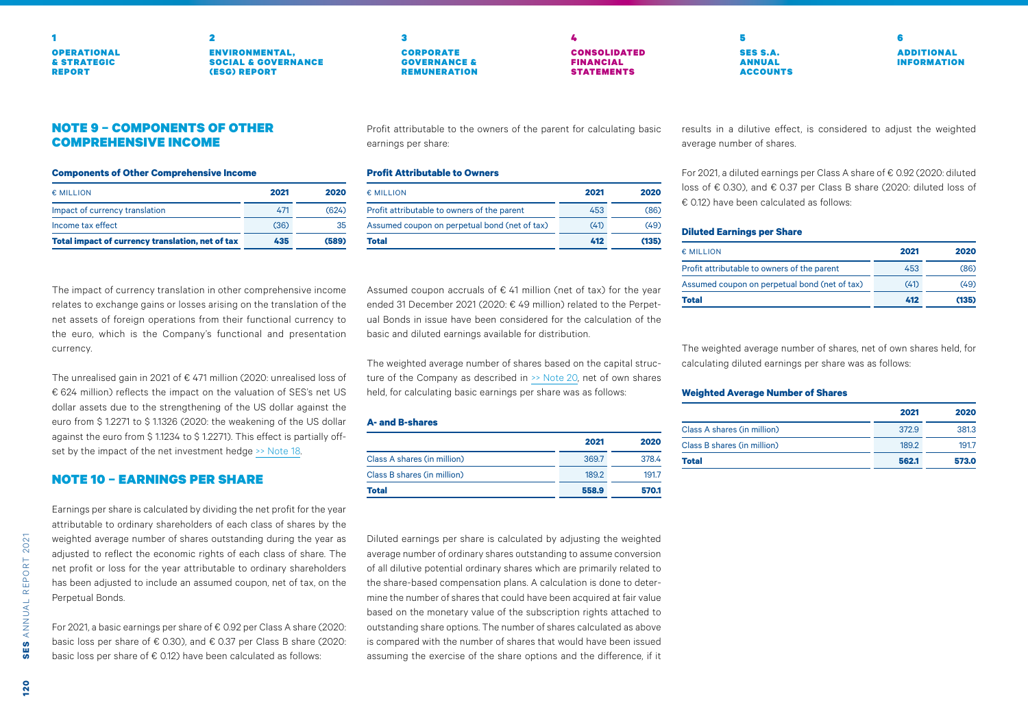#### **OPERATIONAL** & STRATEGIC REPORT

#### 2 ENVIRONMENTAL, [SOCIAL & GOVERNANCE](#page--1-1)  (ESG) REPORT

#### 3 **CORPORATE** [GOVERNANCE &](#page--1-0)  REMUNERATION

4 **CONSOLIDATED FINANCIAL STATEMENTS** 

5 SES S.A. ANNUAL [ACCOUNTS](#page--1-0)

6 ADDITIONAL INFORMATION

#### <span id="page-29-1"></span>NOTE 9 – COMPONENTS OF OTHER COMPREHENSIVE INCOME

#### **Components of Other Comprehensive Income**

| $\epsilon$ MILLION                                      | 2021 | 2020  |
|---------------------------------------------------------|------|-------|
| Impact of currency translation                          | 471  | (624) |
| Income tax effect                                       | (36) | 35    |
| <b>Total impact of currency translation, net of tax</b> | 435  | (589) |

The impact of currency translation in other comprehensive income relates to exchange gains or losses arising on the translation of the net assets of foreign operations from their functional currency to the euro, which is the Company's functional and presentation currency.

The unrealised gain in 2021 of € 471 million (2020: unrealised loss of € 624 million) reflects the impact on the valuation of SES's net US dollar assets due to the strengthening of the US dollar against the euro from \$ 1.2271 to \$ 1.1326 (2020: the weakening of the US dollar against the euro from \$ 1.1234 to \$ 1.2271). This effect is partially offset by the impact of the net investment hedge >> [Note](#page-43-0) 18.

#### <span id="page-29-0"></span>NOTE 10 – EARNINGS PER SHARE

Earnings per share is calculated by dividing the net profit for the year attributable to ordinary shareholders of each class of shares by the weighted average number of shares outstanding during the year as adjusted to reflect the economic rights of each class of share. The net profit or loss for the year attributable to ordinary shareholders has been adjusted to include an assumed coupon, net of tax, on the Perpetual Bonds.

For 2021, a basic earnings per share of € 0.92 per Class A share (2020: basic loss per share of € 0.30), and € 0.37 per Class B share (2020: basic loss per share of  $\epsilon$  0.12) have been calculated as follows:

Profit attributable to the owners of the parent for calculating basic earnings per share:

#### **Profit Attributable to Owners**

| € MILLION                                     | 2021 | 2020  |
|-----------------------------------------------|------|-------|
| Profit attributable to owners of the parent   | 453  | (86)  |
| Assumed coupon on perpetual bond (net of tax) | (41) | (49)  |
| <b>Total</b>                                  | 412  | (135) |

Assumed coupon accruals of  $\epsilon$  41 million (net of tax) for the year ended 31 December 2021 (2020: € 49 million) related to the Perpetual Bonds in issue have been considered for the calculation of the basic and diluted earnings available for distribution.

The weighted average number of shares based on the capital struc-ture of the Company as described in >> [Note](#page-47-1) 20, net of own shares held, for calculating basic earnings per share was as follows:

#### **A- and B-shares**

|                             | 2021  | 2020  |
|-----------------------------|-------|-------|
| Class A shares (in million) | 369.7 | 378.4 |
| Class B shares (in million) | 189.2 | 191.7 |
| <b>Total</b>                | 558.9 | 570.1 |

Diluted earnings per share is calculated by adjusting the weighted average number of ordinary shares outstanding to assume conversion of all dilutive potential ordinary shares which are primarily related to the share-based compensation plans. A calculation is done to determine the number of shares that could have been acquired at fair value based on the monetary value of the subscription rights attached to outstanding share options. The number of shares calculated as above is compared with the number of shares that would have been issued assuming the exercise of the share options and the difference, if it

results in a dilutive effect, is considered to adjust the weighted average number of shares.

For 2021, a diluted earnings per Class A share of € 0.92 (2020: diluted loss of € 0.30), and € 0.37 per Class B share (2020: diluted loss of € 0.12) have been calculated as follows:

#### **Diluted Earnings per Share**

| € MILLION                                     | 2021 | 2020  |
|-----------------------------------------------|------|-------|
| Profit attributable to owners of the parent   | 453  | (86)  |
| Assumed coupon on perpetual bond (net of tax) | (41) | (49)  |
| Total                                         | 412  | (135) |

The weighted average number of shares, net of own shares held, for calculating diluted earnings per share was as follows:

#### **Weighted Average Number of Shares**

|                             | 2021  | 2020  |
|-----------------------------|-------|-------|
| Class A shares (in million) | 372.9 | 3813  |
| Class B shares (in million) | 189.2 | 191.7 |
| Total                       | 562.1 | 573.0 |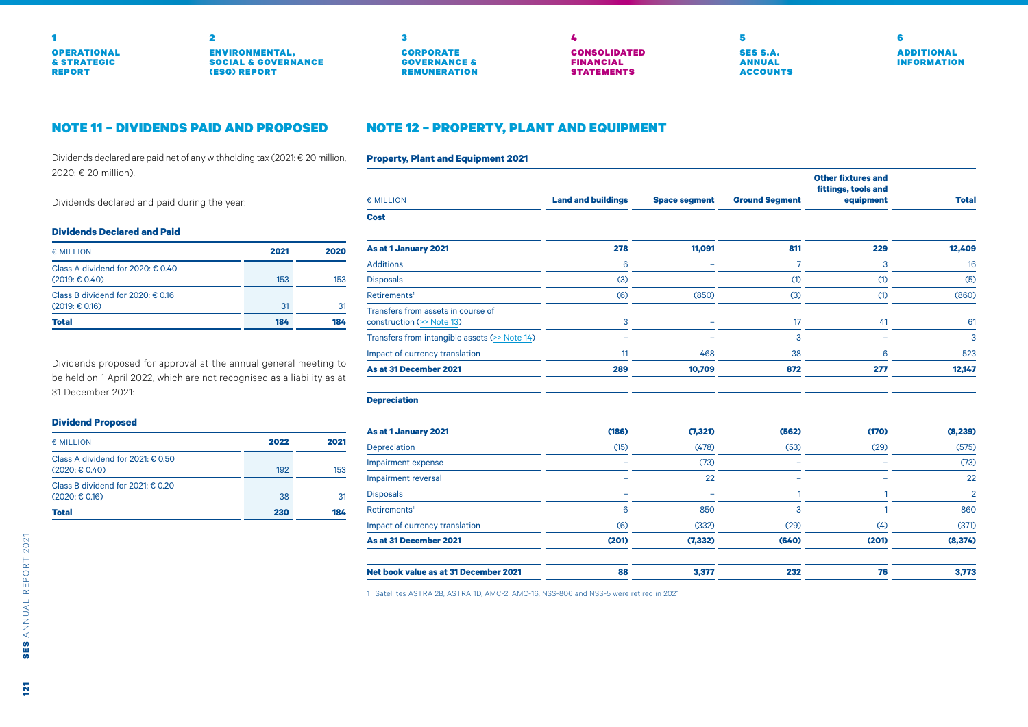3 CORPORATE [GOVERNANCE &](#page--1-0)  REMUNERATION

4 [CONSOLIDATED](#page-0-0)  **FINANCIAL** STATEMENTS

5 SES S.A. ANNUAL [ACCOUNTS](#page--1-0)

6 ADDITIONAL INFORMATION

#### <span id="page-30-1"></span>NOTE 11 – DIVIDENDS PAID AND PROPOSED

Dividends declared are paid net of any withholding tax (2021: € 20 million, 2020: € 20 million).

Dividends declared and paid during the year:

#### **Dividends Declared and Paid**

| € MILLION                                               | 2021 | 2020 |
|---------------------------------------------------------|------|------|
| Class A dividend for 2020: € 0.40<br>$(2019; \in 0.40)$ | 153  | 153  |
| Class B dividend for 2020: € 0.16<br>$(2019; \in 0.16)$ | 31   | 31   |
| <b>Total</b>                                            | 184  | 184  |

Dividends proposed for approval at the annual general meeting to be held on 1 April 2022, which are not recognised as a liability as at 31 December 2021:

#### **Dividend Proposed**

| € MILLION                                                    | 2022 | 2021 |
|--------------------------------------------------------------|------|------|
| Class A dividend for 2021: € 0.50<br>$(2020; \in 0.40)$      | 192  | 153  |
| Class B dividend for 2021: € 0.20<br>$(2020: \epsilon 0.16)$ | 38   | 31   |
| <b>Total</b>                                                 | 230  | 184  |

## <span id="page-30-0"></span>NOTE 12 – PROPERTY, PLANT AND EQUIPMENT

## **Property, Plant and Equipment 2021** € MILLION **Land and buildings Space segment Ground Segment Other fixtures and fittings, tools and equipment Total Cost As at 1 January 2021 278 11,091 811 229 12,409** Additions 6 – 7 3 16 Disposals (3) (1) (1) (5) Retirements<sup>1</sup> (6) (850) (860) (850) (850) (3) (1) (860) Transfers from assets in course of  $\frac{1}{2}$  construction ([>> Note 13\)](#page-33-0) 3 – 17 41 61 Transfers from intangible assets ([>> Note 14\)](#page-34-0) – – 3 – 3 Impact of currency translation and the control of the control of the control of the control of the control of the control of the control of the control of the control of the control of the control of the control of the con **As at 31 December 2021 289 10,709 872 277 12,147 Depreciation As at 1 January 2021 (186) (7,321) (562) (170) (8,239)** Depreciation (15) (478) (53) (29) (575) Impairment expense – (73) – – (73) Impairment reversal – 22 – – 22 Disposals – – 1 1 2 Retirements1 6 850 3 1 860 Impact of currency translation (6) (332) (29) (4) (371) **As at 31 December 2021 (201) (7,332) (640) (201) (8,374) Net book value as at 31 December 2021 88 3,377 232 76 3,773**

1 Satellites ASTRA 2B, ASTRA 1D, AMC-2, AMC-16, NSS-806 and NSS-5 were retired in 2021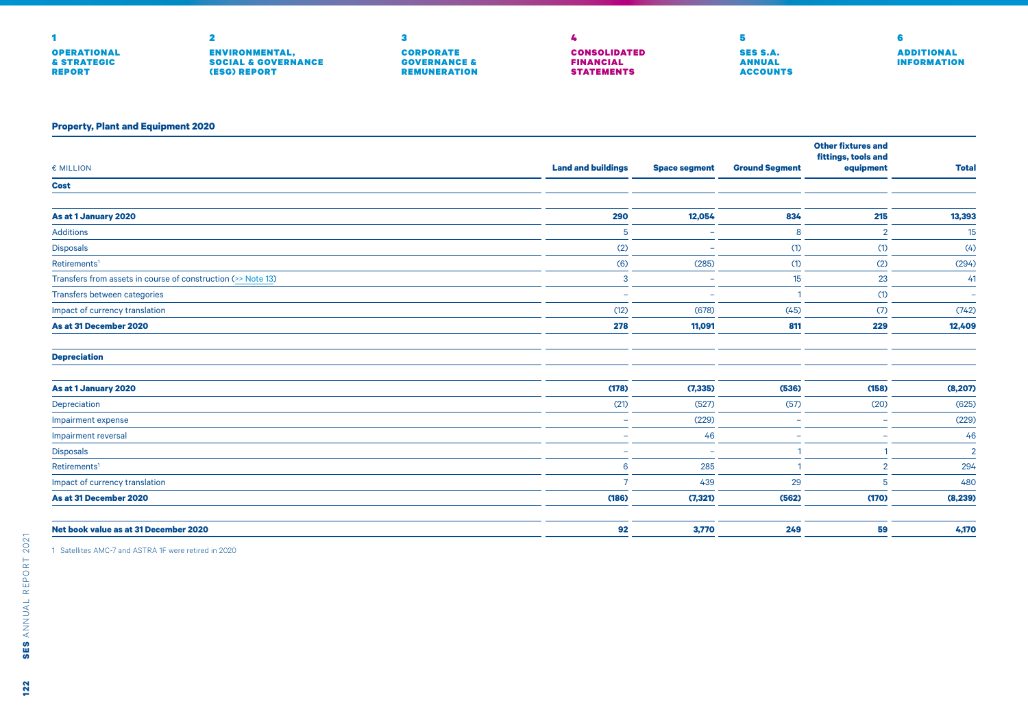| <b>OPERATIONAL</b><br>& STRATEGIC<br><b>REPORT</b> | <b>ENVIRONMENTAL.</b><br><b>SOCIAL &amp; GOVERNANCE</b><br>(ESG) REPORT | <b>CORPORATE</b><br><b>GOVERNANCE &amp;</b><br><b>REMUNERATION</b> | CONSOLIDATED<br><b>FINANCIAL</b><br><b>STATEMENTS</b> | <b>SES S.A.</b><br><b>ANNUAL</b><br><b>ACCOUNTS</b> | <b>ADDITIONAL</b><br><b>INFORMATION</b> |
|----------------------------------------------------|-------------------------------------------------------------------------|--------------------------------------------------------------------|-------------------------------------------------------|-----------------------------------------------------|-----------------------------------------|

#### **Property, Plant and Equipment 2020**

|                                                              |                           |                          |                          | <b>Other fixtures and</b><br>fittings, tools and |                          |
|--------------------------------------------------------------|---------------------------|--------------------------|--------------------------|--------------------------------------------------|--------------------------|
| € MILLION                                                    | <b>Land and buildings</b> | <b>Space segment</b>     | <b>Ground Segment</b>    | equipment                                        | <b>Total</b>             |
| <b>Cost</b>                                                  |                           |                          |                          |                                                  |                          |
|                                                              |                           |                          |                          |                                                  |                          |
| As at 1 January 2020                                         | 290                       | 12,054                   | 834                      | 215                                              | 13,393                   |
| <b>Additions</b>                                             | 5                         | $\overline{\phantom{a}}$ | 8                        | $\overline{2}$                                   | 15                       |
| <b>Disposals</b>                                             | (2)                       | $\overline{\phantom{a}}$ | (1)                      | (1)                                              | (4)                      |
| Retirements <sup>1</sup>                                     | (6)                       | (285)                    | (1)                      | (2)                                              | (294)                    |
| Transfers from assets in course of construction (>> Note 13) | $\mathbf{3}$              | $\overline{\phantom{0}}$ | 15                       | 23                                               | 41                       |
| Transfers between categories                                 | $\overline{\phantom{0}}$  | $\overline{\phantom{0}}$ |                          | (1)                                              | $\overline{\phantom{a}}$ |
| Impact of currency translation                               | (12)                      | (678)                    | (45)                     | (7)                                              | (742)                    |
| As at 31 December 2020                                       | 278                       | 11,091                   | 811                      | 229                                              | 12,409                   |
| <b>Depreciation</b>                                          |                           |                          |                          |                                                  |                          |
| As at 1 January 2020                                         | (178)                     | (7, 335)                 | (536)                    | (158)                                            | (8, 207)                 |
| Depreciation                                                 | (21)                      | (527)                    | (57)                     | (20)                                             | (625)                    |
| Impairment expense                                           | $\overline{\phantom{a}}$  | (229)                    | $\overline{\phantom{a}}$ | $\overline{\phantom{a}}$                         | (229)                    |
| Impairment reversal                                          | $\overline{\phantom{a}}$  | 46                       | $\overline{\phantom{a}}$ | $\overline{\phantom{a}}$                         | 46                       |
| <b>Disposals</b>                                             | ۳                         | ۰                        |                          |                                                  | $\overline{2}$           |
| Retirements <sup>1</sup>                                     | 6                         | 285                      |                          | $\overline{2}$                                   | 294                      |
| Impact of currency translation                               | $\overline{7}$            | 439                      | 29                       | 5                                                | 480                      |
| As at 31 December 2020                                       | (186)                     | (7, 321)                 | (562)                    | (170)                                            | (8, 239)                 |
| Net book value as at 31 December 2020                        | 92                        | 3,770                    | 249                      | 59                                               | 4,170                    |

1 Satellites AMC-7 and ASTRA 1F were retired in 2020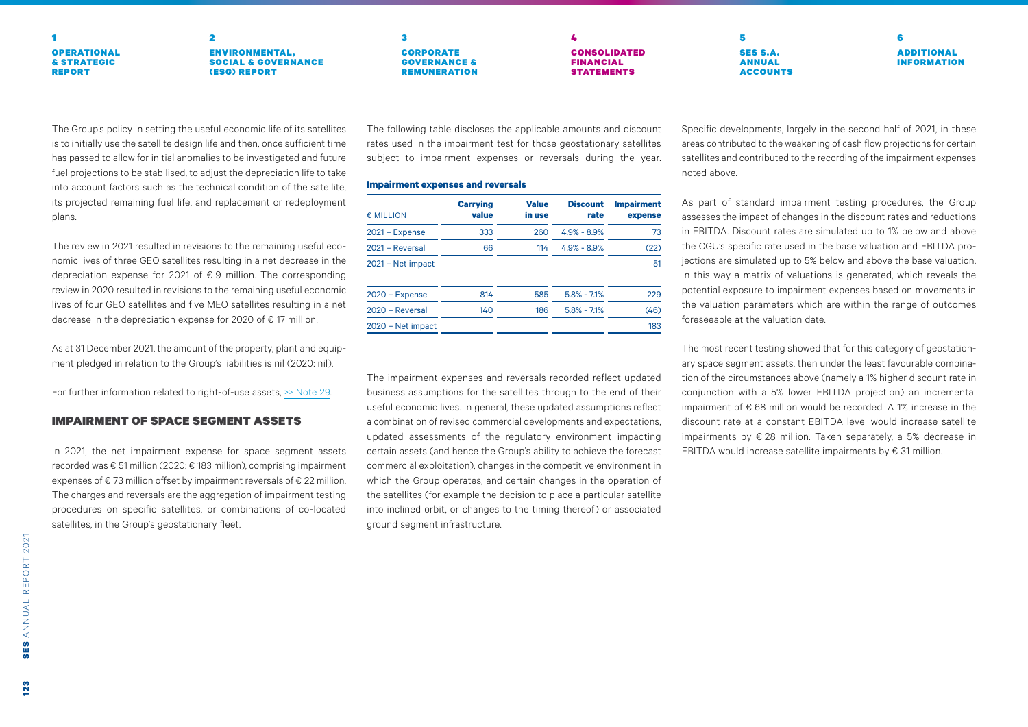#### **OPERATIONAL** & STRATEGIC REPORT

#### ENVIRONMENTAL, [SOCIAL & GOVERNANCE](#page--1-1)  (ESG) REPORT

CORPORATE [GOVERNANCE &](#page--1-0)  **REMUNERATION** 

3

4 [CONSOLIDATED](#page-0-0)  **FINANCIAL STATEMENTS** 

5 SES S.A. ANNUAL [ACCOUNTS](#page--1-0)

6 ADDITIONAL INFORMATION

The Group's policy in setting the useful economic life of its satellites is to initially use the satellite design life and then, once sufficient time has passed to allow for initial anomalies to be investigated and future fuel projections to be stabilised, to adjust the depreciation life to take into account factors such as the technical condition of the satellite, its projected remaining fuel life, and replacement or redeployment plans.

2

The review in 2021 resulted in revisions to the remaining useful economic lives of three GEO satellites resulting in a net decrease in the depreciation expense for 2021 of € 9 million. The corresponding review in 2020 resulted in revisions to the remaining useful economic lives of four GEO satellites and five MEO satellites resulting in a net decrease in the depreciation expense for 2020 of € 17 million.

As at 31 December 2021, the amount of the property, plant and equipment pledged in relation to the Group's liabilities is nil (2020: nil).

For further information related to right-of-use assets, >> [Note](#page-57-0) 29.

#### IMPAIRMENT OF SPACE SEGMENT ASSETS

In 2021, the net impairment expense for space segment assets recorded was € 51 million (2020: € 183 million), comprising impairment expenses of € 73 million offset by impairment reversals of € 22 million. The charges and reversals are the aggregation of impairment testing procedures on specific satellites, or combinations of co-located satellites, in the Group's geostationary fleet.

The following table discloses the applicable amounts and discount rates used in the impairment test for those geostationary satellites subject to impairment expenses or reversals during the year.

#### **Impairment expenses and reversals**

| <b>Carrying</b><br>value | <b>Value</b><br>in use | <b>Discount</b><br>rate | <b>Impairment</b><br>expense |
|--------------------------|------------------------|-------------------------|------------------------------|
| 333                      | 260                    | $4.9% - 8.9%$           | 73                           |
| 66                       | 114                    | $4.9\% - 8.9\%$         | (22)                         |
|                          |                        |                         | 51                           |
| 814                      | 585                    | $5.8\% - 7.1\%$         | 229                          |
| 140                      | 186                    | $5.8\% - 7.1\%$         | (46)                         |
|                          |                        |                         | 183                          |
|                          |                        |                         |                              |

The impairment expenses and reversals recorded reflect updated business assumptions for the satellites through to the end of their useful economic lives. In general, these updated assumptions reflect a combination of revised commercial developments and expectations, updated assessments of the regulatory environment impacting certain assets (and hence the Group's ability to achieve the forecast commercial exploitation), changes in the competitive environment in which the Group operates, and certain changes in the operation of the satellites (for example the decision to place a particular satellite into inclined orbit, or changes to the timing thereof) or associated ground segment infrastructure.

Specific developments, largely in the second half of 2021, in these areas contributed to the weakening of cash flow projections for certain satellites and contributed to the recording of the impairment expenses noted above.

As part of standard impairment testing procedures, the Group assesses the impact of changes in the discount rates and reductions in EBITDA. Discount rates are simulated up to 1% below and above the CGU's specific rate used in the base valuation and EBITDA projections are simulated up to 5% below and above the base valuation. In this way a matrix of valuations is generated, which reveals the potential exposure to impairment expenses based on movements in the valuation parameters which are within the range of outcomes foreseeable at the valuation date.

The most recent testing showed that for this category of geostationary space segment assets, then under the least favourable combination of the circumstances above (namely a 1% higher discount rate in conjunction with a 5% lower EBITDA projection) an incremental impairment of  $\epsilon$  68 million would be recorded. A 1% increase in the discount rate at a constant EBITDA level would increase satellite impairments by € 28 million. Taken separately, a 5% decrease in EBITDA would increase satellite impairments by € 31 million.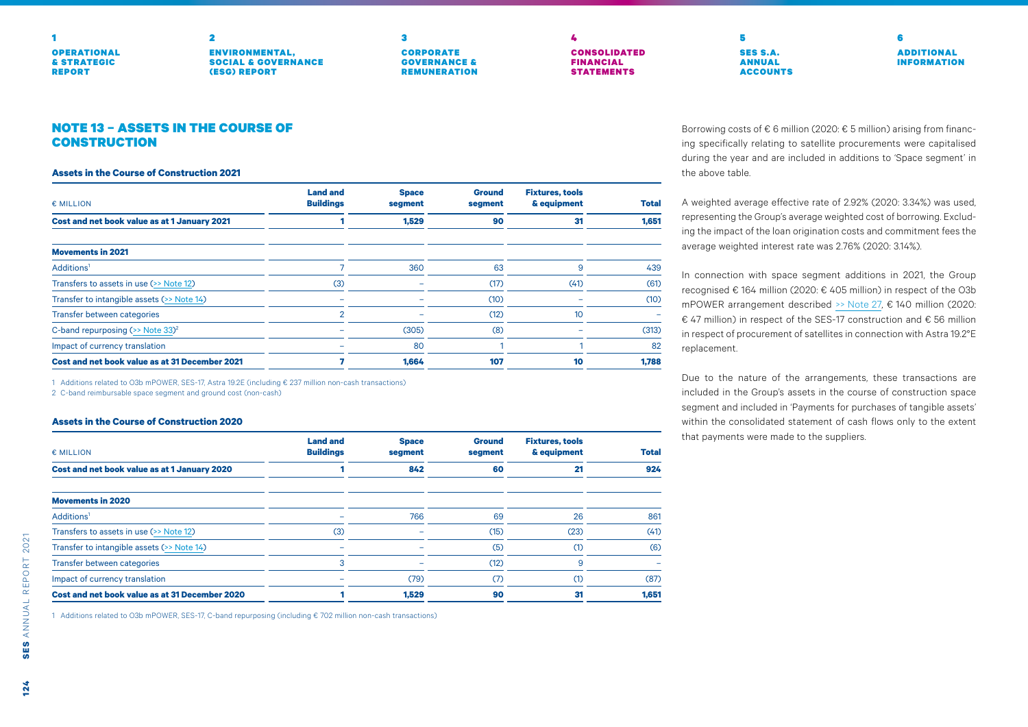**OPERATIONAL** & STRATEGIC REPORT

2 ENVIRONMENTAL,

[SOCIAL & GOVERNANCE](#page--1-1)  (ESG) REPORT

3 CORPORATE [GOVERNANCE &](#page--1-0)  REMUNERATION

4 [CONSOLIDATED](#page-0-0)  **FINANCIAL STATEMENTS** 

5 SES S.A. ANNUAL [ACCOUNTS](#page--1-0)

6 ADDITIONAL INFORMATION

#### <span id="page-33-0"></span>NOTE 13 – ASSETS IN THE COURSE OF **CONSTRUCTION**

#### **Assets in the Course of Construction 2021**

| € MILLION                                             | <b>Land and</b><br><b>Buildings</b> | <b>Space</b><br>segment | <b>Ground</b><br>segment | <b>Fixtures, tools</b><br>& equipment | <b>Total</b> |
|-------------------------------------------------------|-------------------------------------|-------------------------|--------------------------|---------------------------------------|--------------|
| Cost and net book value as at 1 January 2021          |                                     | 1,529                   | 90                       | 31                                    | 1.651        |
| <b>Movements in 2021</b>                              |                                     |                         |                          |                                       |              |
| Additions <sup>1</sup>                                |                                     | 360                     | 63                       | 9                                     | 439          |
| Transfers to assets in use (>> Note 12)               | (3)                                 |                         | (17)                     | (41)                                  | (61)         |
| Transfer to intangible assets (>> Note 14)            |                                     |                         | (10)                     |                                       | (10)         |
| <b>Transfer between categories</b>                    | $\mathfrak{p}$                      |                         | (12)                     | 10                                    |              |
| C-band repurposing ( $>$ Note 33) <sup>2</sup>        |                                     | (305)                   | (8)                      |                                       | (313)        |
| Impact of currency translation                        |                                     | 80                      |                          |                                       | 82           |
| <b>Cost and net book value as at 31 December 2021</b> |                                     | 1,664                   | 107                      | 10                                    | 1.788        |

1 Additions related to O3b mPOWER, SES-17, Astra 19.2E (including € 237 million non-cash transactions)

2 C-band reimbursable space segment and ground cost (non-cash)

#### **Assets in the Course of Construction 2020**

| € MILLION                                      | <b>Land and</b><br><b>Buildings</b> | <b>Space</b><br>segment | <b>Ground</b><br>segment | <b>Fixtures, tools</b><br>& equipment | <b>Total</b> |
|------------------------------------------------|-------------------------------------|-------------------------|--------------------------|---------------------------------------|--------------|
| Cost and net book value as at 1 January 2020   |                                     | 842                     | 60                       | 21                                    | 924          |
| <b>Movements in 2020</b>                       |                                     |                         |                          |                                       |              |
| Additions <sup>1</sup>                         |                                     | 766                     | 69                       | 26                                    | 861          |
| Transfers to assets in use (>> Note 12)        | (3)                                 |                         | (15)                     | (23)                                  | (41)         |
| Transfer to intangible assets (>> Note 14)     |                                     |                         | (5)                      | (1)                                   | (6)          |
| <b>Transfer between categories</b>             | 3                                   |                         | (12)                     | 9                                     | ۰            |
| Impact of currency translation                 |                                     | (79)                    | (7)                      | (1)                                   | (87)         |
| Cost and net book value as at 31 December 2020 |                                     | 1,529                   | 90                       | 31                                    | 1.651        |
|                                                |                                     |                         |                          |                                       |              |

1 Additions related to O3b mPOWER, SES-17, C-band repurposing (including € 702 million non-cash transactions)

Borrowing costs of  $\epsilon$  6 million (2020:  $\epsilon$  5 million) arising from financing specifically relating to satellite procurements were capitalised during the year and are included in additions to 'Space segment' in the above table.

A weighted average effective rate of 2.92% (2020: 3.34%) was used, representing the Group's average weighted cost of borrowing. Excluding the impact of the loan origination costs and commitment fees the average weighted interest rate was 2.76% (2020: 3.14%).

In connection with space segment additions in 2021, the Group recognised € 164 million (2020: € 405 million) in respect of the O3b mPOWER arrangement described >> [Note](#page-56-1) 27, € 140 million (2020: € 47 million) in respect of the SES-17 construction and € 56 million in respect of procurement of satellites in connection with Astra 19.2°E replacement.

Due to the nature of the arrangements, these transactions are included in the Group's assets in the course of construction space segment and included in 'Payments for purchases of tangible assets' within the consolidated statement of cash flows only to the extent that payments were made to the suppliers.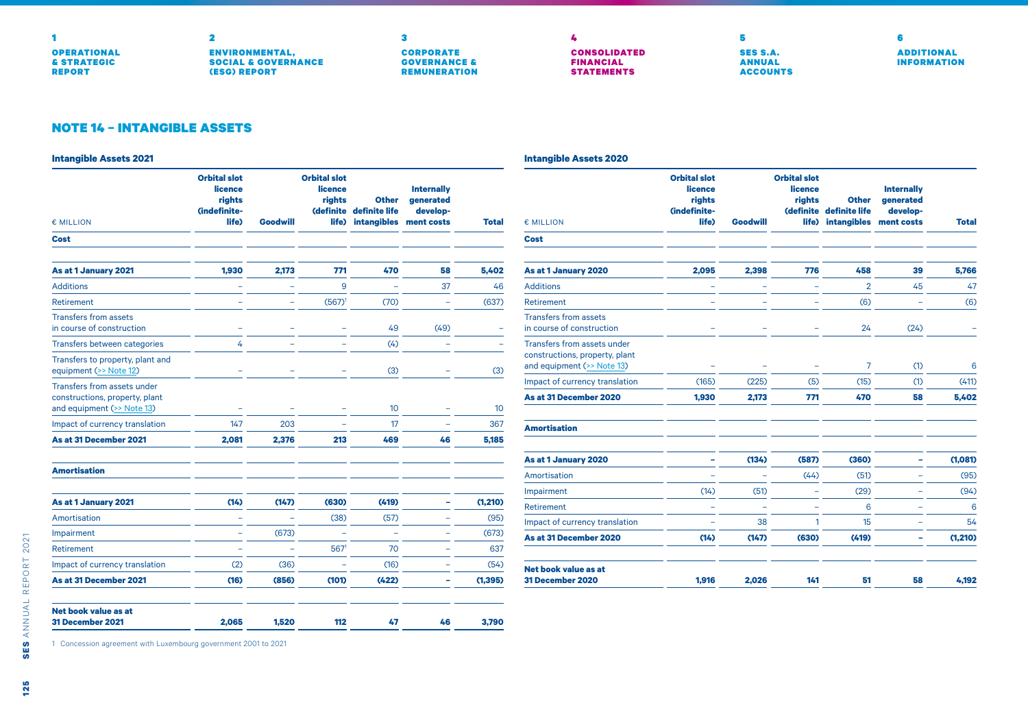**OPERATIONAL** & STRATEGIC REPORT

(ESG) REPORT

CORPORATE [GOVERNANCE &](#page--1-0)  **REMUNERATION** 

3

4 [CONSOLIDATED](#page-0-0)  FINANCIAL **STATEMENTS** 

**Intangible Assets 2020**

5 SES S.A. ANNUAL **[ACCOUNTS](#page--1-0)** 

6 ADDITIONAL INFORMATION

#### <span id="page-34-0"></span>NOTE 14 – INTANGIBLE ASSETS

#### **Intangible Assets 2021**

| € MILLION                                                     | <b>Orbital slot</b><br>licence<br>rights<br>(indefinite-<br>life) | <b>Goodwill</b>          | <b>Orbital slot</b><br>licence<br>riahts | <b>Other</b><br>(definite definite life<br>life) intangibles ment costs | <b>Internally</b><br>generated<br>develop- | <b>Total</b>    | € MILLION                           |
|---------------------------------------------------------------|-------------------------------------------------------------------|--------------------------|------------------------------------------|-------------------------------------------------------------------------|--------------------------------------------|-----------------|-------------------------------------|
| <b>Cost</b>                                                   |                                                                   |                          |                                          |                                                                         |                                            |                 | <b>Cost</b>                         |
| As at 1 January 2021                                          | 1.930                                                             | 2.173                    | 771                                      | 470                                                                     | 58                                         | 5.402           | As at 1 Jan                         |
| <b>Additions</b>                                              |                                                                   |                          | 9                                        |                                                                         | 37                                         | 46              | <b>Additions</b>                    |
| <b>Retirement</b>                                             |                                                                   |                          | $(567)^1$                                | (70)                                                                    | L.                                         | (637)           | <b>Retirement</b>                   |
| <b>Transfers from assets</b><br>in course of construction     |                                                                   |                          |                                          | 49                                                                      | (49)                                       |                 | <b>Transfers</b> fr<br>in course of |
| <b>Transfers between categories</b>                           | 4                                                                 |                          |                                          | (4)                                                                     | ÷                                          |                 | <b>Transfers fr</b>                 |
| Transfers to property, plant and<br>equipment (>> Note 12)    |                                                                   |                          |                                          | (3)                                                                     |                                            | (3)             | constructio<br>and equipm           |
| Transfers from assets under<br>constructions, property, plant |                                                                   |                          |                                          |                                                                         |                                            |                 | Impact of c<br>As at 31 De          |
| and equipment (>> Note 13)                                    |                                                                   |                          |                                          | 10                                                                      |                                            | 10 <sup>°</sup> |                                     |
| Impact of currency translation                                | 147                                                               | 203                      |                                          | 17                                                                      |                                            | 367             | <b>Amortisati</b>                   |
| As at 31 December 2021                                        | 2,081                                                             | 2,376                    | 213                                      | 469                                                                     | 46                                         | 5,185           |                                     |
|                                                               |                                                                   |                          |                                          |                                                                         |                                            |                 | As at 1 Jan                         |
| <b>Amortisation</b>                                           |                                                                   |                          |                                          |                                                                         |                                            |                 | Amortisatio                         |
| As at 1 January 2021                                          | (14)                                                              | (147)                    | (630)                                    | (419)                                                                   |                                            | (1, 210)        | Impairment                          |
| Amortisation                                                  |                                                                   |                          | (38)                                     | (57)                                                                    |                                            | (95)            | <b>Retirement</b>                   |
| <b>Impairment</b>                                             |                                                                   | (673)                    |                                          |                                                                         |                                            | (673)           | Impact of c                         |
| <b>Retirement</b>                                             |                                                                   | $\overline{\phantom{0}}$ | 567 <sup>1</sup>                         | 70                                                                      | $\equiv$                                   | 637             | As at 31 De                         |
| Impact of currency translation                                | (2)                                                               | (36)                     |                                          | (16)                                                                    |                                            | (54)            |                                     |
| As at 31 December 2021                                        | (16)                                                              | (856)                    | (101)                                    | (422)                                                                   |                                            | (1, 395)        | <b>Net book v</b><br>31 Decemb      |
| <b>Net book value as at</b><br>31 December 2021               | 2,065                                                             | 1,520                    | 112                                      | 47                                                                      | 46                                         | 3,790           |                                     |

| € MILLION                                                                                          | <b>Orbital slot</b><br>licence<br>rights<br>(indefinite-<br>life) | <b>Goodwill</b> | <b>Orbital slot</b><br>licence<br>rights | <b>Other</b><br>(definite definite life<br>life) intangibles ment costs | <b>Internally</b><br>generated<br>develop- | <b>Total</b> |
|----------------------------------------------------------------------------------------------------|-------------------------------------------------------------------|-----------------|------------------------------------------|-------------------------------------------------------------------------|--------------------------------------------|--------------|
| <b>Cost</b>                                                                                        |                                                                   |                 |                                          |                                                                         |                                            |              |
| As at 1 January 2020                                                                               | 2,095                                                             | 2,398           | 776                                      | 458                                                                     | 39                                         | 5,766        |
| <b>Additions</b>                                                                                   |                                                                   |                 |                                          | $\overline{2}$                                                          | 45                                         | 47           |
| Retirement                                                                                         |                                                                   |                 |                                          | (6)                                                                     |                                            | (6)          |
| <b>Transfers from assets</b><br>in course of construction                                          |                                                                   |                 |                                          | 24                                                                      | (24)                                       |              |
| <b>Transfers from assets under</b><br>constructions, property, plant<br>and equipment (>> Note 13) |                                                                   |                 |                                          | 7                                                                       | (1)                                        | 6            |
| Impact of currency translation                                                                     | (165)                                                             | (225)           | (5)                                      | (15)                                                                    | (1)                                        | (411)        |
| As at 31 December 2020                                                                             | 1.930                                                             | 2.173           | 771                                      | 470                                                                     | 58                                         | 5,402        |
| <b>Amortisation</b>                                                                                |                                                                   |                 |                                          |                                                                         |                                            |              |
| As at 1 January 2020                                                                               |                                                                   | (134)           | (587)                                    | (360)                                                                   |                                            | (1,081)      |
| Amortisation                                                                                       |                                                                   |                 | (44)                                     | (51)                                                                    |                                            | (95)         |
| Impairment                                                                                         | (14)                                                              | (51)            |                                          | (29)                                                                    |                                            | (94)         |
| Retirement                                                                                         |                                                                   |                 |                                          | 6                                                                       |                                            | 6            |
| Impact of currency translation                                                                     |                                                                   | 38              | 1                                        | 15                                                                      |                                            | 54           |
| As at 31 December 2020                                                                             | (14)                                                              | (147)           | (630)                                    | (419)                                                                   |                                            | (1, 210)     |
| Net book value as at<br><b>31 December 2020</b>                                                    | 1.916                                                             | 2.026           | 141                                      | 51                                                                      | 58                                         | 4,192        |

1 Concession agreement with Luxembourg government 2001 to 2021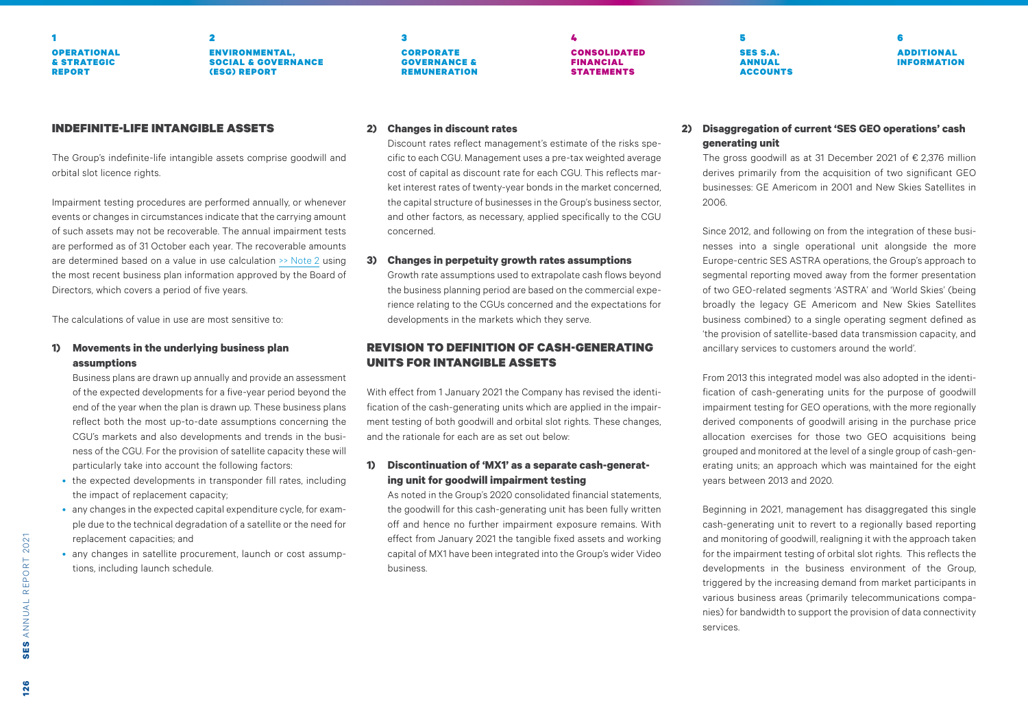**OPERATIONAL** & STRATEGIC REPORT

2 ENVIRONMENTAL, [SOCIAL & GOVERNANCE](#page--1-1)  (ESG) REPORT

#### INDEFINITE-LIFE INTANGIBLE ASSETS

The Group's indefinite-life intangible assets comprise goodwill and orbital slot licence rights.

Impairment testing procedures are performed annually, or whenever events or changes in circumstances indicate that the carrying amount of such assets may not be recoverable. The annual impairment tests are performed as of 31 October each year. The recoverable amounts are determined based on a value in use calculation >> [Note](#page-11-1) 2 using the most recent business plan information approved by the Board of Directors, which covers a period of five years.

The calculations of value in use are most sensitive to:

#### **1) Movements in the underlying business plan assumptions**

Business plans are drawn up annually and provide an assessment of the expected developments for a five-year period beyond the end of the year when the plan is drawn up. These business plans reflect both the most up-to-date assumptions concerning the CGU's markets and also developments and trends in the business of the CGU. For the provision of satellite capacity these will particularly take into account the following factors:

- the expected developments in transponder fill rates, including the impact of replacement capacity;
- any changes in the expected capital expenditure cycle, for example due to the technical degradation of a satellite or the need for replacement capacities; and
- any changes in satellite procurement, launch or cost assumptions, including launch schedule.

#### CORPORATE [GOVERNANCE &](#page--1-0)  REMUNERATION

3

4 [CONSOLIDATED](#page-0-0)  **FINANCIAL STATEMENTS** 

5 SES S.A. ANNUAL [ACCOUNTS](#page--1-0)

ADDITIONAL INFORMATION

6

#### **2) Changes in discount rates**

Discount rates reflect management's estimate of the risks specific to each CGU. Management uses a pre-tax weighted average cost of capital as discount rate for each CGU. This reflects market interest rates of twenty-year bonds in the market concerned, the capital structure of businesses in the Group's business sector, and other factors, as necessary, applied specifically to the CGU concerned.

#### **3) Changes in perpetuity growth rates assumptions**

Growth rate assumptions used to extrapolate cash flows beyond the business planning period are based on the commercial experience relating to the CGUs concerned and the expectations for developments in the markets which they serve.

#### REVISION TO DEFINITION OF CASH-GENERATING UNITS FOR INTANGIBLE ASSETS

With effect from 1 January 2021 the Company has revised the identification of the cash-generating units which are applied in the impairment testing of both goodwill and orbital slot rights. These changes, and the rationale for each are as set out below:

#### **1) Discontinuation of 'MX1' as a separate cash-generating unit for goodwill impairment testing**

As noted in the Group's 2020 consolidated financial statements, the goodwill for this cash-generating unit has been fully written off and hence no further impairment exposure remains. With effect from January 2021 the tangible fixed assets and working capital of MX1 have been integrated into the Group's wider Video business.

#### **2) Disaggregation of current 'SES GEO operations' cash generating unit**

The gross goodwill as at 31 December 2021 of € 2,376 million derives primarily from the acquisition of two significant GEO businesses: GE Americom in 2001 and New Skies Satellites in 2006.

Since 2012, and following on from the integration of these businesses into a single operational unit alongside the more Europe-centric SES ASTRA operations, the Group's approach to segmental reporting moved away from the former presentation of two GEO-related segments 'ASTRA' and 'World Skies' (being broadly the legacy GE Americom and New Skies Satellites business combined) to a single operating segment defined as 'the provision of satellite-based data transmission capacity, and ancillary services to customers around the world'.

From 2013 this integrated model was also adopted in the identification of cash-generating units for the purpose of goodwill impairment testing for GEO operations, with the more regionally derived components of goodwill arising in the purchase price allocation exercises for those two GEO acquisitions being grouped and monitored at the level of a single group of cash-generating units; an approach which was maintained for the eight years between 2013 and 2020.

Beginning in 2021, management has disaggregated this single cash-generating unit to revert to a regionally based reporting and monitoring of goodwill, realigning it with the approach taken for the impairment testing of orbital slot rights. This reflects the developments in the business environment of the Group, triggered by the increasing demand from market participants in various business areas (primarily telecommunications companies) for bandwidth to support the provision of data connectivity services.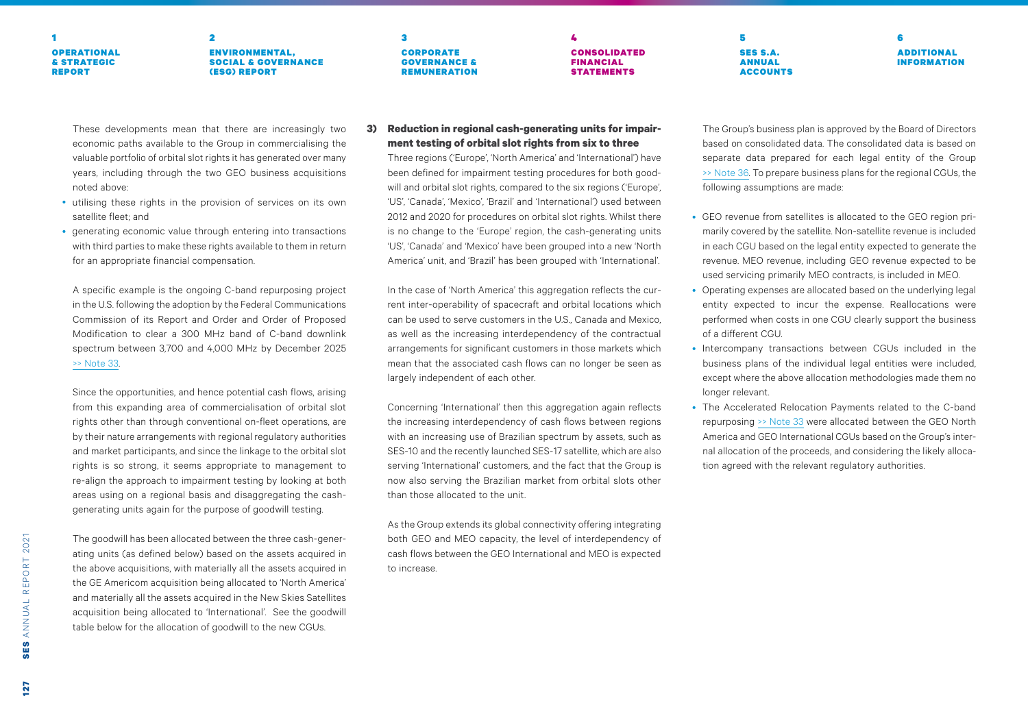**OPERATIONAL** & STRATEGIC REPORT

1

#### 2 ENVIRONMENTAL, [SOCIAL & GOVERNANCE](#page--1-1)  (ESG) REPORT

3 CORPORATE [GOVERNANCE &](#page--1-0)  REMUNERATION

4 [CONSOLIDATED](#page-0-0)  **FINANCIAL STATEMENTS** 

5 SES S.A. ANNUAL [ACCOUNTS](#page--1-0)

6 ADDITIONAL INFORMATION

These developments mean that there are increasingly two economic paths available to the Group in commercialising the valuable portfolio of orbital slot rights it has generated over many years, including through the two GEO business acquisitions noted above:

- utilising these rights in the provision of services on its own satellite fleet; and
- generating economic value through entering into transactions with third parties to make these rights available to them in return for an appropriate financial compensation.

A specific example is the ongoing C-band repurposing project in the U.S. following the adoption by the Federal Communications Commission of its Report and Order and Order of Proposed Modification to clear a 300 MHz band of C-band downlink spectrum between 3,700 and 4,000 MHz by December 2025 >> [Note](#page-61-0) 33.

Since the opportunities, and hence potential cash flows, arising from this expanding area of commercialisation of orbital slot rights other than through conventional on-fleet operations, are by their nature arrangements with regional regulatory authorities and market participants, and since the linkage to the orbital slot rights is so strong, it seems appropriate to management to re-align the approach to impairment testing by looking at both areas using on a regional basis and disaggregating the cashgenerating units again for the purpose of goodwill testing.

The goodwill has been allocated between the three cash-generating units (as defined below) based on the assets acquired in the above acquisitions, with materially all the assets acquired in the GE Americom acquisition being allocated to 'North America' and materially all the assets acquired in the New Skies Satellites acquisition being allocated to 'International'. See the goodwill table below for the allocation of goodwill to the new CGUs.

#### **3) Reduction in regional cash-generating units for impairment testing of orbital slot rights from six to three**

Three regions ('Europe', 'North America' and 'International') have been defined for impairment testing procedures for both goodwill and orbital slot rights, compared to the six regions ('Europe', 'US', 'Canada', 'Mexico', 'Brazil' and 'International') used between 2012 and 2020 for procedures on orbital slot rights. Whilst there is no change to the 'Europe' region, the cash-generating units 'US', 'Canada' and 'Mexico' have been grouped into a new 'North America' unit, and 'Brazil' has been grouped with 'International'.

In the case of 'North America' this aggregation reflects the current inter-operability of spacecraft and orbital locations which can be used to serve customers in the U.S., Canada and Mexico, as well as the increasing interdependency of the contractual arrangements for significant customers in those markets which mean that the associated cash flows can no longer be seen as largely independent of each other.

Concerning 'International' then this aggregation again reflects the increasing interdependency of cash flows between regions with an increasing use of Brazilian spectrum by assets, such as SES-10 and the recently launched SES-17 satellite, which are also serving 'International' customers, and the fact that the Group is now also serving the Brazilian market from orbital slots other than those allocated to the unit.

As the Group extends its global connectivity offering integrating both GEO and MEO capacity, the level of interdependency of cash flows between the GEO International and MEO is expected to increase.

The Group's business plan is approved by the Board of Directors based on consolidated data. The consolidated data is based on separate data prepared for each legal entity of the Group >> [Note](#page-66-0) 36. To prepare business plans for the regional CGUs, the following assumptions are made:

- GEO revenue from satellites is allocated to the GEO region primarily covered by the satellite. Non-satellite revenue is included in each CGU based on the legal entity expected to generate the revenue. MEO revenue, including GEO revenue expected to be used servicing primarily MEO contracts, is included in MEO.
- Operating expenses are allocated based on the underlying legal entity expected to incur the expense. Reallocations were performed when costs in one CGU clearly support the business of a different CGU.
- Intercompany transactions between CGUs included in the business plans of the individual legal entities were included, except where the above allocation methodologies made them no longer relevant.
- The Accelerated Relocation Payments related to the C-band repurposing >> [Note](#page-61-0) 33 were allocated between the GEO North America and GEO International CGUs based on the Group's internal allocation of the proceeds, and considering the likely allocation agreed with the relevant regulatory authorities.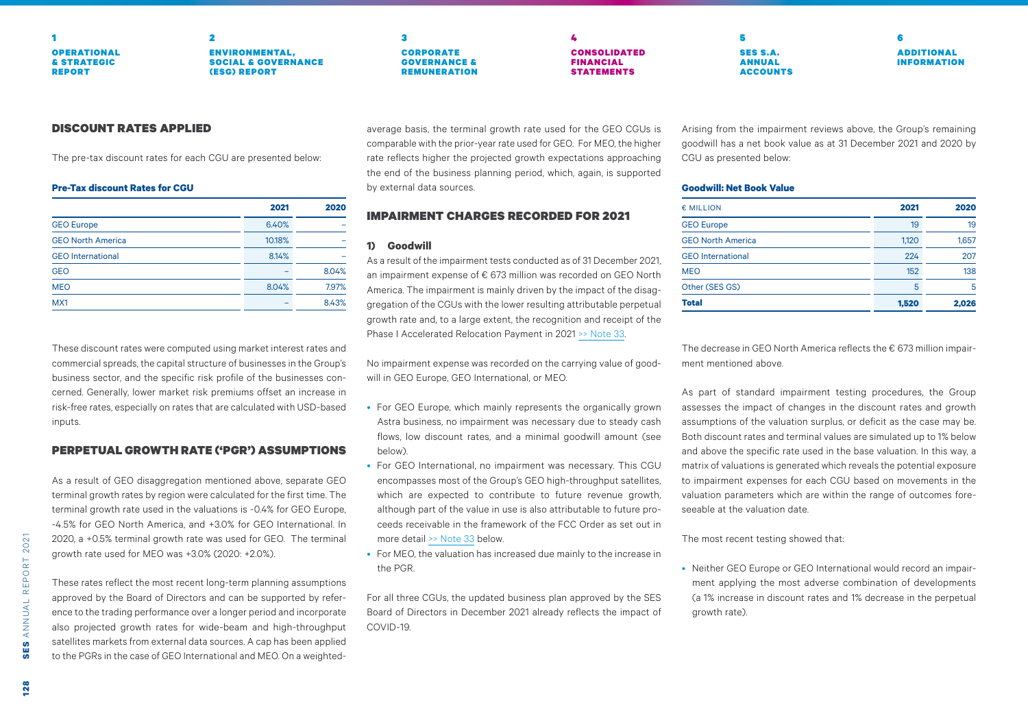**OPERATIONAL** & STRATEGIC REPORT

2 ENVIRONMENTAL, [SOCIAL & GOVERNANCE](#page--1-1)  (ESG) REPORT

3 **CORPORATE** [GOVERNANCE &](#page--1-0)  REMUNERATION

4 **CONSOLIDATED FINANCIAL STATEMENTS** 

5 SES S.A. ANNUAL [ACCOUNTS](#page--1-0)

6 ADDITIONAL INFORMATION

#### DISCOUNT RATES APPLIED

The pre-tax discount rates for each CGU are presented below:

#### **Pre-Tax discount Rates for CGU**

|                          | 2021   | 2020  |
|--------------------------|--------|-------|
| <b>GEO Europe</b>        | 6.40%  |       |
| <b>GEO North America</b> | 10.18% |       |
| <b>GEO</b> International | 8.14%  |       |
| <b>GEO</b>               |        | 8.04% |
| <b>MEO</b>               | 8.04%  | 7.97% |
| MX1                      |        | 8.43% |

These discount rates were computed using market interest rates and commercial spreads, the capital structure of businesses in the Group's business sector, and the specific risk profile of the businesses concerned. Generally, lower market risk premiums offset an increase in risk-free rates, especially on rates that are calculated with USD-based inputs.

#### PERPETUAL GROWTH RATE ('PGR') ASSUMPTIONS

As a result of GEO disaggregation mentioned above, separate GEO terminal growth rates by region were calculated for the first time. The terminal growth rate used in the valuations is -0.4% for GEO Europe, -4.5% for GEO North America, and +3.0% for GEO International. In 2020, a +0.5% terminal growth rate was used for GEO. The terminal growth rate used for MEO was +3.0% (2020: +2.0%).

These rates reflect the most recent long-term planning assumptions approved by the Board of Directors and can be supported by reference to the trading performance over a longer period and incorporate also projected growth rates for wide-beam and high-throughput satellites markets from external data sources. A cap has been applied to the PGRs in the case of GEO International and MEO. On a weightedaverage basis, the terminal growth rate used for the GEO CGUs is comparable with the prior-year rate used for GEO. For MEO, the higher rate reflects higher the projected growth expectations approaching the end of the business planning period, which, again, is supported by external data sources.

#### IMPAIRMENT CHARGES RECORDED FOR 2021

#### **1) Goodwill**

As a result of the impairment tests conducted as of 31 December 2021, an impairment expense of € 673 million was recorded on GEO North America. The impairment is mainly driven by the impact of the disaggregation of the CGUs with the lower resulting attributable perpetual growth rate and, to a large extent, the recognition and receipt of the Phase I Accelerated Relocation Payment in 2021 >> [Note](#page-61-0) 33.

No impairment expense was recorded on the carrying value of goodwill in GEO Europe, GEO International, or MEO.

- For GEO Europe, which mainly represents the organically grown Astra business, no impairment was necessary due to steady cash flows, low discount rates, and a minimal goodwill amount (see below).
- For GEO International, no impairment was necessary. This CGU encompasses most of the Group's GEO high-throughput satellites, which are expected to contribute to future revenue growth, although part of the value in use is also attributable to future proceeds receivable in the framework of the FCC Order as set out in more detail >> [Note](#page-61-0) 33 below.
- For MEO, the valuation has increased due mainly to the increase in the PGR.

For all three CGUs, the updated business plan approved by the SES Board of Directors in December 2021 already reflects the impact of COVID-19.

Arising from the impairment reviews above, the Group's remaining goodwill has a net book value as at 31 December 2021 and 2020 by CGU as presented below:

#### **Goodwill: Net Book Value**

| € MILLION                | 2021  | 2020  |
|--------------------------|-------|-------|
| <b>GEO Europe</b>        | 19    | 19    |
| <b>GEO North America</b> | 1,120 | 1,657 |
| <b>GEO</b> International | 224   | 207   |
| <b>MEO</b>               | 152   | 138   |
| Other (SES GS)           | 5     | 5     |
| Total                    | 1.520 | 2.026 |
|                          |       |       |

The decrease in GEO North America reflects the € 673 million impairment mentioned above.

As part of standard impairment testing procedures, the Group assesses the impact of changes in the discount rates and growth assumptions of the valuation surplus, or deficit as the case may be. Both discount rates and terminal values are simulated up to 1% below and above the specific rate used in the base valuation. In this way, a matrix of valuations is generated which reveals the potential exposure to impairment expenses for each CGU based on movements in the valuation parameters which are within the range of outcomes foreseeable at the valuation date.

The most recent testing showed that:

• Neither GEO Europe or GEO International would record an impairment applying the most adverse combination of developments (a 1% increase in discount rates and 1% decrease in the perpetual growth rate).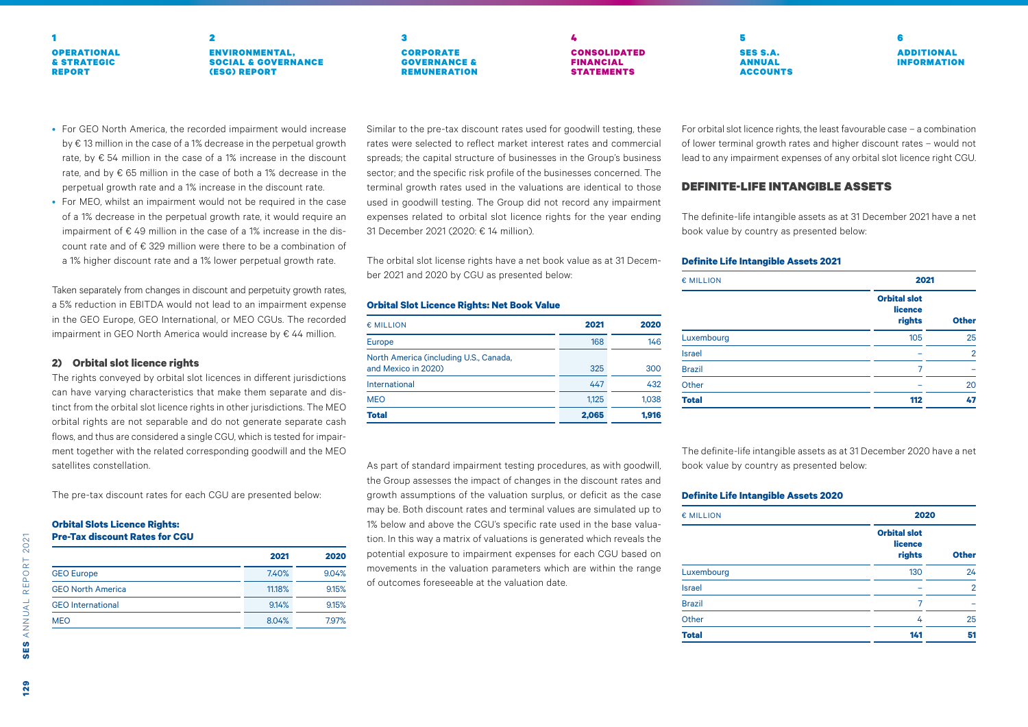#### **OPERATIONAL** & STRATEGIC REPORT

#### 2 ENVIRONMENTAL, [SOCIAL & GOVERNANCE](#page--1-1)  (ESG) REPORT

3 CORPORATE [GOVERNANCE &](#page--1-0)  REMUNERATION

4 [CONSOLIDATED](#page-0-0)  **FINANCIAL STATEMENTS** 

5 SES S.A. ANNUAL [ACCOUNTS](#page--1-0)

6 ADDITIONAL INFORMATION

- For GEO North America, the recorded impairment would increase by € 13 million in the case of a 1% decrease in the perpetual growth rate, by € 54 million in the case of a 1% increase in the discount rate, and by € 65 million in the case of both a 1% decrease in the perpetual growth rate and a 1% increase in the discount rate.
- For MEO, whilst an impairment would not be required in the case of a 1% decrease in the perpetual growth rate, it would require an impairment of  $\epsilon$  49 million in the case of a 1% increase in the discount rate and of € 329 million were there to be a combination of a 1% higher discount rate and a 1% lower perpetual growth rate.

Taken separately from changes in discount and perpetuity growth rates, a 5% reduction in EBITDA would not lead to an impairment expense in the GEO Europe, GEO International, or MEO CGUs. The recorded impairment in GEO North America would increase by € 44 million.

#### **2) Orbital slot licence rights**

The rights conveyed by orbital slot licences in different jurisdictions can have varying characteristics that make them separate and distinct from the orbital slot licence rights in other jurisdictions. The MEO orbital rights are not separable and do not generate separate cash flows, and thus are considered a single CGU, which is tested for impairment together with the related corresponding goodwill and the MEO satellites constellation.

The pre-tax discount rates for each CGU are presented below:

#### **Orbital Slots Licence Rights: Pre-Tax discount Rates for CGU**

|                          | 2021   | 2020  |
|--------------------------|--------|-------|
| <b>GEO Europe</b>        | 7.40%  | 9.04% |
| <b>GEO North America</b> | 11.18% | 9.15% |
| <b>GEO</b> International | 9.14%  | 9.15% |
| <b>MEO</b>               | 8.04%  | 7.97% |

Similar to the pre-tax discount rates used for goodwill testing, these rates were selected to reflect market interest rates and commercial spreads; the capital structure of businesses in the Group's business sector; and the specific risk profile of the businesses concerned. The terminal growth rates used in the valuations are identical to those used in goodwill testing. The Group did not record any impairment expenses related to orbital slot licence rights for the year ending 31 December 2021 (2020: € 14 million).

The orbital slot license rights have a net book value as at 31 December 2021 and 2020 by CGU as presented below:

#### **Orbital Slot Licence Rights: Net Book Value**

| € MILLION                                                     | 2021  | 2020  |
|---------------------------------------------------------------|-------|-------|
| <b>Europe</b>                                                 | 168   | 146   |
| North America (including U.S., Canada,<br>and Mexico in 2020) | 325   | 300   |
| International                                                 | 447   | 432   |
| <b>MEO</b>                                                    | 1.125 | 1.038 |
| <b>Total</b>                                                  | 2.065 | 1.916 |

As part of standard impairment testing procedures, as with goodwill, the Group assesses the impact of changes in the discount rates and growth assumptions of the valuation surplus, or deficit as the case may be. Both discount rates and terminal values are simulated up to 1% below and above the CGU's specific rate used in the base valuation. In this way a matrix of valuations is generated which reveals the potential exposure to impairment expenses for each CGU based on movements in the valuation parameters which are within the range of outcomes foreseeable at the valuation date.

For orbital slot licence rights, the least favourable case – a combination of lower terminal growth rates and higher discount rates – would not lead to any impairment expenses of any orbital slot licence right CGU.

#### DEFINITE-LIFE INTANGIBLE ASSETS

The definite-life intangible assets as at 31 December 2021 have a net book value by country as presented below:

#### **Definite Life Intangible Assets 2021**

| € MILLION     | 2021                                     |                |
|---------------|------------------------------------------|----------------|
|               | <b>Orbital slot</b><br>licence<br>rights | <b>Other</b>   |
| Luxembourg    | 105                                      | 25             |
| <b>Israel</b> |                                          | $\overline{2}$ |
| <b>Brazil</b> | 7                                        |                |
| Other         |                                          | 20             |
| <b>Total</b>  | 112                                      | 47             |

The definite-life intangible assets as at 31 December 2020 have a net book value by country as presented below:

#### **Definite Life Intangible Assets 2020**

| € MILLION     | 2020                                     |                |
|---------------|------------------------------------------|----------------|
|               | <b>Orbital slot</b><br>licence<br>rights | <b>Other</b>   |
| Luxembourg    | 130                                      | 24             |
| <b>Israel</b> |                                          | $\overline{2}$ |
| <b>Brazil</b> | 7                                        |                |
| Other         | 4                                        | 25             |
| <b>Total</b>  | 141                                      | 51             |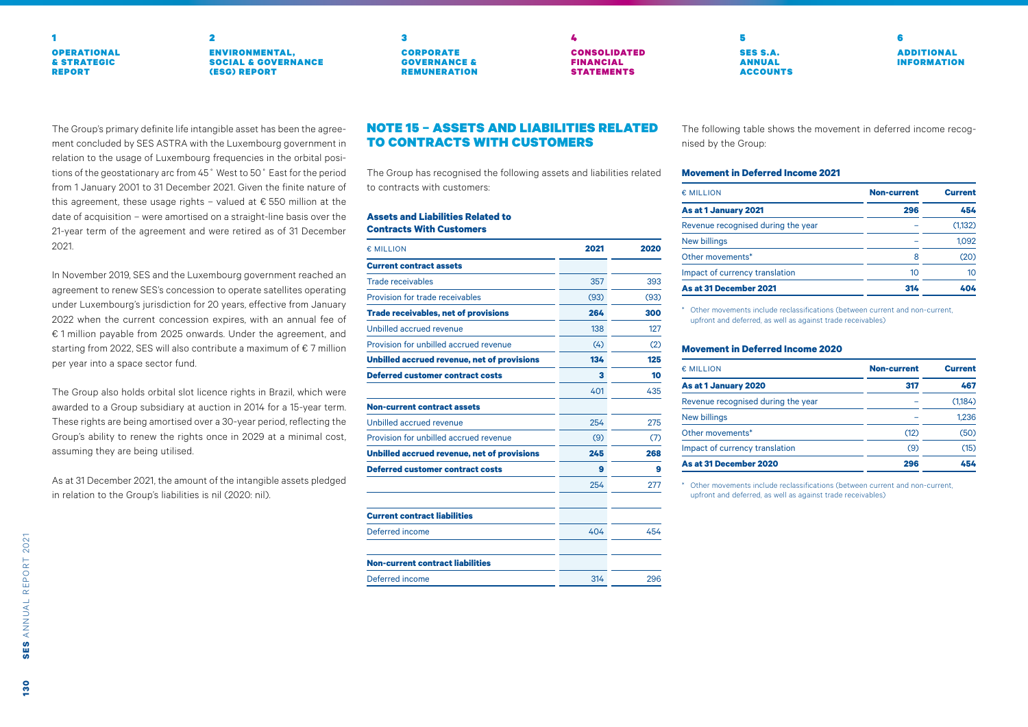1 **OPERATIONAL** 

& STRATEGIC REPORT

# 2

ENVIRONMENTAL, [SOCIAL & GOVERNANCE](#page--1-1)  (ESG) REPORT

#### 3 CORPORATE [GOVERNANCE &](#page--1-0)  REMUNERATION

4 [CONSOLIDATED](#page-0-0)  **FINANCIAL STATEMENTS** 

5 SES S.A. ANNUAL [ACCOUNTS](#page--1-0)

6 ADDITIONAL INFORMATION

The Group's primary definite life intangible asset has been the agreement concluded by SES ASTRA with the Luxembourg government in relation to the usage of Luxembourg frequencies in the orbital positions of the geostationary arc from 45˚ West to 50˚ East for the period from 1 January 2001 to 31 December 2021. Given the finite nature of this agreement, these usage rights – valued at € 550 million at the date of acquisition – were amortised on a straight-line basis over the 21-year term of the agreement and were retired as of 31 December 2021.

In November 2019, SES and the Luxembourg government reached an agreement to renew SES's concession to operate satellites operating under Luxembourg's jurisdiction for 20 years, effective from January 2022 when the current concession expires, with an annual fee of € 1 million payable from 2025 onwards. Under the agreement, and starting from 2022, SES will also contribute a maximum of €7 million per year into a space sector fund.

The Group also holds orbital slot licence rights in Brazil, which were awarded to a Group subsidiary at auction in 2014 for a 15-year term. These rights are being amortised over a 30-year period, reflecting the Group's ability to renew the rights once in 2029 at a minimal cost, assuming they are being utilised.

As at 31 December 2021, the amount of the intangible assets pledged in relation to the Group's liabilities is nil (2020: nil).

#### <span id="page-39-0"></span>NOTE 15 – ASSETS AND LIABILITIES RELATED TO CONTRACTS WITH CUSTOMERS

The Group has recognised the following assets and liabilities related to contracts with customers:

#### **Assets and Liabilities Related to Contracts With Customers**

| € MILLION                                          | 2021 | 2020 |
|----------------------------------------------------|------|------|
| <b>Current contract assets</b>                     |      |      |
| <b>Trade receivables</b>                           | 357  | 393  |
| <b>Provision for trade receivables</b>             | (93) | (93) |
| <b>Trade receivables, net of provisions</b>        | 264  | 300  |
| Unbilled accrued revenue                           | 138  | 127  |
| Provision for unbilled accrued revenue             | (4)  | (2)  |
| <b>Unbilled accrued revenue, net of provisions</b> | 134  | 125  |
| Deferred customer contract costs                   | 3    | 10   |
|                                                    | 401  | 435  |
| <b>Non-current contract assets</b>                 |      |      |
| Unbilled accrued revenue                           | 254  | 275  |
| Provision for unbilled accrued revenue             | (9)  | (7)  |
| <b>Unbilled accrued revenue, net of provisions</b> | 245  | 268  |
| Deferred customer contract costs                   | 9    | 9    |
|                                                    | 254  | 277  |
|                                                    |      |      |
| <b>Current contract liabilities</b>                |      |      |
| Deferred income                                    | 404  | 454  |
|                                                    |      |      |
| <b>Non-current contract liabilities</b>            |      |      |
| Deferred income                                    | 314  | 296  |

The following table shows the movement in deferred income recognised by the Group:

#### **Movement in Deferred Income 2021**

| 454     |
|---------|
| (1,132) |
| 1.092   |
| (20)    |
| 10      |
| 404     |
|         |

\* Other movements include reclassifications (between current and non-current, upfront and deferred, as well as against trade receivables)

#### **Movement in Deferred Income 2020**

| € MILLION                          | <b>Non-current</b> | <b>Current</b> |  |
|------------------------------------|--------------------|----------------|--|
| As at 1 January 2020               | 317                | 467            |  |
| Revenue recognised during the year |                    | (1.184)        |  |
| <b>New billings</b>                |                    | 1.236          |  |
| Other movements*                   | (12)               | (50)           |  |
| Impact of currency translation     | (9)                | (15)           |  |
| As at 31 December 2020             | 296                | 454            |  |

\* Other movements include reclassifications (between current and non-current, upfront and deferred, as well as against trade receivables)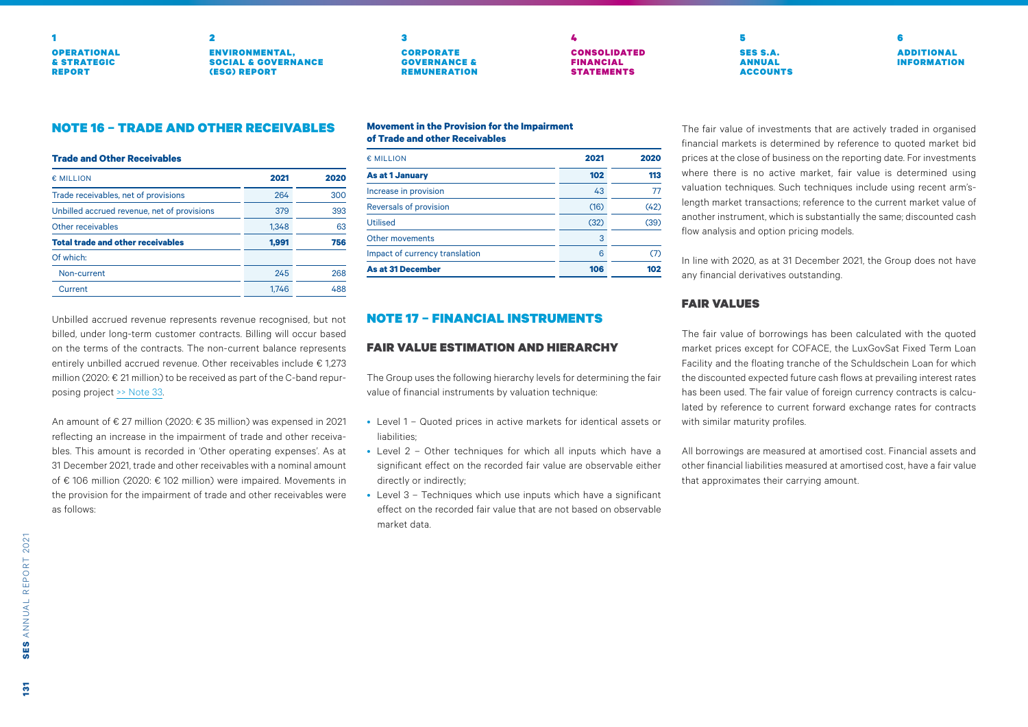**OPERATIONAL** & STRATEGIC REPORT

2 ENVIRONMENTAL, [SOCIAL & GOVERNANCE](#page--1-1)  (ESG) REPORT

#### 3 CORPORATE [GOVERNANCE &](#page--1-0)  **REMUNERATION**

#### 4 [CONSOLIDATED](#page-0-0)  **FINANCIAL STATEMENTS**

5 SES S.A. ANNUAL [ACCOUNTS](#page--1-0)

6 ADDITIONAL INFORMATION

#### <span id="page-40-0"></span>NOTE 16 – TRADE AND OTHER RECEIVABLES

#### **Trade and Other Receivables**

| 2021  | 2020 |
|-------|------|
| 264   | 300  |
| 379   | 393  |
| 1.348 | 63   |
| 1,991 | 756  |
|       |      |
| 245   | 268  |
| 1.746 | 488  |
|       |      |

Unbilled accrued revenue represents revenue recognised, but not billed, under long-term customer contracts. Billing will occur based on the terms of the contracts. The non-current balance represents entirely unbilled accrued revenue. Other receivables include € 1,273 million (2020: € 21 million) to be received as part of the C-band repurposing project >> [Note](#page-61-0) 33.

An amount of € 27 million (2020: € 35 million) was expensed in 2021 reflecting an increase in the impairment of trade and other receivables. This amount is recorded in 'Other operating expenses'. As at 31 December 2021, trade and other receivables with a nominal amount of € 106 million (2020: € 102 million) were impaired. Movements in the provision for the impairment of trade and other receivables were as follows:

#### **Movement in the Provision for the Impairment of Trade and other Receivables**

| € MILLION                      | 2021 | 2020 |
|--------------------------------|------|------|
| <b>As at 1 January</b>         | 102  | 113  |
| Increase in provision          | 43   | 77   |
| Reversals of provision         | (16) | (42) |
| <b>Utilised</b>                | (32) | (39) |
| Other movements                | 3    |      |
| Impact of currency translation | 6    | (7)  |
| <b>As at 31 December</b>       | 106  | 102  |

#### NOTE 17 – FINANCIAL INSTRUMENTS

#### FAIR VALUE ESTIMATION AND HIERARCHY

The Group uses the following hierarchy levels for determining the fair value of financial instruments by valuation technique:

- Level 1 Quoted prices in active markets for identical assets or liabilities;
- Level 2 Other techniques for which all inputs which have a significant effect on the recorded fair value are observable either directly or indirectly;
- Level 3 Techniques which use inputs which have a significant effect on the recorded fair value that are not based on observable market data.

The fair value of investments that are actively traded in organised financial markets is determined by reference to quoted market bid prices at the close of business on the reporting date. For investments where there is no active market, fair value is determined using valuation techniques. Such techniques include using recent arm'slength market transactions; reference to the current market value of another instrument, which is substantially the same; discounted cash flow analysis and option pricing models.

In line with 2020, as at 31 December 2021, the Group does not have any financial derivatives outstanding.

#### FAIR VALUES

The fair value of borrowings has been calculated with the quoted market prices except for COFACE, the LuxGovSat Fixed Term Loan Facility and the floating tranche of the Schuldschein Loan for which the discounted expected future cash flows at prevailing interest rates has been used. The fair value of foreign currency contracts is calculated by reference to current forward exchange rates for contracts with similar maturity profiles.

All borrowings are measured at amortised cost. Financial assets and other financial liabilities measured at amortised cost, have a fair value that approximates their carrying amount.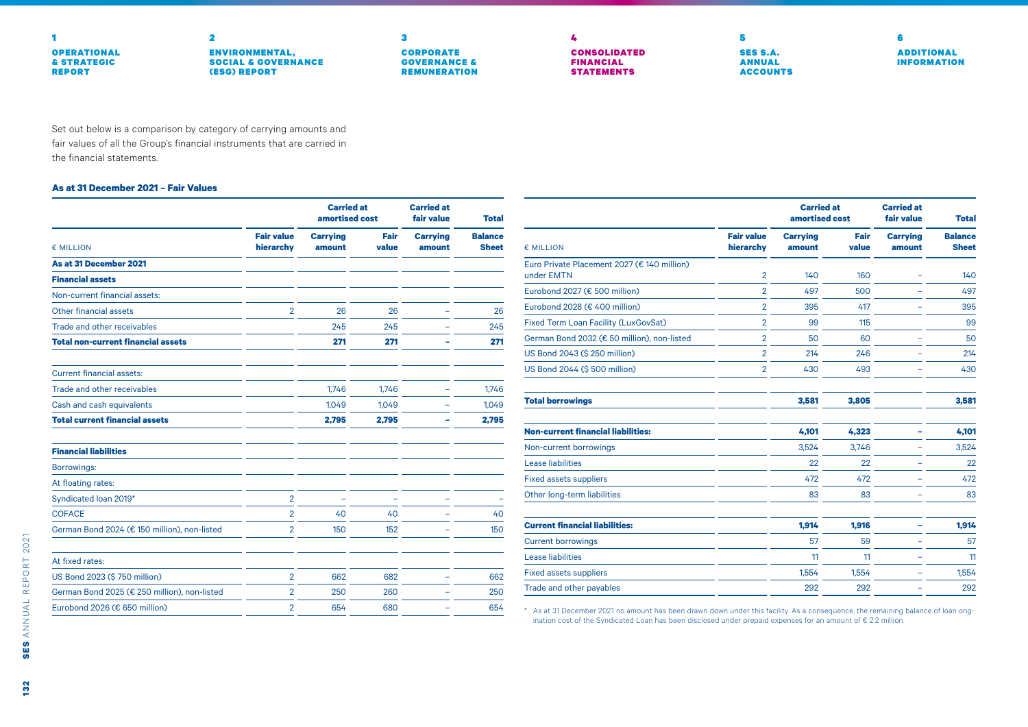**OPERATIONAL** & STRATEGIC REPORT

[SOCIAL & GOVERNANCE](#page--1-1)  (ESG) REPORT

3 CORPORATE [GOVERNANCE &](#page--1-0)  **REMUNERATION**  4 [CONSOLIDATED](#page-0-0)  FINANCIAL **STATEMENTS** 

5 SES S.A. ANNUAL **[ACCOUNTS](#page--1-0)** 

6 ADDITIONAL INFORMATION

Set out below is a comparison by category of carrying amounts and fair values of all the Group's financial instruments that are carried in the financial statements.

#### **As at 31 December 2021 – Fair Values**

|                                              |                                | <b>Carried at</b><br>amortised cost |               | <b>Carried at</b><br>fair value | Total                          |
|----------------------------------------------|--------------------------------|-------------------------------------|---------------|---------------------------------|--------------------------------|
| € MILLION                                    | <b>Fair value</b><br>hierarchy | <b>Carrying</b><br>amount           | Fair<br>value | <b>Carrying</b><br>amount       | <b>Balance</b><br><b>Sheet</b> |
| As at 31 December 2021                       |                                |                                     |               |                                 |                                |
| <b>Financial assets</b>                      |                                |                                     |               |                                 |                                |
| Non-current financial assets:                |                                |                                     |               |                                 |                                |
| Other financial assets                       | $\overline{2}$                 | 26                                  | 26            |                                 | 26                             |
| <b>Trade and other receivables</b>           |                                | 245                                 | 245           |                                 | 245                            |
| <b>Total non-current financial assets</b>    |                                | 271                                 | 271           |                                 | 271                            |
| <b>Current financial assets:</b>             |                                |                                     |               |                                 |                                |
| Trade and other receivables                  |                                | 1,746                               | 1.746         |                                 | 1.746                          |
| Cash and cash equivalents                    |                                | 1.049                               | 1.049         |                                 | 1,049                          |
| <b>Total current financial assets</b>        |                                | 2,795                               | 2,795         |                                 | 2,795                          |
| <b>Financial liabilities</b>                 |                                |                                     |               |                                 |                                |
| Borrowings:                                  |                                |                                     |               |                                 |                                |
| At floating rates:                           |                                |                                     |               |                                 |                                |
| Syndicated Ioan 2019*                        | $\overline{2}$                 |                                     |               |                                 |                                |
| <b>COFACE</b>                                | $\overline{2}$                 | 40                                  | 40            |                                 | 40                             |
| German Bond 2024 (€ 150 million), non-listed | 2                              | 150                                 | 152           |                                 | 150                            |
| At fixed rates:                              |                                |                                     |               |                                 |                                |
| US Bond 2023 (\$750 million)                 | 2                              | 662                                 | 682           |                                 | 662                            |
| German Bond 2025 (€ 250 million), non-listed | $\overline{2}$                 | 250                                 | 260           |                                 | 250                            |
| Eurobond 2026 (€ 650 million)                | $\overline{2}$                 | 654                                 | 680           |                                 | 654                            |

|                                                           |                                | <b>Carried at</b><br>amortised cost |               | <b>Carried at</b><br>fair value | <b>Total</b>                   |
|-----------------------------------------------------------|--------------------------------|-------------------------------------|---------------|---------------------------------|--------------------------------|
| € MILLION                                                 | <b>Fair value</b><br>hierarchy | <b>Carrying</b><br>amount           | Fair<br>value | <b>Carrying</b><br>amount       | <b>Balance</b><br><b>Sheet</b> |
| Euro Private Placement 2027 (€ 140 million)<br>under EMTN | $\overline{2}$                 | 140                                 | 160           |                                 | 140                            |
| Eurobond 2027 (€ 500 million)                             | $\overline{2}$                 | 497                                 | 500           |                                 | 497                            |
| Eurobond 2028 (€ 400 million)                             | $\overline{2}$                 | 395                                 | 417           |                                 | 395                            |
| <b>Fixed Term Loan Facility (LuxGovSat)</b>               | $\overline{2}$                 | 99                                  | 115           |                                 | 99                             |
| German Bond 2032 (€ 50 million), non-listed               | $\overline{2}$                 | 50                                  | 60            |                                 | 50                             |
| US Bond 2043 (\$ 250 million)                             | $\overline{2}$                 | 214                                 | 246           |                                 | 214                            |
| US Bond 2044 (\$500 million)                              | $\overline{2}$                 | 430                                 | 493           |                                 | 430                            |
| <b>Total borrowings</b>                                   |                                | 3,581                               | 3,805         |                                 | 3,581                          |
| <b>Non-current financial liabilities:</b>                 |                                | 4,101                               | 4,323         |                                 | 4,101                          |
| Non-current borrowings                                    |                                | 3,524                               | 3.746         |                                 | 3,524                          |
| Lease liabilities                                         |                                | 22                                  | 22            |                                 | 22                             |
| <b>Fixed assets suppliers</b>                             |                                | 472                                 | 472           |                                 | 472                            |
| Other long-term liabilities                               |                                | 83                                  | 83            |                                 | 83                             |
| <b>Current financial liabilities:</b>                     |                                | 1.914                               | 1,916         |                                 | 1,914                          |
| <b>Current borrowings</b>                                 |                                | 57                                  | 59            |                                 | 57                             |
| Lease liabilities                                         |                                | 11                                  | 11            |                                 | 11                             |
| <b>Fixed assets suppliers</b>                             |                                | 1.554                               | 1.554         |                                 | 1.554                          |
| Trade and other payables                                  |                                | 292                                 | 292           |                                 | 292                            |

\* As at 31 December 2021 no amount has been drawn down under this facility. As a consequence, the remaining balance of loan origination cost of the Syndicated Loan has been disclosed under prepaid expenses for an amount of € 2.2 million.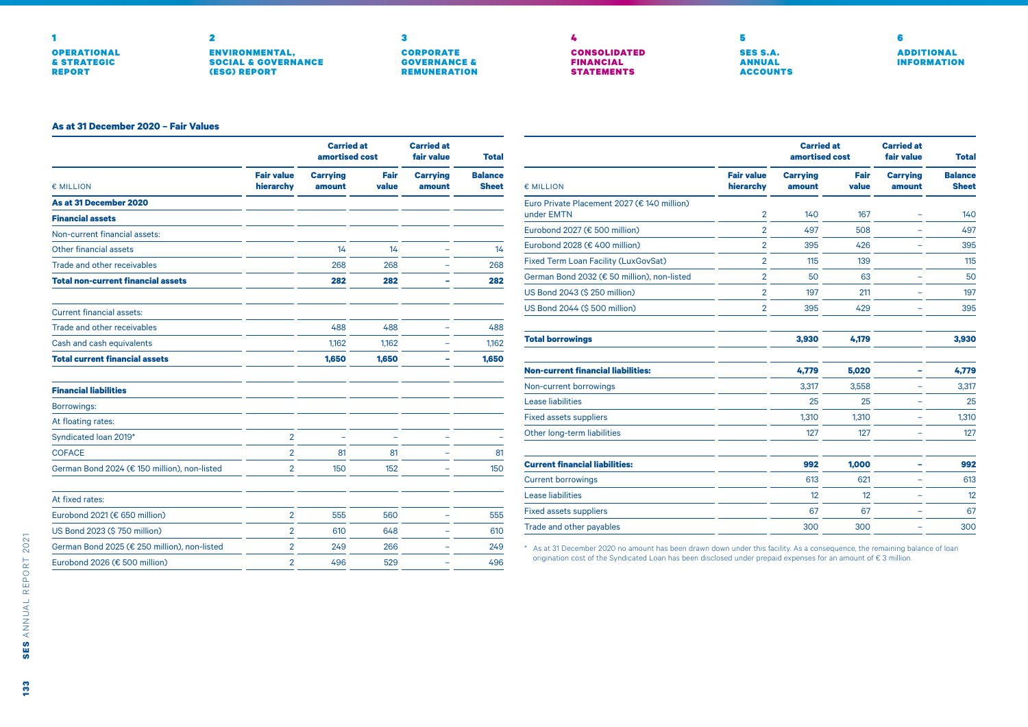& STRATEGIC REPORT

**OPERATIONAL** 

#### 2 ENVIRONMENTAL, [SOCIAL & GOVERNANCE](#page--1-1)  (ESG) REPORT

CORPORATE [GOVERNANCE &](#page--1-0)  **REMUNERATION** 

3

4 [CONSOLIDATED](#page-0-0)  FINANCIAL **STATEMENTS** 

5 SES S.A. ANNUAL **[ACCOUNTS](#page--1-0)** 

6 ADDITIONAL **INFORMATION** 

#### **As at 31 December 2020 – Fair Values**

|                                              |                                | <b>Carried at</b><br>amortised cost |               | <b>Carried at</b><br>fair value | Total                          |
|----------------------------------------------|--------------------------------|-------------------------------------|---------------|---------------------------------|--------------------------------|
| € MILLION                                    | <b>Fair value</b><br>hierarchy | <b>Carrying</b><br>amount           | Fair<br>value | <b>Carrying</b><br>amount       | <b>Balance</b><br><b>Sheet</b> |
| As at 31 December 2020                       |                                |                                     |               |                                 |                                |
| <b>Financial assets</b>                      |                                |                                     |               |                                 |                                |
| Non-current financial assets:                |                                |                                     |               |                                 |                                |
| Other financial assets                       |                                | 14                                  | 14            |                                 | 14                             |
| <b>Trade and other receivables</b>           |                                | 268                                 | 268           |                                 | 268                            |
| <b>Total non-current financial assets</b>    |                                | 282                                 | 282           |                                 | 282                            |
| <b>Current financial assets:</b>             |                                |                                     |               |                                 |                                |
| <b>Trade and other receivables</b>           |                                | 488                                 | 488           |                                 | 488                            |
| Cash and cash equivalents                    |                                | 1,162                               | 1,162         |                                 | 1.162                          |
| <b>Total current financial assets</b>        |                                | 1,650                               | 1,650         |                                 | 1,650                          |
| <b>Financial liabilities</b>                 |                                |                                     |               |                                 |                                |
| Borrowings:                                  |                                |                                     |               |                                 |                                |
| At floating rates:                           |                                |                                     |               |                                 |                                |
| Syndicated Ioan 2019*                        | $\overline{2}$                 |                                     |               |                                 |                                |
| <b>COFACE</b>                                | $\overline{2}$                 | 81                                  | 81            |                                 | 81                             |
| German Bond 2024 (€ 150 million), non-listed | $\overline{2}$                 | 150                                 | 152           |                                 | 150                            |
| At fixed rates:                              |                                |                                     |               |                                 |                                |
| Eurobond 2021 (€ 650 million)                | $\overline{2}$                 | 555                                 | 560           |                                 | 555                            |
| US Bond 2023 (\$750 million)                 | $\overline{2}$                 | 610                                 | 648           |                                 | 610                            |
| German Bond 2025 (€ 250 million), non-listed | $\overline{2}$                 | 249                                 | 266           |                                 | 249                            |
| Eurobond 2026 (€ 500 million)                | $\overline{2}$                 | 496                                 | 529           |                                 | 496                            |

|                                                           |                                | <b>Carried at</b><br>amortised cost |               | <b>Carried at</b><br>fair value | <b>Total</b>                   |
|-----------------------------------------------------------|--------------------------------|-------------------------------------|---------------|---------------------------------|--------------------------------|
| € MILLION                                                 | <b>Fair value</b><br>hierarchy | <b>Carrying</b><br>amount           | Fair<br>value | <b>Carrying</b><br>amount       | <b>Balance</b><br><b>Sheet</b> |
| Euro Private Placement 2027 (€ 140 million)<br>under EMTN | $\overline{2}$                 | 140                                 | 167           |                                 | 140                            |
| Eurobond 2027 (€ 500 million)                             | $\overline{2}$                 | 497                                 | 508           |                                 | 497                            |
| Eurobond 2028 (€ 400 million)                             | $\overline{2}$                 | 395                                 | 426           |                                 | 395                            |
| Fixed Term Loan Facility (LuxGovSat)                      | $\overline{2}$                 | 115                                 | 139           |                                 | 115                            |
| German Bond 2032 (€ 50 million), non-listed               | $\overline{2}$                 | 50                                  | 63            |                                 | 50                             |
| US Bond 2043 (\$ 250 million)                             | $\overline{2}$                 | 197                                 | 211           |                                 | 197                            |
| US Bond 2044 (\$500 million)                              | $\overline{2}$                 | 395                                 | 429           |                                 | 395                            |
| <b>Total borrowings</b>                                   |                                | 3,930                               | 4,179         |                                 | 3,930                          |
| <b>Non-current financial liabilities:</b>                 |                                | 4,779                               | 5.020         |                                 | 4,779                          |
| Non-current borrowings                                    |                                | 3,317                               | 3.558         |                                 | 3,317                          |
| Lease liabilities                                         |                                | 25                                  | 25            |                                 | 25                             |
| <b>Fixed assets suppliers</b>                             |                                | 1.310                               | 1.310         |                                 | 1.310                          |
| Other long-term liabilities                               |                                | 127                                 | 127           |                                 | 127                            |
| <b>Current financial liabilities:</b>                     |                                | 992                                 | 1,000         |                                 | 992                            |
| <b>Current borrowings</b>                                 |                                | 613                                 | 621           |                                 | 613                            |
| <b>Lease liabilities</b>                                  |                                | 12                                  | 12            |                                 | 12                             |
| <b>Fixed assets suppliers</b>                             |                                | 67                                  | 67            |                                 | 67                             |
| Trade and other payables                                  |                                | 300                                 | 300           |                                 | 300                            |

\* As at 31 December 2020 no amount has been drawn down under this facility. As a consequence, the remaining balance of loan origination cost of the Syndicated Loan has been disclosed under prepaid expenses for an amount of € 3 million.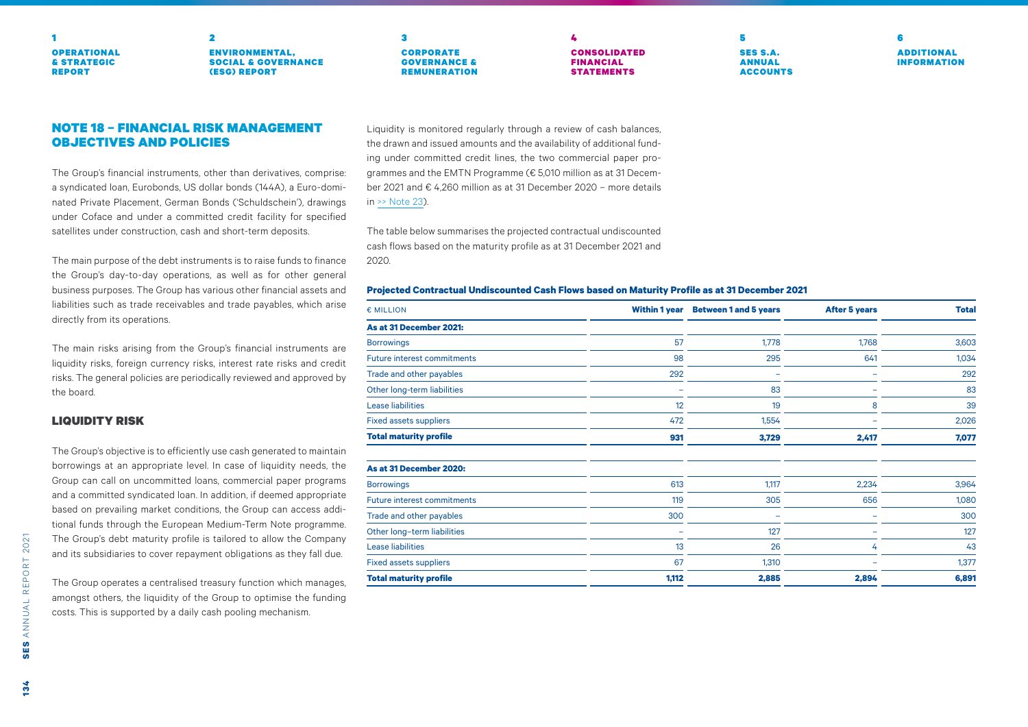**OPERATIONAL** & STRATEGIC REPORT

3 CORPORATE [GOVERNANCE &](#page--1-0)  **REMUNERATION** 

4 [CONSOLIDATED](#page-0-0)  **FINANCIAL** STATEMENTS

5 SES S.A. ANNUAL [ACCOUNTS](#page--1-0)

6 ADDITIONAL INFORMATION

#### <span id="page-43-0"></span>NOTE 18 – FINANCIAL RISK MANAGEMENT OBJECTIVES AND POLICIES

The Group's financial instruments, other than derivatives, comprise: a syndicated loan, Eurobonds, US dollar bonds (144A), a Euro-dominated Private Placement, German Bonds ('Schuldschein'), drawings under Coface and under a committed credit facility for specified satellites under construction, cash and short-term deposits.

The main purpose of the debt instruments is to raise funds to finance the Group's day-to-day operations, as well as for other general business purposes. The Group has various other financial assets and liabilities such as trade receivables and trade payables, which arise directly from its operations.

The main risks arising from the Group's financial instruments are liquidity risks, foreign currency risks, interest rate risks and credit risks. The general policies are periodically reviewed and approved by the board.

#### LIQUIDITY RISK

The Group's objective is to efficiently use cash generated to maintain borrowings at an appropriate level. In case of liquidity needs, the Group can call on uncommitted loans, commercial paper programs and a committed syndicated loan. In addition, if deemed appropriate based on prevailing market conditions, the Group can access additional funds through the European Medium-Term Note programme. The Group's debt maturity profile is tailored to allow the Company and its subsidiaries to cover repayment obligations as they fall due.

The Group operates a centralised treasury function which manages, amongst others, the liquidity of the Group to optimise the funding costs. This is supported by a daily cash pooling mechanism.

Liquidity is monitored regularly through a review of cash balances, the drawn and issued amounts and the availability of additional funding under committed credit lines, the two commercial paper programmes and the EMTN Programme (€ 5,010 million as at 31 December 2021 and € 4,260 million as at 31 December 2020 – more details in >> [Note](#page-52-0) 23).

The table below summarises the projected contractual undiscounted cash flows based on the maturity profile as at 31 December 2021 and 2020.

#### **Projected Contractual Undiscounted Cash Flows based on Maturity Profile as at 31 December 2021**

| € MILLION                          | <b>Within 1 year</b> | <b>Between 1 and 5 years</b> | <b>After 5 years</b> | <b>Total</b> |
|------------------------------------|----------------------|------------------------------|----------------------|--------------|
| As at 31 December 2021:            |                      |                              |                      |              |
| <b>Borrowings</b>                  | 57                   | 1,778                        | 1,768                | 3,603        |
| <b>Future interest commitments</b> | 98                   | 295                          | 641                  | 1,034        |
| Trade and other payables           | 292                  |                              |                      | 292          |
| Other long-term liabilities        |                      | 83                           |                      | 83           |
| <b>Lease liabilities</b>           | 12                   | 19                           | 8                    | 39           |
| <b>Fixed assets suppliers</b>      | 472                  | 1,554                        |                      | 2,026        |
| <b>Total maturity profile</b>      | 931                  | 3,729                        | 2,417                | 7,077        |
| As at 31 December 2020:            |                      |                              |                      |              |
| <b>Borrowings</b>                  | 613                  | 1,117                        | 2,234                | 3,964        |
| <b>Future interest commitments</b> | 119                  | 305                          | 656                  | 1,080        |
| Trade and other payables           | 300                  | -                            |                      | 300          |
| Other long-term liabilities        |                      | 127                          |                      | 127          |
| <b>Lease liabilities</b>           | 13                   | 26                           | 4                    | 43           |
| <b>Fixed assets suppliers</b>      | 67                   | 1,310                        |                      | 1,377        |
| <b>Total maturity profile</b>      | 1,112                | 2,885                        | 2,894                | 6,891        |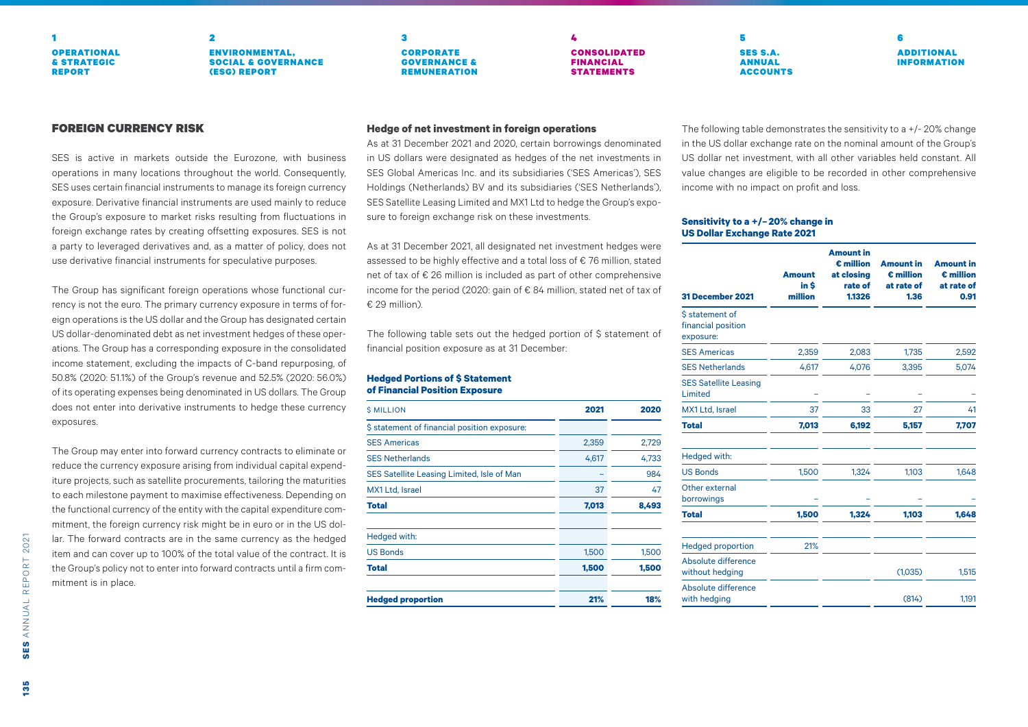**OPERATIONAL** & STRATEGIC REPORT

3

CORPORATE

[GOVERNANCE &](#page--1-0)  **REMUNERATION** 

[CONSOLIDATED](#page-0-0)  **FINANCIAL** STATEMENTS

4

5 SES S.A. ANNUAL [ACCOUNTS](#page--1-0)

6 ADDITIONAL INFORMATION

#### FOREIGN CURRENCY RISK

SES is active in markets outside the Eurozone, with business operations in many locations throughout the world. Consequently, SES uses certain financial instruments to manage its foreign currency exposure. Derivative financial instruments are used mainly to reduce the Group's exposure to market risks resulting from fluctuations in foreign exchange rates by creating offsetting exposures. SES is not a party to leveraged derivatives and, as a matter of policy, does not use derivative financial instruments for speculative purposes.

The Group has significant foreign operations whose functional currency is not the euro. The primary currency exposure in terms of foreign operations is the US dollar and the Group has designated certain US dollar-denominated debt as net investment hedges of these operations. The Group has a corresponding exposure in the consolidated income statement, excluding the impacts of C-band repurposing, of 50.8% (2020: 51.1%) of the Group's revenue and 52.5% (2020: 56.0%) of its operating expenses being denominated in US dollars. The Group does not enter into derivative instruments to hedge these currency exposures.

The Group may enter into forward currency contracts to eliminate or reduce the currency exposure arising from individual capital expenditure projects, such as satellite procurements, tailoring the maturities to each milestone payment to maximise effectiveness. Depending on the functional currency of the entity with the capital expenditure commitment, the foreign currency risk might be in euro or in the US dollar. The forward contracts are in the same currency as the hedged item and can cover up to 100% of the total value of the contract. It is the Group's policy not to enter into forward contracts until a firm commitment is in place.

#### **Hedge of net investment in foreign operations**

As at 31 December 2021 and 2020, certain borrowings denominated in US dollars were designated as hedges of the net investments in SES Global Americas Inc. and its subsidiaries ('SES Americas'), SES Holdings (Netherlands) BV and its subsidiaries ('SES Netherlands'), SES Satellite Leasing Limited and MX1 Ltd to hedge the Group's exposure to foreign exchange risk on these investments.

As at 31 December 2021, all designated net investment hedges were assessed to be highly effective and a total loss of € 76 million, stated net of tax of € 26 million is included as part of other comprehensive income for the period (2020: gain of € 84 million, stated net of tax of € 29 million).

The following table sets out the hedged portion of \$ statement of financial position exposure as at 31 December:

#### **Hedged Portions of \$ Statement of Financial Position Exposure**

| <b>\$ MILLION</b>                            | 2021  | 2020  |
|----------------------------------------------|-------|-------|
| \$ statement of financial position exposure: |       |       |
| <b>SES Americas</b>                          | 2,359 | 2,729 |
| <b>SES Netherlands</b>                       | 4,617 | 4,733 |
| SES Satellite Leasing Limited, Isle of Man   |       | 984   |
| MX1 Ltd, Israel                              | 37    | 47    |
| <b>Total</b>                                 | 7,013 | 8,493 |
| Hedged with:                                 |       |       |
| <b>US Bonds</b>                              | 1,500 | 1,500 |
| Total                                        | 1,500 | 1,500 |
| <b>Hedged proportion</b>                     | 21%   | 18%   |

The following table demonstrates the sensitivity to a +/- 20% change in the US dollar exchange rate on the nominal amount of the Group's US dollar net investment, with all other variables held constant. All value changes are eligible to be recorded in other comprehensive income with no impact on profit and loss.

#### **Sensitivity to a +/– 20% change in US Dollar Exchange Rate 2021**

| 31 December 2021                                   | <b>Amount</b><br>in \$<br>million | <b>Amount in</b><br><b>€ million</b><br>at closing<br>rate of<br>1.1326 | <b>Amount in</b><br>€ million<br>at rate of<br>1.36 | <b>Amount in</b><br><b>€ million</b><br>at rate of<br>0.91 |
|----------------------------------------------------|-----------------------------------|-------------------------------------------------------------------------|-----------------------------------------------------|------------------------------------------------------------|
| \$ statement of<br>financial position<br>exposure: |                                   |                                                                         |                                                     |                                                            |
| <b>SES Americas</b>                                | 2,359                             | 2,083                                                                   | 1,735                                               | 2,592                                                      |
| <b>SES Netherlands</b>                             | 4,617                             | 4,076                                                                   | 3,395                                               | 5,074                                                      |
| <b>SES Satellite Leasing</b><br>Limited            |                                   |                                                                         |                                                     |                                                            |
| MX1 Ltd, Israel                                    | 37                                | 33                                                                      | 27                                                  | 41                                                         |
| <b>Total</b>                                       | 7,013                             | 6,192                                                                   | 5,157                                               | 7,707                                                      |
| Hedged with:                                       |                                   |                                                                         |                                                     |                                                            |
| <b>US Bonds</b>                                    | 1,500                             | 1.324                                                                   | 1.103                                               | 1.648                                                      |
| Other external<br>borrowings                       |                                   |                                                                         |                                                     |                                                            |
| <b>Total</b>                                       | 1,500                             | 1,324                                                                   | 1,103                                               | 1,648                                                      |
| <b>Hedged proportion</b>                           | 21%                               |                                                                         |                                                     |                                                            |
| Absolute difference<br>without hedging             |                                   |                                                                         | (1,035)                                             | 1,515                                                      |
| Absolute difference<br>with hedging                |                                   |                                                                         | (814)                                               | 1,191                                                      |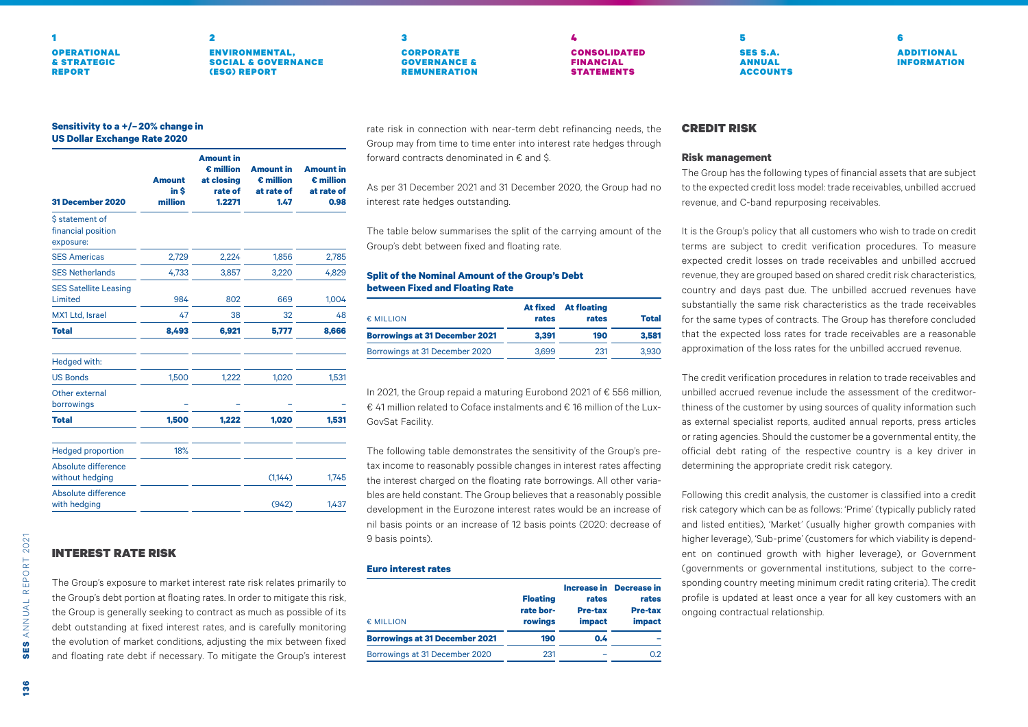#### **OPERATIONAL** & STRATEGIC REPORT

#### 2 ENVIRONMENTAL,

[SOCIAL & GOVERNANCE](#page--1-1)  (ESG) REPORT

# 3

**CORPORATE** [GOVERNANCE &](#page--1-0)  REMUNERATION

4 **CONSOLIDATED FINANCIAL STATEMENTS** 

5 SES S.A. ANNUAL [ACCOUNTS](#page--1-0)

#### 6 ADDITIONAL INFORMATION

#### **Sensitivity to a +/– 20% change in US Dollar Exchange Rate 2020**

| 31 December 2020                                   | <b>Amount</b><br>in \$<br>million | <b>Amount in</b><br>€ million<br>at closing<br>rate of<br>1.2271 | <b>Amount in</b><br>€ million<br>at rate of<br>1.47 | <b>Amount in</b><br>€ million<br>at rate of<br>0.98 |
|----------------------------------------------------|-----------------------------------|------------------------------------------------------------------|-----------------------------------------------------|-----------------------------------------------------|
| \$ statement of<br>financial position<br>exposure: |                                   |                                                                  |                                                     |                                                     |
| <b>SES Americas</b>                                | 2,729                             | 2,224                                                            | 1,856                                               | 2,785                                               |
| <b>SES Netherlands</b>                             | 4,733                             | 3,857                                                            | 3,220                                               | 4,829                                               |
| <b>SES Satellite Leasing</b><br>Limited            | 984                               | 802                                                              | 669                                                 | 1,004                                               |
| MX1 Ltd, Israel                                    | 47                                | 38                                                               | 32                                                  | 48                                                  |
| <b>Total</b>                                       | 8.493                             | 6,921                                                            | 5,777                                               | 8,666                                               |
| Hedged with:                                       |                                   |                                                                  |                                                     |                                                     |
| <b>US Bonds</b>                                    | 1,500                             | 1,222                                                            | 1,020                                               | 1,531                                               |
| Other external<br>borrowings                       |                                   |                                                                  |                                                     |                                                     |
| <b>Total</b>                                       | 1,500                             | 1,222                                                            | 1,020                                               | 1,531                                               |
| <b>Hedged proportion</b>                           | 18%                               |                                                                  |                                                     |                                                     |
| Absolute difference<br>without hedging             |                                   |                                                                  | (1,144)                                             | 1,745                                               |
| Absolute difference<br>with hedging                |                                   |                                                                  | (942)                                               | 1,437                                               |

## INTEREST RATE RISK

The Group's exposure to market interest rate risk relates primarily to the Group's debt portion at floating rates. In order to mitigate this risk, the Group is generally seeking to contract as much as possible of its debt outstanding at fixed interest rates, and is carefully monitoring the evolution of market conditions, adjusting the mix between fixed and floating rate debt if necessary. To mitigate the Group's interest rate risk in connection with near-term debt refinancing needs, the Group may from time to time enter into interest rate hedges through forward contracts denominated in € and \$.

As per 31 December 2021 and 31 December 2020, the Group had no interest rate hedges outstanding.

The table below summarises the split of the carrying amount of the Group's debt between fixed and floating rate.

#### **Split of the Nominal Amount of the Group's Debt between Fixed and Floating Rate**

| € MILLION                             | rates | At fixed At floating<br>rates | Total |
|---------------------------------------|-------|-------------------------------|-------|
| <b>Borrowings at 31 December 2021</b> | 3.391 | 190                           | 3.581 |
| Borrowings at 31 December 2020        | 3.699 | 231                           | 3.930 |

In 2021, the Group repaid a maturing Eurobond 2021 of € 556 million, € 41 million related to Coface instalments and € 16 million of the Lux-GovSat Facility.

The following table demonstrates the sensitivity of the Group's pretax income to reasonably possible changes in interest rates affecting the interest charged on the floating rate borrowings. All other variables are held constant. The Group believes that a reasonably possible development in the Eurozone interest rates would be an increase of nil basis points or an increase of 12 basis points (2020: decrease of 9 basis points).

#### **Euro interest rates**

| € MILLION                             | <b>Floating</b><br>rate bor-<br>rowings | rates<br><b>Pre-tax</b><br>impact | <b>Increase in Decrease in</b><br>rates<br><b>Pre-tax</b><br>impact |
|---------------------------------------|-----------------------------------------|-----------------------------------|---------------------------------------------------------------------|
| <b>Borrowings at 31 December 2021</b> | 190                                     | 0.4                               |                                                                     |
| Borrowings at 31 December 2020        | 231                                     |                                   | 0.2                                                                 |

#### CREDIT RISK

#### **Risk management**

The Group has the following types of financial assets that are subject to the expected credit loss model: trade receivables, unbilled accrued revenue, and C-band repurposing receivables.

It is the Group's policy that all customers who wish to trade on credit terms are subject to credit verification procedures. To measure expected credit losses on trade receivables and unbilled accrued revenue, they are grouped based on shared credit risk characteristics, country and days past due. The unbilled accrued revenues have substantially the same risk characteristics as the trade receivables for the same types of contracts. The Group has therefore concluded that the expected loss rates for trade receivables are a reasonable approximation of the loss rates for the unbilled accrued revenue.

The credit verification procedures in relation to trade receivables and unbilled accrued revenue include the assessment of the creditworthiness of the customer by using sources of quality information such as external specialist reports, audited annual reports, press articles or rating agencies. Should the customer be a governmental entity, the official debt rating of the respective country is a key driver in determining the appropriate credit risk category.

Following this credit analysis, the customer is classified into a credit risk category which can be as follows: 'Prime' (typically publicly rated and listed entities), 'Market' (usually higher growth companies with higher leverage), 'Sub-prime' (customers for which viability is dependent on continued growth with higher leverage), or Government (governments or governmental institutions, subject to the corresponding country meeting minimum credit rating criteria). The credit profile is updated at least once a year for all key customers with an ongoing contractual relationship.

REPORT 2021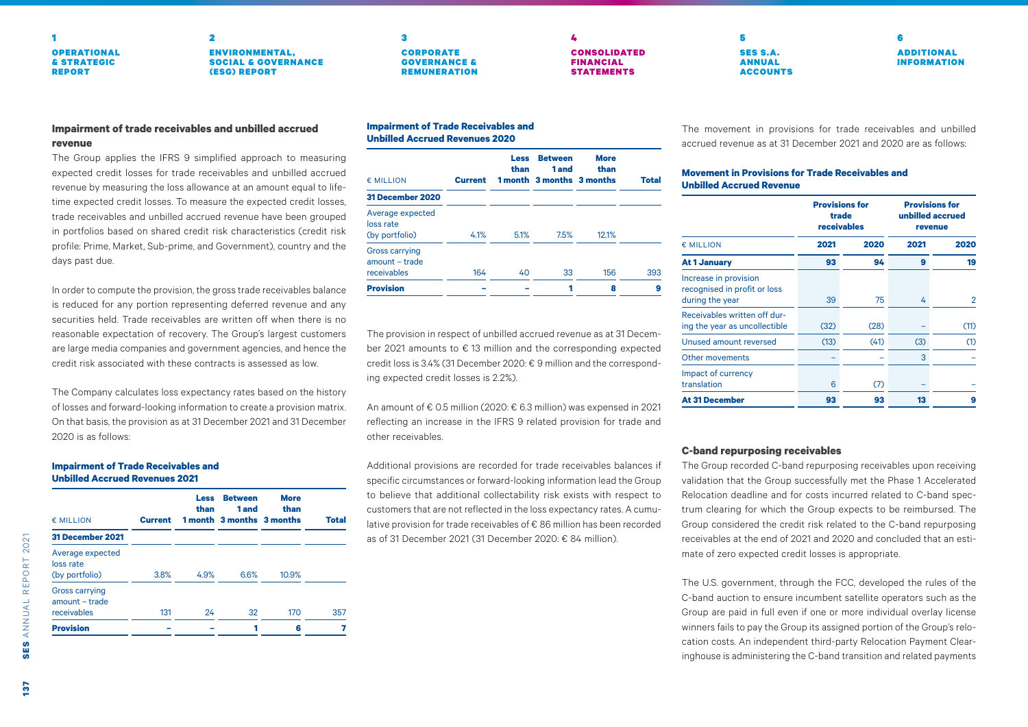[SOCIAL & GOVERNANCE](#page--1-1)  (ESG) REPORT

3

CORPORATE [GOVERNANCE &](#page--1-0)  REMUNERATION

#### 4 **CONSOLIDATED FINANCIAL STATEMENTS**

5 SES S.A. ANNUAL [ACCOUNTS](#page--1-0)

6 ADDITIONAL INFORMATION

#### **Impairment of trade receivables and unbilled accrued revenue**

The Group applies the IFRS 9 simplified approach to measuring expected credit losses for trade receivables and unbilled accrued revenue by measuring the loss allowance at an amount equal to lifetime expected credit losses. To measure the expected credit losses, trade receivables and unbilled accrued revenue have been grouped in portfolios based on shared credit risk characteristics (credit risk profile: Prime, Market, Sub-prime, and Government), country and the days past due.

In order to compute the provision, the gross trade receivables balance is reduced for any portion representing deferred revenue and any securities held. Trade receivables are written off when there is no reasonable expectation of recovery. The Group's largest customers are large media companies and government agencies, and hence the credit risk associated with these contracts is assessed as low.

The Company calculates loss expectancy rates based on the history of losses and forward-looking information to create a provision matrix. On that basis, the provision as at 31 December 2021 and 31 December 2020 is as follows:

#### **Impairment of Trade Receivables and Unbilled Accrued Revenues 2021**

| € MILLION                                              | <b>Current</b> | Less<br>than | <b>Between</b><br>1 and<br>1 month 3 months 3 months | <b>More</b><br>than | Total |
|--------------------------------------------------------|----------------|--------------|------------------------------------------------------|---------------------|-------|
| <b>31 December 2021</b>                                |                |              |                                                      |                     |       |
| Average expected<br>loss rate<br>(by portfolio)        | 3.8%           | 4.9%         | 6.6%                                                 | 10.9%               |       |
| <b>Gross carrying</b><br>amount - trade<br>receivables | 131            | 24           | 32                                                   | 170                 | 357   |
| <b>Provision</b>                                       |                |              |                                                      | 6                   |       |

#### **Impairment of Trade Receivables and Unbilled Accrued Revenues 2020**

| € MILLION                                              | <b>Current</b> | Less<br>than | <b>Between</b><br>1 and<br>1 month 3 months 3 months | <b>More</b><br>than | <b>Total</b> |
|--------------------------------------------------------|----------------|--------------|------------------------------------------------------|---------------------|--------------|
| 31 December 2020                                       |                |              |                                                      |                     |              |
| Average expected<br>loss rate<br>(by portfolio)        | 4.1%           | 5.1%         | 7.5%                                                 | 12.1%               |              |
| <b>Gross carrying</b><br>amount - trade<br>receivables | 164            | 40           | 33                                                   | 156                 | 393          |
| <b>Provision</b>                                       |                |              | 1                                                    | 8                   | 9            |

The provision in respect of unbilled accrued revenue as at 31 December 2021 amounts to € 13 million and the corresponding expected credit loss is 3.4% (31 December 2020: € 9 million and the corresponding expected credit losses is 2.2%).

An amount of € 0.5 million (2020: € 6.3 million) was expensed in 2021 reflecting an increase in the IFRS 9 related provision for trade and other receivables.

Additional provisions are recorded for trade receivables balances if specific circumstances or forward-looking information lead the Group to believe that additional collectability risk exists with respect to customers that are not reflected in the loss expectancy rates. A cumulative provision for trade receivables of € 86 million has been recorded as of 31 December 2021 (31 December 2020: € 84 million).

The movement in provisions for trade receivables and unbilled accrued revenue as at 31 December 2021 and 2020 are as follows:

#### **Movement in Provisions for Trade Receivables and Unbilled Accrued Revenue**

|                                                                          |      | <b>Provisions for</b><br>trade<br><b>receivables</b> |      | <b>Provisions for</b><br>unbilled accrued<br><b>revenue</b> |  |
|--------------------------------------------------------------------------|------|------------------------------------------------------|------|-------------------------------------------------------------|--|
| € MILLION                                                                | 2021 | 2020                                                 | 2021 | 2020                                                        |  |
| <b>At 1 January</b>                                                      | 93   | 94                                                   | 9    | 19                                                          |  |
| Increase in provision<br>recognised in profit or loss<br>during the year | 39   | 75                                                   | 4    | 2                                                           |  |
| Receivables written off dur-<br>ing the year as uncollectible            | (32) | (28)                                                 |      | (11)                                                        |  |
| Unused amount reversed                                                   | (13) | (41)                                                 | (3)  | (1)                                                         |  |
| <b>Other movements</b>                                                   |      |                                                      | 3    |                                                             |  |
| Impact of currency<br>translation                                        | 6    | (7)                                                  |      |                                                             |  |
| <b>At 31 December</b>                                                    | 93   | 93                                                   | 13   | 9                                                           |  |

#### **C-band repurposing receivables**

The Group recorded C-band repurposing receivables upon receiving validation that the Group successfully met the Phase 1 Accelerated Relocation deadline and for costs incurred related to C-band spectrum clearing for which the Group expects to be reimbursed. The Group considered the credit risk related to the C-band repurposing receivables at the end of 2021 and 2020 and concluded that an estimate of zero expected credit losses is appropriate.

The U.S. government, through the FCC, developed the rules of the C-band auction to ensure incumbent satellite operators such as the Group are paid in full even if one or more individual overlay license winners fails to pay the Group its assigned portion of the Group's relocation costs. An independent third-party Relocation Payment Clearinghouse is administering the C-band transition and related payments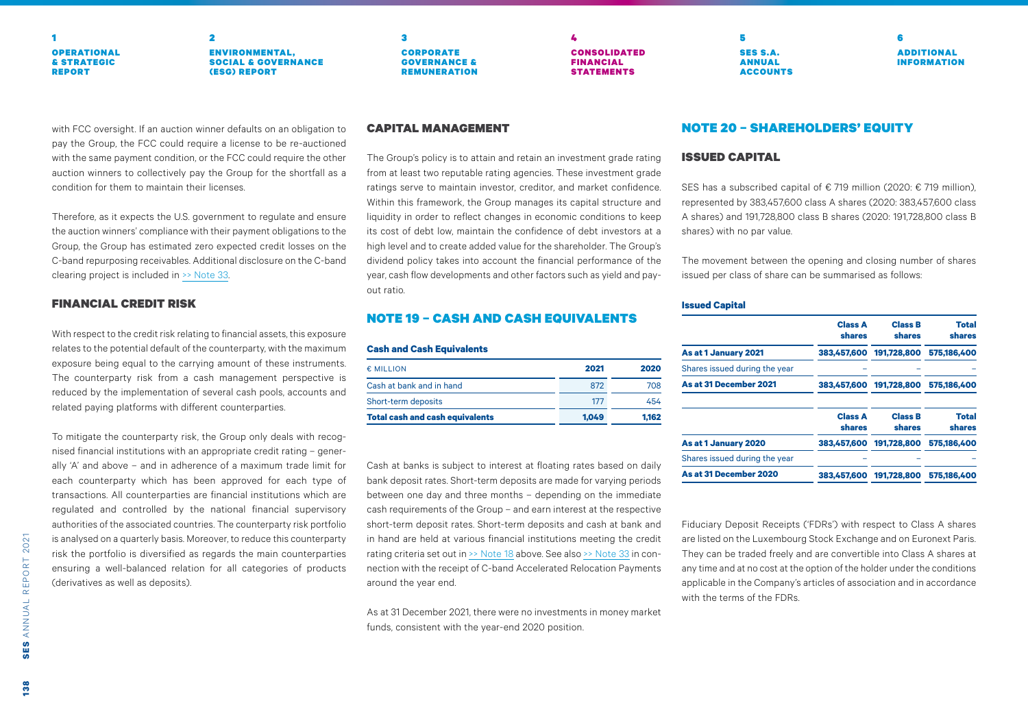1 **OPERATIONAL** 

& STRATEGIC REPORT

2

ENVIRONMENTAL, [SOCIAL & GOVERNANCE](#page--1-1)  (ESG) REPORT

CORPORATE [GOVERNANCE &](#page--1-0)  REMUNERATION

3

4 [CONSOLIDATED](#page-0-0)  **FINANCIAL STATEMENTS** 

5 SES S.A. ANNUAL [ACCOUNTS](#page--1-0)

6 ADDITIONAL INFORMATION

with FCC oversight. If an auction winner defaults on an obligation to pay the Group, the FCC could require a license to be re-auctioned with the same payment condition, or the FCC could require the other auction winners to collectively pay the Group for the shortfall as a condition for them to maintain their licenses.

Therefore, as it expects the U.S. government to regulate and ensure the auction winners' compliance with their payment obligations to the Group, the Group has estimated zero expected credit losses on the C-band repurposing receivables. Additional disclosure on the C-band clearing project is included in >> [Note 33.](#page-61-0)

#### FINANCIAL CREDIT RISK

With respect to the credit risk relating to financial assets, this exposure relates to the potential default of the counterparty, with the maximum exposure being equal to the carrying amount of these instruments. The counterparty risk from a cash management perspective is reduced by the implementation of several cash pools, accounts and related paying platforms with different counterparties.

To mitigate the counterparty risk, the Group only deals with recognised financial institutions with an appropriate credit rating – generally 'A' and above – and in adherence of a maximum trade limit for each counterparty which has been approved for each type of transactions. All counterparties are financial institutions which are regulated and controlled by the national financial supervisory authorities of the associated countries. The counterparty risk portfolio is analysed on a quarterly basis. Moreover, to reduce this counterparty risk the portfolio is diversified as regards the main counterparties ensuring a well-balanced relation for all categories of products (derivatives as well as deposits).

#### CAPITAL MANAGEMENT

The Group's policy is to attain and retain an investment grade rating from at least two reputable rating agencies. These investment grade ratings serve to maintain investor, creditor, and market confidence. Within this framework, the Group manages its capital structure and liquidity in order to reflect changes in economic conditions to keep its cost of debt low, maintain the confidence of debt investors at a high level and to create added value for the shareholder. The Group's dividend policy takes into account the financial performance of the year, cash flow developments and other factors such as yield and payout ratio.

#### <span id="page-47-0"></span>NOTE 19 – CASH AND CASH EQUIVALENTS

#### **Cash and Cash Equivalents**

| € MILLION                              | 2021  | 2020  |
|----------------------------------------|-------|-------|
| Cash at bank and in hand               | 872   | 708   |
| Short-term deposits                    | 177   | 454   |
| <b>Total cash and cash equivalents</b> | 1.049 | 1.162 |

Cash at banks is subject to interest at floating rates based on daily bank deposit rates. Short-term deposits are made for varying periods between one day and three months – depending on the immediate cash requirements of the Group – and earn interest at the respective short-term deposit rates. Short-term deposits and cash at bank and in hand are held at various financial institutions meeting the credit rating criteria set out in >> [Note](#page-43-0) 18 above. See also >> [Note](#page-61-0) 33 in connection with the receipt of C-band Accelerated Relocation Payments around the year end.

As at 31 December 2021, there were no investments in money market funds, consistent with the year-end 2020 position.

#### <span id="page-47-1"></span>NOTE 20 – SHAREHOLDERS' EQUITY

#### ISSUED CAPITAL

SES has a subscribed capital of €719 million (2020: €719 million), represented by 383,457,600 class A shares (2020: 383,457,600 class A shares) and 191,728,800 class B shares (2020: 191,728,800 class B shares) with no par value.

The movement between the opening and closing number of shares issued per class of share can be summarised as follows:

#### **Issued Capital**

|                               | Class A<br><b>shares</b> | <b>Class B</b><br><b>shares</b> | Total<br><b>shares</b> |
|-------------------------------|--------------------------|---------------------------------|------------------------|
| As at 1 January 2021          | 383,457,600              | 191.728.800                     | 575.186.400            |
| Shares issued during the year |                          |                                 |                        |
| As at 31 December 2021        |                          | 383,457,600 191,728,800         | 575.186.400            |
|                               | Class A<br><b>shares</b> | <b>Class B</b><br>shares        | Total<br>shares        |
| As at 1 January 2020          | 383,457,600              | 191,728,800                     | 575.186.400            |
| Shares issued during the year |                          |                                 |                        |
| As at 31 December 2020        | 383,457,600              | 191.728.800                     | 575.186.400            |
|                               |                          |                                 |                        |

Fiduciary Deposit Receipts ('FDRs') with respect to Class A shares are listed on the Luxembourg Stock Exchange and on Euronext Paris. They can be traded freely and are convertible into Class A shares at any time and at no cost at the option of the holder under the conditions applicable in the Company's articles of association and in accordance with the terms of the FDRs.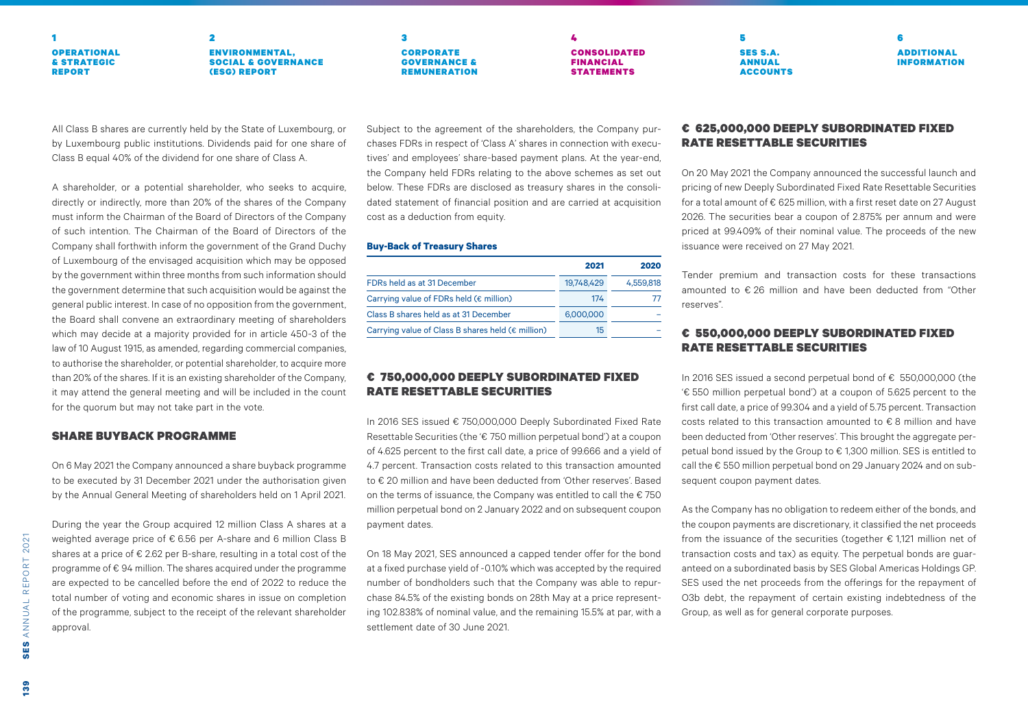1 **OPERATIONAL** & STRATEGIC

REPORT

2

ENVIRONMENTAL, [SOCIAL & GOVERNANCE](#page--1-1)  (ESG) REPORT

CORPORATE [GOVERNANCE &](#page--1-0)  REMUNERATION

3

4 [CONSOLIDATED](#page-0-0)  **FINANCIAL STATEMENTS** 

5 SES S.A. ANNUAL [ACCOUNTS](#page--1-0)

6 ADDITIONAL INFORMATION

All Class B shares are currently held by the State of Luxembourg, or by Luxembourg public institutions. Dividends paid for one share of Class B equal 40% of the dividend for one share of Class A.

A shareholder, or a potential shareholder, who seeks to acquire, directly or indirectly, more than 20% of the shares of the Company must inform the Chairman of the Board of Directors of the Company of such intention. The Chairman of the Board of Directors of the Company shall forthwith inform the government of the Grand Duchy of Luxembourg of the envisaged acquisition which may be opposed by the government within three months from such information should the government determine that such acquisition would be against the general public interest. In case of no opposition from the government, the Board shall convene an extraordinary meeting of shareholders which may decide at a majority provided for in article 450-3 of the law of 10 August 1915, as amended, regarding commercial companies, to authorise the shareholder, or potential shareholder, to acquire more than 20% of the shares. If it is an existing shareholder of the Company, it may attend the general meeting and will be included in the count for the quorum but may not take part in the vote.

#### SHARE BUYBACK PROGRAMME

On 6 May 2021 the Company announced a share buyback programme to be executed by 31 December 2021 under the authorisation given by the Annual General Meeting of shareholders held on 1 April 2021.

During the year the Group acquired 12 million Class A shares at a weighted average price of €6.56 per A-share and 6 million Class B shares at a price of € 2.62 per B-share, resulting in a total cost of the programme of € 94 million. The shares acquired under the programme are expected to be cancelled before the end of 2022 to reduce the total number of voting and economic shares in issue on completion of the programme, subject to the receipt of the relevant shareholder approval.

Subject to the agreement of the shareholders, the Company purchases FDRs in respect of 'Class A' shares in connection with executives' and employees' share-based payment plans. At the year-end, the Company held FDRs relating to the above schemes as set out below. These FDRs are disclosed as treasury shares in the consolidated statement of financial position and are carried at acquisition cost as a deduction from equity.

#### **Buy-Back of Treasury Shares**

|                                                   | 2021       | 2020      |
|---------------------------------------------------|------------|-----------|
| <b>FDRs held as at 31 December</b>                | 19.748.429 | 4,559,818 |
| Carrying value of FDRs held $(\epsilon$ million)  | 174        |           |
| Class B shares held as at 31 December             | 6.000.000  |           |
| Carrying value of Class B shares held (€ million) | 15         |           |

#### € 750,000,000 DEEPLY SUBORDINATED FIXED RATE RESETTABLE SECURITIES

In 2016 SES issued € 750,000,000 Deeply Subordinated Fixed Rate Resettable Securities (the '€ 750 million perpetual bond') at a coupon of 4.625 percent to the first call date, a price of 99.666 and a yield of 4.7 percent. Transaction costs related to this transaction amounted to € 20 million and have been deducted from 'Other reserves'. Based on the terms of issuance, the Company was entitled to call the € 750 million perpetual bond on 2 January 2022 and on subsequent coupon payment dates.

On 18 May 2021, SES announced a capped tender offer for the bond at a fixed purchase yield of -0.10% which was accepted by the required number of bondholders such that the Company was able to repurchase 84.5% of the existing bonds on 28th May at a price representing 102.838% of nominal value, and the remaining 15.5% at par, with a settlement date of 30 June 2021.

#### € 625,000,000 DEEPLY SUBORDINATED FIXED RATE RESETTABLE SECURITIES

On 20 May 2021 the Company announced the successful launch and pricing of new Deeply Subordinated Fixed Rate Resettable Securities for a total amount of € 625 million, with a first reset date on 27 August 2026. The securities bear a coupon of 2.875% per annum and were priced at 99.409% of their nominal value. The proceeds of the new issuance were received on 27 May 2021.

Tender premium and transaction costs for these transactions amounted to € 26 million and have been deducted from "Other reserves".

#### € 550,000,000 DEEPLY SUBORDINATED FIXED RATE RESETTABLE SECURITIES

In 2016 SES issued a second perpetual bond of € 550,000,000 (the '€ 550 million perpetual bond') at a coupon of 5.625 percent to the first call date, a price of 99.304 and a yield of 5.75 percent. Transaction costs related to this transaction amounted to € 8 million and have been deducted from 'Other reserves'. This brought the aggregate perpetual bond issued by the Group to € 1,300 million. SES is entitled to call the € 550 million perpetual bond on 29 January 2024 and on subsequent coupon payment dates.

As the Company has no obligation to redeem either of the bonds, and the coupon payments are discretionary, it classified the net proceeds from the issuance of the securities (together € 1,121 million net of transaction costs and tax) as equity. The perpetual bonds are guaranteed on a subordinated basis by SES Global Americas Holdings GP. SES used the net proceeds from the offerings for the repayment of O3b debt, the repayment of certain existing indebtedness of the Group, as well as for general corporate purposes.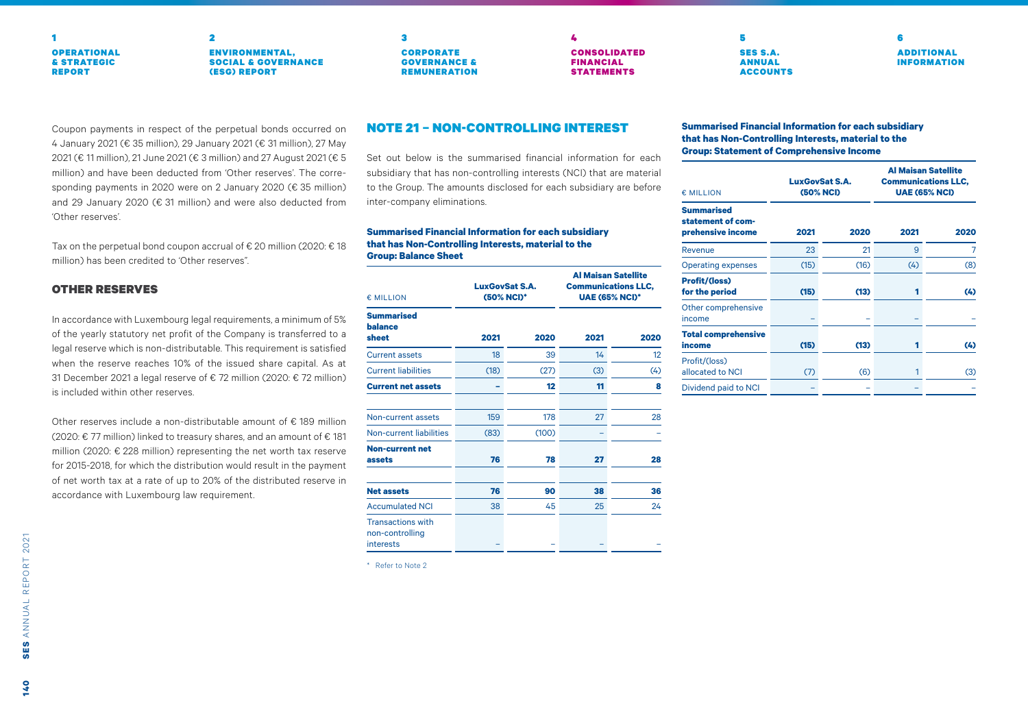1 **OPERATIONAL** 

& STRATEGIC REPORT

# 2

ENVIRONMENTAL, [SOCIAL & GOVERNANCE](#page--1-1)  (ESG) REPORT

CORPORATE [GOVERNANCE &](#page--1-0)  **REMUNERATION** 

3

[CONSOLIDATED](#page-0-0)  **FINANCIAL** STATEMENTS

4

5 SES S.A. ANNUAL [ACCOUNTS](#page--1-0)

6 ADDITIONAL INFORMATION

Coupon payments in respect of the perpetual bonds occurred on 4 January 2021 (€ 35 million), 29 January 2021 (€ 31 million), 27 May 2021 (€ 11 million), 21 June 2021 (€ 3 million) and 27 August 2021 (€ 5 million) and have been deducted from 'Other reserves'. The corresponding payments in 2020 were on 2 January 2020 (€ 35 million) and 29 January 2020 (€ 31 million) and were also deducted from 'Other reserves'.

Tax on the perpetual bond coupon accrual of € 20 million (2020: € 18 million) has been credited to 'Other reserves".

#### OTHER RESERVES

In accordance with Luxembourg legal requirements, a minimum of 5% of the yearly statutory net profit of the Company is transferred to a legal reserve which is non-distributable. This requirement is satisfied when the reserve reaches 10% of the issued share capital. As at 31 December 2021 a legal reserve of € 72 million (2020: € 72 million) is included within other reserves.

Other reserves include a non-distributable amount of € 189 million (2020: € 77 million) linked to treasury shares, and an amount of € 181 million (2020: € 228 million) representing the net worth tax reserve for 2015-2018, for which the distribution would result in the payment of net worth tax at a rate of up to 20% of the distributed reserve in accordance with Luxembourg law requirement.

#### <span id="page-49-0"></span>NOTE 21 – NON-CONTROLLING INTEREST

Set out below is the summarised financial information for each subsidiary that has non-controlling interests (NCI) that are material to the Group. The amounts disclosed for each subsidiary are before inter-company eliminations.

#### **Summarised Financial Information for each subsidiary that has Non-Controlling Interests, material to the Group: Balance Sheet**

| € MILLION                                                | <b>LuxGovSat S.A.</b><br>(50% NCI)* |       | <b>Al Maisan Satellite</b><br><b>Communications LLC,</b><br><b>UAE (65% NCI)*</b> |      |
|----------------------------------------------------------|-------------------------------------|-------|-----------------------------------------------------------------------------------|------|
| <b>Summarised</b><br><b>balance</b><br>sheet             | 2021                                | 2020  | 2021                                                                              | 2020 |
| <b>Current assets</b>                                    | 18                                  | 39    | 14                                                                                | 12   |
| <b>Current liabilities</b>                               | (18)                                | (27)  | (3)                                                                               | (4)  |
| <b>Current net assets</b>                                |                                     | 12    | 11                                                                                | 8    |
| Non-current assets                                       | 159                                 | 178   | 27                                                                                | 28   |
| <b>Non-current liabilities</b>                           | (83)                                | (100) |                                                                                   |      |
| <b>Non-current net</b><br>assets                         | 76                                  | 78    | 27                                                                                | 28   |
| <b>Net assets</b>                                        | 76                                  | 90    | 38                                                                                | 36   |
| <b>Accumulated NCI</b>                                   | 38                                  | 45    | 25                                                                                | 24   |
| <b>Transactions with</b><br>non-controlling<br>interests |                                     |       |                                                                                   |      |

#### **Summarised Financial Information for each subsidiary that has Non-Controlling Interests, material to the Group: Statement of Comprehensive Income**

| € MILLION                                            |      | LuxGovSat S.A.<br><b>(50% NCI)</b> | <b>Al Maisan Satellite</b><br><b>Communications LLC,</b><br><b>UAE (65% NCI)</b> |      |
|------------------------------------------------------|------|------------------------------------|----------------------------------------------------------------------------------|------|
| Summarised<br>statement of com-<br>prehensive income | 2021 | 2020                               | 2021                                                                             | 2020 |
| Revenue                                              | 23   | 21                                 | 9                                                                                | 7    |
| <b>Operating expenses</b>                            | (15) | (16)                               | (4)                                                                              | (8)  |
| Profit/(loss)<br>for the period                      | (15) | (13)                               | 1                                                                                | (4)  |
| Other comprehensive<br>income                        |      |                                    |                                                                                  |      |
| <b>Total comprehensive</b><br>income                 | (15) | (13)                               |                                                                                  | (4)  |
| Profit/(loss)<br>allocated to NCI                    | (7)  | (6)                                |                                                                                  | (3)  |
| Dividend paid to NCI                                 |      |                                    |                                                                                  |      |
|                                                      |      |                                    |                                                                                  |      |

\* Refer to Note 2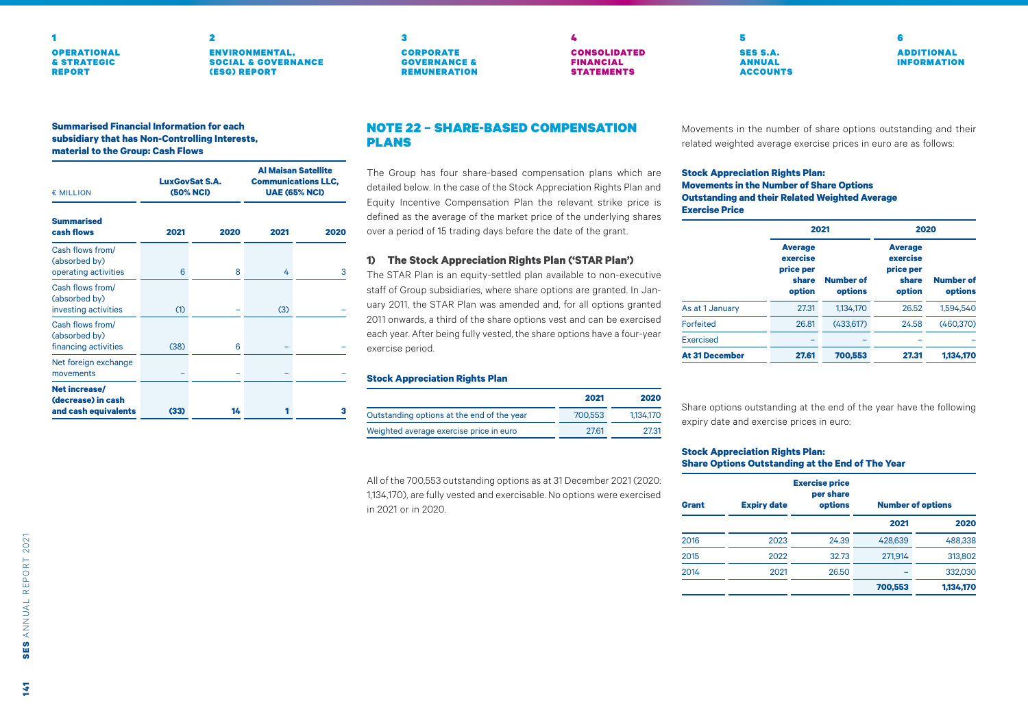#### **OPERATIONAL** & STRATEGIC

## REPORT

### 2 ENVIRONMENTAL,

[SOCIAL & GOVERNANCE](#page--1-1)  (ESG) REPORT

# 3

CORPORATE [GOVERNANCE &](#page--1-0)  REMUNERATION

4 [CONSOLIDATED](#page-0-0)  FINANCIAL STATEMENTS

5 SES S.A. ANNUAL [ACCOUNTS](#page--1-0)

6 ADDITIONAL INFORMATION

#### **Summarised Financial Information for each subsidiary that has Non-Controlling Interests, material to the Group: Cash Flows**

| € MILLION                                                   | LuxGovSat S.A.<br><b>(50% NCI)</b> |      | <b>Al Maisan Satellite</b><br><b>Communications LLC,</b><br><b>UAE (65% NCI)</b> |      |
|-------------------------------------------------------------|------------------------------------|------|----------------------------------------------------------------------------------|------|
| <b>Summarised</b><br>cash flows                             | 2021                               | 2020 | 2021                                                                             | 2020 |
| Cash flows from/<br>(absorbed by)<br>operating activities   | 6                                  | 8    | 4                                                                                | 3    |
| Cash flows from/<br>(absorbed by)<br>investing activities   | (1)                                |      | (3)                                                                              |      |
| Cash flows from/<br>(absorbed by)<br>financing activities   | (38)                               | 6    |                                                                                  |      |
| Net foreign exchange<br>movements                           |                                    |      |                                                                                  |      |
| Net increase/<br>(decrease) in cash<br>and cash equivalents | (33)                               | 14   |                                                                                  | з    |

#### <span id="page-50-0"></span>NOTE 22 – SHARE-BASED COMPENSATION PLANS

The Group has four share-based compensation plans which are detailed below. In the case of the Stock Appreciation Rights Plan and Equity Incentive Compensation Plan the relevant strike price is defined as the average of the market price of the underlying shares over a period of 15 trading days before the date of the grant.

#### **1) The Stock Appreciation Rights Plan ('STAR Plan')**

The STAR Plan is an equity-settled plan available to non-executive staff of Group subsidiaries, where share options are granted. In January 2011, the STAR Plan was amended and, for all options granted 2011 onwards, a third of the share options vest and can be exercised each year. After being fully vested, the share options have a four-year exercise period.

#### **Stock Appreciation Rights Plan**

|                                            | 2021    | 2020      |
|--------------------------------------------|---------|-----------|
| Outstanding options at the end of the year | 700.553 | 1.134.170 |
| Weighted average exercise price in euro    | 2761    | 27.31     |

All of the 700,553 outstanding options as at 31 December 2021 (2020: 1,134,170), are fully vested and exercisable. No options were exercised in 2021 or in 2020.

Movements in the number of share options outstanding and their related weighted average exercise prices in euro are as follows:

#### **Stock Appreciation Rights Plan: Movements in the Number of Share Options Outstanding and their Related Weighted Average Exercise Price**

|                  | 2021                                                       |                             | 2020                                                       |                             |
|------------------|------------------------------------------------------------|-----------------------------|------------------------------------------------------------|-----------------------------|
|                  | <b>Average</b><br>exercise<br>price per<br>share<br>option | <b>Number of</b><br>options | <b>Average</b><br>exercise<br>price per<br>share<br>option | <b>Number of</b><br>options |
| As at 1 January  | 27.31                                                      | 1.134.170                   | 26.52                                                      | 1.594.540                   |
| <b>Forfeited</b> | 26.81                                                      | (433,617)                   | 24.58                                                      | (460.370)                   |
| <b>Exercised</b> |                                                            |                             |                                                            |                             |
| At 31 December   | 27.61                                                      | 700.553                     | 27.31                                                      | 1.134.170                   |

Share options outstanding at the end of the year have the following expiry date and exercise prices in euro:

#### **Stock Appreciation Rights Plan: Share Options Outstanding at the End of The Year**

| <b>Grant</b> | <b>Expiry date</b> | <b>Exercise price</b><br>per share<br>options |         | <b>Number of options</b> |
|--------------|--------------------|-----------------------------------------------|---------|--------------------------|
|              |                    |                                               | 2021    | 2020                     |
| 2016         | 2023               | 24.39                                         | 428.639 | 488,338                  |
| 2015         | 2022               | 32.73                                         | 271,914 | 313,802                  |
| 2014         | 2021               | 26.50                                         |         | 332.030                  |
|              |                    |                                               | 700,553 | 1.134.170                |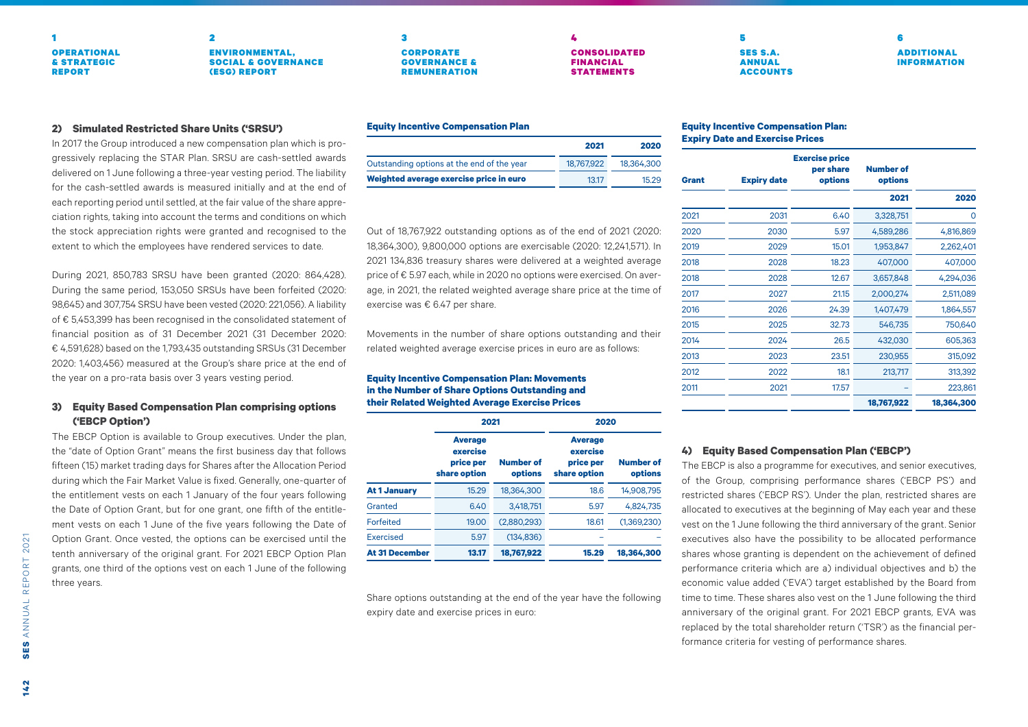#### **OPERATIONAL** & STRATEGIC REPORT

#### 2 ENVIRONMENTAL, [SOCIAL & GOVERNANCE](#page--1-1)  (ESG) REPORT

3 CORPORATE [GOVERNANCE &](#page--1-0)  **REMUNERATION** 

4 [CONSOLIDATED](#page-0-0)  **FINANCIAL STATEMENTS** 

5 SES S.A. ANNUAL [ACCOUNTS](#page--1-0)

6 ADDITIONAL INFORMATION

#### **2) Simulated Restricted Share Units ('SRSU')**

In 2017 the Group introduced a new compensation plan which is progressively replacing the STAR Plan. SRSU are cash-settled awards delivered on 1 June following a three-year vesting period. The liability for the cash-settled awards is measured initially and at the end of each reporting period until settled, at the fair value of the share appreciation rights, taking into account the terms and conditions on which the stock appreciation rights were granted and recognised to the extent to which the employees have rendered services to date.

During 2021, 850,783 SRSU have been granted (2020: 864,428). During the same period, 153,050 SRSUs have been forfeited (2020: 98,645) and 307,754 SRSU have been vested (2020: 221,056). A liability of € 5,453,399 has been recognised in the consolidated statement of financial position as of 31 December 2021 (31 December 2020: € 4,591,628) based on the 1,793,435 outstanding SRSUs (31 December 2020: 1,403,456) measured at the Group's share price at the end of the year on a pro-rata basis over 3 years vesting period.

#### **3) Equity Based Compensation Plan comprising options ('EBCP Option')**

The EBCP Option is available to Group executives. Under the plan, the "date of Option Grant" means the first business day that follows fifteen (15) market trading days for Shares after the Allocation Period during which the Fair Market Value is fixed. Generally, one-quarter of the entitlement vests on each 1 January of the four years following the Date of Option Grant, but for one grant, one fifth of the entitlement vests on each 1 June of the five years following the Date of Option Grant. Once vested, the options can be exercised until the tenth anniversary of the original grant. For 2021 EBCP Option Plan grants, one third of the options vest on each 1 June of the following three years.

#### **Equity Incentive Compensation Plan**

|                                            | 2021       | 2020       |
|--------------------------------------------|------------|------------|
| Outstanding options at the end of the year | 18.767.922 | 18.364.300 |
| Weighted average exercise price in euro    | 13.17      | 15.29      |

Out of 18,767,922 outstanding options as of the end of 2021 (2020: 18,364,300), 9,800,000 options are exercisable (2020: 12,241,571). In 2021 134,836 treasury shares were delivered at a weighted average price of € 5.97 each, while in 2020 no options were exercised. On average, in 2021, the related weighted average share price at the time of exercise was € 6.47 per share.

Movements in the number of share options outstanding and their related weighted average exercise prices in euro are as follows:

#### **Equity Incentive Compensation Plan: Movements in the Number of Share Options Outstanding and their Related Weighted Average Exercise Prices**

|                       | 2021                                                    |                             | 2020                                                    |                             |
|-----------------------|---------------------------------------------------------|-----------------------------|---------------------------------------------------------|-----------------------------|
|                       | <b>Average</b><br>exercise<br>price per<br>share option | <b>Number of</b><br>options | <b>Average</b><br>exercise<br>price per<br>share option | <b>Number of</b><br>options |
| <b>At 1 January</b>   | 15.29                                                   | 18.364.300                  | 18.6                                                    | 14,908,795                  |
| Granted               | 6.40                                                    | 3.418.751                   | 5.97                                                    | 4.824.735                   |
| <b>Forfeited</b>      | 19.00                                                   | (2.880.293)                 | 18.61                                                   | (1,369,230)                 |
| <b>Exercised</b>      | 5.97                                                    | (134.836)                   |                                                         |                             |
| <b>At 31 December</b> | 13.17                                                   | 18.767.922                  | 15.29                                                   | 18.364.300                  |

Share options outstanding at the end of the year have the following expiry date and exercise prices in euro:

#### **Equity Incentive Compensation Plan: Expiry Date and Exercise Prices**

| <b>Grant</b> | <b>Expiry date</b> | <b>Exercise price</b><br>per share<br>options | <b>Number of</b><br>options |            |
|--------------|--------------------|-----------------------------------------------|-----------------------------|------------|
|              |                    |                                               | 2021                        | 2020       |
| 2021         | 2031               | 6.40                                          | 3,328,751                   | $\Omega$   |
| 2020         | 2030               | 5.97                                          | 4,589,286                   | 4,816,869  |
| 2019         | 2029               | 15.01                                         | 1,953,847                   | 2,262,401  |
| 2018         | 2028               | 18.23                                         | 407,000                     | 407,000    |
| 2018         | 2028               | 12.67                                         | 3,657,848                   | 4,294,036  |
| 2017         | 2027               | 21.15                                         | 2,000,274                   | 2,511,089  |
| 2016         | 2026               | 24.39                                         | 1,407,479                   | 1,864,557  |
| 2015         | 2025               | 32.73                                         | 546,735                     | 750,640    |
| 2014         | 2024               | 26.5                                          | 432,030                     | 605,363    |
| 2013         | 2023               | 23.51                                         | 230,955                     | 315,092    |
| 2012         | 2022               | 18.1                                          | 213,717                     | 313,392    |
| 2011         | 2021               | 17.57                                         |                             | 223,861    |
|              |                    |                                               | 18,767,922                  | 18,364,300 |

#### **4) Equity Based Compensation Plan ('EBCP')**

The EBCP is also a programme for executives, and senior executives, of the Group, comprising performance shares ('EBCP PS') and restricted shares ('EBCP RS'). Under the plan, restricted shares are allocated to executives at the beginning of May each year and these vest on the 1 June following the third anniversary of the grant. Senior executives also have the possibility to be allocated performance shares whose granting is dependent on the achievement of defined performance criteria which are a) individual objectives and b) the economic value added ('EVA') target established by the Board from time to time. These shares also vest on the 1 June following the third anniversary of the original grant. For 2021 EBCP grants, EVA was replaced by the total shareholder return ('TSR') as the financial performance criteria for vesting of performance shares.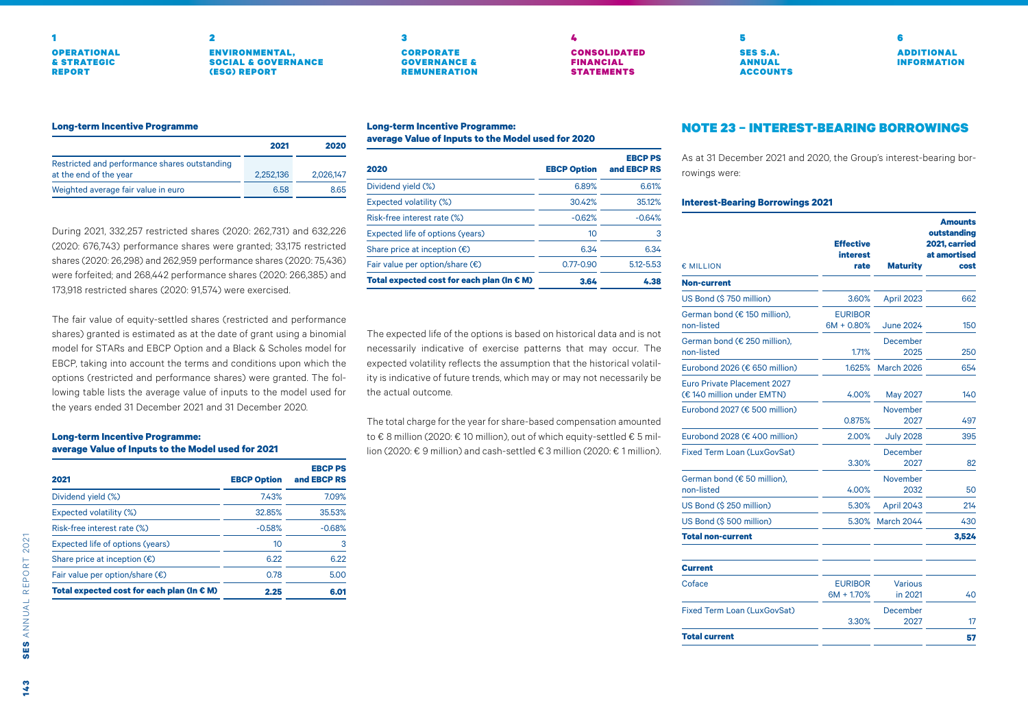#### **OPERATIONAL** & STRATEGIC REPORT

#### 2 ENVIRONMENTAL, [SOCIAL & GOVERNANCE](#page--1-1)  (ESG) REPORT

#### 3 CORPORATE [GOVERNANCE &](#page--1-0)  REMUNERATION

#### 4 [CONSOLIDATED](#page-0-0)  **FINANCIAL** STATEMENTS

5 SES S.A. ANNUAL [ACCOUNTS](#page--1-0)

6 ADDITIONAL INFORMATION

#### **Long-term Incentive Programme**

|                                                                         | 2021      | 2020      |
|-------------------------------------------------------------------------|-----------|-----------|
| Restricted and performance shares outstanding<br>at the end of the year | 2.252.136 | 2.026.147 |
| Weighted average fair value in euro                                     | 6.58      | 8.65      |

During 2021, 332,257 restricted shares (2020: 262,731) and 632,226 (2020: 676,743) performance shares were granted; 33,175 restricted shares (2020: 26,298) and 262,959 performance shares (2020: 75,436) were forfeited; and 268,442 performance shares (2020: 266,385) and 173,918 restricted shares (2020: 91,574) were exercised.

The fair value of equity-settled shares (restricted and performance shares) granted is estimated as at the date of grant using a binomial model for STARs and EBCP Option and a Black & Scholes model for EBCP, taking into account the terms and conditions upon which the options (restricted and performance shares) were granted. The following table lists the average value of inputs to the model used for the years ended 31 December 2021 and 31 December 2020.

#### **Long-term Incentive Programme: average Value of Inputs to the Model used for 2021**

| 2021                                       | <b>EBCP Option</b> | <b>EBCP PS</b><br>and EBCP RS |
|--------------------------------------------|--------------------|-------------------------------|
| Dividend yield (%)                         | 7.43%              | 7.09%                         |
| Expected volatility (%)                    | 32.85%             | 35.53%                        |
| Risk-free interest rate (%)                | $-0.58%$           | $-0.68%$                      |
| Expected life of options (years)           | 10                 | 3                             |
| Share price at inception $(\epsilon)$      | 6.22               | 6.22                          |
| Fair value per option/share $(\epsilon)$   | 0.78               | 5.00                          |
| Total expected cost for each plan (in € M) | 2.25               | 6.01                          |

**Long-term Incentive Programme: average Value of Inputs to the Model used for 2020**

|                                                     |                    | <b>EBCP PS</b> |
|-----------------------------------------------------|--------------------|----------------|
| 2020                                                | <b>EBCP Option</b> | and EBCP RS    |
| Dividend yield (%)                                  | 6.89%              | 6.61%          |
| Expected volatility (%)                             | 30.42%             | 35.12%         |
| Risk-free interest rate (%)                         | $-0.62%$           | $-0.64%$       |
| Expected life of options (years)                    | 10                 | з              |
| Share price at inception $(\epsilon)$               | 6.34               | 6.34           |
| Fair value per option/share $(\epsilon)$            | $0.77 - 0.90$      | 5.12-5.53      |
| Total expected cost for each plan (in $\epsilon$ M) | 3.64               | 4.38           |

The expected life of the options is based on historical data and is not necessarily indicative of exercise patterns that may occur. The expected volatility reflects the assumption that the historical volatility is indicative of future trends, which may or may not necessarily be the actual outcome.

The total charge for the year for share-based compensation amounted to € 8 million (2020: € 10 million), out of which equity-settled € 5 million (2020: € 9 million) and cash-settled € 3 million (2020: € 1 million).

#### <span id="page-52-0"></span>NOTE 23 – INTEREST-BEARING BORROWINGS

As at 31 December 2021 and 2020, the Group's interest-bearing borrowings were:

#### **Interest-Bearing Borrowings 2021**

| € MILLION                                                        | <b>Effective</b><br><b>interest</b><br>rate | <b>Maturity</b>           | <b>Amounts</b><br>outstanding<br>2021, carried<br>at amortised<br>cost |
|------------------------------------------------------------------|---------------------------------------------|---------------------------|------------------------------------------------------------------------|
| <b>Non-current</b>                                               |                                             |                           |                                                                        |
| US Bond (\$750 million)                                          | 3.60%                                       | <b>April 2023</b>         | 662                                                                    |
| German bond (€ 150 million),<br>non-listed                       | <b>EURIBOR</b><br>$6M + 0.80%$              | <b>June 2024</b>          | 150                                                                    |
| German bond (€ 250 million),<br>non-listed                       | 1.71%                                       | December<br>2025          | 250                                                                    |
| Eurobond 2026 (€ 650 million)                                    | 1.625%                                      | <b>March 2026</b>         | 654                                                                    |
| <b>Euro Private Placement 2027</b><br>(€ 140 million under EMTN) | 4.00%                                       | <b>May 2027</b>           | 140                                                                    |
| Eurobond 2027 (€ 500 million)                                    | 0.875%                                      | November<br>2027          | 497                                                                    |
| Eurobond 2028 (€ 400 million)                                    | 2.00%                                       | <b>July 2028</b>          | 395                                                                    |
| <b>Fixed Term Loan (LuxGovSat)</b>                               | 3.30%                                       | <b>December</b><br>2027   | 82                                                                     |
| German bond (€ 50 million),<br>non-listed                        | 4.00%                                       | November<br>2032          | 50                                                                     |
| US Bond (\$ 250 million)                                         | 5.30%                                       | April 2043                | 214                                                                    |
| US Bond (\$500 million)                                          | 5.30%                                       | <b>March 2044</b>         | 430                                                                    |
| <b>Total non-current</b>                                         |                                             |                           | 3,524                                                                  |
| <b>Current</b>                                                   |                                             |                           |                                                                        |
| Coface                                                           | <b>EURIBOR</b><br>$6M + 1.70%$              | <b>Various</b><br>in 2021 | 40                                                                     |
| <b>Fixed Term Loan (LuxGovSat)</b>                               | 3.30%                                       | <b>December</b><br>2027   | 17                                                                     |
| <b>Total current</b>                                             |                                             |                           | 57                                                                     |
|                                                                  |                                             |                           |                                                                        |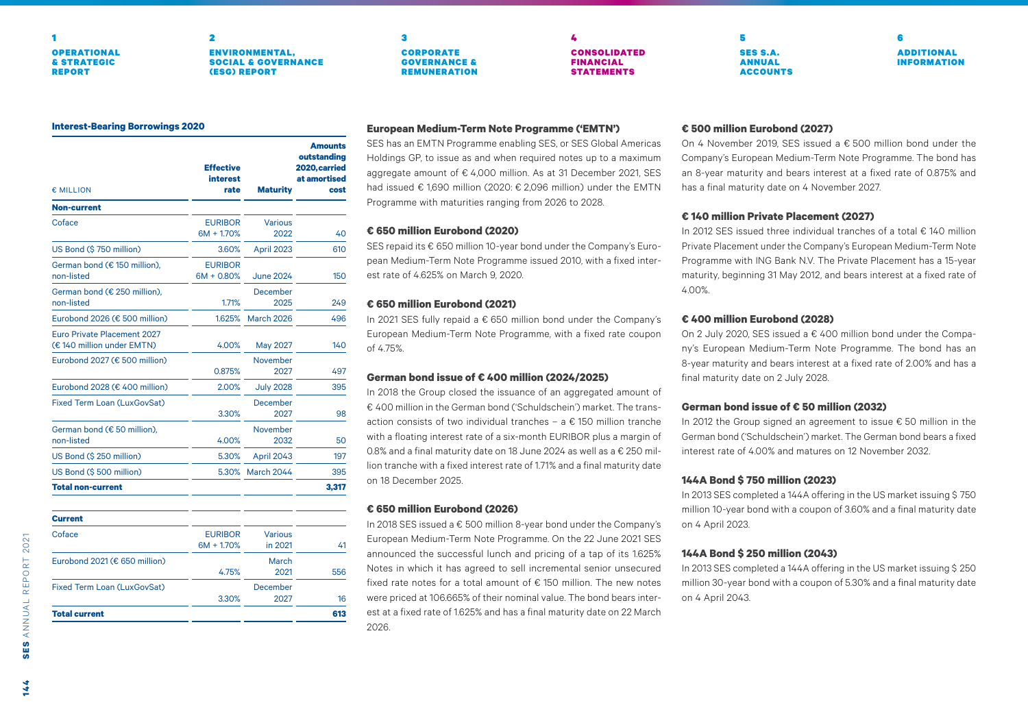**OPERATIONAL** & STRATEGIC REPORT

# 2 ENVIRONMENTAL,

[SOCIAL & GOVERNANCE](#page--1-1)  (ESG) REPORT

3 **CORPORATE** [GOVERNANCE &](#page--1-0)  REMUNERATION

4 **CONSOLIDATED FINANCIAL STATEMENTS** 

5 SES S.A. ANNUAL [ACCOUNTS](#page--1-0)

6 ADDITIONAL INFORMATION

#### **Interest-Bearing Borrowings 2020**

| <b>Effective</b><br><b>interest</b><br>rate | <b>Maturity</b>         | <b>Amounts</b><br>outstanding<br>2020, carried<br>at amortised<br>cost |
|---------------------------------------------|-------------------------|------------------------------------------------------------------------|
|                                             |                         |                                                                        |
| <b>EURIBOR</b><br>$6M + 1.70%$              | <b>Various</b><br>2022  | 40                                                                     |
| 3.60%                                       | <b>April 2023</b>       | 610                                                                    |
| <b>EURIBOR</b><br>$6M + 0.80%$              | <b>June 2024</b>        | 150                                                                    |
| 1.71%                                       | <b>December</b><br>2025 | 249                                                                    |
| 1.625%                                      | <b>March 2026</b>       | 496                                                                    |
| 4.00%                                       | <b>May 2027</b>         | 140                                                                    |
| 0.875%                                      | November<br>2027        | 497                                                                    |
| 2.00%                                       | <b>July 2028</b>        | 395                                                                    |
| 3.30%                                       | December<br>2027        | 98                                                                     |
| 4.00%                                       | November<br>2032        | 50                                                                     |
| 5.30%                                       | <b>April 2043</b>       | 197                                                                    |
| 5.30%                                       | <b>March 2044</b>       | 395                                                                    |
|                                             |                         | 3,317                                                                  |
|                                             |                         |                                                                        |

6M + 1.70%

4.75%

3.30%

**Total current 613**

Various

March

December

in 2021 41

2021 556

2027 16

#### **European Medium-Term Note Programme ('EMTN')**

SES has an EMTN Programme enabling SES, or SES Global Americas Holdings GP, to issue as and when required notes up to a maximum aggregate amount of € 4,000 million. As at 31 December 2021, SES had issued € 1,690 million (2020: € 2,096 million) under the EMTN Programme with maturities ranging from 2026 to 2028.

#### **€ 650 million Eurobond (2020)**

SES repaid its € 650 million 10-year bond under the Company's European Medium-Term Note Programme issued 2010, with a fixed interest rate of 4.625% on March 9, 2020.

#### **€ 650 million Eurobond (2021)**

In 2021 SES fully repaid a € 650 million bond under the Company's European Medium-Term Note Programme, with a fixed rate coupon of 4.75%.

#### **German bond issue of € 400 million (2024/2025)**

In 2018 the Group closed the issuance of an aggregated amount of € 400 million in the German bond ('Schuldschein') market. The transaction consists of two individual tranches – a € 150 million tranche with a floating interest rate of a six-month EURIBOR plus a margin of 0.8% and a final maturity date on 18 June 2024 as well as a € 250 million tranche with a fixed interest rate of 1.71% and a final maturity date on 18 December 2025.

#### **€ 650 million Eurobond (2026)**

In 2018 SES issued a € 500 million 8-year bond under the Company's European Medium-Term Note Programme. On the 22 June 2021 SES announced the successful lunch and pricing of a tap of its 1.625% Notes in which it has agreed to sell incremental senior unsecured fixed rate notes for a total amount of € 150 million. The new notes were priced at 106.665% of their nominal value. The bond bears interest at a fixed rate of 1.625% and has a final maturity date on 22 March 2026.

#### **€ 500 million Eurobond (2027)**

On 4 November 2019, SES issued a € 500 million bond under the Company's European Medium-Term Note Programme. The bond has an 8-year maturity and bears interest at a fixed rate of 0.875% and has a final maturity date on 4 November 2027.

#### **€ 140 million Private Placement (2027)**

In 2012 SES issued three individual tranches of a total € 140 million Private Placement under the Company's European Medium-Term Note Programme with ING Bank N.V. The Private Placement has a 15-year maturity, beginning 31 May 2012, and bears interest at a fixed rate of 4.00%.

#### **€ 400 million Eurobond (2028)**

On 2 July 2020, SES issued a € 400 million bond under the Company's European Medium-Term Note Programme. The bond has an 8-year maturity and bears interest at a fixed rate of 2.00% and has a final maturity date on 2 July 2028.

#### **German bond issue of € 50 million (2032)**

In 2012 the Group signed an agreement to issue € 50 million in the German bond ('Schuldschein') market. The German bond bears a fixed interest rate of 4.00% and matures on 12 November 2032.

#### **144A Bond \$ 750 million (2023)**

In 2013 SES completed a 144A offering in the US market issuing \$ 750 million 10-year bond with a coupon of 3.60% and a final maturity date on 4 April 2023.

#### **144A Bond \$ 250 million (2043)**

In 2013 SES completed a 144A offering in the US market issuing \$ 250 million 30-year bond with a coupon of 5.30% and a final maturity date on 4 April 2043.

**Current**

Coface EURIBOR

Eurobond 2021 (€ 650 million)

Fixed Term Loan (LuxGovSat)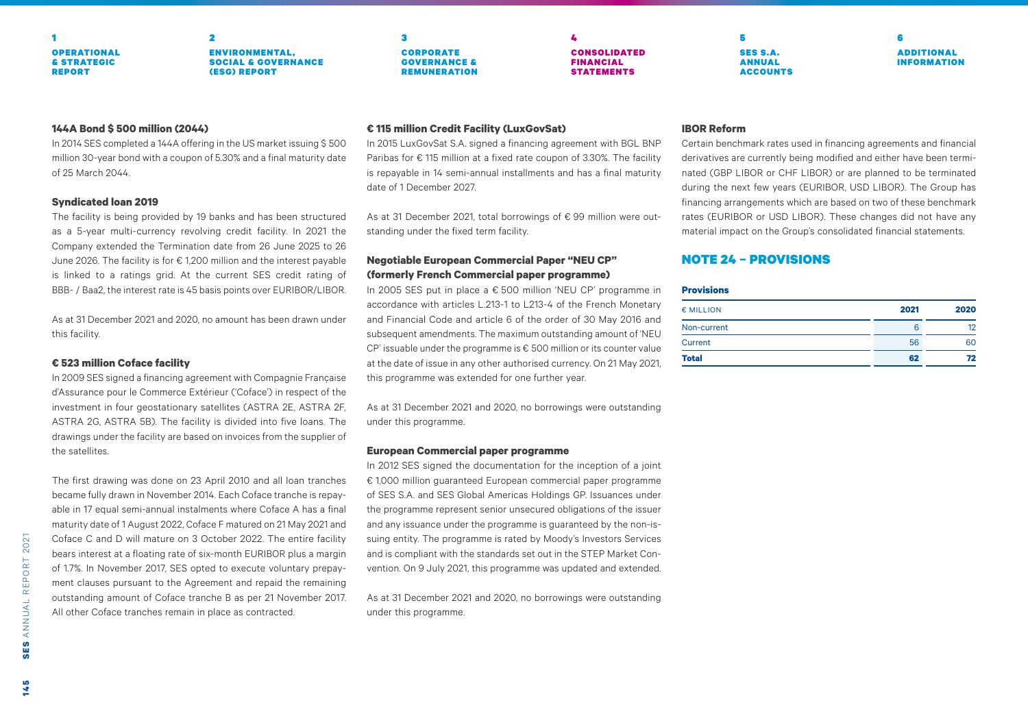**OPERATIONAL** & STRATEGIC REPORT

2 ENVIRONMENTAL, [SOCIAL & GOVERNANCE](#page--1-1)  (ESG) REPORT

CORPORATE [GOVERNANCE &](#page--1-0)  **REMUNERATION** 

3

4 [CONSOLIDATED](#page-0-0)  **FINANCIAL STATEMENTS** 

5 SES S.A. ANNUAL [ACCOUNTS](#page--1-0)

6 ADDITIONAL INFORMATION

#### **144A Bond \$ 500 million (2044)**

In 2014 SES completed a 144A offering in the US market issuing \$500 million 30-year bond with a coupon of 5.30% and a final maturity date of 25 March 2044.

#### **Syndicated loan 2019**

The facility is being provided by 19 banks and has been structured as a 5-year multi-currency revolving credit facility. In 2021 the Company extended the Termination date from 26 June 2025 to 26 June 2026. The facility is for € 1,200 million and the interest payable is linked to a ratings grid. At the current SES credit rating of BBB- / Baa2, the interest rate is 45 basis points over EURIBOR/LIBOR.

As at 31 December 2021 and 2020, no amount has been drawn under this facility.

#### **€ 523 million Coface facility**

In 2009 SES signed a financing agreement with Compagnie Française d'Assurance pour le Commerce Extérieur ('Coface') in respect of the investment in four geostationary satellites (ASTRA 2E, ASTRA 2F, ASTRA 2G, ASTRA 5B). The facility is divided into five loans. The drawings under the facility are based on invoices from the supplier of the satellites.

The first drawing was done on 23 April 2010 and all loan tranches became fully drawn in November 2014. Each Coface tranche is repayable in 17 equal semi-annual instalments where Coface A has a final maturity date of 1 August 2022, Coface F matured on 21 May 2021 and Coface C and D will mature on 3 October 2022. The entire facility bears interest at a floating rate of six-month EURIBOR plus a margin of 1.7%. In November 2017, SES opted to execute voluntary prepayment clauses pursuant to the Agreement and repaid the remaining outstanding amount of Coface tranche B as per 21 November 2017. All other Coface tranches remain in place as contracted.

#### **€ 115 million Credit Facility (LuxGovSat)**

In 2015 LuxGovSat S.A. signed a financing agreement with BGL BNP Paribas for € 115 million at a fixed rate coupon of 3.30%. The facility is repayable in 14 semi-annual installments and has a final maturity date of 1 December 2027.

As at 31 December 2021, total borrowings of € 99 million were outstanding under the fixed term facility.

#### **Negotiable European Commercial Paper "NEU CP" (formerly French Commercial paper programme)**

In 2005 SES put in place a € 500 million 'NEU CP' programme in accordance with articles L.213-1 to L213-4 of the French Monetary and Financial Code and article 6 of the order of 30 May 2016 and subsequent amendments. The maximum outstanding amount of 'NEU CP' issuable under the programme is € 500 million or its counter value at the date of issue in any other authorised currency. On 21 May 2021, this programme was extended for one further year.

As at 31 December 2021 and 2020, no borrowings were outstanding under this programme.

#### **European Commercial paper programme**

In 2012 SES signed the documentation for the inception of a joint € 1,000 million guaranteed European commercial paper programme of SES S.A. and SES Global Americas Holdings GP. Issuances under the programme represent senior unsecured obligations of the issuer and any issuance under the programme is guaranteed by the non-issuing entity. The programme is rated by Moody's Investors Services and is compliant with the standards set out in the STEP Market Convention. On 9 July 2021, this programme was updated and extended.

As at 31 December 2021 and 2020, no borrowings were outstanding under this programme.

#### **IBOR Reform**

Certain benchmark rates used in financing agreements and financial derivatives are currently being modified and either have been terminated (GBP LIBOR or CHF LIBOR) or are planned to be terminated during the next few years (EURIBOR, USD LIBOR). The Group has financing arrangements which are based on two of these benchmark rates (EURIBOR or USD LIBOR). These changes did not have any material impact on the Group's consolidated financial statements.

#### <span id="page-54-0"></span>NOTE 24 – PROVISIONS

#### **Provisions**

| € MILLION    | 2021 | 2020 |
|--------------|------|------|
| Non-current  | 6    | 12   |
| Current      | 56   | 60   |
| <b>Total</b> | 62   | 72   |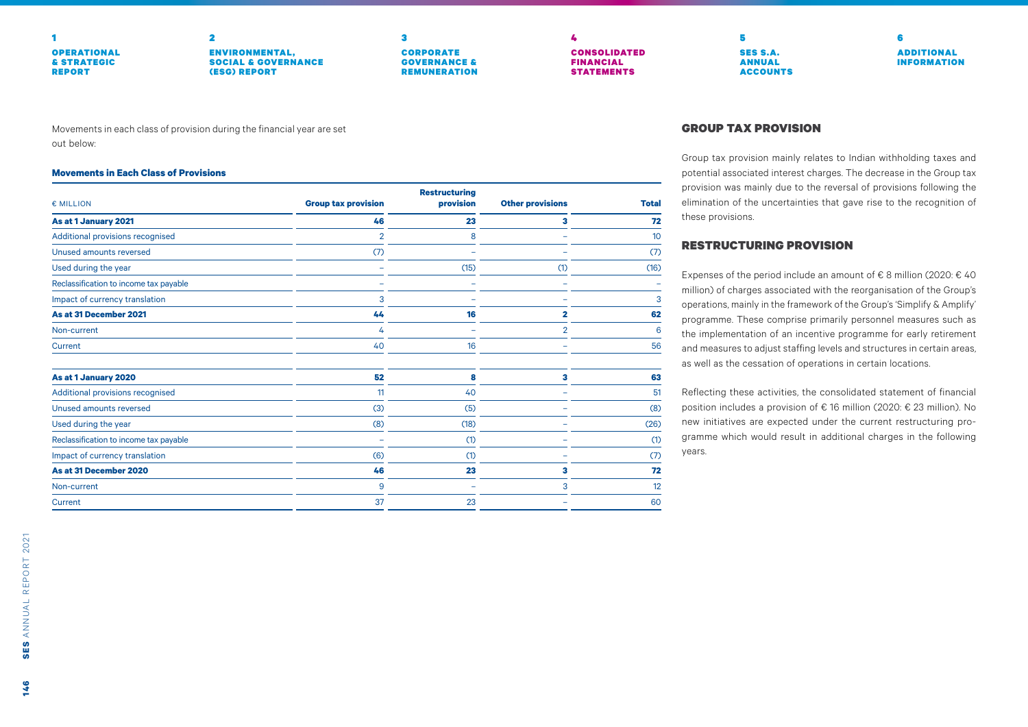**OPERATIONAL** & STRATEGIC REPORT

2 ENVIRONMENTAL,

[SOCIAL & GOVERNANCE](#page--1-1)  (ESG) REPORT

3 CORPORATE [GOVERNANCE &](#page--1-0)  REMUNERATION

4 [CONSOLIDATED](#page-0-0)  FINANCIAL STATEMENTS

5 SES S.A. ANNUAL [ACCOUNTS](#page--1-0)

6 ADDITIONAL INFORMATION

Movements in each class of provision during the financial year are set out below:

#### **Movements in Each Class of Provisions**

| € MILLION                              | <b>Group tax provision</b> | <b>Restructuring</b><br>provision | <b>Other provisions</b>  | <b>Total</b> |
|----------------------------------------|----------------------------|-----------------------------------|--------------------------|--------------|
| As at 1 January 2021                   | 46                         | 23                                | 3                        | 72           |
| Additional provisions recognised       | $\overline{2}$             | 8                                 |                          | 10           |
| Unused amounts reversed                | (7)                        |                                   |                          | (7)          |
| Used during the year                   |                            | (15)                              | (1)                      | (16)         |
| Reclassification to income tax payable |                            |                                   |                          | ۰            |
| Impact of currency translation         | 3                          |                                   | $\overline{\phantom{0}}$ | 3            |
| As at 31 December 2021                 | 44                         | 16                                | $\overline{\mathbf{2}}$  | 62           |
| Non-current                            | 4                          |                                   | $\overline{2}$           | 6            |
| Current                                | 40                         | 16                                |                          | 56           |
| As at 1 January 2020                   | 52                         | 8                                 | 3                        | 63           |
| Additional provisions recognised       | 11                         | 40                                |                          | 51           |
| Unused amounts reversed                | (3)                        | (5)                               |                          | (8)          |
| Used during the year                   | (8)                        | (18)                              |                          | (26)         |
| Reclassification to income tax payable | $\overline{\phantom{0}}$   | (1)                               |                          | (1)          |
| Impact of currency translation         | (6)                        | (1)                               | ۰                        | (7)          |
| As at 31 December 2020                 | 46                         | 23                                | з                        | 72           |
| Non-current                            | 9                          |                                   | 3                        | 12           |
| Current                                | 37                         | 23                                |                          | 60           |
|                                        |                            |                                   |                          |              |

#### GROUP TAX PROVISION

Group tax provision mainly relates to Indian withholding taxes and potential associated interest charges. The decrease in the Group tax provision was mainly due to the reversal of provisions following the elimination of the uncertainties that gave rise to the recognition of these provisions.

#### RESTRUCTURING PROVISION

Expenses of the period include an amount of  $\epsilon$  8 million (2020:  $\epsilon$  40 million) of charges associated with the reorganisation of the Group's operations, mainly in the framework of the Group's 'Simplify & Amplify' programme. These comprise primarily personnel measures such as the implementation of an incentive programme for early retirement and measures to adjust staffing levels and structures in certain areas, as well as the cessation of operations in certain locations.

Reflecting these activities, the consolidated statement of financial position includes a provision of € 16 million (2020: € 23 million). No new initiatives are expected under the current restructuring programme which would result in additional charges in the following years.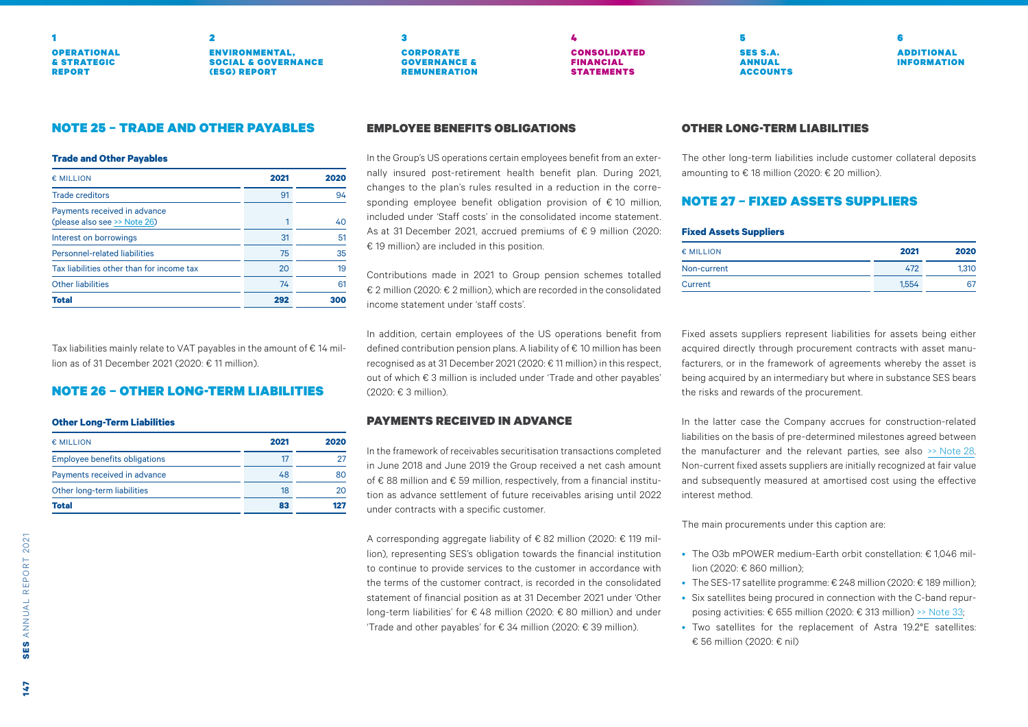**OPERATIONAL** & STRATEGIC REPORT

**CORPORATE** [GOVERNANCE &](#page--1-0)  REMUNERATION

3

**CONSOLIDATED FINANCIAL STATEMENTS** 

4

5 SES S.A. ANNUAL [ACCOUNTS](#page--1-0)

6 ADDITIONAL INFORMATION

#### <span id="page-56-2"></span>NOTE 25 – TRADE AND OTHER PAYABLES

#### **Trade and Other Payables**

| € MILLION                                                    | 2021 | 2020 |
|--------------------------------------------------------------|------|------|
| <b>Trade creditors</b>                                       | 91   | 94   |
| Payments received in advance<br>(please also see >> Note 26) | 1    | 40   |
| Interest on borrowings                                       | 31   | 51   |
| <b>Personnel-related liabilities</b>                         | 75   | 35   |
| Tax liabilities other than for income tax                    | 20   | 19   |
| <b>Other liabilities</b>                                     | 74   | 61   |
| <b>Total</b>                                                 | 292  | 300  |

Tax liabilities mainly relate to VAT payables in the amount of € 14 million as of 31 December 2021 (2020: € 11 million).

#### <span id="page-56-0"></span>NOTE 26 – OTHER LONG-TERM LIABILITIES

#### **Other Long-Term Liabilities**

| € MILLION                            | 2021 | 2020 |
|--------------------------------------|------|------|
| <b>Employee benefits obligations</b> | 17   |      |
| Payments received in advance         | 48   | 80   |
| Other long-term liabilities          | 18   | 20   |
| <b>Total</b>                         | 83   | 127  |

#### EMPLOYEE BENEFITS OBLIGATIONS

In the Group's US operations certain employees benefit from an externally insured post-retirement health benefit plan. During 2021, changes to the plan's rules resulted in a reduction in the corresponding employee benefit obligation provision of € 10 million, included under 'Staff costs' in the consolidated income statement. As at 31 December 2021, accrued premiums of € 9 million (2020: € 19 million) are included in this position.

Contributions made in 2021 to Group pension schemes totalled € 2 million (2020: € 2 million), which are recorded in the consolidated income statement under 'staff costs'.

In addition, certain employees of the US operations benefit from defined contribution pension plans. A liability of € 10 million has been recognised as at 31 December 2021 (2020: € 11 million) in this respect, out of which € 3 million is included under 'Trade and other payables' (2020: € 3 million).

#### PAYMENTS RECEIVED IN ADVANCE

In the framework of receivables securitisation transactions completed in June 2018 and June 2019 the Group received a net cash amount of € 88 million and € 59 million, respectively, from a financial institution as advance settlement of future receivables arising until 2022 under contracts with a specific customer.

A corresponding aggregate liability of € 82 million (2020: € 119 million), representing SES's obligation towards the financial institution to continue to provide services to the customer in accordance with the terms of the customer contract, is recorded in the consolidated statement of financial position as at 31 December 2021 under 'Other long-term liabilities' for € 48 million (2020: € 80 million) and under 'Trade and other payables' for € 34 million (2020: € 39 million).

#### OTHER LONG-TERM LIABILITIES

The other long-term liabilities include customer collateral deposits amounting to € 18 million (2020: € 20 million).

#### <span id="page-56-1"></span>NOTE 27 – FIXED ASSETS SUPPLIERS

#### **Fixed Assets Suppliers**

| € MILLION   | 2021  | 2020  |
|-------------|-------|-------|
| Non-current | 472   | 1.310 |
| Current     | 1,554 | 67    |

Fixed assets suppliers represent liabilities for assets being either acquired directly through procurement contracts with asset manufacturers, or in the framework of agreements whereby the asset is being acquired by an intermediary but where in substance SES bears the risks and rewards of the procurement.

In the latter case the Company accrues for construction-related liabilities on the basis of pre-determined milestones agreed between the manufacturer and the relevant parties, see also >> [Note](#page-57-1) 28. Non-current fixed assets suppliers are initially recognized at fair value and subsequently measured at amortised cost using the effective interest method.

The main procurements under this caption are:

- The O3b mPOWER medium-Earth orbit constellation: € 1,046 million (2020: € 860 million);
- The SES-17 satellite programme: € 248 million (2020: € 189 million);
- Six satellites being procured in connection with the C-band repurposing activities: € 655 million (2020: € 313 million) >> [Note](#page-61-0) 33;
- Two satellites for the replacement of Astra 19.2°E satellites: € 56 million (2020: € nil)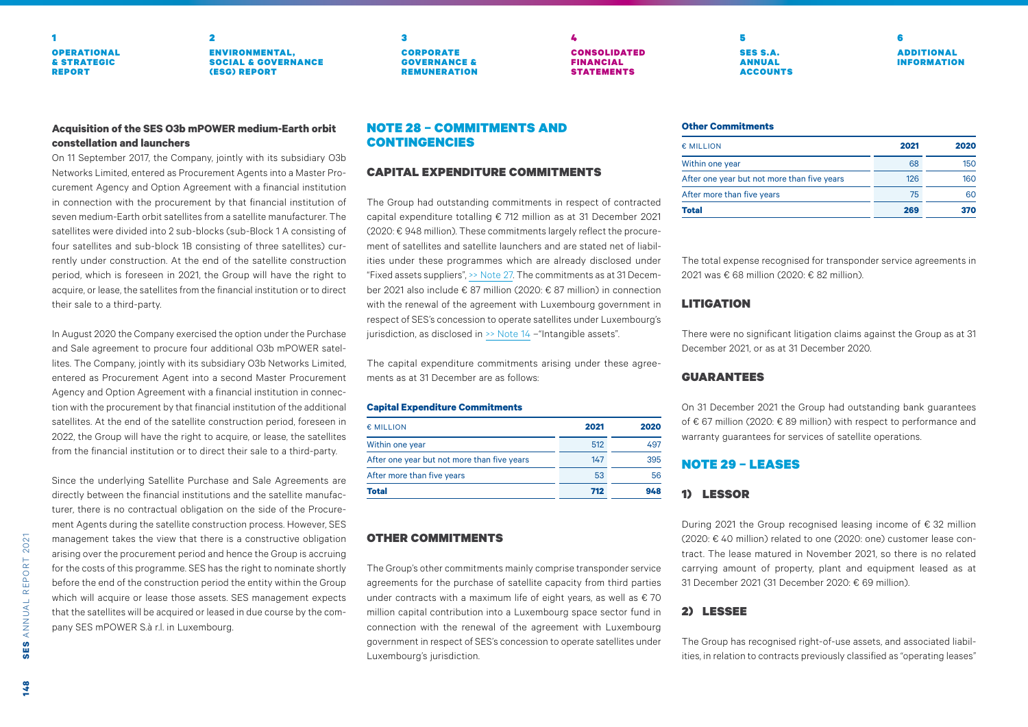**OPERATIONAL** & STRATEGIC REPORT

2 ENVIRONMENTAL, [SOCIAL & GOVERNANCE](#page--1-1)  (ESG) REPORT

3 **CORPORATE** [GOVERNANCE &](#page--1-0)  REMUNERATION

4 **CONSOLIDATED FINANCIAL STATEMENTS** 

5 SES S.A. ANNUAL [ACCOUNTS](#page--1-0)

6 ADDITIONAL INFORMATION

#### **Acquisition of the SES O3b mPOWER medium-Earth orbit constellation and launchers**

On 11 September 2017, the Company, jointly with its subsidiary O3b Networks Limited, entered as Procurement Agents into a Master Procurement Agency and Option Agreement with a financial institution in connection with the procurement by that financial institution of seven medium-Earth orbit satellites from a satellite manufacturer. The satellites were divided into 2 sub-blocks (sub-Block 1 A consisting of four satellites and sub-block 1B consisting of three satellites) currently under construction. At the end of the satellite construction period, which is foreseen in 2021, the Group will have the right to acquire, or lease, the satellites from the financial institution or to direct their sale to a third-party.

In August 2020 the Company exercised the option under the Purchase and Sale agreement to procure four additional O3b mPOWER satellites. The Company, jointly with its subsidiary O3b Networks Limited, entered as Procurement Agent into a second Master Procurement Agency and Option Agreement with a financial institution in connection with the procurement by that financial institution of the additional satellites. At the end of the satellite construction period, foreseen in 2022, the Group will have the right to acquire, or lease, the satellites from the financial institution or to direct their sale to a third-party.

Since the underlying Satellite Purchase and Sale Agreements are directly between the financial institutions and the satellite manufacturer, there is no contractual obligation on the side of the Procurement Agents during the satellite construction process. However, SES management takes the view that there is a constructive obligation arising over the procurement period and hence the Group is accruing for the costs of this programme. SES has the right to nominate shortly before the end of the construction period the entity within the Group which will acquire or lease those assets. SES management expects that the satellites will be acquired or leased in due course by the company SES mPOWER S.à r.l. in Luxembourg.

#### <span id="page-57-1"></span>NOTE 28 – COMMITMENTS AND **CONTINGENCIES**

#### CAPITAL EXPENDITURE COMMITMENTS

The Group had outstanding commitments in respect of contracted capital expenditure totalling € 712 million as at 31 December 2021 (2020: € 948 million). These commitments largely reflect the procurement of satellites and satellite launchers and are stated net of liabilities under these programmes which are already disclosed under "Fixed assets suppliers", >> [Note](#page-56-1) 27. The commitments as at 31 December 2021 also include € 87 million (2020: € 87 million) in connection with the renewal of the agreement with Luxembourg government in respect of SES's concession to operate satellites under Luxembourg's jurisdiction, as disclosed in >> [Note](#page-34-0) 14 - "Intangible assets".

The capital expenditure commitments arising under these agreements as at 31 December are as follows:

#### **Capital Expenditure Commitments**

| € MILLION                                   | 2021 | 2020 |
|---------------------------------------------|------|------|
| Within one year                             | 512  | 497  |
| After one year but not more than five years | 147  | 395  |
| After more than five years                  | 53   | 56   |
| <b>Total</b>                                | 712  | 948  |

#### OTHER COMMITMENTS

The Group's other commitments mainly comprise transponder service agreements for the purchase of satellite capacity from third parties under contracts with a maximum life of eight years, as well as  $\epsilon$  70 million capital contribution into a Luxembourg space sector fund in connection with the renewal of the agreement with Luxembourg government in respect of SES's concession to operate satellites under Luxembourg's jurisdiction.

#### **Other Commitments**

| € MILLION                                   | 2021 | 2020 |
|---------------------------------------------|------|------|
| Within one year                             | 68   | 150  |
| After one year but not more than five years | 126  | 160  |
| After more than five years                  | 75   | 60   |
| Total                                       | 269  | 370  |

The total expense recognised for transponder service agreements in 2021 was € 68 million (2020: € 82 million).

#### LITIGATION

There were no significant litigation claims against the Group as at 31 December 2021, or as at 31 December 2020.

#### GUARANTEES

On 31 December 2021 the Group had outstanding bank guarantees of € 67 million (2020: € 89 million) with respect to performance and warranty guarantees for services of satellite operations.

#### <span id="page-57-0"></span>NOTE 29 – LEASES

#### 1) LESSOR

During 2021 the Group recognised leasing income of € 32 million (2020: € 40 million) related to one (2020: one) customer lease contract. The lease matured in November 2021, so there is no related carrying amount of property, plant and equipment leased as at 31 December 2021 (31 December 2020: € 69 million).

#### 2) LESSEE

The Group has recognised right-of-use assets, and associated liabilities, in relation to contracts previously classified as "operating leases"

REPORT 2021 **SES** ANNUAL REPORT 2021 ANNUAL SES<sub></sub> **148**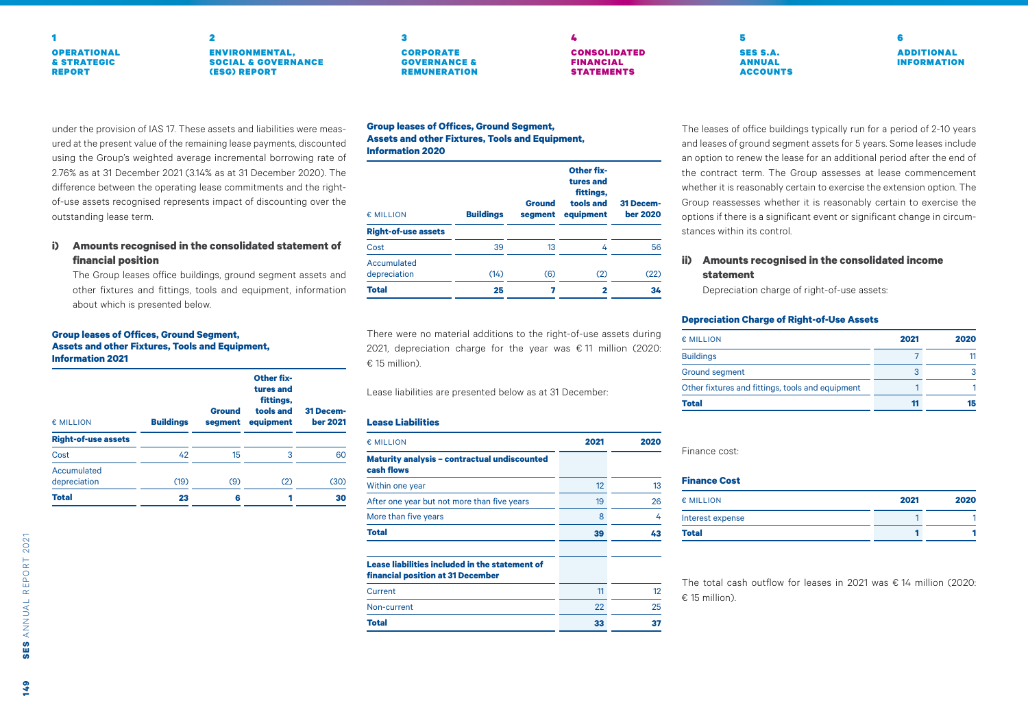#### 1 **OPERATIONAL**

& STRATEGIC REPORT

ENVIRONMENTAL, [SOCIAL & GOVERNANCE](#page--1-1)  (ESG) REPORT

2

3

CORPORATE [GOVERNANCE &](#page--1-0)  REMUNERATION

under the provision of IAS 17. These assets and liabilities were measured at the present value of the remaining lease payments, discounted using the Group's weighted average incremental borrowing rate of 2.76% as at 31 December 2021 (3.14% as at 31 December 2020). The difference between the operating lease commitments and the rightof-use assets recognised represents impact of discounting over the outstanding lease term.

#### **i) Amounts recognised in the consolidated statement of financial position**

The Group leases office buildings, ground segment assets and other fixtures and fittings, tools and equipment, information about which is presented below.

#### **Group leases of Offices, Ground Segment, Assets and other Fixtures, Tools and Equipment, Information 2021**

| € MILLION                          | <b>Buildings</b> | <b>Ground</b><br>segment | Other fix-<br>tures and<br>fittings,<br>tools and<br>equipment | 31 Decem-<br><b>ber 2021</b> |
|------------------------------------|------------------|--------------------------|----------------------------------------------------------------|------------------------------|
| <b>Right-of-use assets</b>         |                  |                          |                                                                |                              |
| Cost                               | 42               | 15                       | 3                                                              | 60                           |
| <b>Accumulated</b><br>depreciation | (19)             | (9)                      | (2)                                                            | (30)                         |
| <b>Total</b>                       | 23               | 6                        | 1                                                              | 30                           |

#### **Group leases of Offices, Ground Segment, Assets and other Fixtures, Tools and Equipment, Information 2020**

| € MILLION                   | <b>Buildings</b> | <b>Ground</b><br>seament | <b>Other fix-</b><br>tures and<br>fittings,<br>tools and<br>equipment | 31 Decem-<br><b>ber 2020</b> |
|-----------------------------|------------------|--------------------------|-----------------------------------------------------------------------|------------------------------|
| <b>Right-of-use assets</b>  |                  |                          |                                                                       |                              |
| Cost                        | 39               | 13                       | 4                                                                     | 56                           |
| Accumulated<br>depreciation | (14)             | (6)                      | (2)                                                                   | (22)                         |
| <b>Total</b>                | 25               |                          | 2                                                                     | 34                           |

4

[CONSOLIDATED](#page-0-0)  **FINANCIAL** STATEMENTS

There were no material additions to the right-of-use assets during 2021, depreciation charge for the year was € 11 million (2020: € 15 million).

Lease liabilities are presented below as at 31 December:

#### **Lease Liabilities**

| € MILLION                                                         | 2021 | 2020 |
|-------------------------------------------------------------------|------|------|
| <b>Maturity analysis - contractual undiscounted</b><br>cash flows |      |      |
| Within one year                                                   | 12   | 13   |
| After one year but not more than five years                       | 19   | 26   |
| More than five years                                              | 8    | 4    |
| <b>Total</b>                                                      | 39   | 43   |
|                                                                   |      |      |

### **Lease liabilities included in the statement of**

| financial position at 31 December                       |  |
|---------------------------------------------------------|--|
| Current                                                 |  |
| <b>SALES CONTINUES IN THE REAL PROPERTY AND INCOME.</b> |  |

| Total       |    |
|-------------|----|
| Non-current | 25 |

The leases of office buildings typically run for a period of 2-10 years and leases of ground segment assets for 5 years. Some leases include an option to renew the lease for an additional period after the end of the contract term. The Group assesses at lease commencement whether it is reasonably certain to exercise the extension option. The Group reassesses whether it is reasonably certain to exercise the options if there is a significant event or significant change in circumstances within its control.

#### **ii) Amounts recognised in the consolidated income statement**

Depreciation charge of right-of-use assets:

#### **Depreciation Charge of Right-of-Use Assets**

5 SES S.A. ANNUAL [ACCOUNTS](#page--1-0)

| € MILLION                                        | 2021 | 2020 |
|--------------------------------------------------|------|------|
| <b>Buildings</b>                                 |      |      |
| <b>Ground segment</b>                            |      |      |
| Other fixtures and fittings, tools and equipment |      |      |
| <b>Total</b>                                     |      | 15   |

#### Finance cost:

#### **Finance Cost**

| € MILLION        | 2021 | 2020 |
|------------------|------|------|
| Interest expense |      |      |
| Total            |      |      |

The total cash outflow for leases in 2021 was € 14 million (2020: € 15 million).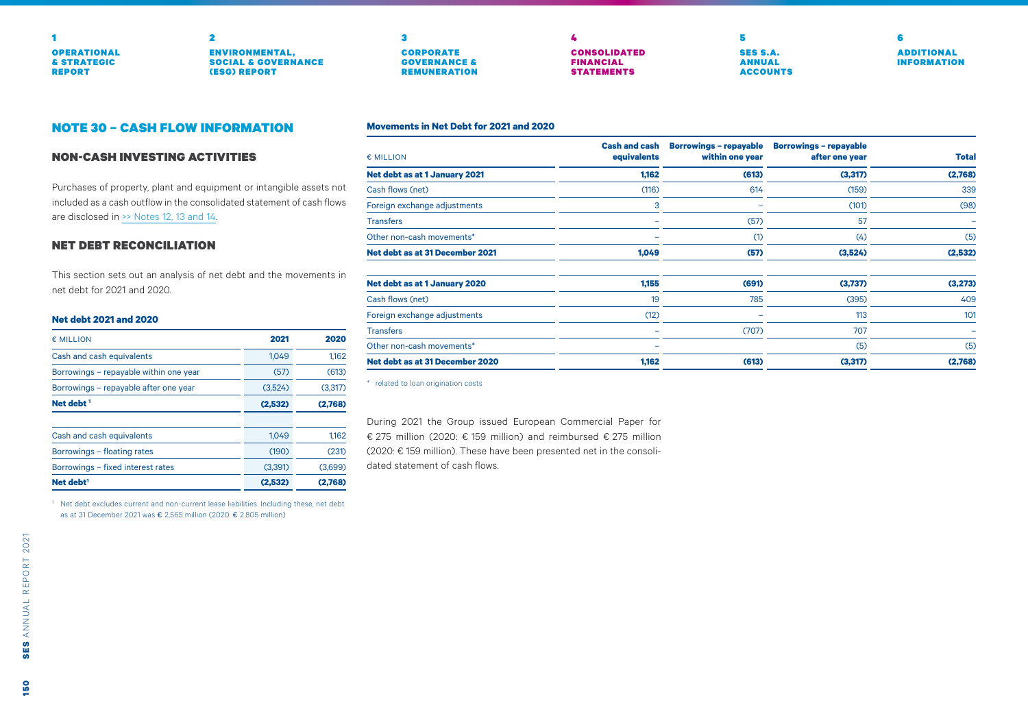**OPERATIONAL** & STRATEGIC REPORT

4 [CONSOLIDATED](#page-0-0)  FINANCIAL STATEMENTS

5 SES S.A. ANNUAL [ACCOUNTS](#page--1-0)

6 ADDITIONAL INFORMATION

#### <span id="page-59-0"></span>NOTE 30 – CASH FLOW INFORMATION

#### NON-CASH INVESTING ACTIVITIES

Purchases of property, plant and equipment or intangible assets not included as a cash outflow in the consolidated statement of cash flows are disclosed in >> [Notes 12,](#page-30-0) [13 a](#page-33-0)nd [14.](#page-34-0)

#### NET DEBT RECONCILIATION

This section sets out an analysis of net debt and the movements in net debt for 2021 and 2020.

#### **Net debt 2021 and 2020**

| € MILLION                              | 2021    | 2020    |
|----------------------------------------|---------|---------|
| Cash and cash equivalents              | 1.049   | 1.162   |
| Borrowings - repayable within one year | (57)    | (613)   |
| Borrowings - repayable after one year  | (3,524) | (3,317) |
| Net debt <sup>1</sup>                  | (2,532) | (2,768) |
|                                        |         |         |
| Cash and cash equivalents              | 1.049   | 1.162   |
| Borrowings - floating rates            | (190)   | (231)   |
| Borrowings - fixed interest rates      | (3.391) | (3,699) |
| Net debt <sup>1</sup>                  | (2.532) | (2.768) |

1 Net debt excludes current and non-current lease liabilities. Including these, net debt as at 31 December 2021 was € 2,565 million (2020: € 2,805 million)

#### **Movements in Net Debt for 2021 and 2020**

| € MILLION                       | <b>Cash and cash</b><br>equivalents | <b>Borrowings - repayable</b><br>within one year | <b>Borrowings - repayable</b><br>after one year | <b>Total</b> |
|---------------------------------|-------------------------------------|--------------------------------------------------|-------------------------------------------------|--------------|
| Net debt as at 1 January 2021   | 1,162                               | (613)                                            | (3,317)                                         | (2,768)      |
| Cash flows (net)                | (116)                               | 614                                              | (159)                                           | 339          |
| Foreign exchange adjustments    | 3                                   |                                                  | (101)                                           | (98)         |
| <b>Transfers</b>                |                                     | (57)                                             | 57                                              |              |
| Other non-cash movements*       |                                     | (1)                                              | (4)                                             | (5)          |
| Net debt as at 31 December 2021 | 1,049                               | (57)                                             | (3,524)                                         | (2,532)      |
| Net debt as at 1 January 2020   | 1,155                               | (691)                                            | (3,737)                                         | (3,273)      |
| Cash flows (net)                | 19                                  | 785                                              | (395)                                           | 409          |
| Foreign exchange adjustments    | (12)                                |                                                  | 113                                             | 101          |
| <b>Transfers</b>                |                                     | (707)                                            | 707                                             |              |
| Other non-cash movements*       |                                     |                                                  | (5)                                             | (5)          |
| Net debt as at 31 December 2020 | 1,162                               | (613)                                            | (3,317)                                         | (2,768)      |

\* related to loan origination costs

During 2021 the Group issued European Commercial Paper for € 275 million (2020: € 159 million) and reimbursed € 275 million (2020: € 159 million). These have been presented net in the consolidated statement of cash flows.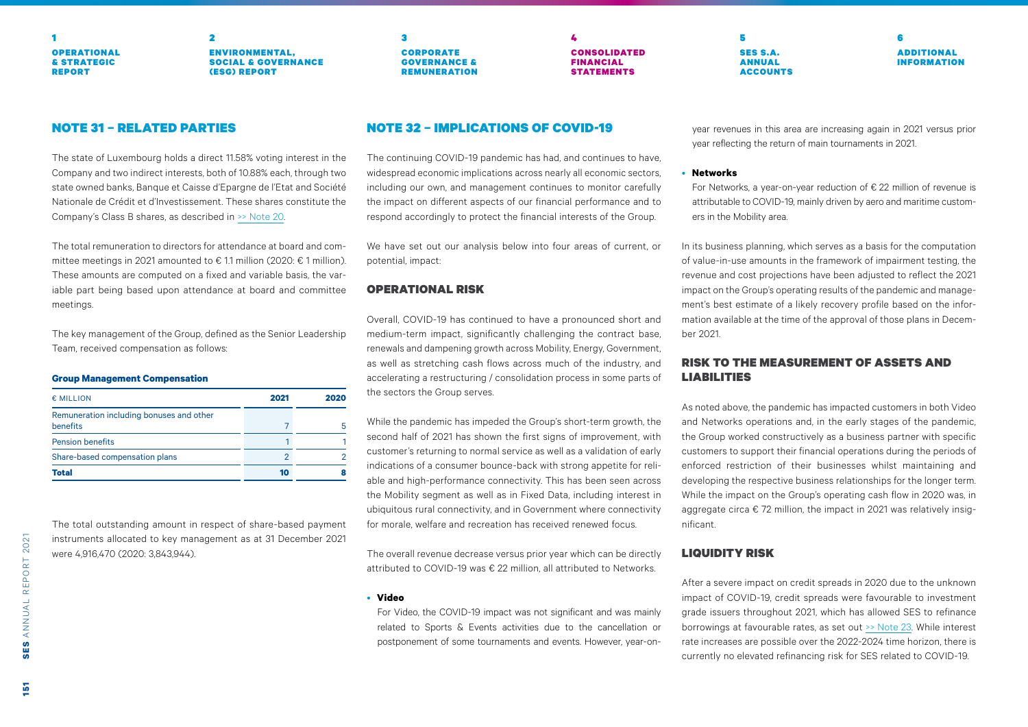**OPERATIONAL** & STRATEGIC REPORT

**CORPORATE** [GOVERNANCE &](#page--1-0)  REMUNERATION

3

4 **CONSOLIDATED FINANCIAL STATEMENTS** 

5 SES S.A. ANNUAL [ACCOUNTS](#page--1-0)

6 ADDITIONAL INFORMATION

#### NOTE 31 – RELATED PARTIES

The state of Luxembourg holds a direct 11.58% voting interest in the Company and two indirect interests, both of 10.88% each, through two state owned banks, Banque et Caisse d'Epargne de l'Etat and Société Nationale de Crédit et d'Investissement. These shares constitute the Company's Class B shares, as described in >> [Note](#page-47-1) 20.

The total remuneration to directors for attendance at board and committee meetings in 2021 amounted to € 1.1 million (2020: € 1 million). These amounts are computed on a fixed and variable basis, the variable part being based upon attendance at board and committee meetings.

The key management of the Group, defined as the Senior Leadership Team, received compensation as follows:

#### **Group Management Compensation**

| € MILLION                                            | 2021 | 2020 |
|------------------------------------------------------|------|------|
| Remuneration including bonuses and other<br>benefits |      | 5    |
| <b>Pension benefits</b>                              |      |      |
| Share-based compensation plans                       |      |      |
| <b>Total</b>                                         | 10   | я    |

The total outstanding amount in respect of share-based payment instruments allocated to key management as at 31 December 2021 were 4,916,470 (2020: 3,843,944).

#### NOTE 32 – IMPLICATIONS OF COVID-19

The continuing COVID-19 pandemic has had, and continues to have, widespread economic implications across nearly all economic sectors, including our own, and management continues to monitor carefully the impact on different aspects of our financial performance and to respond accordingly to protect the financial interests of the Group.

We have set out our analysis below into four areas of current, or potential, impact:

#### OPERATIONAL RISK

Overall, COVID-19 has continued to have a pronounced short and medium-term impact, significantly challenging the contract base, renewals and dampening growth across Mobility, Energy, Government, as well as stretching cash flows across much of the industry, and accelerating a restructuring / consolidation process in some parts of the sectors the Group serves.

While the pandemic has impeded the Group's short-term growth, the second half of 2021 has shown the first signs of improvement, with customer's returning to normal service as well as a validation of early indications of a consumer bounce-back with strong appetite for reliable and high-performance connectivity. This has been seen across the Mobility segment as well as in Fixed Data, including interest in ubiquitous rural connectivity, and in Government where connectivity for morale, welfare and recreation has received renewed focus.

The overall revenue decrease versus prior year which can be directly attributed to COVID-19 was € 22 million, all attributed to Networks.

• **Video**

For Video, the COVID-19 impact was not significant and was mainly related to Sports & Events activities due to the cancellation or postponement of some tournaments and events. However, year-onyear revenues in this area are increasing again in 2021 versus prior year reflecting the return of main tournaments in 2021.

#### • **Networks**

For Networks, a year-on-year reduction of € 22 million of revenue is attributable to COVID-19, mainly driven by aero and maritime customers in the Mobility area.

In its business planning, which serves as a basis for the computation of value-in-use amounts in the framework of impairment testing, the revenue and cost projections have been adjusted to reflect the 2021 impact on the Group's operating results of the pandemic and management's best estimate of a likely recovery profile based on the information available at the time of the approval of those plans in December 2021.

#### RISK TO THE MEASUREMENT OF ASSETS AND LIABILITIES

As noted above, the pandemic has impacted customers in both Video and Networks operations and, in the early stages of the pandemic, the Group worked constructively as a business partner with specific customers to support their financial operations during the periods of enforced restriction of their businesses whilst maintaining and developing the respective business relationships for the longer term. While the impact on the Group's operating cash flow in 2020 was, in aggregate circa € 72 million, the impact in 2021 was relatively insignificant.

#### LIQUIDITY RISK

After a severe impact on credit spreads in 2020 due to the unknown impact of COVID-19, credit spreads were favourable to investment grade issuers throughout 2021, which has allowed SES to refinance borrowings at favourable rates, as set out >> [Note](#page-52-0) 23. While interest rate increases are possible over the 2022-2024 time horizon, there is currently no elevated refinancing risk for SES related to COVID-19.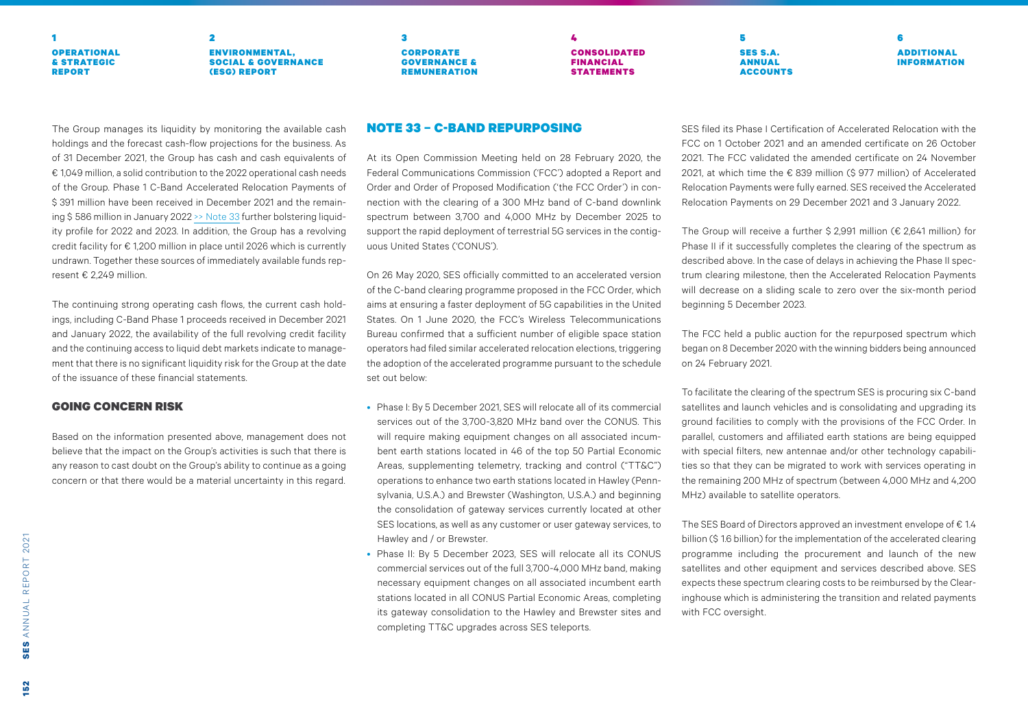REPORT

## **OPERATIONAL** & STRATEGIC

ENVIRONMENTAL, [SOCIAL & GOVERNANCE](#page--1-1)  (ESG) REPORT

CORPORATE [GOVERNANCE &](#page--1-0)  **REMUNERATION** 

4 [CONSOLIDATED](#page-0-0)  **FINANCIAL STATEMENTS** 

5 SES S.A. ANNUAL [ACCOUNTS](#page--1-0)

6 ADDITIONAL INFORMATION

The Group manages its liquidity by monitoring the available cash holdings and the forecast cash-flow projections for the business. As of 31 December 2021, the Group has cash and cash equivalents of € 1,049 million, a solid contribution to the 2022 operational cash needs of the Group. Phase 1 C-Band Accelerated Relocation Payments of \$ 391 million have been received in December 2021 and the remaining \$ 586 million in January 2022 >> [Note](#page-61-0) 33 further bolstering liquidity profile for 2022 and 2023. In addition, the Group has a revolving credit facility for € 1,200 million in place until 2026 which is currently undrawn. Together these sources of immediately available funds represent € 2,249 million.

2

The continuing strong operating cash flows, the current cash holdings, including C-Band Phase 1 proceeds received in December 2021 and January 2022, the availability of the full revolving credit facility and the continuing access to liquid debt markets indicate to management that there is no significant liquidity risk for the Group at the date of the issuance of these financial statements.

#### GOING CONCERN RISK

Based on the information presented above, management does not believe that the impact on the Group's activities is such that there is any reason to cast doubt on the Group's ability to continue as a going concern or that there would be a material uncertainty in this regard.

#### <span id="page-61-0"></span>NOTE 33 – C-BAND REPURPOSING

At its Open Commission Meeting held on 28 February 2020, the Federal Communications Commission ('FCC') adopted a Report and Order and Order of Proposed Modification ('the FCC Order') in connection with the clearing of a 300 MHz band of C-band downlink spectrum between 3,700 and 4,000 MHz by December 2025 to support the rapid deployment of terrestrial 5G services in the contiguous United States ('CONUS').

On 26 May 2020, SES officially committed to an accelerated version of the C-band clearing programme proposed in the FCC Order, which aims at ensuring a faster deployment of 5G capabilities in the United States. On 1 June 2020, the FCC's Wireless Telecommunications Bureau confirmed that a sufficient number of eligible space station operators had filed similar accelerated relocation elections, triggering the adoption of the accelerated programme pursuant to the schedule set out below:

- Phase I: By 5 December 2021, SES will relocate all of its commercial services out of the 3,700-3,820 MHz band over the CONUS. This will require making equipment changes on all associated incumbent earth stations located in 46 of the top 50 Partial Economic Areas, supplementing telemetry, tracking and control ("TT&C") operations to enhance two earth stations located in Hawley (Pennsylvania, U.S.A.) and Brewster (Washington, U.S.A.) and beginning the consolidation of gateway services currently located at other SES locations, as well as any customer or user gateway services, to Hawley and / or Brewster.
- Phase II: By 5 December 2023, SES will relocate all its CONUS commercial services out of the full 3,700-4,000 MHz band, making necessary equipment changes on all associated incumbent earth stations located in all CONUS Partial Economic Areas, completing its gateway consolidation to the Hawley and Brewster sites and completing TT&C upgrades across SES teleports.

SES filed its Phase I Certification of Accelerated Relocation with the FCC on 1 October 2021 and an amended certificate on 26 October 2021. The FCC validated the amended certificate on 24 November 2021, at which time the € 839 million (\$ 977 million) of Accelerated Relocation Payments were fully earned. SES received the Accelerated Relocation Payments on 29 December 2021 and 3 January 2022.

The Group will receive a further \$ 2,991 million (€ 2,641 million) for Phase II if it successfully completes the clearing of the spectrum as described above. In the case of delays in achieving the Phase II spectrum clearing milestone, then the Accelerated Relocation Payments will decrease on a sliding scale to zero over the six-month period beginning 5 December 2023.

The FCC held a public auction for the repurposed spectrum which began on 8 December 2020 with the winning bidders being announced on 24 February 2021.

To facilitate the clearing of the spectrum SES is procuring six C-band satellites and launch vehicles and is consolidating and upgrading its ground facilities to comply with the provisions of the FCC Order. In parallel, customers and affiliated earth stations are being equipped with special filters, new antennae and/or other technology capabilities so that they can be migrated to work with services operating in the remaining 200 MHz of spectrum (between 4,000 MHz and 4,200 MHz) available to satellite operators.

The SES Board of Directors approved an investment envelope of  $\epsilon$  1.4 billion (\$ 1.6 billion) for the implementation of the accelerated clearing programme including the procurement and launch of the new satellites and other equipment and services described above. SES expects these spectrum clearing costs to be reimbursed by the Clearinghouse which is administering the transition and related payments with FCC oversight.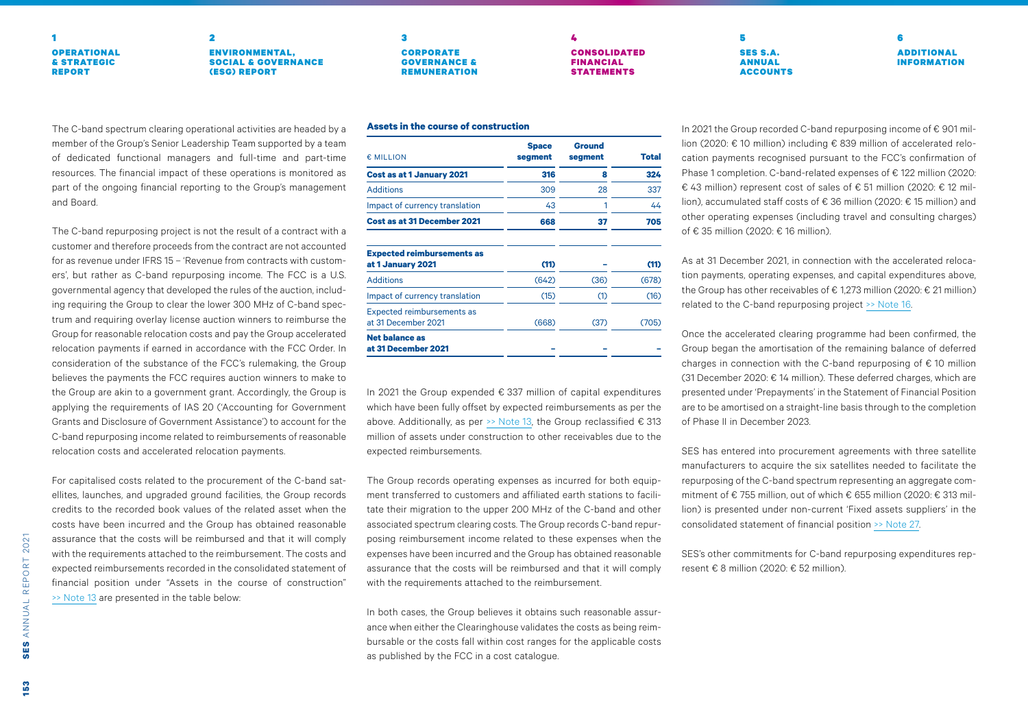#### **OPERATIONAL** & STRATEGIC REPORT

#### 2 ENVIRONMENTAL, [SOCIAL & GOVERNANCE](#page--1-1)  (ESG) REPORT

#### CORPORATE [GOVERNANCE &](#page--1-0)  REMUNERATION

3

#### 4 **CONSOLIDATED FINANCIAL STATEMENTS**

5 SES S.A. ANNUAL [ACCOUNTS](#page--1-0)

6 ADDITIONAL INFORMATION

The C-band spectrum clearing operational activities are headed by a member of the Group's Senior Leadership Team supported by a team of dedicated functional managers and full-time and part-time resources. The financial impact of these operations is monitored as part of the ongoing financial reporting to the Group's management and Board.

The C-band repurposing project is not the result of a contract with a customer and therefore proceeds from the contract are not accounted for as revenue under IFRS 15 – 'Revenue from contracts with customers', but rather as C-band repurposing income. The FCC is a U.S. governmental agency that developed the rules of the auction, including requiring the Group to clear the lower 300 MHz of C-band spectrum and requiring overlay license auction winners to reimburse the Group for reasonable relocation costs and pay the Group accelerated relocation payments if earned in accordance with the FCC Order. In consideration of the substance of the FCC's rulemaking, the Group believes the payments the FCC requires auction winners to make to the Group are akin to a government grant. Accordingly, the Group is applying the requirements of IAS 20 ('Accounting for Government Grants and Disclosure of Government Assistance') to account for the C-band repurposing income related to reimbursements of reasonable relocation costs and accelerated relocation payments.

For capitalised costs related to the procurement of the C-band satellites, launches, and upgraded ground facilities, the Group records credits to the recorded book values of the related asset when the costs have been incurred and the Group has obtained reasonable assurance that the costs will be reimbursed and that it will comply with the requirements attached to the reimbursement. The costs and expected reimbursements recorded in the consolidated statement of financial position under "Assets in the course of construction" >> [Note](#page-33-0) 13 are presented in the table below:

#### **Assets in the course of construction**

| € MILLION                        | <b>Space</b><br>segment | <b>Ground</b><br>segment | <b>Total</b> |
|----------------------------------|-------------------------|--------------------------|--------------|
| <b>Cost as at 1 January 2021</b> | 316                     | 8                        | 324          |
| <b>Additions</b>                 | 309                     | 28                       | 337          |
| Impact of currency translation   | 43                      |                          | 44           |
| Cost as at 31 December 2021      | 668                     | 37                       | 705          |

| <b>Expected reimbursements as</b><br>at 1 January 2021   | (11)  |      | (11)  |
|----------------------------------------------------------|-------|------|-------|
| <b>Additions</b>                                         | (642) | (36) | (678) |
| Impact of currency translation                           | (15)  | (1)  | (16)  |
| <b>Expected reimbursements as</b><br>at 31 December 2021 | (668) | (37) | (705) |
| <b>Net balance as</b><br>at 31 December 2021             |       |      |       |

In 2021 the Group expended € 337 million of capital expenditures which have been fully offset by expected reimbursements as per the above. Additionally, as per >> [Note](#page-33-0) 13, the Group reclassified € 313 million of assets under construction to other receivables due to the expected reimbursements.

The Group records operating expenses as incurred for both equipment transferred to customers and affiliated earth stations to facilitate their migration to the upper 200 MHz of the C-band and other associated spectrum clearing costs. The Group records C-band repurposing reimbursement income related to these expenses when the expenses have been incurred and the Group has obtained reasonable assurance that the costs will be reimbursed and that it will comply with the requirements attached to the reimbursement.

In both cases, the Group believes it obtains such reasonable assurance when either the Clearinghouse validates the costs as being reimbursable or the costs fall within cost ranges for the applicable costs as published by the FCC in a cost catalogue.

In 2021 the Group recorded C-band repurposing income of € 901 million (2020: € 10 million) including € 839 million of accelerated relocation payments recognised pursuant to the FCC's confirmation of Phase 1 completion. C-band-related expenses of € 122 million (2020: € 43 million) represent cost of sales of € 51 million (2020: € 12 million), accumulated staff costs of € 36 million (2020: € 15 million) and other operating expenses (including travel and consulting charges) of € 35 million (2020: € 16 million).

As at 31 December 2021, in connection with the accelerated relocation payments, operating expenses, and capital expenditures above, the Group has other receivables of € 1,273 million (2020: € 21 million) related to the C-band repurposing project >> [Note 16](#page-40-0).

Once the accelerated clearing programme had been confirmed, the Group began the amortisation of the remaining balance of deferred charges in connection with the C-band repurposing of  $\epsilon$  10 million (31 December 2020: € 14 million). These deferred charges, which are presented under 'Prepayments' in the Statement of Financial Position are to be amortised on a straight-line basis through to the completion of Phase II in December 2023.

SES has entered into procurement agreements with three satellite manufacturers to acquire the six satellites needed to facilitate the repurposing of the C-band spectrum representing an aggregate commitment of € 755 million, out of which € 655 million (2020: € 313 million) is presented under non-current 'Fixed assets suppliers' in the consolidated statement of financial position >> [Note](#page-56-1) 27.

SES's other commitments for C-band repurposing expenditures represent € 8 million (2020: € 52 million).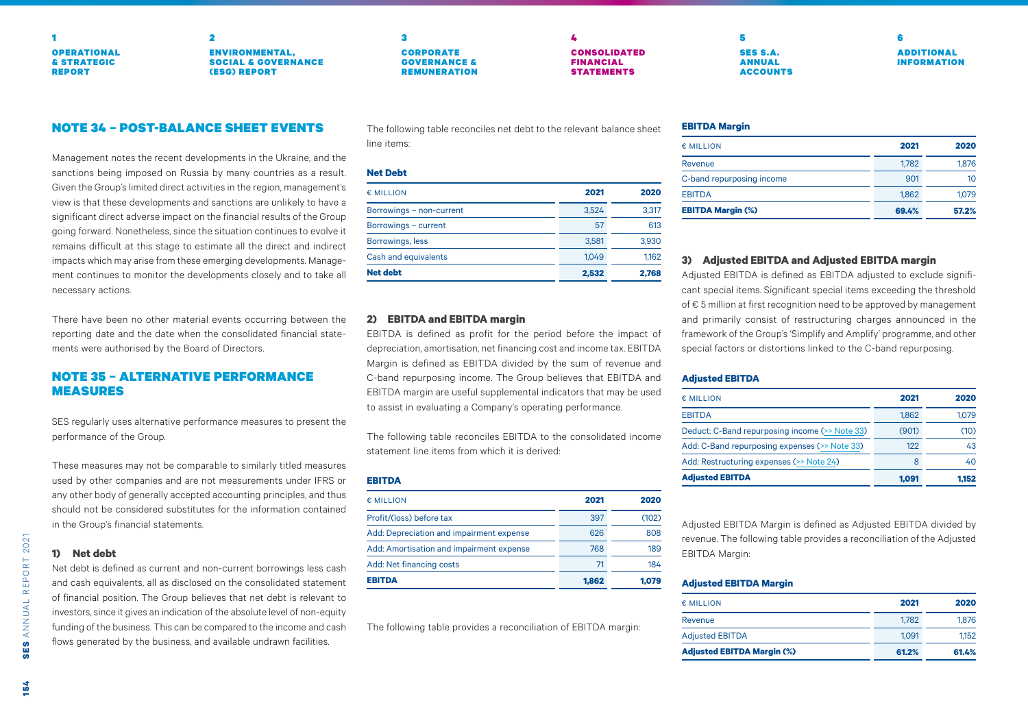#### **OPERATIONAL** & STRATEGIC REPORT

#### 2 ENVIRONMENTAL, [SOCIAL & GOVERNANCE](#page--1-1)  (ESG) REPORT

#### NOTE 34 – POST-BALANCE SHEET EVENTS

Management notes the recent developments in the Ukraine, and the sanctions being imposed on Russia by many countries as a result. Given the Group's limited direct activities in the region, management's view is that these developments and sanctions are unlikely to have a significant direct adverse impact on the financial results of the Group going forward. Nonetheless, since the situation continues to evolve it remains difficult at this stage to estimate all the direct and indirect impacts which may arise from these emerging developments. Management continues to monitor the developments closely and to take all necessary actions.

There have been no other material events occurring between the reporting date and the date when the consolidated financial statements were authorised by the Board of Directors.

#### <span id="page-63-0"></span>NOTE 35 – ALTERNATIVE PERFORMANCE MEASURES

SES regularly uses alternative performance measures to present the performance of the Group.

These measures may not be comparable to similarly titled measures used by other companies and are not measurements under IFRS or any other body of generally accepted accounting principles, and thus should not be considered substitutes for the information contained in the Group's financial statements.

#### **1) Net debt**

Net debt is defined as current and non-current borrowings less cash and cash equivalents, all as disclosed on the consolidated statement of financial position. The Group believes that net debt is relevant to investors, since it gives an indication of the absolute level of non-equity funding of the business. This can be compared to the income and cash flows generated by the business, and available undrawn facilities.

The following table reconciles net debt to the relevant balance sheet line items:

4

**CONSOLIDATED FINANCIAL STATEMENTS** 

#### **Net Debt**

3

**CORPORATE** [GOVERNANCE &](#page--1-0)  REMUNERATION

| € MILLION                | 2021  | 2020  |
|--------------------------|-------|-------|
| Borrowings - non-current | 3.524 | 3,317 |
| Borrowings - current     | 57    | 613   |
| <b>Borrowings, less</b>  | 3,581 | 3,930 |
| Cash and equivalents     | 1.049 | 1,162 |
| Net debt                 | 2,532 | 2.768 |

#### **2) EBITDA and EBITDA margin**

EBITDA is defined as profit for the period before the impact of depreciation, amortisation, net financing cost and income tax. EBITDA Margin is defined as EBITDA divided by the sum of revenue and C-band repurposing income. The Group believes that EBITDA and EBITDA margin are useful supplemental indicators that may be used to assist in evaluating a Company's operating performance.

The following table reconciles EBITDA to the consolidated income statement line items from which it is derived:

#### **EBITDA**

| € MILLION                                | 2021  | 2020  |
|------------------------------------------|-------|-------|
| Profit/(loss) before tax                 | 397   | (102) |
| Add: Depreciation and impairment expense | 626   | 808   |
| Add: Amortisation and impairment expense | 768   | 189   |
| Add: Net financing costs                 | 71    | 184   |
| <b>EBITDA</b>                            | 1.862 | 1.079 |

The following table provides a reconciliation of EBITDA margin:

#### **EBITDA Margin**

5 SES S.A. ANNUAL [ACCOUNTS](#page--1-0)

| € MILLION                 | 2021  | 2020  |
|---------------------------|-------|-------|
| Revenue                   | 1.782 | 1.876 |
| C-band repurposing income | 901   | 10    |
| <b>EBITDA</b>             | 1.862 | 1.079 |
| <b>EBITDA Margin (%)</b>  | 69.4% | 57.2% |

#### **3) Adjusted EBITDA and Adjusted EBITDA margin**

Adjusted EBITDA is defined as EBITDA adjusted to exclude significant special items. Significant special items exceeding the threshold of € 5 million at first recognition need to be approved by management and primarily consist of restructuring charges announced in the framework of the Group's 'Simplify and Amplify' programme, and other special factors or distortions linked to the C-band repurposing.

#### **Adjusted EBITDA**

| € MILLION                                      | 2021  | 2020  |
|------------------------------------------------|-------|-------|
| <b>EBITDA</b>                                  | 1.862 | 1.079 |
| Deduct: C-Band repurposing income (>> Note 33) | (901) | (10)  |
| Add: C-Band repurposing expenses (>> Note 33)  | 122   | 43    |
| Add: Restructuring expenses (>> Note 24)       | 8     | 40    |
| <b>Adjusted EBITDA</b>                         | 1.091 | 1.152 |

Adjusted EBITDA Margin is defined as Adjusted EBITDA divided by revenue. The following table provides a reconciliation of the Adjusted EBITDA Margin:

#### **Adjusted EBITDA Margin**

| € MILLION                         | 2021  | 2020  |
|-----------------------------------|-------|-------|
| Revenue                           | 1.782 | 1.876 |
| <b>Adjusted EBITDA</b>            | 1.091 | 1.152 |
| <b>Adjusted EBITDA Margin (%)</b> | 61.2% | 61.4% |

6

ADDITIONAL INFORMATION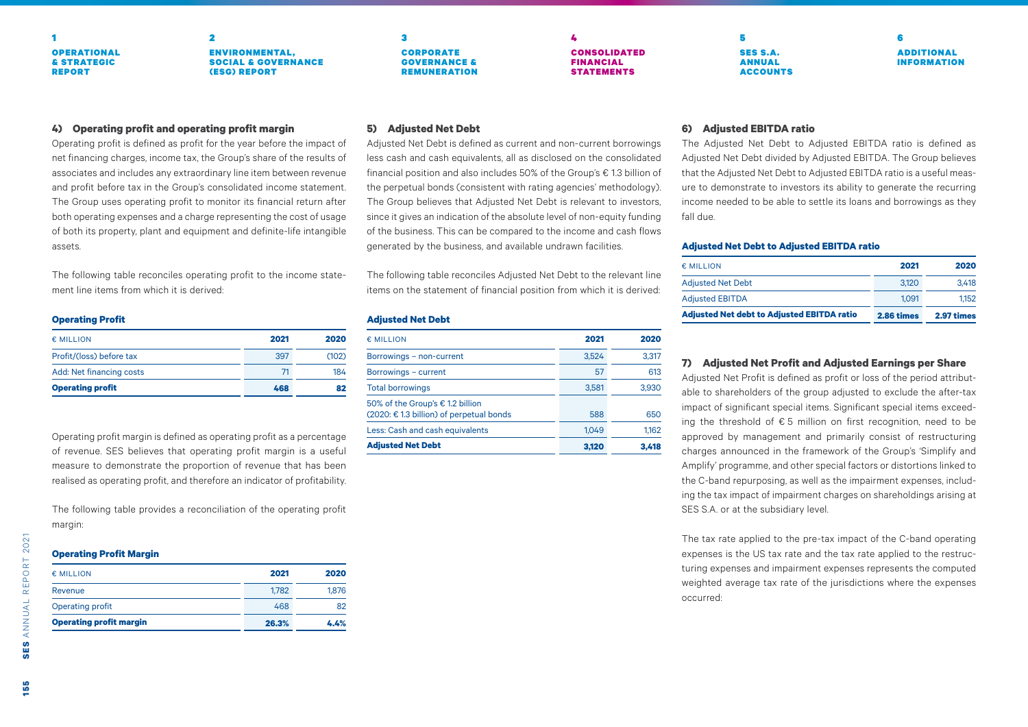**OPERATIONAL** & STRATEGIC REPORT

2 ENVIRONMENTAL, [SOCIAL & GOVERNANCE](#page--1-1)  (ESG) REPORT

#### 3 CORPORATE [GOVERNANCE &](#page--1-0)  **REMUNERATION**

4 [CONSOLIDATED](#page-0-0)  **FINANCIAL STATEMENTS** 

5 SES S.A. ANNUAL [ACCOUNTS](#page--1-0)

6 ADDITIONAL INFORMATION

#### **4) Operating profit and operating profit margin**

Operating profit is defined as profit for the year before the impact of net financing charges, income tax, the Group's share of the results of associates and includes any extraordinary line item between revenue and profit before tax in the Group's consolidated income statement. The Group uses operating profit to monitor its financial return after both operating expenses and a charge representing the cost of usage of both its property, plant and equipment and definite-life intangible assets.

The following table reconciles operating profit to the income statement line items from which it is derived:

#### **Operating Profit**

| € MILLION                | 2021 | 2020  |
|--------------------------|------|-------|
| Profit/(loss) before tax | 397  | (102) |
| Add: Net financing costs | 71   | 184   |
| <b>Operating profit</b>  | 468  | 82    |

Operating profit margin is defined as operating profit as a percentage of revenue. SES believes that operating profit margin is a useful measure to demonstrate the proportion of revenue that has been realised as operating profit, and therefore an indicator of profitability.

The following table provides a reconciliation of the operating profit margin:

#### **Operating Profit Margin**

| € MILLION                      | 2021  | 2020  |
|--------------------------------|-------|-------|
| Revenue                        | 1.782 | 1.876 |
| <b>Operating profit</b>        | 468   | 82    |
| <b>Operating profit margin</b> | 26.3% | 4.4%  |

#### **5) Adjusted Net Debt**

Adjusted Net Debt is defined as current and non-current borrowings less cash and cash equivalents, all as disclosed on the consolidated financial position and also includes 50% of the Group's € 1.3 billion of the perpetual bonds (consistent with rating agencies' methodology). The Group believes that Adjusted Net Debt is relevant to investors, since it gives an indication of the absolute level of non-equity funding of the business. This can be compared to the income and cash flows generated by the business, and available undrawn facilities.

The following table reconciles Adjusted Net Debt to the relevant line items on the statement of financial position from which it is derived:

#### **Adjusted Net Debt**

| € MILLION                                                                    | 2021  | 2020  |
|------------------------------------------------------------------------------|-------|-------|
| Borrowings - non-current                                                     | 3.524 | 3,317 |
| Borrowings - current                                                         | 57    | 613   |
| <b>Total borrowings</b>                                                      | 3,581 | 3,930 |
| 50% of the Group's € 1.2 billion<br>(2020: € 1.3 billion) of perpetual bonds | 588   | 650   |
| Less: Cash and cash equivalents                                              | 1.049 | 1.162 |
| <b>Adjusted Net Debt</b>                                                     | 3.120 | 3.418 |

#### **6) Adjusted EBITDA ratio**

The Adjusted Net Debt to Adjusted EBITDA ratio is defined as Adjusted Net Debt divided by Adjusted EBITDA. The Group believes that the Adjusted Net Debt to Adjusted EBITDA ratio is a useful measure to demonstrate to investors its ability to generate the recurring income needed to be able to settle its loans and borrowings as they fall due.

#### **Adjusted Net Debt to Adjusted EBITDA ratio**

| € MILLION                                         | 2021       | 2020       |
|---------------------------------------------------|------------|------------|
| <b>Adjusted Net Debt</b>                          | 3.120      | 3.418      |
| <b>Adjusted EBITDA</b>                            | 1.091      | 1.152      |
| <b>Adjusted Net debt to Adjusted EBITDA ratio</b> | 2.86 times | 2.97 times |

#### **7) Adjusted Net Profit and Adjusted Earnings per Share**

Adjusted Net Profit is defined as profit or loss of the period attributable to shareholders of the group adjusted to exclude the after-tax impact of significant special items. Significant special items exceeding the threshold of € 5 million on first recognition, need to be approved by management and primarily consist of restructuring charges announced in the framework of the Group's 'Simplify and Amplify' programme, and other special factors or distortions linked to the C-band repurposing, as well as the impairment expenses, including the tax impact of impairment charges on shareholdings arising at SES S.A. or at the subsidiary level.

The tax rate applied to the pre-tax impact of the C-band operating expenses is the US tax rate and the tax rate applied to the restructuring expenses and impairment expenses represents the computed weighted average tax rate of the jurisdictions where the expenses occurred: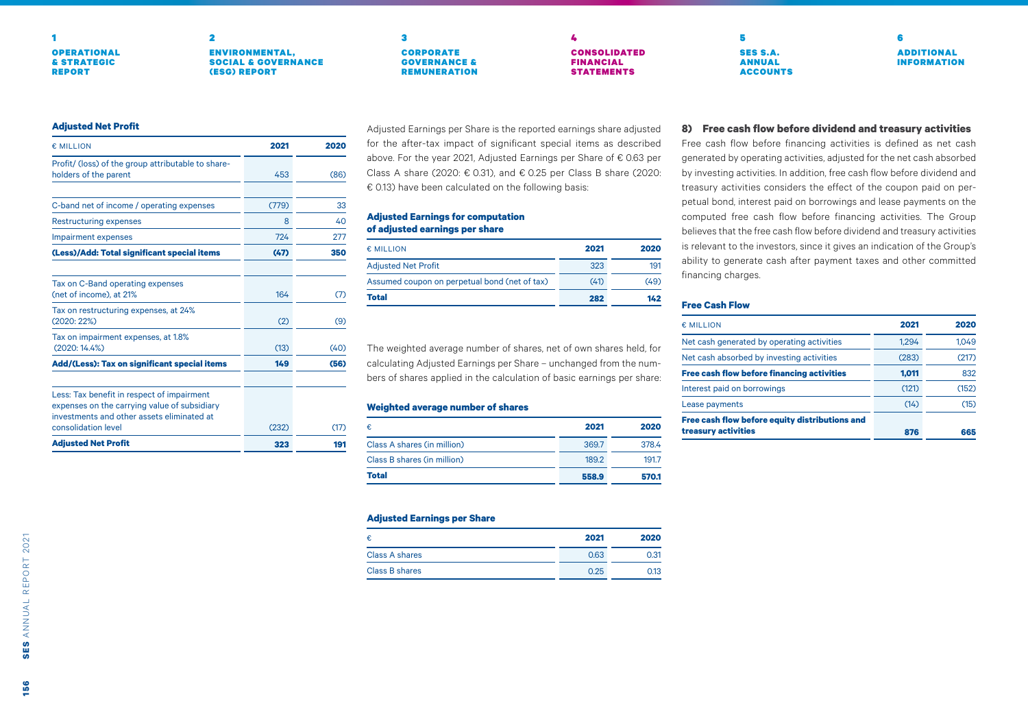#### **OPERATIONAL** & STRATEGIC REPORT

#### 2 ENVIRONMENTAL, [SOCIAL & GOVERNANCE](#page--1-1)  (ESG) REPORT

#### 3 CORPORATE [GOVERNANCE &](#page--1-0)  REMUNERATION

[CONSOLIDATED](#page-0-0)  FINANCIAL STATEMENTS

4

5 SES S.A. ANNUAL [ACCOUNTS](#page--1-0)

6 ADDITIONAL INFORMATION

#### **Adjusted Net Profit**

| € MILLION                                                                                                                                                       | 2021  | 2020 |
|-----------------------------------------------------------------------------------------------------------------------------------------------------------------|-------|------|
| Profit/ (loss) of the group attributable to share-<br>holders of the parent                                                                                     | 453   | (86) |
|                                                                                                                                                                 |       |      |
| C-band net of income / operating expenses                                                                                                                       | (779) | 33   |
| <b>Restructuring expenses</b>                                                                                                                                   | 8     | 40   |
| <b>Impairment expenses</b>                                                                                                                                      | 724   | 277  |
| (Less)/Add: Total significant special items                                                                                                                     | (47)  | 350  |
| Tax on C-Band operating expenses<br>(net of income), at 21%                                                                                                     | 164   | (7)  |
| Tax on restructuring expenses, at 24%<br>(2020:22%)                                                                                                             | (2)   | (9)  |
| Tax on impairment expenses, at 1.8%<br>(2020: 14.4%)                                                                                                            | (13)  | (40) |
| Add/(Less): Tax on significant special items                                                                                                                    | 149   | (56) |
| Less: Tax benefit in respect of impairment<br>expenses on the carrying value of subsidiary<br>investments and other assets eliminated at<br>consolidation level | (232) | (17) |
| <b>Adjusted Net Profit</b>                                                                                                                                      | 323   | 191  |

Adjusted Earnings per Share is the reported earnings share adjusted for the after-tax impact of significant special items as described above. For the year 2021, Adjusted Earnings per Share of € 0.63 per Class A share (2020: € 0.31), and € 0.25 per Class B share (2020: € 0.13) have been calculated on the following basis:

#### **Adjusted Earnings for computation of adjusted earnings per share**

| € MILLION                                     | 2021 | 2020 |
|-----------------------------------------------|------|------|
| <b>Adjusted Net Profit</b>                    | 323  | 191  |
| Assumed coupon on perpetual bond (net of tax) | (41) | (49) |
| Total                                         | 282  | 142  |

The weighted average number of shares, net of own shares held, for calculating Adjusted Earnings per Share – unchanged from the numbers of shares applied in the calculation of basic earnings per share:

#### **Weighted average number of shares**

| €                           | 2021  | 2020  |
|-----------------------------|-------|-------|
| Class A shares (in million) | 369.7 | 378.4 |
| Class B shares (in million) | 189.2 | 191.7 |
| <b>Total</b>                | 558.9 | 570.1 |

#### **Adjusted Earnings per Share**

| €                     | 2021 | 2020 |
|-----------------------|------|------|
| Class A shares        | 0.63 | 0.31 |
| <b>Class B shares</b> | 0.25 | 0.13 |

#### **8) Free cash flow before dividend and treasury activities**

Free cash flow before financing activities is defined as net cash generated by operating activities, adjusted for the net cash absorbed by investing activities. In addition, free cash flow before dividend and treasury activities considers the effect of the coupon paid on perpetual bond, interest paid on borrowings and lease payments on the computed free cash flow before financing activities. The Group believes that the free cash flow before dividend and treasury activities is relevant to the investors, since it gives an indication of the Group's ability to generate cash after payment taxes and other committed financing charges.

#### **Free Cash Flow**

| 2021  | 2020  |
|-------|-------|
| 1.294 | 1.049 |
| (283) | (217) |
| 1.011 | 832   |
| (121) | (152) |
| (14)  | (15)  |
| 876   | 665   |
|       |       |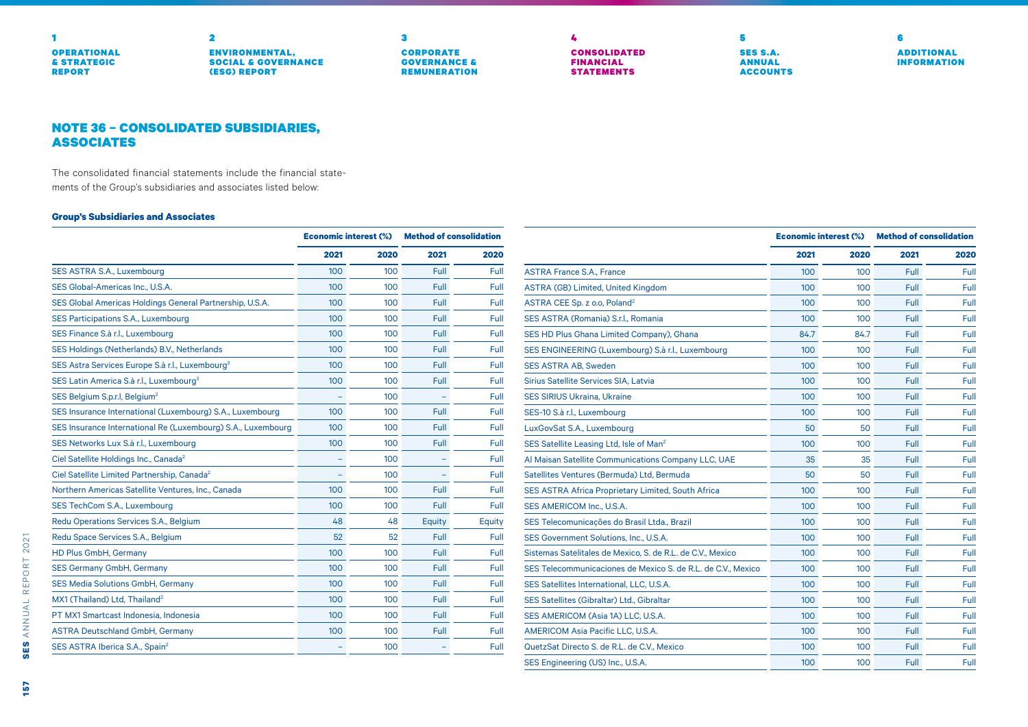**OPERATIONAL** & STRATEGIC REPORT

2 ENVIRONMENTAL, [SOCIAL & GOVERNANCE](#page--1-1)  (ESG) REPORT

CORPORATE [GOVERNANCE &](#page--1-0)  **REMUNERATION** 

3

4 [CONSOLIDATED](#page-0-0)  FINANCIAL **STATEMENTS** 

5 SES S.A. ANNUAL **[ACCOUNTS](#page--1-0)** 

6 ADDITIONAL INFORMATION

#### <span id="page-66-0"></span>NOTE 36 – CONSOLIDATED SUBSIDIARIES, ASSOCIATES

The consolidated financial statements include the financial statements of the Group's subsidiaries and associates listed below:

#### **Group's Subsidiaries and Associates**

|                                                              |                          | <b>Economic interest (%)</b> | <b>Method of consolidation</b> |        |                                                              |      | <b>Economic interest (%)</b> | <b>Method of consolidation</b> |      |
|--------------------------------------------------------------|--------------------------|------------------------------|--------------------------------|--------|--------------------------------------------------------------|------|------------------------------|--------------------------------|------|
|                                                              | 2021                     | 2020                         | 2021                           | 2020   |                                                              |      | 2020                         | 2021                           | 2020 |
| SES ASTRA S.A., Luxembourg                                   | 100                      | 100                          | Full                           | Full   | <b>ASTRA France S.A., France</b>                             | 100  | 100                          | Full                           | Full |
| SES Global-Americas Inc., U.S.A.                             | 100                      | 100                          | Full                           | Full   | ASTRA (GB) Limited, United Kingdom                           | 100  | 100                          | Full                           | Full |
| SES Global Americas Holdings General Partnership, U.S.A.     | 100                      | 100                          | Full                           | Full   | ASTRA CEE Sp. z o.o, Poland <sup>2</sup>                     | 100  | 100                          | Full                           | Full |
| SES Participations S.A., Luxembourg                          | 100                      | 100                          | Full                           | Full   | SES ASTRA (Romania) S.r.l., Romania                          | 100  | 100                          | Full                           | Full |
| SES Finance S.à r.l., Luxembourg                             | 100                      | 100                          | Full                           | Full   | SES HD Plus Ghana Limited Company), Ghana                    | 84.7 | 84.7                         | Full                           | Full |
| SES Holdings (Netherlands) B.V., Netherlands                 | 100                      | 100                          | Full                           | Full   | SES ENGINEERING (Luxembourg) S.à r.l., Luxembourg            | 100  | 100                          | Full                           | Full |
| SES Astra Services Europe S.à r.l., Luxembourg <sup>3</sup>  | 100                      | 100                          | Full                           | Full   | <b>SES ASTRA AB. Sweden</b>                                  | 100  | 100                          | Full                           | Full |
| SES Latin America S.à r.l., Luxembourg <sup>3</sup>          | 100                      | 100                          | Full                           | Full   | Sirius Satellite Services SIA, Latvia                        | 100  | 100                          | Full                           | Full |
| SES Belgium S.p.r.l, Belgium <sup>2</sup>                    | $\sim$                   | 100                          | $\equiv$                       | Full   | <b>SES SIRIUS Ukraina, Ukraine</b>                           | 100  | 100                          | Full                           | Full |
| SES Insurance International (Luxembourg) S.A., Luxembourg    | 100                      | 100                          | Full                           | Full   | SES-10 S.à r.l., Luxembourg                                  | 100  | 100                          | Full                           | Full |
| SES Insurance International Re (Luxembourg) S.A., Luxembourg | 100                      | 100                          | Full                           | Full   | LuxGovSat S.A., Luxembourg                                   | 50   | 50                           | Full                           | Full |
| SES Networks Lux S.à r.l., Luxembourg                        | 100                      | 100                          | Full                           | Full   | SES Satellite Leasing Ltd, Isle of Man <sup>2</sup>          | 100  | 100                          | Full                           | Full |
| Ciel Satellite Holdings Inc., Canada <sup>2</sup>            | $\overline{\phantom{a}}$ | 100                          | $\equiv$                       | Full   | Al Maisan Satellite Communications Company LLC, UAE          | 35   | 35                           | Full                           | Full |
| Ciel Satellite Limited Partnership, Canada <sup>2</sup>      |                          | 100                          |                                | Full   | Satellites Ventures (Bermuda) Ltd. Bermuda                   | 50   | 50                           | Full                           | Full |
| Northern Americas Satellite Ventures, Inc., Canada           | 100                      | 100                          | Full                           | Full   | SES ASTRA Africa Proprietary Limited, South Africa           | 100  | 100                          | Full                           | Full |
| SES TechCom S.A., Luxembourg                                 | 100                      | 100                          | Full                           | Full   | SES AMERICOM Inc., U.S.A.                                    | 100  | 100                          | Full                           | Full |
| Redu Operations Services S.A., Belgium                       | 48                       | 48                           | Equity                         | Equity | SES Telecomunicações do Brasil Ltda., Brazil                 | 100  | 100                          | Full                           | Full |
| Redu Space Services S.A., Belgium                            | 52                       | 52                           | Full                           | Full   | SES Government Solutions, Inc., U.S.A.                       | 100  | 100                          | Full                           | Full |
| HD Plus GmbH, Germany                                        | 100                      | 100                          | Full                           | Full   | Sistemas Satelitales de Mexico, S. de R.L. de C.V., Mexico   | 100  | 100                          | Full                           | Full |
| <b>SES Germany GmbH, Germany</b>                             | 100                      | 100                          | Full                           | Full   | SES Telecommunicaciones de Mexico S. de R.L. de C.V., Mexico | 100  | 100                          | Full                           | Full |
| <b>SES Media Solutions GmbH, Germany</b>                     | 100                      | 100                          | Full                           | Full   | SES Satellites International, LLC, U.S.A.                    | 100  | 100                          | Full                           | Full |
| MX1 (Thailand) Ltd, Thailand <sup>2</sup>                    | 100                      | 100                          | Full                           | Full   | SES Satellites (Gibraltar) Ltd., Gibraltar                   | 100  | 100                          | Full                           | Full |
| PT MX1 Smartcast Indonesia. Indonesia                        | 100                      | 100                          | Full                           | Full   | SES AMERICOM (Asia 1A) LLC, U.S.A.                           | 100  | 100                          | Full                           | Full |
| <b>ASTRA Deutschland GmbH, Germany</b>                       | 100                      | 100                          | Full                           | Full   | <b>AMERICOM Asia Pacific LLC, U.S.A.</b>                     | 100  | 100                          | Full                           | Full |
| SES ASTRA Iberica S.A., Spain <sup>2</sup>                   | $\overline{\phantom{a}}$ | 100                          | $\overline{\phantom{m}}$       | Full   | QuetzSat Directo S. de R.L. de C.V., Mexico                  | 100  | 100                          | Full                           | Full |
|                                                              |                          |                              |                                |        | SES Engineering (US) Inc., U.S.A.                            | 100  | 100                          | Full                           | Full |